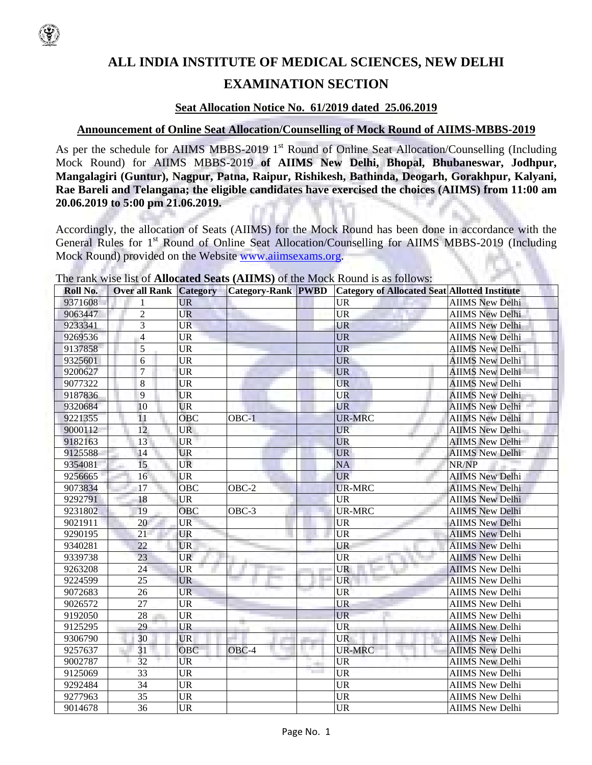

# **ALL INDIA INSTITUTE OF MEDICAL SCIENCES, NEW DELHI EXAMINATION SECTION**

## **Seat Allocation Notice No. 61/2019 dated 25.06.2019**

## **Announcement of Online Seat Allocation/Counselling of Mock Round of AIIMS-MBBS-2019**

As per the schedule for AIIMS MBBS-2019 1<sup>st</sup> Round of Online Seat Allocation/Counselling (Including Mock Round) for AIIMS MBBS-2019 **of AIIMS New Delhi, Bhopal, Bhubaneswar, Jodhpur, Mangalagiri (Guntur), Nagpur, Patna, Raipur, Rishikesh, Bathinda, Deogarh, Gorakhpur, Kalyani, Rae Bareli and Telangana; the eligible candidates have exercised the choices (AIIMS) from 11:00 am 20.06.2019 to 5:00 pm 21.06.2019.**

Accordingly, the allocation of Seats (AIIMS) for the Mock Round has been done in accordance with the General Rules for 1<sup>st</sup> Round of Online Seat Allocation/Counselling for AIIMS MBBS-2019 (Including Mock Round) provided on the Website www.aiimsexams.org.

| Roll No. | <b>Over all Rank Category</b> |            | <b>Category-Rank PWBD</b> |                | <b>Category of Allocated Seat Allotted Institute</b> |                        |
|----------|-------------------------------|------------|---------------------------|----------------|------------------------------------------------------|------------------------|
| 9371608  | 1                             | <b>UR</b>  |                           |                | <b>UR</b>                                            | <b>AIIMS New Delhi</b> |
| 9063447  | $\overline{c}$                | <b>UR</b>  |                           |                | <b>UR</b>                                            | <b>AIIMS New Delhi</b> |
| 9233341  | 3                             | <b>UR</b>  |                           |                | <b>UR</b>                                            | <b>AIIMS New Delhi</b> |
| 9269536  | $\overline{4}$                | <b>UR</b>  |                           |                | <b>UR</b>                                            | <b>AIIMS New Delhi</b> |
| 9137858  | 5                             | <b>UR</b>  |                           |                | <b>UR</b>                                            | <b>AIIMS New Delhi</b> |
| 9325601  | 6                             | <b>UR</b>  |                           |                | <b>UR</b>                                            | <b>AIIMS New Delhi</b> |
| 9200627  | $\overline{7}$                | <b>UR</b>  |                           |                | <b>UR</b>                                            | <b>AIIMS New Delhi</b> |
| 9077322  | 8                             | <b>UR</b>  |                           |                | UR                                                   | <b>AIIMS New Delhi</b> |
| 9187836  | 9                             | <b>UR</b>  |                           |                | <b>UR</b>                                            | <b>AIIMS New Delhi</b> |
| 9320684  | 10                            | <b>UR</b>  |                           |                | <b>UR</b>                                            | <b>AIIMS New Delhi</b> |
| 9221355  | 11                            | OBC        | $OBC-1$                   |                | <b>UR-MRC</b>                                        | <b>AIIMS New Delhi</b> |
| 9000112  | 12                            | <b>UR</b>  |                           |                | <b>UR</b>                                            | <b>AIIMS New Delhi</b> |
| 9182163  | 13                            | <b>UR</b>  |                           |                | <b>UR</b>                                            | <b>AIIMS New Delhi</b> |
| 9125588  | 14                            | <b>UR</b>  |                           |                | <b>UR</b>                                            | <b>AIIMS New Delhi</b> |
| 9354081  | 15                            | <b>UR</b>  |                           |                | <b>NA</b>                                            | NR/NP                  |
| 9256665  | 16                            | <b>UR</b>  |                           |                | <b>UR</b>                                            | <b>AIIMS New Delhi</b> |
| 9073834  | 17                            | <b>OBC</b> | $OBC-2$                   |                | <b>UR-MRC</b>                                        | <b>AIIMS New Delhi</b> |
| 9292791  | 18                            | UR         |                           |                | <b>UR</b>                                            | <b>AIIMS New Delhi</b> |
| 9231802  | 19                            | OBC        | OBC-3                     |                | <b>UR-MRC</b>                                        | <b>AIIMS New Delhi</b> |
| 9021911  | 20                            | <b>UR</b>  |                           |                | <b>UR</b>                                            | <b>AIIMS New Delhi</b> |
| 9290195  | 21                            | <b>UR</b>  |                           |                | <b>UR</b>                                            | <b>AIIMS New Delhi</b> |
| 9340281  | 22                            | <b>UR</b>  |                           |                | <b>UR</b>                                            | <b>AIIMS New Delhi</b> |
| 9339738  | 23                            | <b>UR</b>  |                           |                | <b>UR</b>                                            | <b>AIIMS New Delhi</b> |
| 9263208  | 24                            | <b>UR</b>  |                           |                | <b>UR</b>                                            | <b>AIIMS New Delhi</b> |
| 9224599  | 25                            | <b>UR</b>  |                           |                | <b>UR</b>                                            | <b>AIIMS</b> New Delhi |
| 9072683  | 26                            | <b>UR</b>  |                           |                | <b>UR</b>                                            | <b>AIIMS New Delhi</b> |
| 9026572  | 27                            | <b>UR</b>  |                           |                | <b>UR</b>                                            | <b>AIIMS New Delhi</b> |
| 9192050  | 28                            | UR         |                           |                | <b>UR</b>                                            | <b>AIIMS New Delhi</b> |
| 9125295  | 29                            | <b>UR</b>  |                           |                | <b>UR</b>                                            | <b>AIIMS New Delhi</b> |
| 9306790  | 30                            | <b>UR</b>  |                           |                | <b>UR</b>                                            | <b>AIIMS New Delhi</b> |
| 9257637  | 31                            | OBC        | OBC-4                     | n er           | <b>UR-MRC</b>                                        | <b>AIIMS New Delhi</b> |
| 9002787  | 32                            | <b>UR</b>  |                           |                | <b>UR</b>                                            | <b>AIIMS New Delhi</b> |
| 9125069  | 33                            | <b>UR</b>  |                           | <b>Service</b> | <b>UR</b>                                            | <b>AIIMS New Delhi</b> |
| 9292484  | $\overline{34}$               | <b>UR</b>  |                           |                | <b>UR</b>                                            | <b>AIIMS New Delhi</b> |
| 9277963  | $\overline{35}$               | <b>UR</b>  |                           |                | <b>UR</b>                                            | <b>AIIMS New Delhi</b> |
| 9014678  | $\overline{36}$               | <b>UR</b>  |                           |                | <b>UR</b>                                            | <b>AIIMS New Delhi</b> |

The rank wise list of **Allocated Seats (AIIMS)** of the Mock Round is as follows: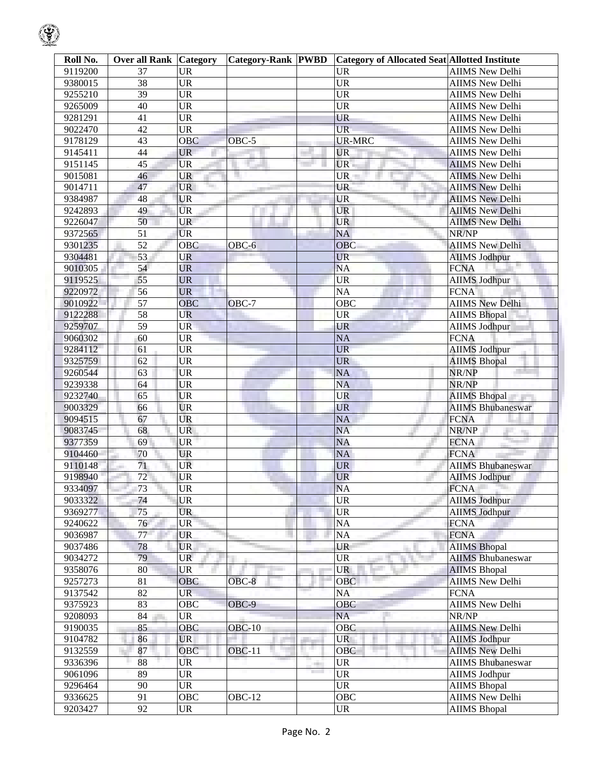| Roll No.           | <b>Over all Rank Category</b> |                        | <b>Category-Rank PWBD</b> |                                       | <b>Category of Allocated Seat Allotted Institute</b> |                                                |
|--------------------|-------------------------------|------------------------|---------------------------|---------------------------------------|------------------------------------------------------|------------------------------------------------|
| 9119200            | 37                            | <b>UR</b>              |                           |                                       | <b>UR</b>                                            | <b>AIIMS New Delhi</b>                         |
| 9380015            | $\overline{38}$               | <b>UR</b>              |                           |                                       | <b>UR</b>                                            | <b>AIIMS New Delhi</b>                         |
| 9255210            | $\overline{39}$               | $\overline{\text{UR}}$ |                           |                                       | <b>UR</b>                                            | <b>AIIMS New Delhi</b>                         |
| 9265009            | 40                            | <b>UR</b>              |                           |                                       | <b>UR</b>                                            | <b>AIIMS New Delhi</b>                         |
| 9281291            | 41                            | $\overline{\text{UR}}$ |                           |                                       | <b>UR</b>                                            | <b>AIIMS New Delhi</b>                         |
| 9022470            | 42                            | <b>UR</b>              |                           |                                       | <b>UR</b>                                            | <b>AIIMS</b> New Delhi                         |
| 9178129            | 43                            | <b>OBC</b>             | OBC-5                     |                                       | <b>UR-MRC</b>                                        | <b>AIIMS</b> New Delhi                         |
| 9145411            | 44                            | <b>UR</b>              |                           |                                       | <b>UR</b>                                            | <b>AIIMS New Delhi</b>                         |
| 9151145            | 45                            | <b>UR</b>              |                           |                                       | UR.                                                  | <b>AIIMS New Delhi</b>                         |
| 9015081            | 46                            | <b>UR</b>              |                           |                                       | UR.                                                  | <b>AIIMS New Delhi</b>                         |
| 9014711            | 47                            | <b>UR</b>              |                           |                                       | UR                                                   | <b>AIIMS New Delhi</b>                         |
| 9384987            | 48                            | <b>UR</b>              |                           |                                       | <b>UR</b>                                            | <b>AIIMS</b> New Delhi                         |
| 9242893            | 49                            | <b>UR</b>              |                           |                                       | <b>UR</b>                                            | <b>AIIMS New Delhi</b>                         |
| 9226047            | 50                            | <b>UR</b>              |                           |                                       | <b>UR</b>                                            | <b>AIIMS New Delhi</b>                         |
| 9372565            | 51                            | <b>UR</b>              |                           |                                       | <b>NA</b>                                            | NR/NP                                          |
| 9301235            | $\overline{52}$               | <b>OBC</b>             | OBC-6                     |                                       | OBC                                                  | <b>AIIMS New Delhi</b>                         |
| 9304481            | 53                            | UR                     |                           |                                       | <b>UR</b>                                            | <b>AIIMS Jodhpur</b>                           |
| 9010305            | 54                            | <b>UR</b>              |                           |                                       | <b>NA</b>                                            | <b>FCNA</b>                                    |
| 9119525            | 55                            | <b>UR</b>              |                           |                                       | <b>UR</b>                                            | <b>AIIMS Jodhpur</b>                           |
| 9220972            | 56                            | <b>UR</b>              |                           |                                       | <b>NA</b>                                            | <b>FCNA</b>                                    |
| 9010922            | $\overline{57}$               | <b>OBC</b>             | OBC-7                     |                                       | <b>OBC</b>                                           | <b>AIIMS New Delhi</b>                         |
| 9122288            | $\overline{58}$               | <b>UR</b>              |                           |                                       | <b>UR</b>                                            | <b>AIIMS Bhopal</b>                            |
| 9259707            | $\overline{59}$               | <b>UR</b>              |                           |                                       | <b>UR</b>                                            | <b>AIIMS Jodhpur</b>                           |
| 9060302            | 60                            | <b>UR</b>              |                           |                                       | <b>NA</b>                                            | <b>FCNA</b>                                    |
| 9284112            | 61                            | <b>UR</b>              |                           |                                       | <b>UR</b>                                            | <b>AIIMS Jodhpur</b>                           |
| 9325759            | 62                            | <b>UR</b>              |                           |                                       | <b>UR</b>                                            | <b>AIIMS Bhopal</b>                            |
| 9260544            | 63                            | <b>UR</b>              |                           |                                       | <b>NA</b>                                            | NR/NP                                          |
| 9239338            | 64                            | <b>UR</b>              |                           |                                       | <b>NA</b>                                            | NR/NP                                          |
| 9232740            | 65                            | <b>UR</b>              |                           |                                       | <b>UR</b>                                            | <b>AIIMS Bhopal</b>                            |
| 9003329            | 66                            | <b>UR</b>              |                           |                                       | <b>UR</b>                                            | <b>AIIMS Bhubaneswar</b>                       |
| 9094515            | 67                            | UR                     |                           |                                       | <b>NA</b>                                            | <b>FCNA</b>                                    |
| 9083745            | 68                            | <b>UR</b>              |                           |                                       | <b>NA</b>                                            | NR/NP                                          |
| 9377359            | 69                            | <b>UR</b>              |                           |                                       | <b>NA</b>                                            | 76<br><b>FCNA</b>                              |
| 9104460            | 70                            | <b>UR</b>              |                           |                                       | <b>NA</b>                                            | <b>FCNA</b>                                    |
| 9110148            | 71                            | UR                     |                           |                                       | <b>UR</b>                                            | <b>AIIMS Bhubaneswar</b>                       |
| 9198940            | 72                            | <b>UR</b>              |                           |                                       | <b>UR</b>                                            | <b>AIIMS Jodhpur</b>                           |
| 9334097            | 73                            | <b>UR</b>              |                           |                                       | <b>NA</b>                                            | <b>FCNA</b>                                    |
| 9033322            | 74                            | <b>UR</b>              |                           |                                       | UR                                                   | <b>AIIMS</b> Jodhpur                           |
| 9369277            | 75                            | <b>UR</b>              |                           |                                       | <b>UR</b>                                            | <b>AIIMS Jodhpur</b>                           |
| 9240622            | 76                            | <b>UR</b>              |                           |                                       | NA                                                   | <b>FCNA</b>                                    |
| 9036987            | 77                            | <b>UR</b>              |                           |                                       | <b>NA</b>                                            | <b>FCNA</b>                                    |
| 9037486            | 78                            | <b>UR</b>              |                           |                                       | UR                                                   | <b>AIIMS Bhopal</b>                            |
| 9034272            | 79                            | <b>UR</b>              |                           |                                       | <b>UR</b>                                            | <b>AIIMS Bhubaneswar</b>                       |
| 9358076            | 80                            | UR                     |                           |                                       | <b>UR</b>                                            | <b>AIIMS Bhopal</b>                            |
| 9257273            | 81                            | <b>OBC</b>             | OBC-8                     |                                       | OBC                                                  | <b>AIIMS New Delhi</b>                         |
| 9137542            | 82                            | <b>UR</b>              |                           |                                       | <b>NA</b>                                            | <b>FCNA</b>                                    |
| 9375923            | 83                            | OBC                    | OBC-9                     |                                       | OBC                                                  | <b>AIIMS New Delhi</b>                         |
| 9208093            | 84                            | UR                     |                           |                                       | <b>NA</b>                                            | NR/NP                                          |
| 9190035            | 85                            | OBC                    | $OBC-10$                  |                                       | OBC                                                  | <b>AIIMS New Delhi</b>                         |
| 9104782            | 86                            | <b>UR</b>              |                           |                                       | <b>UR</b>                                            |                                                |
|                    | 87                            | OBC                    | <b>OBC-11</b>             | a pro                                 | OBC                                                  | <b>AIIMS Jodhpur</b><br><b>AIIMS New Delhi</b> |
| 9132559<br>9336396 | 88                            | UR                     |                           |                                       | <b>UR</b>                                            | <b>AIIMS Bhubaneswar</b>                       |
| 9061096            | 89                            | <b>UR</b>              |                           | -99<br><b>The Contract of Service</b> | <b>UR</b>                                            | <b>AIIMS Jodhpur</b>                           |
|                    | 90                            |                        |                           |                                       |                                                      |                                                |
| 9296464            |                               | <b>UR</b>              |                           |                                       | UR                                                   | <b>AIIMS Bhopal</b>                            |
| 9336625            | 91                            | <b>OBC</b>             | <b>OBC-12</b>             |                                       | OBC                                                  | <b>AIIMS New Delhi</b>                         |
| 9203427            | $\overline{92}$               | <b>UR</b>              |                           |                                       | <b>UR</b>                                            | <b>AIIMS Bhopal</b>                            |

 $\mathcal{G}% _{ij}$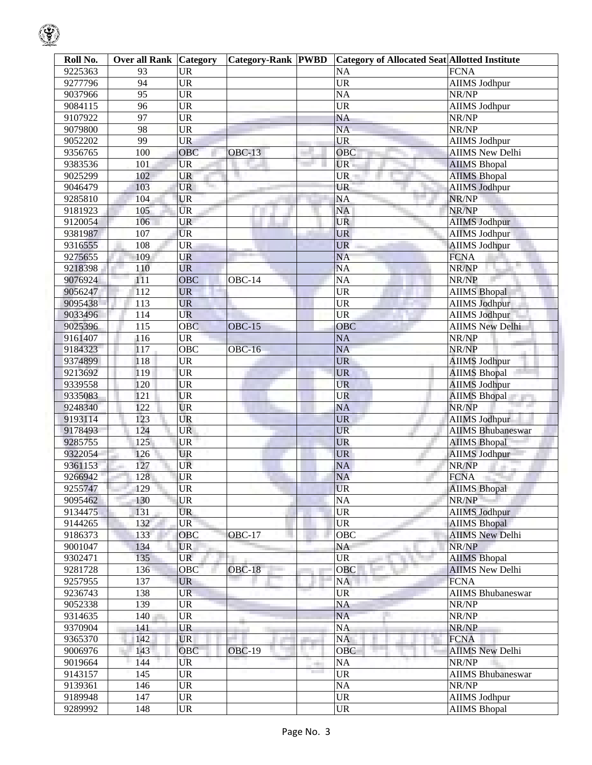| Roll No. | <b>Over all Rank Category</b> |                                   | Category-Rank PWBD |                     | <b>Category of Allocated Seat Allotted Institute</b> |                          |
|----------|-------------------------------|-----------------------------------|--------------------|---------------------|------------------------------------------------------|--------------------------|
| 9225363  | 93                            | <b>UR</b>                         |                    |                     | <b>NA</b>                                            | <b>FCNA</b>              |
| 9277796  | 94                            | <b>UR</b>                         |                    |                     | $\overline{UR}$                                      | <b>AIIMS Jodhpur</b>     |
| 9037966  | 95                            | UR                                |                    |                     | <b>NA</b>                                            | NR/NP                    |
| 9084115  | 96                            | <b>UR</b>                         |                    |                     | <b>UR</b>                                            | <b>AIIMS Jodhpur</b>     |
| 9107922  | 97                            | <b>UR</b>                         |                    |                     | <b>NA</b>                                            | NR/NP                    |
| 9079800  | 98                            | <b>UR</b>                         |                    |                     | <b>NA</b>                                            | NR/NP                    |
| 9052202  | 99                            | UR                                |                    |                     | <b>UR</b>                                            | <b>AIIMS</b> Jodhpur     |
| 9356765  | 100                           | OBC                               | $OBC-13$           |                     | OBC                                                  | <b>AIIMS New Delhi</b>   |
| 9383536  | 101                           | <b>UR</b>                         |                    |                     | UR.                                                  | <b>AIIMS Bhopal</b>      |
| 9025299  | 102                           | <b>UR</b>                         |                    |                     | UR.                                                  | <b>AIIMS Bhopal</b>      |
| 9046479  | 103                           | <b>UR</b>                         |                    |                     | <b>UR</b>                                            | <b>AIIMS Jodhpur</b>     |
| 9285810  | 104                           | <b>UR</b>                         |                    |                     | <b>NA</b>                                            | NR/NP                    |
| 9181923  | 105                           | <b>UR</b>                         |                    |                     | NA                                                   | NR/NP                    |
| 9120054  | 106                           | <b>UR</b>                         |                    |                     | <b>UR</b>                                            | <b>AIIMS Jodhpur</b>     |
| 9381987  | 107                           | <b>UR</b>                         |                    |                     | <b>UR</b>                                            | <b>AIIMS Jodhpur</b>     |
| 9316555  | 108                           | <b>UR</b>                         |                    |                     | <b>UR</b>                                            | <b>AIIMS Jodhpur</b>     |
| 9275655  | 109                           | UR                                |                    |                     | <b>NA</b>                                            | <b>FCNA</b>              |
| 9218398  | 110                           | <b>UR</b>                         |                    |                     | <b>NA</b>                                            | NR/NP                    |
| 9076924  | 111                           | OBC                               | OBC-14             |                     | $\overline{NA}$                                      | NR/NP                    |
| 9056247  | 112                           | <b>UR</b>                         |                    |                     | <b>UR</b>                                            | <b>AIIMS Bhopal</b>      |
| 9095438  | 113                           | <b>UR</b>                         |                    |                     | <b>UR</b>                                            | <b>AIIMS Jodhpur</b>     |
| 9033496  | 114                           | <b>UR</b>                         |                    |                     | <b>UR</b>                                            | <b>AIIMS Jodhpur</b>     |
| 9025396  | 115                           | <b>OBC</b>                        | <b>OBC-15</b>      |                     | OBC                                                  | <b>AIIMS New Delhi</b>   |
| 9161407  | 116                           | <b>UR</b>                         |                    |                     | <b>NA</b>                                            | NR/NP                    |
| 9184323  | 117                           | OBC                               | <b>OBC-16</b>      |                     | <b>NA</b>                                            | NR/NP                    |
| 9374899  | 118                           | <b>UR</b>                         |                    |                     | <b>UR</b>                                            | <b>AIIMS Jodhpur</b>     |
| 9213692  |                               | <b>UR</b>                         |                    |                     | <b>UR</b>                                            |                          |
|          | 119                           |                                   |                    |                     |                                                      | <b>AIIMS Bhopal</b>      |
| 9339558  | 120                           | <b>UR</b><br><b>UR</b>            |                    |                     | <b>UR</b>                                            | <b>AIIMS Jodhpur</b>     |
| 9335083  | 121                           |                                   |                    |                     | <b>UR</b>                                            | <b>AIIMS Bhopal</b>      |
| 9248340  | 122                           | <b>UR</b>                         |                    |                     | <b>NA</b>                                            | NR/NP                    |
| 9193114  | 123                           | UR                                |                    |                     | <b>UR</b>                                            | <b>AIIMS Jodhpur</b>     |
| 9178493  | 124                           | <b>UR</b>                         |                    |                     | <b>UR</b>                                            | <b>AIIMS Bhubaneswar</b> |
| 9285755  | 125                           | <b>UR</b>                         |                    |                     | <b>UR</b>                                            | <b>AIIMS Bhopal</b>      |
| 9322054  | 126                           | <b>UR</b>                         |                    |                     | <b>UR</b>                                            | <b>AIIMS Jodhpur</b>     |
| 9361153  | 127                           | UR                                |                    |                     | <b>NA</b>                                            | NR/NP                    |
| 9266942  | 128                           | <b>UR</b>                         |                    |                     | <b>NA</b>                                            | <b>FCNA</b>              |
| 9255747  | 129                           | <b>UR</b>                         |                    |                     | <b>UR</b>                                            | <b>AIIMS</b> Bhopal      |
| 9095462  | 130                           | <b>UR</b>                         |                    |                     | <b>NA</b>                                            | NR/NP                    |
| 9134475  | 131                           | <b>UR</b>                         |                    |                     | <b>UR</b>                                            | <b>AIIMS Jodhpur</b>     |
| 9144265  | 132                           | <b>UR</b>                         |                    |                     | $\ensuremath{\mathsf{UR}}\xspace$                    | <b>AIIMS Bhopal</b>      |
| 9186373  | 133                           | OBC                               | OBC-17             |                     | OBC                                                  | <b>AIIMS New Delhi</b>   |
| 9001047  | 134                           | <b>UR</b>                         |                    |                     | NA                                                   | NR/NP                    |
| 9302471  | 135                           | <b>UR</b>                         |                    |                     | <b>UR</b>                                            | <b>AIIMS Bhopal</b>      |
| 9281728  | 136                           | OBC                               | <b>OBC-18</b>      |                     | OBC                                                  | <b>AIIMS New Delhi</b>   |
| 9257955  | 137                           | <b>UR</b>                         |                    |                     | NA                                                   | <b>FCNA</b>              |
| 9236743  | 138                           | <b>UR</b>                         |                    |                     | <b>UR</b>                                            | <b>AIIMS Bhubaneswar</b> |
| 9052338  | 139                           | UR                                |                    |                     | NA                                                   | NR/NP                    |
| 9314635  | 140                           | UR                                |                    |                     | <b>NA</b>                                            | NR/NP                    |
| 9370904  | 141                           | <b>UR</b>                         |                    |                     | <b>NA</b>                                            | NR/NP                    |
| 9365370  | 142                           | <b>UR</b>                         |                    |                     | <b>NA</b>                                            | <b>FCNA</b>              |
| 9006976  | 143                           | OBC                               | <b>OBC-19</b>      | ш.                  | OBC                                                  | <b>AIIMS New Delhi</b>   |
| 9019664  | 144                           | UR                                |                    |                     | NA                                                   | NR/NP                    |
| 9143157  | 145                           | <b>UR</b>                         |                    | <b>The Contract</b> | <b>UR</b>                                            | <b>AIIMS Bhubaneswar</b> |
| 9139361  | 146                           | UR                                |                    |                     | NA                                                   | NR/NP                    |
| 9189948  | 147                           | $\ensuremath{\mathrm{UR}}\xspace$ |                    |                     | <b>UR</b>                                            | <b>AIIMS Jodhpur</b>     |
| 9289992  | 148                           | $\ensuremath{\mathrm{UR}}\xspace$ |                    |                     | <b>UR</b>                                            | <b>AIIMS Bhopal</b>      |

 $\bigcirc$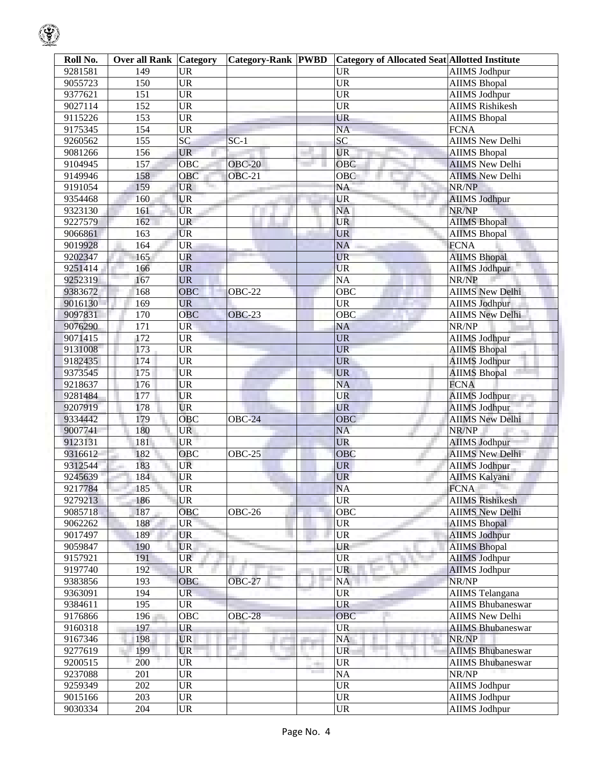| Roll No. | <b>Over all Rank Category</b> |                                   | <b>Category-Rank PWBD</b> |      | <b>Category of Allocated Seat Allotted Institute</b> |                          |
|----------|-------------------------------|-----------------------------------|---------------------------|------|------------------------------------------------------|--------------------------|
| 9281581  | 149                           | <b>UR</b>                         |                           |      | <b>UR</b>                                            | <b>AIIMS Jodhpur</b>     |
| 9055723  | 150                           | $\overline{UR}$                   |                           |      | $\overline{\text{UR}}$                               | <b>AIIMS Bhopal</b>      |
| 9377621  | 151                           | $\overline{\text{UR}}$            |                           |      | $\overline{\text{UR}}$                               | <b>AIIMS Jodhpur</b>     |
| 9027114  | 152                           | <b>UR</b>                         |                           |      | $\overline{\text{UR}}$                               | <b>AIIMS Rishikesh</b>   |
| 9115226  | 153                           | $\overline{\text{UR}}$            |                           |      | <b>UR</b>                                            | <b>AIIMS Bhopal</b>      |
| 9175345  | 154                           | <b>UR</b>                         |                           |      | $\overline{NA}$                                      | <b>FCNA</b>              |
| 9260562  | 155                           | SC                                | $SC-1$                    |      | SC                                                   | <b>AIIMS</b> New Delhi   |
| 9081266  | 156                           | <b>UR</b>                         |                           |      | <b>UR</b>                                            | <b>AIIMS Bhopal</b>      |
| 9104945  | 157                           | OBC                               | <b>OBC-20</b>             |      | OBC                                                  | <b>AIIMS New Delhi</b>   |
| 9149946  | 158                           | OBC                               | <b>OBC-21</b>             |      | OBC                                                  | <b>AIIMS New Delhi</b>   |
| 9191054  | 159                           | <b>UR</b><br>Territori            |                           |      | NA                                                   | NR/NP                    |
| 9354468  | 160                           | <b>UR</b>                         |                           |      | <b>UR</b>                                            | <b>AIIMS</b> Jodhpur     |
| 9323130  | 161                           | <b>UR</b>                         |                           |      | <b>NA</b>                                            | NR/NP                    |
| 9227579  | 162                           | <b>UR</b>                         |                           |      | <b>UR</b>                                            | <b>AIIMS Bhopal</b>      |
| 9066861  | 163                           | <b>UR</b>                         |                           |      | <b>UR</b>                                            | <b>AIIMS Bhopal</b>      |
| 9019928  | 164                           | <b>UR</b>                         |                           |      | <b>NA</b>                                            | <b>FCNA</b>              |
| 9202347  | 165                           | <b>UR</b>                         |                           |      | <b>UR</b>                                            | <b>AIIMS Bhopal</b>      |
| 9251414  | 166                           | <b>UR</b>                         |                           |      | <b>UR</b>                                            | <b>AIIMS Jodhpur</b>     |
| 9252319  | 167                           | <b>UR</b>                         |                           |      | $\overline{NA}$                                      | NR/NP                    |
| 9383672  | 168                           | <b>OBC</b>                        | OBC-22                    |      | OBC                                                  | <b>AIIMS</b> New Delhi   |
| 9016130  | 169                           | <b>UR</b>                         |                           |      | $\overline{\text{UR}}$                               | <b>AIIMS Jodhpur</b>     |
| 9097831  | 170                           | <b>OBC</b>                        | <b>OBC-23</b>             |      | OBC                                                  | <b>AIIMS New Delhi</b>   |
| 9076290  | 171                           | <b>UR</b>                         |                           |      | <b>NA</b>                                            | NR/NP                    |
| 9071415  | 172                           | <b>UR</b>                         |                           |      | <b>UR</b>                                            | <b>AIIMS Jodhpur</b>     |
| 9131008  | 173                           | $\overline{UR}$                   |                           |      | <b>UR</b>                                            | <b>AIIMS Bhopal</b>      |
| 9182435  | 174                           | $\overline{\text{UR}}$            |                           |      | <b>UR</b>                                            | <b>AIIMS Jodhpur</b>     |
| 9373545  | 175                           | <b>UR</b>                         |                           |      | <b>UR</b>                                            | <b>AIIMS Bhopal</b>      |
| 9218637  | 176                           | <b>UR</b>                         |                           |      | <b>NA</b>                                            | <b>FCNA</b>              |
| 9281484  | 177                           | <b>UR</b>                         |                           |      | <b>UR</b>                                            | <b>AIIMS Jodhpur</b>     |
| 9207919  | 178                           | <b>UR</b>                         |                           |      | <b>UR</b>                                            | <b>AIIMS Jodhpur</b>     |
| 9334442  | 179                           | OBC                               | <b>OBC-24</b>             |      | OBC                                                  | <b>AIIMS New Delhi</b>   |
| 9007741  | 180                           | <b>UR</b>                         |                           |      | <b>NA</b>                                            | NR/NP                    |
| 9123131  | 181                           | UR <sup>1</sup>                   |                           |      | <b>UR</b>                                            | <b>AIIMS Jodhpur</b>     |
| 9316612  | 182                           | OBC                               | OBC-25                    |      | OBC                                                  | AIIMS New Delhi          |
| 9312544  | 183                           | <b>UR</b>                         |                           |      | <b>UR</b>                                            | <b>AIIMS Jodhpur</b>     |
| 9245639  | 184                           | UR                                |                           |      | <b>UR</b>                                            | <b>AIIMS Kalyani</b>     |
| 9217784  | 185                           | <b>UR</b>                         |                           |      | <b>NA</b>                                            | <b>FCNA</b>              |
| 9279213  | 186                           | <b>UR</b>                         |                           |      | <b>UR</b>                                            | <b>AIIMS Rishikesh</b>   |
| 9085718  | 187                           | OBC                               | <b>OBC-26</b>             |      | OBC                                                  | <b>AIIMS New Delhi</b>   |
| 9062262  | 188                           | <b>UR</b>                         |                           |      | <b>UR</b>                                            | <b>AIIMS Bhopal</b>      |
| 9017497  | 189                           | <b>UR</b>                         |                           |      | <b>UR</b>                                            | <b>AIIMS Jodhpur</b>     |
| 9059847  | 190                           | <b>UR</b>                         |                           |      | UR                                                   | <b>AIIMS Bhopal</b>      |
| 9157921  | 191                           | <b>UR</b>                         |                           |      | <b>UR</b>                                            | <b>AIIMS Jodhpur</b>     |
| 9197740  | 192                           | <b>UR</b>                         |                           |      | <b>UR</b>                                            | <b>AIIMS Jodhpur</b>     |
| 9383856  | 193                           | <b>OBC</b>                        | <b>OBC-27</b>             |      | NA                                                   | NR/NP                    |
| 9363091  | 194                           | <b>UR</b>                         |                           |      | <b>UR</b>                                            | <b>AIIMS</b> Telangana   |
| 9384611  | 195                           | $\overline{\text{UR}}$            |                           |      | <b>UR</b>                                            | <b>AIIMS Bhubaneswar</b> |
| 9176866  | 196                           | <b>OBC</b>                        | <b>OBC-28</b>             |      | OBC                                                  | <b>AIIMS New Delhi</b>   |
| 9160318  | 197                           | <b>UR</b>                         |                           |      | <b>UR</b>                                            | <b>AIIMS Bhubaneswar</b> |
| 9167346  | 198                           | <b>UR</b>                         |                           | an i | <b>NA</b>                                            | NR/NP                    |
| 9277619  | 199                           | <b>UR</b>                         |                           |      | <b>UR</b>                                            | <b>AIIMS Bhubaneswar</b> |
| 9200515  | 200                           | UR                                |                           |      | <b>UR</b>                                            | <b>AIIMS Bhubaneswar</b> |
| 9237088  | 201                           | <b>UR</b>                         |                           |      | <b>NA</b>                                            | NR/NP                    |
| 9259349  | 202                           | <b>UR</b>                         |                           |      | <b>UR</b>                                            | AIIMS Jodhpur            |
| 9015166  | 203                           | $\overline{UR}$                   |                           |      | $\overline{UR}$                                      | <b>AIIMS Jodhpur</b>     |
| 9030334  | 204                           | $\ensuremath{\mathrm{UR}}\xspace$ |                           |      | <b>UR</b>                                            | <b>AIIMS Jodhpur</b>     |

 $\bigcirc$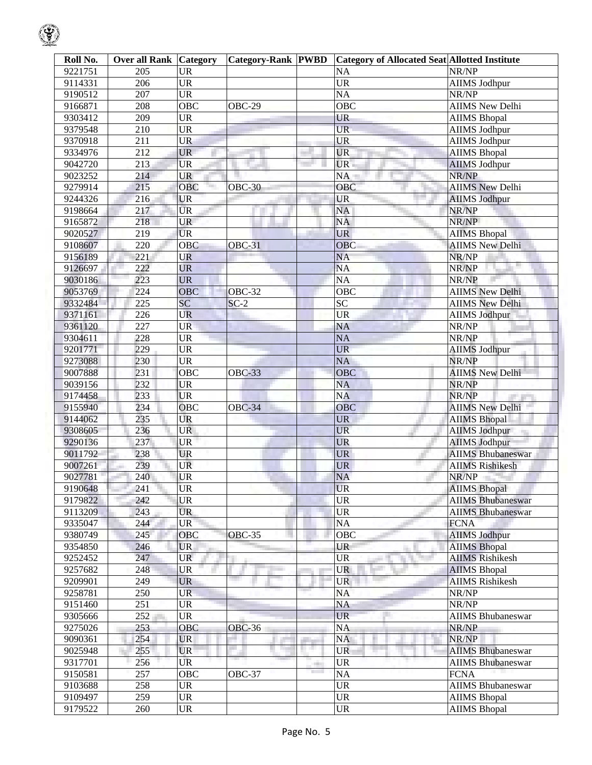| Roll No. | <b>Over all Rank Category</b> |                        | <b>Category-Rank PWBD</b> |   | <b>Category of Allocated Seat Allotted Institute</b> |                                             |
|----------|-------------------------------|------------------------|---------------------------|---|------------------------------------------------------|---------------------------------------------|
| 9221751  | 205                           | <b>UR</b>              |                           |   | NA                                                   | NR/NP                                       |
| 9114331  | 206                           | <b>UR</b>              |                           |   | $\overline{\text{UR}}$                               | <b>AIIMS Jodhpur</b>                        |
| 9190512  | 207                           | <b>UR</b>              |                           |   | $\overline{NA}$                                      | NR/NP                                       |
| 9166871  | 208                           | $\overline{OBC}$       | <b>OBC-29</b>             |   | OBC                                                  | <b>AIIMS New Delhi</b>                      |
| 9303412  | 209                           | <b>UR</b>              |                           |   | <b>UR</b>                                            | <b>AIIMS Bhopal</b>                         |
| 9379548  | 210                           | <b>UR</b>              |                           |   | UR-                                                  | <b>AIIMS Jodhpur</b>                        |
| 9370918  | 211                           | <b>UR</b>              |                           |   | <b>UR</b>                                            | <b>AIIMS</b> Jodhpur                        |
| 9334976  | 212                           | <b>UR</b>              |                           |   | <b>UR</b>                                            | <b>AIIMS Bhopal</b>                         |
| 9042720  | 213                           | <b>UR</b>              |                           |   | UR                                                   | <b>AIIMS Jodhpur</b>                        |
| 9023252  | 214                           | UR                     |                           |   | NA                                                   | NR/NP                                       |
| 9279914  | 215                           | <b>OBC</b>             | <b>OBC-30</b>             |   | $\overline{O}$ BC                                    | <b>AIIMS</b> New Delhi                      |
| 9244326  | 216                           | <b>UR</b>              |                           |   | <b>UR</b>                                            | <b>AIIMS Jodhpur</b>                        |
| 9198664  | 217                           | <b>UR</b>              |                           |   | <b>NA</b>                                            | NR/NP                                       |
| 9165872  | 218                           | <b>UR</b>              |                           |   | NA                                                   | NR/NP                                       |
| 9020527  | 219                           | <b>UR</b>              |                           |   | <b>UR</b>                                            | <b>AIIMS Bhopal</b>                         |
| 9108607  | 220                           | $\overline{O}$ BC      | OBC-31                    |   | <b>OBC</b>                                           | <b>AIIMS New Delhi</b>                      |
| 9156189  | 221                           | <b>UR</b>              |                           |   | <b>NA</b>                                            | NR/NP                                       |
| 9126697  | 222                           | <b>UR</b>              |                           |   | <b>NA</b>                                            | NR/NP                                       |
| 9030186  | 223                           | <b>UR</b>              |                           |   | $\overline{NA}$                                      | NR/NP                                       |
| 9053769  | 224                           | OBC                    | <b>OBC-32</b>             |   | $\overline{OBC}$                                     | <b>AIIMS New Delhi</b>                      |
| 9332484  | 225                           | SC                     | $SC-2$                    |   | SC                                                   | <b>AIIMS New Delhi</b>                      |
| 9371161  | 226                           | <b>UR</b>              |                           |   | $\overline{\text{UR}}$                               | <b>AIIMS Jodhpur</b>                        |
| 9361120  | 227                           | <b>UR</b>              |                           |   | NA                                                   | NR/NP                                       |
| 9304611  | 228                           | <b>UR</b>              |                           |   | <b>NA</b>                                            | NR/NP                                       |
| 9201771  | 229                           | <b>UR</b>              |                           |   | <b>UR</b>                                            | <b>AIIMS Jodhpur</b>                        |
| 9273088  | 230                           | <b>UR</b>              |                           |   | <b>NA</b>                                            | NR/NP                                       |
| 9007888  | 231                           | OBC                    |                           |   | <b>OBC</b>                                           | <b>AIIMS New Delhi</b>                      |
|          |                               |                        | <b>OBC-33</b>             |   | <b>NA</b>                                            |                                             |
| 9039156  | 232<br>233                    | <b>UR</b><br><b>UR</b> |                           |   | <b>NA</b>                                            | NR/NP<br>NR/NP                              |
| 9174458  | 234                           | $\overline{O}$ BC      |                           |   | OBC                                                  |                                             |
| 9155940  |                               | UR                     | <b>OBC-34</b>             |   |                                                      | AIIMS New Delhi                             |
| 9144062  | 235                           | <b>UR</b>              |                           |   | <b>UR</b><br><b>UR</b>                               | <b>AIIMS Bhopal</b><br><b>AIIMS Jodhpur</b> |
| 9308605  | 236                           |                        |                           |   |                                                      |                                             |
| 9290136  | 237                           | <b>UR</b>              |                           |   | <b>UR</b>                                            | <b>AIIMS Jodhpur</b>                        |
| 9011792  | 238                           | <b>UR</b>              |                           |   | <b>UR</b>                                            | <b>AIIMS Bhubaneswar</b>                    |
| 9007261  | 239                           | <b>UR</b>              |                           |   | <b>UR</b>                                            | <b>AIIMS Rishikesh</b>                      |
| 9027781  | 240                           | <b>UR</b>              |                           |   | <b>NA</b>                                            | NR/NP                                       |
| 9190648  | 241                           | <b>UR</b>              |                           |   | <b>UR</b>                                            | <b>AIIMS</b> Bhopal                         |
| 9179822  | 242                           | <b>UR</b>              |                           |   | <b>UR</b>                                            | <b>AIIMS Bhubaneswar</b>                    |
| 9113209  | 243                           | <b>UR</b>              |                           |   | <b>UR</b>                                            | <b>AIIMS Bhubaneswar</b>                    |
| 9335047  | 244                           | <b>UR</b>              |                           |   | NA                                                   | <b>FCNA</b>                                 |
| 9380749  | 245                           | OBC                    | <b>OBC-35</b>             |   | OBC                                                  | <b>AIIMS Jodhpur</b>                        |
| 9354850  | 246                           | UR                     |                           |   | UR                                                   | <b>AIIMS Bhopal</b>                         |
| 9252452  | 247                           | UR                     |                           |   | <b>UR</b>                                            | <b>AIIMS Rishikesh</b>                      |
| 9257682  | 248                           | <b>UR</b>              |                           |   | <b>UR</b>                                            | <b>AIIMS Bhopal</b>                         |
| 9209901  | 249                           | <b>UR</b>              |                           |   | <b>UR</b>                                            | <b>AIIMS</b> Rishikesh                      |
| 9258781  | 250                           | <b>UR</b>              |                           |   | NA                                                   | NR/NP                                       |
| 9151460  | 251                           | <b>UR</b>              |                           |   | NA                                                   | NR/NP                                       |
| 9305666  | 252                           | <b>UR</b>              |                           |   | <b>UR</b>                                            | <b>AIIMS Bhubaneswar</b>                    |
| 9275026  | 253                           | OBC                    | <b>OBC-36</b>             |   | <b>NA</b>                                            | NR/NP                                       |
| 9090361  | 254                           | <b>UR</b>              |                           |   | NA                                                   | NR/NP                                       |
| 9025948  | 255                           | <b>UR</b>              |                           |   | <b>UR</b>                                            | <b>AIIMS Bhubaneswar</b>                    |
| 9317701  | 256                           | UR                     |                           | - | <b>UR</b>                                            | <b>AIIMS Bhubaneswar</b>                    |
| 9150581  | 257                           | OBC                    | <b>OBC-37</b>             |   | <b>NA</b>                                            | <b>FCNA</b>                                 |
| 9103688  | 258                           | UR                     |                           |   | <b>UR</b>                                            | <b>AIIMS Bhubaneswar</b>                    |
| 9109497  | 259                           | UR                     |                           |   | <b>UR</b>                                            | <b>AIIMS Bhopal</b>                         |
| 9179522  | 260                           | UR                     |                           |   | <b>UR</b>                                            | <b>AIIMS Bhopal</b>                         |

 $\circledast$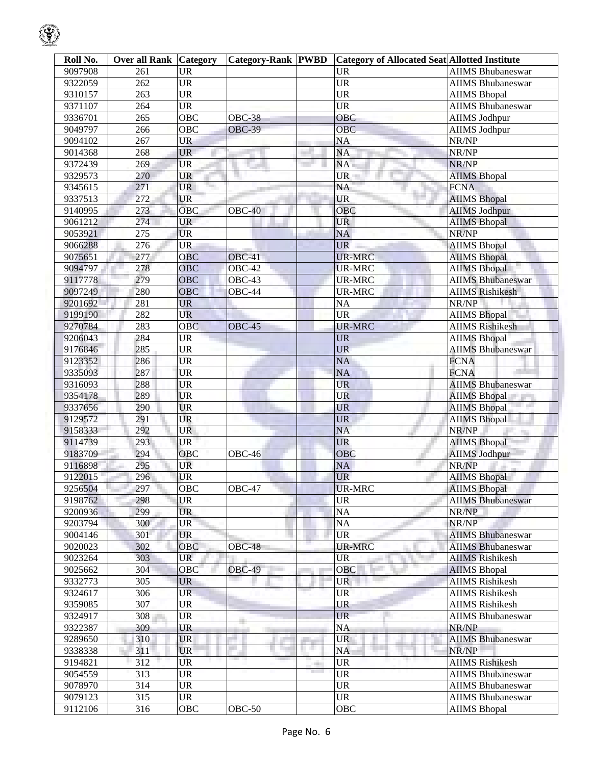| Roll No. | <b>Over all Rank Category</b> |                        | <b>Category-Rank PWBD</b> |                                    | <b>Category of Allocated Seat Allotted Institute</b> |                          |
|----------|-------------------------------|------------------------|---------------------------|------------------------------------|------------------------------------------------------|--------------------------|
| 9097908  | 261                           | <b>UR</b>              |                           |                                    | <b>UR</b>                                            | <b>AIIMS Bhubaneswar</b> |
| 9322059  | 262                           | <b>UR</b>              |                           |                                    | $\overline{UR}$                                      | <b>AIIMS Bhubaneswar</b> |
| 9310157  | 263                           | <b>UR</b>              |                           |                                    | $\overline{\text{UR}}$                               | <b>AIIMS Bhopal</b>      |
| 9371107  | 264                           | $\overline{UR}$        |                           |                                    | $\overline{\text{UR}}$                               | <b>AIIMS</b> Bhubaneswar |
| 9336701  | 265                           | OBC                    | <b>OBC-38</b>             |                                    | OBC                                                  | <b>AIIMS Jodhpur</b>     |
| 9049797  | 266                           | <b>OBC</b>             | <b>OBC-39</b>             |                                    | <b>OBC</b>                                           | <b>AIIMS Jodhpur</b>     |
| 9094102  | 267                           | <b>UR</b>              |                           |                                    | <b>NA</b>                                            | NR/NP                    |
| 9014368  | 268                           | <b>UR</b>              |                           |                                    | NA                                                   | NR/NP                    |
| 9372439  | 269                           | <b>UR</b>              |                           |                                    | NA                                                   | NR/NP                    |
| 9329573  | 270                           | <b>UR</b>              |                           |                                    | UR-                                                  | <b>AIIMS Bhopal</b>      |
| 9345615  | 271                           | <b>UR</b><br>Territori |                           |                                    | NA                                                   | <b>FCNA</b>              |
| 9337513  | 272                           | <b>UR</b>              |                           |                                    | <b>UR</b>                                            | <b>AIIMS</b> Bhopal      |
| 9140995  | 273                           | <b>OBC</b>             | $OBC-40$                  |                                    | <b>OBC</b>                                           | <b>AIIMS Jodhpur</b>     |
| 9061212  | 274                           | <b>UR</b>              |                           |                                    | <b>UR</b>                                            | <b>AIIMS Bhopal</b>      |
| 9053921  | 275                           | <b>UR</b>              |                           |                                    | <b>NA</b>                                            | NR/NP                    |
| 9066288  | 276                           | <b>UR</b>              |                           |                                    | <b>UR</b>                                            | <b>AIIMS Bhopal</b>      |
| 9075651  | 277                           | OBC                    | OBC-41                    |                                    | <b>UR-MRC</b>                                        | <b>AIIMS Bhopal</b>      |
| 9094797  | 278                           | OBC                    | <b>OBC-42</b>             |                                    | <b>UR-MRC</b>                                        | <b>AIIMS Bhopal</b>      |
| 9117778  | 279                           | <b>OBC</b>             | OBC-43                    |                                    | <b>UR-MRC</b>                                        | <b>AIIMS Bhubaneswar</b> |
| 9097249  | 280                           | <b>OBC</b>             | OBC-44                    |                                    | <b>UR-MRC</b>                                        | <b>AIIMS Rishikesh</b>   |
| 9201692  | 281                           | <b>UR</b>              |                           |                                    | $\rm NA$                                             | NR/NP                    |
| 9199190  | 282                           | <b>UR</b>              |                           |                                    | <b>UR</b>                                            | <b>AIIMS Bhopal</b>      |
| 9270784  | 283                           | <b>OBC</b>             | <b>OBC-45</b>             |                                    | <b>UR-MRC</b>                                        | <b>AIIMS Rishikesh</b>   |
| 9206043  | 284                           | <b>UR</b>              |                           |                                    | <b>UR</b>                                            | <b>AIIMS Bhopal</b>      |
| 9176846  | 285                           | <b>UR</b>              |                           |                                    | <b>UR</b>                                            | <b>AIIMS</b> Bhubaneswar |
| 9123352  | 286                           | <b>UR</b>              |                           |                                    | <b>NA</b>                                            | <b>FCNA</b>              |
| 9335093  | 287                           | <b>UR</b>              |                           |                                    | NA                                                   | <b>FCNA</b>              |
| 9316093  | 288                           | <b>UR</b>              |                           |                                    | <b>UR</b>                                            | <b>AIIMS Bhubaneswar</b> |
| 9354178  | 289                           | <b>UR</b>              |                           |                                    | <b>UR</b>                                            | <b>AIIMS Bhopal</b>      |
| 9337656  | 290                           | <b>UR</b>              |                           |                                    | <b>UR</b>                                            | <b>AIIMS Bhopal</b>      |
| 9129572  | 291                           | <b>UR</b>              |                           |                                    | <b>UR</b>                                            | <b>AIIMS Bhopal</b>      |
| 9158333  | 292                           | <b>UR</b>              |                           |                                    | <b>NA</b>                                            | NR/NP                    |
| 9114739  | 293                           | <b>UR</b>              |                           |                                    | <b>UR</b>                                            | <b>AIIMS Bhopal</b>      |
| 9183709  | 294                           | OBC                    | OBC-46                    |                                    | <b>OBC</b>                                           | <b>AIIMS Jodhpur</b>     |
| 9116898  | 295                           | <b>UR</b>              |                           |                                    | <b>NA</b>                                            | NR/NP                    |
| 9122015  | 296                           | <b>UR</b>              |                           |                                    | <b>UR</b>                                            | <b>AIIMS Bhopal</b>      |
| 9256504  | 297                           | OBC                    | OBC-47                    |                                    | <b>UR-MRC</b>                                        | <b>AIIMS Bhopal</b>      |
| 9198762  | 298                           | <b>UR</b>              |                           |                                    | <b>UR</b>                                            | <b>AIIMS Bhubaneswar</b> |
| 9200936  | 299                           | <b>UR</b>              |                           |                                    | $\rm NA$                                             | NR/NP                    |
| 9203794  | 300                           | <b>UR</b>              |                           |                                    | NA                                                   | NR/NP                    |
| 9004146  | 301                           | <b>UR</b>              |                           |                                    | <b>UR</b>                                            | <b>AIIMS Bhubaneswar</b> |
| 9020023  | 302                           | OBC                    | <b>OBC-48</b>             |                                    | <b>UR-MRC</b>                                        | <b>AIIMS</b> Bhubaneswar |
| 9023264  | 303                           | <b>UR</b>              |                           |                                    | <b>UR</b>                                            | <b>AIIMS Rishikesh</b>   |
| 9025662  | 304                           | OBC                    | <b>OBC-49</b>             |                                    | <b>OBC</b>                                           | <b>AIIMS</b> Bhopal      |
| 9332773  | 305                           | <b>UR</b>              |                           |                                    | <b>UR</b>                                            | <b>AIIMS Rishikesh</b>   |
| 9324617  | 306                           | <b>UR</b>              |                           |                                    | <b>UR</b>                                            | <b>AIIMS Rishikesh</b>   |
| 9359085  | 307                           | <b>UR</b>              |                           |                                    | <b>UR</b>                                            | <b>AIIMS Rishikesh</b>   |
| 9324917  | 308                           | <b>UR</b>              |                           |                                    | <b>UR</b>                                            | <b>AIIMS Bhubaneswar</b> |
| 9322387  | 309                           | <b>UR</b>              |                           |                                    | <b>NA</b>                                            | NR/NP                    |
| 9289650  | 310                           | <b>UR</b>              |                           |                                    | <b>UR</b>                                            | <b>AIIMS Bhubaneswar</b> |
| 9338338  | 311                           | <b>UR</b>              |                           | H.                                 | <b>NA</b>                                            | NR/NP                    |
| 9194821  | 312                           | UR                     |                           |                                    | <b>UR</b>                                            | <b>AIIMS Rishikesh</b>   |
| 9054559  | 313                           | <b>UR</b>              |                           | m<br><b>The Contract of Street</b> | <b>UR</b>                                            | <b>AIIMS Bhubaneswar</b> |
| 9078970  | 314                           | <b>UR</b>              |                           |                                    | <b>UR</b>                                            | <b>AIIMS Bhubaneswar</b> |
| 9079123  | 315                           | <b>UR</b>              |                           |                                    | $\ensuremath{\mathrm{UR}}\xspace$                    | <b>AIIMS Bhubaneswar</b> |
| 9112106  | 316                           | OBC                    | $OBC-50$                  |                                    | OBC                                                  | <b>AIIMS Bhopal</b>      |
|          |                               |                        |                           |                                    |                                                      |                          |

 $\mathcal{G}% _{ij}$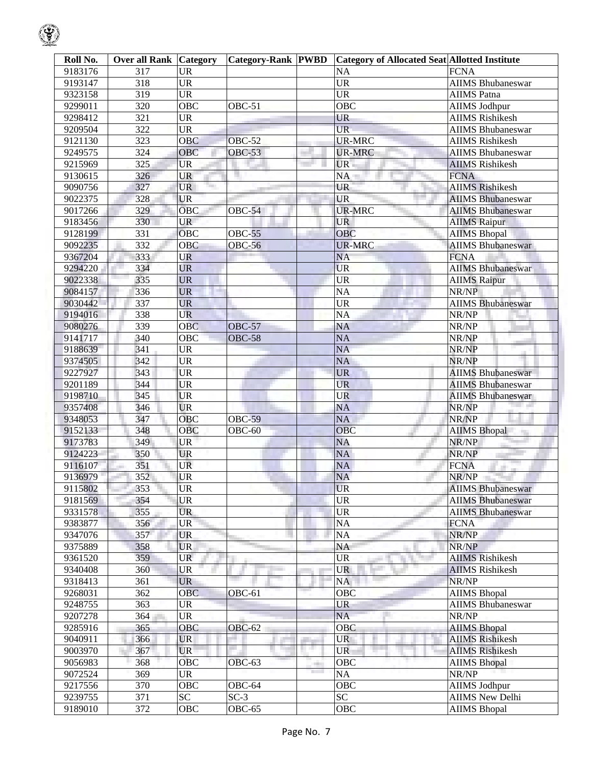| Roll No. | <b>Over all Rank Category</b> |                                   | <b>Category-Rank PWBD</b> |                                | <b>Category of Allocated Seat Allotted Institute</b> |                          |
|----------|-------------------------------|-----------------------------------|---------------------------|--------------------------------|------------------------------------------------------|--------------------------|
| 9183176  | 317                           | <b>UR</b>                         |                           |                                | NA                                                   | <b>FCNA</b>              |
| 9193147  | 318                           | <b>UR</b>                         |                           |                                | $\overline{UR}$                                      | <b>AIIMS Bhubaneswar</b> |
| 9323158  | 319                           | <b>UR</b>                         |                           |                                | $\ensuremath{\mathrm{UR}}\xspace$                    | <b>AIIMS</b> Patna       |
| 9299011  | 320                           | OBC                               | $OBC-51$                  |                                | OBC                                                  | <b>AIIMS Jodhpur</b>     |
| 9298412  | 321                           | <b>UR</b>                         |                           |                                | <b>UR</b>                                            | <b>AIIMS Rishikesh</b>   |
| 9209504  | 322                           | <b>UR</b>                         |                           |                                | UR-                                                  | <b>AIIMS Bhubaneswar</b> |
| 9121130  | $\overline{323}$              | <b>OBC</b>                        | <b>OBC-52</b>             |                                | <b>UR-MRC</b>                                        | <b>AIIMS</b> Rishikesh   |
| 9249575  | 324                           | OBC                               | <b>OBC-53</b>             |                                | <b>UR-MRC</b>                                        | <b>AIIMS Bhubaneswar</b> |
| 9215969  | 325                           | <b>UR</b>                         |                           |                                | UR-                                                  | <b>AIIMS Rishikesh</b>   |
| 9130615  | 326                           | <b>UR</b>                         |                           |                                | NA                                                   | <b>FCNA</b>              |
| 9090756  | 327                           | <b>UR</b>                         |                           |                                | UR                                                   | <b>AIIMS Rishikesh</b>   |
| 9022375  | 328                           | <b>UR</b>                         |                           |                                | <b>UR</b>                                            | <b>AIIMS Bhubaneswar</b> |
| 9017266  | 329                           | <b>OBC</b>                        | OBC-54                    |                                | <b>UR-MRC</b>                                        | <b>AIIMS Bhubaneswar</b> |
| 9183456  | 330                           | <b>UR</b>                         |                           |                                | <b>UR</b>                                            | <b>AIIMS Raipur</b>      |
| 9128199  | 331                           | OBC                               | <b>OBC-55</b>             |                                | OBC                                                  | <b>AIIMS Bhopal</b>      |
| 9092235  | 332                           | <b>OBC</b>                        | <b>OBC-56</b>             |                                | <b>UR-MRC</b>                                        | <b>AIIMS Bhubaneswar</b> |
| 9367204  | 333                           | UR                                |                           |                                | <b>NA</b>                                            | <b>FCNA</b>              |
| 9294220  | 334                           | <b>UR</b>                         |                           |                                | <b>UR</b>                                            | <b>AIIMS Bhubaneswar</b> |
| 9022338  | 335                           | <b>UR</b>                         |                           |                                | <b>UR</b>                                            | <b>AIIMS Raipur</b>      |
| 9084157  | 336                           | <b>UR</b>                         |                           |                                | NA                                                   | NR/NP                    |
| 9030442  | 337                           | <b>UR</b>                         |                           |                                | $\ensuremath{\mathrm{UR}}\xspace$                    | <b>AIIMS Bhubaneswar</b> |
| 9194016  | 338                           | <b>UR</b>                         |                           |                                | NA                                                   | NR/NP                    |
| 9080276  | 339                           | OBC                               | <b>OBC-57</b>             |                                | NA                                                   | NR/NP                    |
| 9141717  | 340                           | OBC                               | <b>OBC-58</b>             |                                | NA                                                   | NR/NP                    |
| 9188639  | 341                           | UR                                |                           |                                | NA                                                   | NR/NP                    |
| 9374505  | 342                           | <b>UR</b>                         |                           |                                | <b>NA</b>                                            | NR/NP                    |
| 9227927  | 343                           | <b>UR</b>                         |                           |                                | <b>UR</b>                                            | <b>AIIMS Bhubaneswar</b> |
| 9201189  | 344                           | <b>UR</b>                         |                           |                                | <b>UR</b>                                            | <b>AIIMS Bhubaneswar</b> |
| 9198710  | 345                           | <b>UR</b>                         |                           |                                | <b>UR</b>                                            | <b>AIIMS Bhubaneswar</b> |
| 9357408  | 346                           | <b>UR</b>                         |                           |                                | <b>NA</b>                                            | NR/NP                    |
| 9348053  | 347                           | OBC                               | <b>OBC-59</b>             |                                | <b>NA</b>                                            | NR/NP                    |
| 9152133  | 348                           | OBC                               | $OBC-60$                  |                                | OBC                                                  | <b>AIIMS Bhopal</b>      |
| 9173783  | 349                           | <b>UR</b>                         |                           |                                | <b>NA</b>                                            | NR/NP                    |
| 9124223  | 350                           | <b>UR</b>                         |                           |                                | NA                                                   | NR/NP                    |
| 9116107  | 351                           | UR                                |                           |                                | <b>NA</b>                                            | <b>FCNA</b>              |
| 9136979  | 352                           | <b>UR</b>                         |                           |                                | NA                                                   | NR/NP                    |
| 9115802  | 353                           | $\overline{\text{UR}}$            |                           |                                | <b>UR</b>                                            | <b>AIIMS</b> Bhubaneswar |
| 9181569  | 354                           | <b>UR</b>                         |                           |                                | <b>UR</b>                                            | <b>AIIMS Bhubaneswar</b> |
| 9331578  | 355                           | <b>UR</b>                         |                           |                                | $\ensuremath{\mathrm{UR}}\xspace$                    | <b>AIIMS Bhubaneswar</b> |
| 9383877  | 356                           | $\ensuremath{\mathsf{UR}}\xspace$ |                           |                                | $\rm NA$                                             | <b>FCNA</b>              |
| 9347076  | 357                           | <b>UR</b>                         |                           |                                | NA                                                   | NR/NP                    |
| 9375889  | 358                           | <b>UR</b>                         |                           |                                | NA                                                   | NR/NP                    |
| 9361520  | 359                           | <b>UR</b>                         |                           |                                | UR                                                   | <b>AIIMS</b> Rishikesh   |
| 9340408  | 360                           | UR                                |                           |                                | <b>UR</b>                                            | <b>AIIMS Rishikesh</b>   |
| 9318413  | 361                           | <b>UR</b>                         |                           |                                | NA                                                   | NR/NP                    |
| 9268031  | 362                           | <b>OBC</b>                        | OBC-61                    |                                | OBC                                                  | <b>AIIMS</b> Bhopal      |
| 9248755  | 363                           | <b>UR</b>                         |                           |                                | UR                                                   | <b>AIIMS Bhubaneswar</b> |
| 9207278  | 364                           | UR                                |                           |                                | NA                                                   | NR/NP                    |
| 9285916  | 365                           | OBC                               | <b>OBC-62</b>             |                                | OBC                                                  | <b>AIIMS Bhopal</b>      |
| 9040911  | 366                           | <b>UR</b>                         |                           |                                | <b>UR</b>                                            | <b>AIIMS Rishikesh</b>   |
| 9003970  | 367                           | <b>UR</b>                         |                           | u an                           | UR                                                   | <b>AIIMS Rishikesh</b>   |
| 9056983  | 368                           | <b>OBC</b>                        | OBC-63                    | -                              | OBC                                                  | <b>AIIMS Bhopal</b>      |
| 9072524  | 369                           | <b>UR</b>                         |                           | <b>The Contract of Service</b> | $\rm NA$                                             | NR/NP                    |
| 9217556  | 370                           | OBC                               | OBC-64                    |                                | <b>OBC</b>                                           | <b>AIIMS Jodhpur</b>     |
| 9239755  | 371                           | $\overline{SC}$                   | $SC-3$                    |                                | $\overline{SC}$                                      | <b>AIIMS New Delhi</b>   |
| 9189010  | $\overline{372}$              | OBC                               | OBC-65                    |                                | OBC                                                  | <b>AIIMS Bhopal</b>      |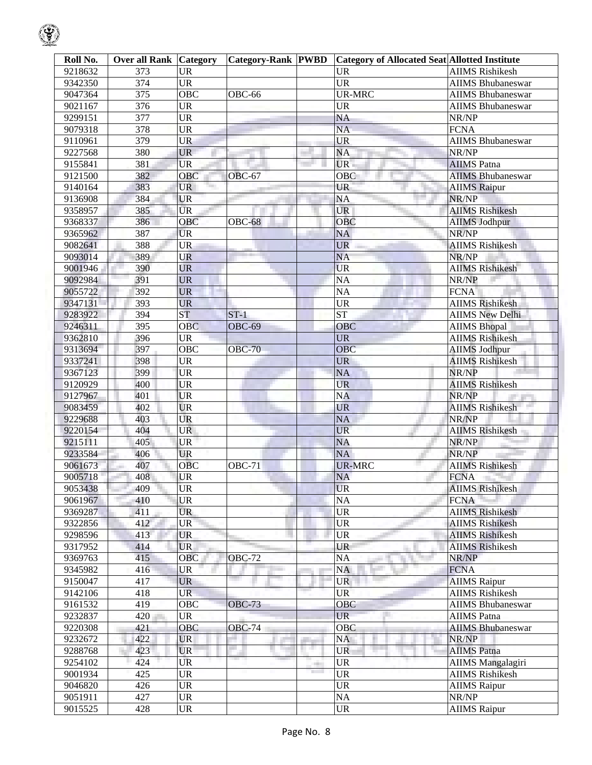| Roll No. | <b>Over all Rank Category</b> |                                   | <b>Category-Rank PWBD</b> |                               | <b>Category of Allocated Seat Allotted Institute</b> |                          |
|----------|-------------------------------|-----------------------------------|---------------------------|-------------------------------|------------------------------------------------------|--------------------------|
| 9218632  | 373                           | <b>UR</b>                         |                           |                               | <b>UR</b>                                            | <b>AIIMS Rishikesh</b>   |
| 9342350  | 374                           | $\overline{UR}$                   |                           |                               | $\overline{UR}$                                      | <b>AIIMS Bhubaneswar</b> |
| 9047364  | $\overline{375}$              | <b>OBC</b>                        | OBC-66                    |                               | <b>UR-MRC</b>                                        | <b>AIIMS Bhubaneswar</b> |
| 9021167  | 376                           | $\overline{UR}$                   |                           |                               | <b>UR</b>                                            | <b>AIIMS Bhubaneswar</b> |
| 9299151  | 377                           | <b>UR</b>                         |                           |                               | $\overline{NA}$                                      | NR/NP                    |
| 9079318  | 378                           | <b>UR</b>                         |                           |                               | $\overline{NA}$                                      | <b>FCNA</b>              |
| 9110961  | 379                           | <b>UR</b>                         |                           |                               | <b>UR</b>                                            | <b>AIIMS Bhubaneswar</b> |
| 9227568  | 380                           | <b>UR</b>                         |                           |                               | <b>NA</b>                                            | NR/NP                    |
| 9155841  | 381                           | <b>UR</b>                         |                           |                               | UR                                                   | <b>AIIMS</b> Patna       |
| 9121500  | 382                           | OBC                               | OBC-67                    |                               | OBC                                                  | <b>AIIMS Bhubaneswar</b> |
| 9140164  | 383                           | <b>UR</b>                         |                           |                               | <b>UR</b>                                            | <b>AIIMS Raipur</b>      |
| 9136908  | 384                           | <b>UR</b>                         |                           |                               | $\rm NA$                                             | NR/NP                    |
| 9358957  | 385                           | <b>UR</b>                         |                           |                               | <b>UR</b>                                            | <b>AIIMS Rishikesh</b>   |
| 9368337  | 386                           | OBC                               | <b>OBC-68</b>             |                               | OBC                                                  | <b>AIIMS Jodhpur</b>     |
| 9365962  | 387                           | <b>UR</b>                         |                           |                               | NA                                                   | NR/NP                    |
| 9082641  | 388                           | <b>UR</b>                         |                           |                               | <b>UR</b>                                            | <b>AIIMS Rishikesh</b>   |
| 9093014  | 389                           | <b>UR</b>                         |                           |                               | <b>NA</b>                                            | NR/NP                    |
| 9001946  | 390                           | <b>UR</b>                         |                           |                               | <b>UR</b>                                            | <b>AIIMS Rishikesh</b>   |
| 9092984  | 391                           | <b>UR</b>                         |                           |                               | $\overline{NA}$                                      | NR/NP                    |
| 9055722  | 392                           | <b>UR</b>                         |                           |                               | $\overline{NA}$                                      | <b>FCNA</b>              |
| 9347131  | 393                           | <b>UR</b>                         |                           |                               | $\overline{\text{UR}}$                               | <b>AIIMS Rishikesh</b>   |
| 9283922  | 394                           | ST                                | $ST-1$                    |                               | <b>ST</b>                                            | <b>AIIMS New Delhi</b>   |
| 9246311  | $\overline{395}$              | <b>OBC</b>                        | <b>OBC-69</b>             |                               | OBC                                                  | <b>AIIMS Bhopal</b>      |
| 9362810  | 396                           | <b>UR</b>                         |                           |                               | <b>UR</b>                                            | <b>AIIMS Rishikesh</b>   |
| 9313694  | 397                           | OBC                               | <b>OBC-70</b>             |                               | <b>OBC</b>                                           | <b>AIIMS Jodhpur</b>     |
| 9337241  | 398                           | <b>UR</b>                         |                           |                               | <b>UR</b>                                            | <b>AIIMS Rishikesh</b>   |
| 9367123  | 399                           | <b>UR</b>                         |                           |                               | NA                                                   | NR/NP                    |
| 9120929  | 400                           | <b>UR</b>                         |                           |                               | <b>UR</b>                                            | <b>AIIMS Rishikesh</b>   |
| 9127967  | 401                           | <b>UR</b>                         |                           |                               | <b>NA</b>                                            | NR/NP                    |
| 9083459  | 402                           | <b>UR</b>                         |                           |                               | <b>UR</b>                                            | <b>AIIMS Rishikesh</b>   |
| 9229688  | 403                           | UR                                |                           |                               | <b>NA</b>                                            | NR/NP                    |
| 9220154  | 404                           | <b>UR</b>                         |                           |                               | <b>UR</b>                                            | <b>AIIMS Rishikesh</b>   |
| 9215111  | 405                           | <b>UR</b>                         |                           |                               | <b>NA</b>                                            | NR/NP                    |
| 9233584  | 406                           | <b>UR</b>                         |                           |                               | <b>NA</b>                                            | NR/NP                    |
| 9061673  | 407                           | OBC                               | <b>OBC-71</b>             |                               | <b>UR-MRC</b>                                        | <b>AIIMS Rishikesh</b>   |
| 9005718  | 408                           | <b>UR</b>                         |                           |                               | NA                                                   | FCNA F                   |
| 9053438  | 409                           | <b>UR</b>                         |                           |                               | <b>UR</b>                                            | <b>AIIMS</b> Rishikesh   |
| 9061967  | 410                           | <b>UR</b>                         |                           |                               | NA                                                   | <b>FCNA</b>              |
| 9369287  | 411                           | <b>UR</b>                         |                           |                               | $\ensuremath{\mathsf{UR}}\xspace$                    | <b>AIIMS Rishikesh</b>   |
| 9322856  | 412                           | <b>UR</b>                         |                           |                               | <b>UR</b>                                            | <b>AIIMS Rishikesh</b>   |
| 9298596  | 413                           | <b>UR</b>                         |                           |                               | <b>UR</b>                                            | <b>AIIMS Rishikesh</b>   |
| 9317952  | 414                           | <b>UR</b>                         |                           |                               | UR                                                   | <b>AIIMS Rishikesh</b>   |
| 9369763  | 415                           | <b>OBC</b>                        | <b>OBC-72</b>             |                               | <b>NA</b>                                            | NR/NP                    |
| 9345982  | 416                           | UR                                |                           |                               | <b>NA</b>                                            | <b>FCNA</b>              |
| 9150047  | 417                           | <b>UR</b>                         |                           |                               | <b>UR</b>                                            | <b>AIIMS</b> Raipur      |
| 9142106  | 418                           | <b>UR</b>                         |                           |                               | <b>UR</b>                                            | <b>AIIMS Rishikesh</b>   |
| 9161532  | 419                           | <b>OBC</b>                        | <b>OBC-73</b>             |                               | OBC                                                  | <b>AIIMS Bhubaneswar</b> |
| 9232837  | 420                           | <b>UR</b>                         |                           |                               | <b>UR</b>                                            | <b>AIIMS</b> Patna       |
| 9220308  | 421                           | OBC                               | <b>OBC-74</b>             |                               | <b>OBC</b>                                           | <b>AIIMS Bhubaneswar</b> |
| 9232672  | 422                           | <b>UR</b>                         |                           |                               | NA                                                   | NR/NP                    |
| 9288768  | 423                           | <b>UR</b>                         |                           | a sa                          | <b>UR</b>                                            | <b>AIIMS</b> Patna       |
| 9254102  | 424                           | UR                                | <b>THE R</b>              | m                             | <b>UR</b>                                            | <b>AIIMS</b> Mangalagiri |
| 9001934  | 425                           | <b>UR</b>                         |                           | <b>The Contract of Street</b> | <b>UR</b>                                            | <b>AIIMS Rishikesh</b>   |
| 9046820  | 426                           | <b>UR</b>                         |                           |                               | <b>UR</b>                                            | <b>AIIMS</b> Raipur      |
| 9051911  | 427                           | <b>UR</b>                         |                           |                               | $\rm NA$                                             | NR/NP                    |
| 9015525  | 428                           | $\ensuremath{\mathrm{UR}}\xspace$ |                           |                               | $\ensuremath{\mathrm{UR}}\xspace$                    | <b>AIIMS</b> Raipur      |

 $\bigcirc$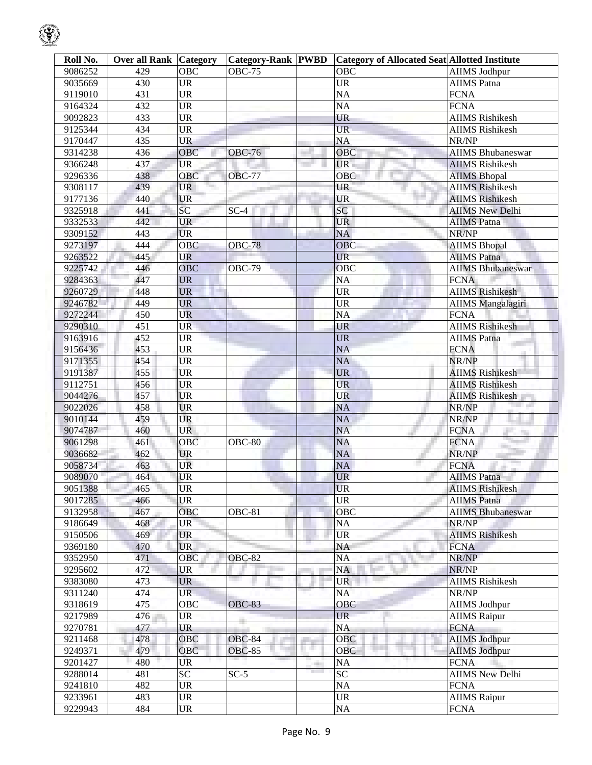| Roll No. | <b>Over all Rank Category</b> |                                   | Category-Rank PWBD |                   | <b>Category of Allocated Seat Allotted Institute</b> |                          |
|----------|-------------------------------|-----------------------------------|--------------------|-------------------|------------------------------------------------------|--------------------------|
| 9086252  | 429                           | <b>OBC</b>                        | <b>OBC-75</b>      |                   | <b>OBC</b>                                           | <b>AIIMS Jodhpur</b>     |
| 9035669  | 430                           | <b>UR</b>                         |                    |                   | <b>UR</b>                                            | <b>AIIMS</b> Patna       |
| 9119010  | 431                           | <b>UR</b>                         |                    |                   | NA                                                   | <b>FCNA</b>              |
| 9164324  | 432                           | <b>UR</b>                         |                    |                   | <b>NA</b>                                            | <b>FCNA</b>              |
| 9092823  | 433                           | <b>UR</b>                         |                    |                   | <b>UR</b>                                            | <b>AIIMS Rishikesh</b>   |
| 9125344  | 434                           | <b>UR</b>                         |                    |                   | UR-                                                  | <b>AIIMS</b> Rishikesh   |
| 9170447  | 435                           | <b>UR</b>                         |                    |                   | <b>NA</b>                                            | NR/NP                    |
| 9314238  | 436                           | OBC                               | <b>OBC-76</b>      |                   | OBC                                                  | <b>AIIMS Bhubaneswar</b> |
| 9366248  | 437                           | <b>UR</b>                         |                    |                   | UR.                                                  | <b>AIIMS Rishikesh</b>   |
| 9296336  | 438                           | OBC                               | <b>OBC-77</b>      |                   | OBC                                                  | <b>AIIMS Bhopal</b>      |
| 9308117  | 439                           | <b>UR</b>                         |                    |                   | UR                                                   | <b>AIIMS Rishikesh</b>   |
| 9177136  | 440                           | <b>UR</b>                         |                    |                   | <b>UR</b>                                            | <b>AIIMS Rishikesh</b>   |
| 9325918  | 441                           | SC <sub>1</sub>                   | $SC-4$             |                   | SC                                                   | <b>AIIMS New Delhi</b>   |
| 9332533  | 442                           | <b>UR</b>                         |                    |                   | <b>UR</b>                                            | <b>AIIMS</b> Patna       |
| 9309152  | 443                           | <b>UR</b>                         |                    |                   | <b>NA</b>                                            | NR/NP                    |
| 9273197  | 444                           | <b>OBC</b>                        | <b>OBC-78</b>      |                   | <b>OBC</b>                                           | <b>AIIMS Bhopal</b>      |
| 9263522  | 445                           | UR                                |                    |                   | <b>UR</b>                                            | <b>AIIMS</b> Patna       |
| 9225742  | 446                           | <b>OBC</b>                        | <b>OBC-79</b>      |                   | OBC                                                  | <b>AIIMS Bhubaneswar</b> |
| 9284363  | 447                           | <b>UR</b>                         |                    |                   | NA                                                   | <b>FCNA</b>              |
| 9260729  | 448                           | <b>UR</b>                         |                    |                   | <b>UR</b>                                            | <b>AIIMS Rishikesh</b>   |
| 9246782  | 449                           | <b>UR</b>                         |                    |                   | <b>UR</b>                                            | <b>AIIMS Mangalagiri</b> |
| 9272244  | 450                           | <b>UR</b>                         |                    |                   | NA                                                   | <b>FCNA</b>              |
| 9290310  | 451                           | <b>UR</b>                         |                    |                   | <b>UR</b>                                            | <b>AIIMS Rishikesh</b>   |
| 9163916  | 452                           | <b>UR</b>                         |                    |                   | <b>UR</b>                                            | <b>AIIMS</b> Patna       |
| 9156436  | 453                           | <b>UR</b>                         |                    |                   | NA                                                   | <b>FCNA</b>              |
| 9171355  | 454                           | <b>UR</b>                         |                    |                   | <b>NA</b>                                            | NR/NP                    |
| 9191387  | 455                           | <b>UR</b>                         |                    |                   | <b>UR</b>                                            | <b>AIIMS Rishikesh</b>   |
| 9112751  | 456                           | <b>UR</b>                         |                    |                   | <b>UR</b>                                            | <b>AIIMS Rishikesh</b>   |
| 9044276  | 457                           | <b>UR</b>                         |                    |                   | <b>UR</b>                                            | <b>AIIMS Rishikesh</b>   |
| 9022026  | 458                           | <b>UR</b>                         |                    |                   | <b>NA</b>                                            | NR/NP                    |
| 9010144  | 459                           | <b>UR</b>                         |                    |                   | NA                                                   | NR/NP                    |
| 9074787  | 460                           | <b>UR</b>                         |                    |                   | NA                                                   | <b>FCNA</b><br>76        |
| 9061298  | 461                           | OBC                               | <b>OBC-80</b>      |                   | <b>NA</b>                                            | <b>FCNA</b>              |
| 9036682  | 462                           | <b>UR</b>                         |                    |                   | <b>NA</b>                                            | NR/NP                    |
| 9058734  | 463                           | UR                                |                    |                   | <b>NA</b>                                            | <b>FCNA</b>              |
| 9089070  | 464                           | UR                                |                    |                   | <b>UR</b>                                            | <b>AIIMS</b> Patna       |
| 9051388  | 465                           | <b>UR</b>                         |                    |                   | <b>UR</b>                                            | <b>AIIMS</b> Rishikesh   |
| 9017285  | 466                           | <b>UR</b>                         |                    |                   | <b>UR</b>                                            | <b>AIIMS</b> Patna       |
| 9132958  | 467                           | OBC                               | OBC-81             |                   | <b>OBC</b>                                           | <b>AIIMS Bhubaneswar</b> |
| 9186649  | 468                           | <b>UR</b>                         |                    |                   | NA                                                   | NR/NP                    |
| 9150506  | 469                           | <b>UR</b>                         |                    |                   | UR                                                   | <b>AIIMS Rishikesh</b>   |
| 9369180  | 470                           | <b>UR</b>                         |                    |                   | NA                                                   | <b>FCNA</b>              |
| 9352950  | 471                           | OBC                               | <b>OBC-82</b>      |                   | NA                                                   | NR/NP                    |
| 9295602  | 472                           | <b>UR</b>                         |                    |                   | <b>NA</b>                                            | NR/NP                    |
| 9383080  | 473                           | <b>UR</b>                         |                    |                   | <b>UR</b>                                            | <b>AIIMS</b> Rishikesh   |
| 9311240  | 474                           | <b>UR</b>                         |                    |                   | NA                                                   | NR/NP                    |
| 9318619  | 475                           | OBC                               | <b>OBC-83</b>      |                   | <b>OBC</b>                                           | AIIMS Jodhpur            |
| 9217989  | 476                           | UR                                |                    |                   | <b>UR</b>                                            | <b>AIIMS</b> Raipur      |
| 9270781  | 477                           | <b>UR</b>                         |                    |                   | NA                                                   | <b>FCNA</b>              |
| 9211468  | 478                           | OBC                               | <b>OBC-84</b>      |                   | <b>OBC</b>                                           | <b>AIIMS Jodhpur</b>     |
| 9249371  | 479                           | OBC                               | <b>OBC-85</b>      | s.                | <b>OBC</b>                                           | <b>AIIMS Jodhpur</b>     |
| 9201427  | 480                           | UR                                |                    | <b>COLLECTION</b> | NA                                                   | <b>FCNA</b>              |
| 9288014  | 481                           | <b>SC</b>                         | $SC-5$             |                   | <b>SC</b>                                            | <b>AIIMS New Delhi</b>   |
| 9241810  | 482                           | <b>UR</b>                         |                    |                   | $\rm NA$                                             | <b>FCNA</b>              |
| 9233961  | 483                           | $\ensuremath{\mathsf{UR}}\xspace$ |                    |                   | <b>UR</b>                                            | <b>AIIMS</b> Raipur      |
| 9229943  | 484                           | $\ensuremath{\mathsf{UR}}\xspace$ |                    |                   | $\rm NA$                                             | <b>FCNA</b>              |
|          |                               |                                   |                    |                   |                                                      |                          |

 $\bigcirc$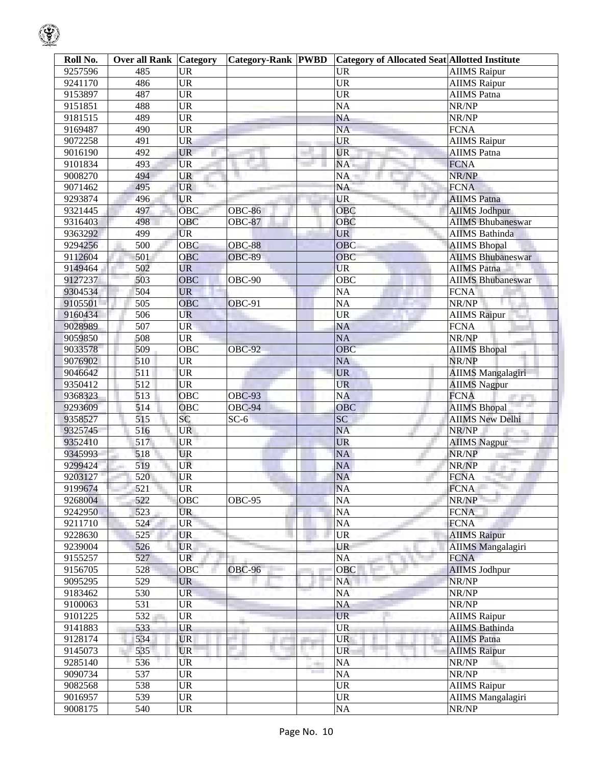| Roll No. | <b>Over all Rank Category</b> |                                   | <b>Category-Rank PWBD</b> |              | <b>Category of Allocated Seat Allotted Institute</b> |                          |
|----------|-------------------------------|-----------------------------------|---------------------------|--------------|------------------------------------------------------|--------------------------|
| 9257596  | 485                           | <b>UR</b>                         |                           |              | <b>UR</b>                                            | <b>AIIMS</b> Raipur      |
| 9241170  | 486                           | <b>UR</b>                         |                           |              | <b>UR</b>                                            | <b>AIIMS</b> Raipur      |
| 9153897  | 487                           | $\overline{\text{UR}}$            |                           |              | $\overline{UR}$                                      | <b>AIIMS</b> Patna       |
| 9151851  | 488                           | <b>UR</b>                         |                           |              | <b>NA</b>                                            | NR/NP                    |
| 9181515  | 489                           | <b>UR</b>                         |                           |              | $\overline{NA}$                                      | NR/NP                    |
| 9169487  | 490                           | <b>UR</b>                         |                           |              | $\overline{\text{NA}}$                               | <b>FCNA</b>              |
| 9072258  | 491                           | <b>UR</b>                         |                           |              | <b>UR</b>                                            | <b>AIIMS</b> Raipur      |
| 9016190  | 492                           | <b>UR</b>                         |                           |              | <b>UR</b>                                            | <b>AIIMS</b> Patna       |
| 9101834  | 493                           | <b>UR</b>                         |                           |              | NA.                                                  | <b>FCNA</b>              |
| 9008270  | 494                           | UR                                |                           |              | NA                                                   | NR/NP                    |
| 9071462  | 495                           | <b>UR</b>                         |                           |              | NA                                                   | <b>FCNA</b>              |
| 9293874  | 496                           | <b>UR</b>                         |                           |              | <b>UR</b>                                            | <b>AIIMS</b> Patna       |
| 9321445  | 497                           | <b>OBC</b>                        | <b>OBC-86</b>             |              | OBC                                                  | <b>AIIMS Jodhpur</b>     |
| 9316403  | 498                           | OBC                               | <b>OBC-87</b>             |              | OBC                                                  | <b>AIIMS Bhubaneswar</b> |
| 9363292  | 499                           | <b>UR</b>                         |                           |              | <b>UR</b>                                            | <b>AIIMS</b> Bathinda    |
| 9294256  | 500                           | <b>OBC</b>                        | <b>OBC-88</b>             |              | <b>OBC</b>                                           | <b>AIIMS Bhopal</b>      |
| 9112604  | 501                           | <b>OBC</b>                        | <b>OBC-89</b>             |              | OBC                                                  | <b>AIIMS Bhubaneswar</b> |
| 9149464  | 502                           | <b>UR</b>                         |                           |              | <b>UR</b>                                            | <b>AIIMS</b> Patna       |
| 9127237  | 503                           | OBC                               | OBC-90                    |              | OBC                                                  | <b>AIIMS Bhubaneswar</b> |
| 9304534  | 504                           | UR.                               |                           |              | NA                                                   | <b>FCNA</b>              |
| 9105501  | 505                           | <b>OBC</b>                        | OBC-91                    |              | NA                                                   | NR/NP                    |
| 9160434  | 506                           | <b>UR</b>                         |                           |              | $\overline{\text{UR}}$                               | <b>AIIMS Raipur</b>      |
| 9028989  | 507                           | <b>UR</b>                         |                           |              | NA                                                   | <b>FCNA</b>              |
| 9059850  | 508                           | <b>UR</b>                         |                           |              | <b>NA</b>                                            | NR/NP                    |
| 9033578  | 509                           | $\overline{O}$ BC                 | <b>OBC-92</b>             |              | OBC                                                  | <b>AIIMS Bhopal</b>      |
| 9076902  | 510                           | <b>UR</b>                         |                           |              | <b>NA</b>                                            | NR/NP                    |
| 9046642  | 511                           | <b>UR</b>                         |                           |              | <b>UR</b>                                            | <b>AIIMS Mangalagiri</b> |
| 9350412  | 512                           | <b>UR</b>                         |                           |              | <b>UR</b>                                            | <b>AIIMS Nagpur</b>      |
| 9368323  | 513                           | $\overline{O}$ BC                 | <b>OBC-93</b>             |              | <b>NA</b>                                            | <b>FCNA</b>              |
| 9293609  | 514                           | OBC                               | OBC-94                    |              | OBC                                                  | <b>AIIMS Bhopal</b>      |
| 9358527  | 515                           | <b>SC</b>                         | $\overline{SC}$ -6        |              | SC                                                   | <b>AIIMS New Delhi</b>   |
| 9325745  | 516                           | <b>UR</b>                         |                           |              | <b>NA</b>                                            | NR/NP                    |
| 9352410  | 517                           | UR                                |                           |              | <b>UR</b>                                            | <b>AIIMS Nagpur</b>      |
| 9345993  | 518                           | <b>UR</b>                         |                           |              | <b>NA</b>                                            | NR/NP                    |
| 9299424  | 519                           | UR                                |                           |              | NA                                                   | NR/NP<br>uit-            |
| 9203127  | 520                           | <b>UR</b>                         |                           |              | <b>NA</b>                                            | <b>FCNA</b>              |
| 9199674  | 521                           | <b>UR</b>                         |                           |              | <b>NA</b>                                            | <b>FCNA</b>              |
| 9268004  | 522                           | OBC                               | OBC-95                    |              | <b>NA</b>                                            | NR/NP                    |
| 9242950  | 523                           | <b>UR</b>                         |                           |              | NA                                                   | <b>FCNA</b>              |
| 9211710  | 524                           | <b>UR</b>                         |                           |              | NA                                                   | <b>FCNA</b>              |
| 9228630  | 525                           | <b>UR</b>                         |                           |              | <b>UR</b>                                            | <b>AIIMS Raipur</b>      |
| 9239004  | 526                           | <b>UR</b>                         |                           |              | UR                                                   | <b>AIIMS</b> Mangalagiri |
| 9155257  | 527                           | <b>UR</b>                         |                           |              | NA                                                   | <b>FCNA</b>              |
| 9156705  | 528                           | OBC                               | <b>OBC-96</b>             |              | OBC                                                  | <b>AIIMS Jodhpur</b>     |
| 9095295  | 529                           | <b>UR</b>                         |                           |              | NA                                                   | NR/NP                    |
| 9183462  | 530                           | <b>UR</b>                         |                           |              | NA                                                   | NR/NP                    |
| 9100063  | 531                           | <b>UR</b>                         |                           |              | NA                                                   | NR/NP                    |
| 9101225  | 532                           | <b>UR</b>                         |                           |              | <b>UR</b>                                            | <b>AIIMS</b> Raipur      |
| 9141883  | 533                           | <b>UR</b>                         |                           |              | <b>UR</b>                                            | <b>AIIMS</b> Bathinda    |
| 9128174  | 534                           | <b>UR</b>                         |                           |              | <b>UR</b>                                            | <b>AIIMS</b> Patna       |
| 9145073  | 535                           | <b>UR</b>                         |                           | a.           | UR                                                   | <b>AIIMS</b> Raipur      |
| 9285140  | 536                           | <b>UR</b>                         |                           | <b>COLOR</b> | <b>NA</b>                                            | NR/NP                    |
| 9090734  | 537                           | <b>UR</b>                         |                           |              | <b>NA</b>                                            | NR/NP                    |
| 9082568  | 538                           | <b>UR</b>                         |                           |              | UR                                                   | <b>AIIMS</b> Raipur      |
| 9016957  | 539                           | $\ensuremath{\mathsf{UR}}\xspace$ |                           |              | <b>UR</b>                                            | <b>AIIMS</b> Mangalagiri |
| 9008175  | 540                           | $\ensuremath{\mathrm{UR}}\xspace$ |                           |              | $\overline{NA}$                                      | NR/NP                    |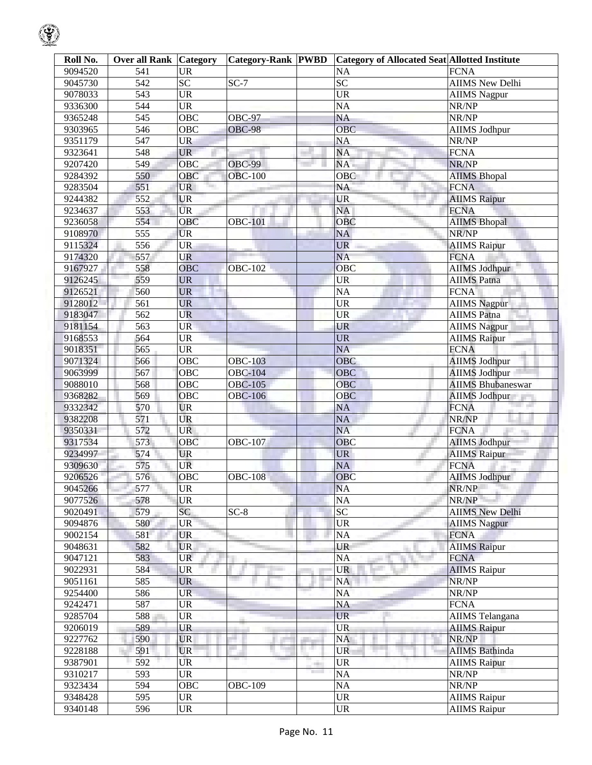| Roll No. | <b>Over all Rank Category</b> |                                   | <b>Category-Rank PWBD</b> |              | Category of Allocated Seat Allotted Institute |                            |
|----------|-------------------------------|-----------------------------------|---------------------------|--------------|-----------------------------------------------|----------------------------|
| 9094520  | 541                           | <b>UR</b>                         |                           |              | NA                                            | <b>FCNA</b>                |
| 9045730  | 542                           | $\overline{SC}$                   | $SC-7$                    |              | $\overline{SC}$                               | <b>AIIMS New Delhi</b>     |
| 9078033  | 543                           | <b>UR</b>                         |                           |              | $\overline{\text{UR}}$                        | <b>AIIMS</b> Nagpur        |
| 9336300  | 544                           | <b>UR</b>                         |                           |              | <b>NA</b>                                     | NR/NP                      |
| 9365248  | 545                           | OBC                               | <b>OBC-97</b>             |              | $\overline{\text{NA}}$                        | NR/NP                      |
| 9303965  | 546                           | OBC                               | <b>OBC-98</b>             |              | OBC                                           | <b>AIIMS Jodhpur</b>       |
| 9351179  | 547                           | <b>UR</b>                         |                           |              | <b>NA</b>                                     | NR/NP                      |
| 9323641  | 548                           | <b>UR</b>                         |                           |              | NA                                            | <b>FCNA</b>                |
| 9207420  | 549                           | <b>OBC</b>                        | <b>OBC-99</b>             |              | NA                                            | NR/NP                      |
| 9284392  | 550                           | OBC                               | <b>OBC-100</b>            |              | OBC                                           | <b>AIIMS Bhopal</b>        |
| 9283504  | 551                           | <b>UR</b>                         |                           |              | NA                                            | <b>FCNA</b>                |
| 9244382  | 552                           | <b>UR</b>                         |                           |              | <b>UR</b>                                     | <b>AIIMS Raipur</b>        |
| 9234637  | 553                           | <b>UR</b>                         |                           |              | NA                                            | <b>FCNA</b>                |
| 9236058  | 554                           | $\overline{O}$ BC                 | <b>OBC-101</b>            |              | OBC                                           | <b>AIIMS Bhopal</b>        |
| 9108970  | 555                           | <b>UR</b>                         |                           |              | NA                                            | NR/NP                      |
| 9115324  | 556                           | <b>UR</b>                         |                           |              | <b>UR</b>                                     | <b>AIIMS Raipur</b>        |
| 9174320  | 557                           | <b>UR</b>                         |                           |              | <b>NA</b>                                     | <b>FCNA</b>                |
| 9167927  | 558                           | <b>OBC</b>                        | <b>OBC-102</b>            |              | OBC                                           | <b>AIIMS Jodhpur</b>       |
| 9126245  | 559                           | <b>UR</b>                         |                           |              | <b>UR</b>                                     | <b>AIIMS Patna</b>         |
| 9126521  | 560                           | <b>UR</b>                         |                           |              | <b>NA</b>                                     | <b>FCNA</b>                |
| 9128012  | 561                           | <b>UR</b>                         |                           |              | <b>UR</b>                                     | <b>AIIMS Nagpur</b>        |
| 9183047  | 562                           | <b>UR</b>                         |                           |              | <b>UR</b>                                     | <b>AIIMS</b> Patna         |
| 9181154  | 563                           | <b>UR</b>                         |                           |              | <b>UR</b>                                     | <b>AIIMS</b> Nagpur        |
| 9168553  | $\overline{564}$              | <b>UR</b>                         |                           |              | <b>UR</b>                                     | <b>AIIMS Raipur</b>        |
| 9018351  | 565                           | <b>UR</b>                         |                           |              | <b>NA</b>                                     | <b>FCNA</b>                |
| 9071324  | 566                           | $\overline{O}$ BC                 | <b>OBC-103</b>            |              | OBC                                           | <b>AIIMS Jodhpur</b>       |
| 9063999  | 567                           | OBC                               | <b>OBC-104</b>            |              | <b>OBC</b>                                    | <b>AIIMS Jodhpur</b>       |
| 9088010  | 568                           | OBC                               | <b>OBC-105</b>            |              | <b>OBC</b>                                    | <b>AIIMS Bhubaneswar</b>   |
| 9368282  | 569                           | OBC                               | <b>OBC-106</b>            |              | OBC                                           | <b>AIIMS Jodhpur</b>       |
| 9332342  | 570                           | <b>UR</b>                         |                           |              | <b>NA</b>                                     | <b>FCNA</b>                |
| 9382208  | 571                           | <b>UR</b>                         |                           |              | NA                                            | NR/NP                      |
| 9350331  | 572                           | <b>UR</b>                         |                           |              | <b>NA</b>                                     | <b>FCNA</b>                |
| 9317534  | 573                           | OBC                               | <b>OBC-107</b>            |              | OBC                                           | 74<br><b>AIIMS Jodhpur</b> |
| 9234997  | 574                           | <b>UR</b>                         |                           |              | <b>UR</b>                                     | <b>AIIMS Raipur</b>        |
| 9309630  | 575                           | <b>UR</b>                         |                           |              | NA                                            | <b>FCNA</b>                |
| 9206526  | 576                           | OBC                               | <b>OBC-108</b>            |              | OBC                                           | <b>AIIMS Jodhpur</b>       |
| 9045266  | 577                           | <b>UR</b>                         |                           |              | <b>NA</b>                                     | NR/NP                      |
| 9077526  | 578                           | <b>UR</b>                         |                           |              | <b>NA</b>                                     | NR/NP                      |
| 9020491  | 579                           | SC                                | $SC-8$                    |              | SC                                            | <b>AIIMS New Delhi</b>     |
| 9094876  | 580                           | <b>UR</b>                         |                           |              | <b>UR</b>                                     | <b>AIIMS</b> Nagpur        |
| 9002154  | 581                           | <b>UR</b>                         |                           |              | NA                                            | <b>FCNA</b>                |
| 9048631  | 582                           | <b>UR</b>                         |                           |              | UR                                            | <b>AIIMS Raipur</b>        |
| 9047121  | 583                           | <b>UR</b>                         |                           |              | NA                                            | <b>FCNA</b>                |
| 9022931  | 584                           | <b>UR</b>                         |                           |              | <b>UR</b>                                     | <b>AIIMS</b> Raipur        |
| 9051161  | 585                           | <b>UR</b>                         |                           |              | NA                                            | NR/NP                      |
| 9254400  | 586                           | <b>UR</b>                         |                           |              | NA                                            | NR/NP                      |
| 9242471  | 587                           | <b>UR</b>                         |                           |              | NA                                            | <b>FCNA</b>                |
| 9285704  | 588                           | <b>UR</b>                         |                           |              | <b>UR</b>                                     | AIIMS Telangana            |
| 9206019  | 589                           | <b>UR</b>                         |                           |              | <b>UR</b>                                     | <b>AIIMS Raipur</b>        |
| 9227762  | 590                           | <b>UR</b>                         |                           |              | NA                                            | NR/NP                      |
| 9228188  | 591                           | <b>UR</b>                         |                           |              | <b>UR</b>                                     | <b>AIIMS</b> Bathinda      |
| 9387901  | 592                           | UR.                               |                           |              | <b>UR</b>                                     | <b>AIIMS Raipur</b>        |
| 9310217  | 593                           | <b>UR</b>                         |                           | <b>COLOR</b> | NA                                            | NR/NP                      |
| 9323434  | 594                           | <b>OBC</b>                        | <b>OBC-109</b>            |              | <b>NA</b>                                     | NR/NP                      |
| 9348428  | 595                           | <b>UR</b>                         |                           |              | <b>UR</b>                                     | <b>AIIMS Raipur</b>        |
| 9340148  | 596                           | $\ensuremath{\mathrm{UR}}\xspace$ |                           |              | $\ensuremath{\mathrm{UR}}\xspace$             | <b>AIIMS Raipur</b>        |
|          |                               |                                   |                           |              |                                               |                            |

 $\mathcal{G}$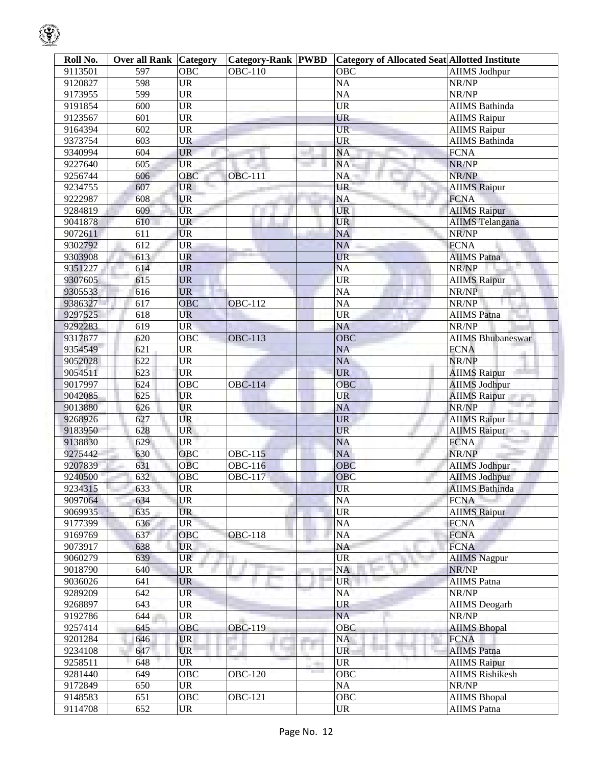| Roll No. | <b>Over all Rank Category</b> |            | <b>Category-Rank PWBD</b> |       | <b>Category of Allocated Seat Allotted Institute</b> |                          |
|----------|-------------------------------|------------|---------------------------|-------|------------------------------------------------------|--------------------------|
| 9113501  | 597                           | OBC        | <b>OBC-110</b>            |       | OBC                                                  | <b>AIIMS</b> Jodhpur     |
| 9120827  | 598                           | <b>UR</b>  |                           |       | NA                                                   | NR/NP                    |
| 9173955  | 599                           | <b>UR</b>  |                           |       | NA                                                   | NR/NP                    |
| 9191854  | 600                           | <b>UR</b>  |                           |       | <b>UR</b>                                            | AIIMS Bathinda           |
| 9123567  | 601                           | <b>UR</b>  |                           |       | <b>UR</b>                                            | <b>AIIMS</b> Raipur      |
| 9164394  | 602                           | <b>UR</b>  |                           |       | UR-                                                  | <b>AIIMS</b> Raipur      |
| 9373754  | 603                           | <b>UR</b>  |                           |       | <b>UR</b>                                            | AIIMS Bathinda           |
| 9340994  | 604                           | <b>UR</b>  |                           |       | <b>NA</b>                                            | <b>FCNA</b>              |
| 9227640  | 605                           | <b>UR</b>  |                           |       | NA                                                   | NR/NP                    |
| 9256744  | 606                           | OBC        | <b>OBC-111</b>            |       | NA                                                   | NR/NP                    |
| 9234755  | 607                           | <b>UR</b>  |                           |       | <b>UR</b>                                            | <b>AIIMS</b> Raipur      |
| 9222987  | 608                           | <b>UR</b>  |                           |       | NA                                                   | <b>FCNA</b>              |
| 9284819  | 609                           | <b>UR</b>  |                           |       | <b>UR</b>                                            | <b>AIIMS Raipur</b>      |
| 9041878  | 610                           | <b>UR</b>  |                           |       | <b>UR</b>                                            | <b>AIIMS</b> Telangana   |
| 9072611  | 611                           | <b>UR</b>  |                           |       | <b>NA</b>                                            | NR/NP                    |
| 9302792  | 612                           | <b>UR</b>  |                           |       | <b>NA</b>                                            | <b>FCNA</b>              |
| 9303908  | 613                           | <b>UR</b>  |                           |       | <b>UR</b>                                            | <b>AIIMS Patna</b>       |
| 9351227  | 614                           | <b>UR</b>  |                           |       | <b>NA</b>                                            | NR/NP                    |
| 9307605  | 615                           | <b>UR</b>  |                           |       | $\overline{UR}$                                      | <b>AIIMS Raipur</b>      |
| 9305533  | 616                           | <b>UR</b>  |                           |       | NA                                                   | NR/NP                    |
| 9386327  | 617                           | <b>OBC</b> | <b>OBC-112</b>            |       | NA                                                   | NR/NP                    |
| 9297525  | 618                           | <b>UR</b>  |                           |       | <b>UR</b>                                            | <b>AIIMS</b> Patna       |
| 9292283  | 619                           | <b>UR</b>  |                           |       | NA                                                   | NR/NP                    |
| 9317877  | 620                           | OBC        | <b>OBC-113</b>            |       | <b>OBC</b>                                           | <b>AIIMS Bhubaneswar</b> |
| 9354549  | 621                           | <b>UR</b>  |                           |       | <b>NA</b>                                            | <b>FCNA</b>              |
| 9052028  | 622                           | <b>UR</b>  |                           |       | <b>NA</b>                                            | NR/NP                    |
| 9054511  | 623                           | <b>UR</b>  |                           |       | <b>UR</b>                                            | <b>AIIMS Raipur</b>      |
| 9017997  | 624                           | <b>OBC</b> | <b>OBC-114</b>            |       | <b>OBC</b>                                           | <b>AIIMS Jodhpur</b>     |
| 9042085  | 625                           | <b>UR</b>  |                           |       | <b>UR</b>                                            | <b>AIIMS Raipur</b>      |
| 9013880  | 626                           | <b>UR</b>  |                           |       | <b>NA</b>                                            | NR/NP                    |
| 9268926  | 627                           | <b>UR</b>  |                           |       | <b>UR</b>                                            | <b>AIIMS Raipur</b>      |
| 9183950  | 628                           | <b>UR</b>  |                           |       | <b>UR</b>                                            | <b>AIIMS Raipur</b>      |
| 9138830  | 629                           | <b>UR</b>  |                           |       | <b>NA</b>                                            | <b>FCNA</b>              |
| 9275442  | 630                           | OBC        | <b>OBC-115</b>            |       | NA                                                   | NR/NP                    |
| 9207839  | 631                           | <b>OBC</b> | <b>OBC-116</b>            |       | <b>OBC</b>                                           | <b>AIIMS Jodhpur</b>     |
| 9240500  | 632                           | OBC        | <b>OBC-117</b>            |       | OBC                                                  | <b>AIIMS Jodhpur</b>     |
| 9234315  | 633                           | <b>UR</b>  |                           |       | <b>UR</b>                                            | <b>AIIMS</b> Bathinda    |
| 9097064  | 634                           | <b>UR</b>  |                           |       | <b>NA</b>                                            | <b>FCNA</b>              |
| 9069935  | 635                           | <b>UR</b>  |                           |       | <b>UR</b>                                            | <b>AIIMS Raipur</b>      |
| 9177399  | 636                           | <b>UR</b>  |                           |       | NA                                                   | <b>FCNA</b>              |
| 9169769  | 637                           | <b>OBC</b> | <b>OBC-118</b>            |       | NA                                                   | <b>FCNA</b>              |
| 9073917  | 638                           | UR.        |                           |       | NA                                                   | <b>FCNA</b>              |
| 9060279  | 639                           | <b>UR</b>  |                           |       | UR<br>an i                                           | <b>AIIMS</b> Nagpur      |
| 9018790  | 640                           | <b>UR</b>  | <b>STATE</b>              |       | NA                                                   | NR/NP                    |
| 9036026  | 641                           | <b>UR</b>  |                           |       | <b>UR</b>                                            | <b>AIIMS</b> Patna       |
| 9289209  | 642                           | <b>UR</b>  |                           |       | NA                                                   | NR/NP                    |
| 9268897  | 643                           | <b>UR</b>  |                           |       | <b>UR</b>                                            | <b>AIIMS</b> Deogarh     |
| 9192786  | 644                           | <b>UR</b>  |                           |       | <b>NA</b>                                            | NR/NP                    |
| 9257414  | 645                           | <b>OBC</b> | <b>OBC-119</b>            |       | OBC                                                  | <b>AIIMS Bhopal</b>      |
| 9201284  | 646                           | <b>UR</b>  |                           |       | NA                                                   | <b>FCNA</b>              |
| 9234108  | 647                           | <b>UR</b>  |                           |       | <b>UR</b>                                            | <b>AIIMS</b> Patna       |
| 9258511  | 648                           | <b>UR</b>  |                           | and a | <b>UR</b>                                            | <b>AIIMS</b> Raipur      |
| 9281440  | 649                           | OBC        | <b>OBC-120</b>            |       | <b>OBC</b>                                           | <b>AIIMS Rishikesh</b>   |
| 9172849  | 650                           | <b>UR</b>  |                           |       | NA                                                   | NR/NP                    |
| 9148583  | 651                           | <b>OBC</b> | <b>OBC-121</b>            |       | <b>OBC</b>                                           | <b>AIIMS Bhopal</b>      |
| 9114708  | 652                           | <b>UR</b>  |                           |       | <b>UR</b>                                            | AIIMS Patna              |

 $\mathbb{Q}$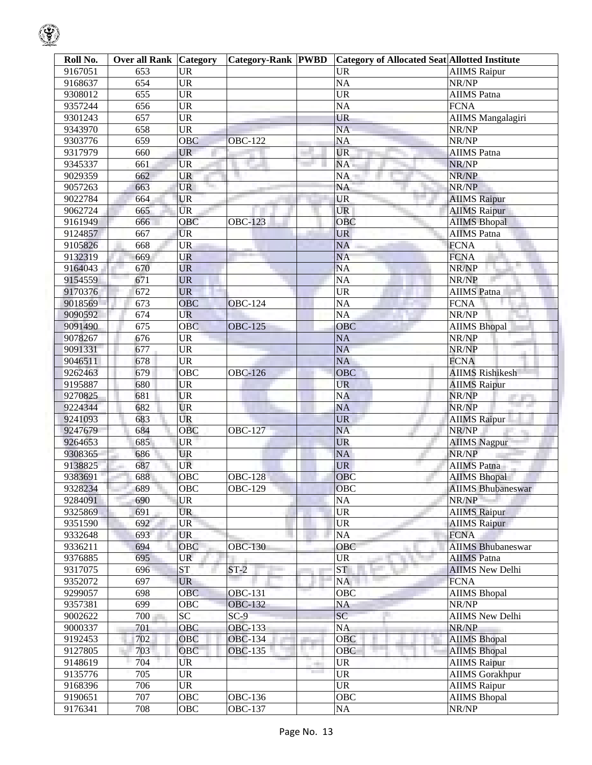| Roll No.           | <b>Over all Rank Category</b> |                        | <b>Category-Rank PWBD</b> |                               | <b>Category of Allocated Seat Allotted Institute</b> |                             |
|--------------------|-------------------------------|------------------------|---------------------------|-------------------------------|------------------------------------------------------|-----------------------------|
| 9167051            | 653                           | <b>UR</b>              |                           |                               | <b>UR</b>                                            | <b>AIIMS</b> Raipur         |
| 9168637            | 654                           | $\overline{UR}$        |                           |                               | $\overline{NA}$                                      | NR/NP                       |
| 9308012            | 655                           | $\overline{UR}$        |                           |                               | $\overline{\text{UR}}$                               | <b>AIIMS</b> Patna          |
| 9357244            | 656                           | $\overline{\text{UR}}$ |                           |                               | $\overline{NA}$                                      | <b>FCNA</b>                 |
| 9301243            | 657                           | <b>UR</b>              |                           |                               | $\overline{\text{UR}}$                               | <b>AIIMS</b> Mangalagiri    |
| 9343970            | 658                           | $\overline{\text{UR}}$ |                           |                               | $\overline{NA}$                                      | NR/NP                       |
| 9303776            | 659                           | <b>OBC</b>             | <b>OBC-122</b>            |                               | <b>NA</b>                                            | NR/NP                       |
| 9317979            | 660                           | <b>UR</b>              |                           |                               | <b>UR</b>                                            | <b>AIIMS</b> Patna          |
| 9345337            | 661                           | <b>UR</b>              |                           |                               | NA                                                   | NR/NP                       |
| 9029359            | 662                           | <b>UR</b>              |                           |                               | NA                                                   | NR/NP                       |
| 9057263            | 663                           | <b>UR</b><br>Tar       |                           |                               | NA                                                   | NR/NP                       |
| 9022784            | 664                           | <b>UR</b>              |                           |                               | <b>UR</b>                                            | <b>AIIMS</b> Raipur         |
| 9062724            | 665                           | <b>UR</b>              |                           |                               | UR                                                   | <b>AIIMS Raipur</b>         |
| 9161949            | 666                           | OBC                    | <b>OBC-123</b>            |                               | OBC                                                  | <b>AIIMS Bhopal</b>         |
| 9124857            | 667                           | <b>UR</b>              |                           |                               | <b>UR</b>                                            | <b>AIIMS</b> Patna          |
| 9105826            | 668                           | <b>UR</b>              |                           |                               | <b>NA</b>                                            | <b>FCNA</b>                 |
| 9132319            | 669                           | <b>UR</b>              |                           |                               | <b>NA</b>                                            | <b>FCNA</b>                 |
| 9164043            | 670                           | <b>UR</b>              |                           |                               | <b>NA</b>                                            | NR/NP                       |
| 9154559            | 671                           | <b>UR</b>              |                           |                               | $\overline{NA}$                                      | NR/NP                       |
| 9170376            | 672                           | <b>UR</b>              |                           |                               | <b>UR</b>                                            | <b>AIIMS</b> Patna          |
| 9018569            | 673                           | <b>OBC</b>             | <b>OBC-124</b>            |                               | $\overline{NA}$                                      | <b>FCNA</b>                 |
| 9090592            | 674                           | <b>UR</b>              |                           |                               | $\overline{NA}$                                      | NR/NP                       |
| 9091490            | 675                           | <b>OBC</b>             | <b>OBC-125</b>            |                               | OBC                                                  | <b>AIIMS</b> Bhopal         |
| 9078267            | 676                           | <b>UR</b>              |                           |                               | <b>NA</b>                                            | NR/NP                       |
| 9091331            | 677                           | <b>UR</b>              |                           |                               | <b>NA</b>                                            | NR/NP                       |
| 9046511            | 678                           | <b>UR</b>              |                           |                               | <b>NA</b>                                            | <b>FCNA</b>                 |
|                    |                               |                        |                           |                               | <b>OBC</b>                                           |                             |
| 9262463            | 679<br>680                    | OBC<br><b>UR</b>       | <b>OBC-126</b>            |                               | <b>UR</b>                                            | <b>AIIMS Rishikesh</b>      |
| 9195887            |                               | <b>UR</b>              |                           |                               | <b>NA</b>                                            | <b>AIIMS Raipur</b>         |
| 9270825<br>9224344 | 681                           | <b>UR</b>              |                           |                               | <b>NA</b>                                            | NR/NP<br><b>The Control</b> |
|                    | 682                           | <b>UR</b>              |                           |                               |                                                      | NR/NP                       |
| 9241093            | 683                           |                        |                           |                               | <b>UR</b>                                            | <b>AIIMS</b> Raipur         |
| 9247679            | 684                           | <b>OBC</b>             | <b>OBC-127</b>            |                               | <b>NA</b>                                            | NR/NP<br>201                |
| 9264653            | 685                           | <b>UR</b>              |                           |                               | <b>UR</b>                                            | <b>AIIMS</b> Nagpur         |
| 9308365            | 686                           | <b>UR</b>              |                           |                               | NA                                                   | NR/NP                       |
| 9138825            | 687                           | <b>UR</b>              |                           |                               | <b>UR</b>                                            | <b>AIIMS Patna</b>          |
| 9383691            | 688                           | OBC                    | <b>OBC-128</b>            |                               | OBC                                                  | <b>AIIMS Bhopal</b>         |
| 9328234            | 689                           | OBC                    | <b>OBC-129</b>            |                               | OBC                                                  | <b>AIIMS Bhubaneswar</b>    |
| 9284091            | 690                           | <b>UR</b>              |                           |                               | NA                                                   | NR/NP                       |
| 9325869            | 691                           | <b>UR</b>              |                           |                               | $\ensuremath{\mathrm{UR}}\xspace$                    | <b>AIIMS Raipur</b>         |
| 9351590            | 692                           | <b>UR</b>              |                           |                               | $\ensuremath{\mathrm{UR}}\xspace$                    | <b>AIIMS Raipur</b>         |
| 9332648            | 693                           | <b>UR</b>              |                           |                               | NA                                                   | <b>FCNA</b>                 |
| 9336211            | 694                           | OBC                    | <b>OBC-130</b>            |                               | OBC                                                  | <b>AIIMS</b> Bhubaneswar    |
| 9376885            | 695                           | <b>UR</b>              |                           |                               | <b>UR</b>                                            | <b>AIIMS</b> Patna          |
| 9317075            | 696                           | ST                     | $ST-2$                    |                               | ST                                                   | <b>AIIMS New Delhi</b>      |
| 9352072            | 697                           | <b>UR</b>              |                           |                               | NA                                                   | <b>FCNA</b>                 |
| 9299057            | 698                           | <b>OBC</b>             | <b>OBC-131</b>            |                               | OBC                                                  | <b>AIIMS</b> Bhopal         |
| 9357381            | 699                           | OBC                    | <b>OBC-132</b>            |                               | NA                                                   | NR/NP                       |
| 9002622            | 700                           | $\overline{SC}$        | $SC-9$                    |                               | $\overline{SC}$                                      | <b>AIIMS New Delhi</b>      |
| 9000337            | 701                           | OBC                    | <b>OBC-133</b>            |                               | <b>NA</b>                                            | NR/NP                       |
| 9192453            | 702                           | <b>OBC</b>             | <b>OBC-134</b>            |                               | OBC                                                  | <b>AIIMS Bhopal</b>         |
| 9127805            | 703                           | OBC                    | <b>OBC-135</b>            | a pro                         | OBC                                                  | <b>AIIMS</b> Bhopal         |
| 9148619            | 704                           | <b>UR</b>              |                           | m.                            | <b>UR</b>                                            | <b>AIIMS Raipur</b>         |
| 9135776            | 705                           | <b>UR</b>              |                           | <b>The Contract of Street</b> | <b>UR</b>                                            | <b>AIIMS Gorakhpur</b>      |
| 9168396            | 706                           | <b>UR</b>              |                           |                               | <b>UR</b>                                            | <b>AIIMS Raipur</b>         |
| 9190651            | 707                           | OBC                    | OBC- $136$                |                               | OBC                                                  | <b>AIIMS Bhopal</b>         |
| 9176341            | 708                           | OBC                    | <b>OBC-137</b>            |                               | NA                                                   | NR/NP                       |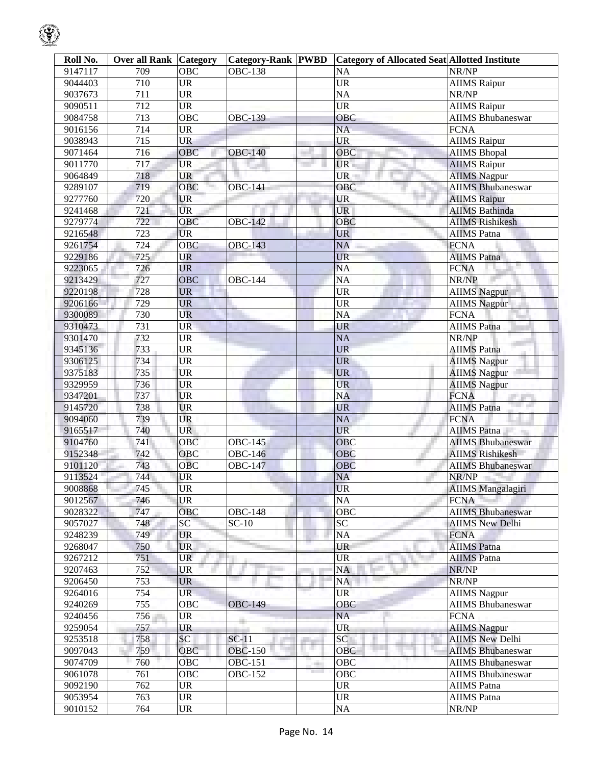| Roll No. | <b>Over all Rank   Category</b> |                 | <b>Category-Rank PWBD</b> |                                 | <b>Category of Allocated Seat Allotted Institute</b> |                                         |
|----------|---------------------------------|-----------------|---------------------------|---------------------------------|------------------------------------------------------|-----------------------------------------|
| 9147117  | 709                             | OBC             | <b>OBC-138</b>            |                                 | NA                                                   | NR/NP                                   |
| 9044403  | 710                             | <b>UR</b>       |                           |                                 | UR                                                   | <b>AIIMS</b> Raipur                     |
| 9037673  | 711                             | <b>UR</b>       |                           |                                 | <b>NA</b>                                            | NR/NP                                   |
| 9090511  | 712                             | <b>UR</b>       |                           |                                 | <b>UR</b>                                            | <b>AIIMS Raipur</b>                     |
| 9084758  | 713                             | OBC             | <b>OBC-139</b>            |                                 | OBC                                                  | <b>AIIMS Bhubaneswar</b>                |
| 9016156  | 714                             | <b>UR</b>       |                           |                                 | <b>NA</b>                                            | <b>FCNA</b>                             |
| 9038943  | 715                             | <b>UR</b>       |                           |                                 | <b>UR</b>                                            | <b>AIIMS</b> Raipur                     |
| 9071464  | 716                             | OBC             | <b>OBC-140</b>            |                                 | OBC                                                  | <b>AIIMS</b> Bhopal                     |
| 9011770  | 717                             | <b>UR</b>       |                           |                                 | UR-                                                  | <b>AIIMS</b> Raipur                     |
| 9064849  | 718                             | <b>UR</b>       |                           |                                 | $UR -$                                               | <b>AIIMS</b> Nagpur                     |
| 9289107  | 719                             | <b>OBC</b>      | <b>OBC-141</b>            |                                 | OBC                                                  | <b>AIIMS Bhubaneswar</b>                |
| 9277760  | 720                             | UR              |                           |                                 | <b>UR</b>                                            | <b>AIIMS</b> Raipur                     |
| 9241468  | 721                             | <b>UR</b>       |                           |                                 | UR                                                   | <b>AIIMS Bathinda</b>                   |
| 9279774  | 722                             | <b>OBC</b>      | <b>OBC-142</b>            |                                 | <b>OBC</b>                                           | <b>AIIMS Rishikesh</b>                  |
| 9216548  | 723                             | <b>UR</b>       |                           |                                 | <b>UR</b>                                            | <b>AIIMS</b> Patna                      |
| 9261754  | 724                             | <b>OBC</b>      | <b>OBC-143</b>            |                                 | <b>NA</b>                                            | <b>FCNA</b>                             |
| 9229186  | 725                             | <b>UR</b>       |                           |                                 | <b>UR</b>                                            | <b>AIIMS</b> Patna                      |
| 9223065  | 726                             | <b>UR</b>       |                           |                                 | <b>NA</b>                                            | <b>FCNA</b>                             |
| 9213429  | 727                             | <b>OBC</b>      | <b>OBC-144</b>            |                                 | <b>NA</b>                                            | NR/NP                                   |
| 9220198  | 728                             | <b>UR</b>       |                           |                                 | <b>UR</b>                                            | <b>AIIMS</b> Nagpur                     |
| 9206166  | 729                             | <b>UR</b>       |                           |                                 | <b>UR</b>                                            | <b>AIIMS Nagpur</b>                     |
| 9300089  | 730                             | <b>UR</b>       |                           |                                 | <b>NA</b>                                            | <b>FCNA</b>                             |
| 9310473  | 731                             | <b>UR</b>       |                           |                                 | <b>UR</b>                                            | <b>AIIMS</b> Patna                      |
| 9301470  | 732                             | <b>UR</b>       |                           |                                 | <b>NA</b>                                            | NR/NP                                   |
| 9345136  | 733                             | <b>UR</b>       |                           |                                 | <b>UR</b>                                            | <b>AIIMS</b> Patna                      |
| 9306125  | 734                             | <b>UR</b>       |                           |                                 | <b>UR</b>                                            | <b>AIIMS Nagpur</b>                     |
| 9375183  | 735                             | <b>UR</b>       |                           |                                 | <b>UR</b>                                            | <b>AIIMS</b> Nagpur                     |
| 9329959  | 736                             | <b>UR</b>       |                           |                                 | <b>UR</b>                                            | <b>AIIMS Nagpur</b>                     |
| 9347201  | 737                             | <b>UR</b>       |                           |                                 | <b>NA</b>                                            | <b>FCNA</b>                             |
| 9145720  | 738                             | <b>UR</b>       |                           |                                 | <b>UR</b>                                            | <b>CONTRACTOR</b><br><b>AIIMS</b> Patna |
| 9094060  | 739                             | <b>UR</b>       |                           |                                 | NA                                                   | <b>FCNA</b>                             |
| 9165517  | 740                             | <b>UR</b>       |                           |                                 | <b>UR</b>                                            | AIIMS Patna                             |
| 9104760  | 741                             | <b>OBC</b>      | <b>OBC-145</b>            |                                 | <b>OBC</b>                                           | <b>AIIMS Bhubaneswar</b>                |
| 9152348  | 742                             | OBC             | <b>OBC-146</b>            |                                 | <b>OBC</b>                                           | <b>AIIMS Rishikesh</b>                  |
| 9101120  | 743                             | <b>OBC</b>      | <b>OBC-147</b>            |                                 | <b>OBC</b>                                           | <b>AIIMS Bhubaneswar</b>                |
| 9113524  | 744                             | UR              |                           |                                 | <b>NA</b>                                            | NR/NP                                   |
| 9008868  | 745                             | UR.             |                           |                                 | UR.                                                  | AIIMS Mangalagiri                       |
| 9012567  | 746                             | <b>UR</b>       |                           |                                 | NA                                                   | <b>FCNA</b>                             |
| 9028322  | 747                             | <b>OBC</b>      | <b>OBC-148</b>            |                                 | <b>OBC</b>                                           | <b>AIIMS Bhubaneswar</b>                |
| 9057027  | 748                             | SC <sup>1</sup> | $SC-10$                   |                                 | SC                                                   | <b>AIIMS New Delhi</b>                  |
| 9248239  | 749                             | <b>UR</b>       |                           |                                 | NA                                                   | <b>FCNA</b>                             |
| 9268047  | 750                             | <b>UR</b>       |                           |                                 | <b>UR</b>                                            | <b>AIIMS</b> Patna                      |
| 9267212  | 751                             | UR              |                           |                                 | UR                                                   | <b>AIIMS</b> Patna                      |
| 9207463  | 752                             | <b>UR</b>       |                           |                                 | <b>NA</b>                                            | NR/NP                                   |
| 9206450  | 753                             | <b>UR</b>       |                           |                                 | <b>NA</b>                                            | NR/NP                                   |
| 9264016  | 754                             | <b>UR</b>       |                           |                                 | <b>UR</b>                                            | <b>AIIMS</b> Nagpur                     |
|          | 755                             |                 |                           |                                 | OBC                                                  | <b>AIIMS</b> Bhubaneswar                |
| 9240269  | 756                             | OBC             | <b>OBC-149</b>            |                                 | NA                                                   | <b>FCNA</b>                             |
| 9240456  | 757                             | UR<br><b>UR</b> |                           |                                 | <b>UR</b>                                            | <b>AIIMS Nagpur</b>                     |
| 9259054  |                                 | SC              | $SC-11$                   |                                 | SC                                                   | <b>AIIMS New Delhi</b>                  |
| 9253518  | 758                             |                 |                           | والتراز<br>11 M                 |                                                      |                                         |
| 9097043  | 759                             | OBC             | <b>OBC-150</b>            |                                 | <b>OBC</b>                                           | <b>AIIMS Bhubaneswar</b>                |
| 9074709  | 760                             | <b>OBC</b>      | <b>OBC-151</b>            | <b>COLOR</b><br><b>Contract</b> | OBC                                                  | <b>AIIMS Bhubaneswar</b>                |
| 9061078  | 761                             | <b>OBC</b>      | OBC-152                   |                                 | OBC                                                  | <b>AIIMS Bhubaneswar</b>                |
| 9092190  | 762                             | <b>UR</b>       |                           |                                 | <b>UR</b>                                            | AIIMS Patna                             |
| 9053954  | 763                             | <b>UR</b>       |                           |                                 | <b>UR</b>                                            | <b>AIIMS</b> Patna                      |
| 9010152  | 764                             | UR              |                           |                                 | $\rm NA$                                             | NR/NP                                   |

 $\mathcal{G}$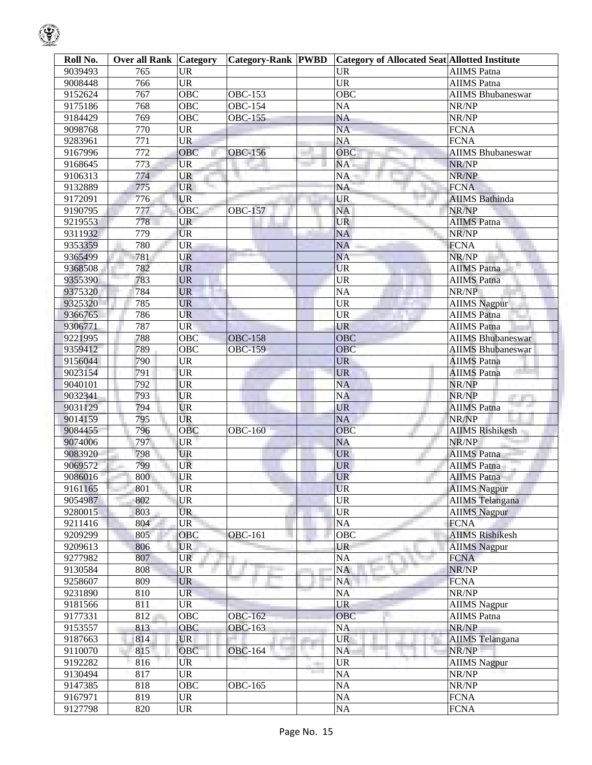| Roll No. | <b>Over all Rank Category</b> |           | <b>Category-Rank PWBD</b> |       | <b>Category of Allocated Seat Allotted Institute</b> |                          |
|----------|-------------------------------|-----------|---------------------------|-------|------------------------------------------------------|--------------------------|
| 9039493  | 765                           | <b>UR</b> |                           |       | <b>UR</b>                                            | <b>AIIMS</b> Patna       |
| 9008448  | 766                           | <b>UR</b> |                           |       | <b>UR</b>                                            | <b>AIIMS</b> Patna       |
| 9152624  | 767                           | OBC       | <b>OBC-153</b>            |       | <b>OBC</b>                                           | <b>AIIMS Bhubaneswar</b> |
| 9175186  | 768                           | OBC       | <b>OBC-154</b>            |       | NA                                                   | NR/NP                    |
| 9184429  | 769                           | OBC       | <b>OBC-155</b>            |       | NA                                                   | NR/NP                    |
| 9098768  | 770                           | <b>UR</b> |                           |       | NA                                                   | <b>FCNA</b>              |
| 9283961  | 771                           | <b>UR</b> |                           |       | NA                                                   | <b>FCNA</b>              |
| 9167996  | 772                           | OBC       | OBC-156                   |       | <b>OBC</b>                                           | <b>AIIMS Bhubaneswar</b> |
| 9168645  | 773                           | <b>UR</b> |                           |       | NA                                                   | NR/NP                    |
| 9106313  | 774                           | <b>UR</b> |                           |       | NA                                                   | NR/NP                    |
| 9132889  | 775                           | UR        |                           |       | NA                                                   | <b>FCNA</b>              |
| 9172091  | 776                           | <b>UR</b> |                           |       | <b>UR</b>                                            | <b>AIIMS</b> Bathinda    |
| 9190795  | 777                           | OBC       | <b>OBC-157</b>            |       | NA                                                   | NR/NP                    |
| 9219553  | 778                           | UR        |                           |       | <b>UR</b>                                            | <b>AIIMS</b> Patna       |
| 9311932  | 779                           | <b>UR</b> |                           |       | <b>NA</b>                                            | NR/NP                    |
| 9353359  | 780                           | <b>UR</b> |                           |       | <b>NA</b>                                            | <b>FCNA</b>              |
| 9365499  | 781                           | <b>UR</b> |                           |       | <b>NA</b>                                            | NR/NP                    |
| 9368508  | 782                           | <b>UR</b> |                           |       | <b>UR</b>                                            | <b>AIIMS</b> Patna       |
| 9355390  | 783                           | <b>UR</b> |                           |       | <b>UR</b>                                            | <b>AIIMS</b> Patna       |
| 9375320  | 784                           | <b>UR</b> |                           |       | <b>NA</b>                                            | NR/NP                    |
| 9325320  | 785                           | <b>UR</b> |                           |       | <b>UR</b>                                            | <b>AIIMS Nagpur</b>      |
| 9366765  | 786                           | <b>UR</b> |                           |       | <b>UR</b>                                            | <b>AIIMS</b> Patna       |
| 9306771  | 787                           | <b>UR</b> |                           |       | <b>UR</b>                                            | <b>AIIMS</b> Patna       |
| 9221995  | 788                           | OBC       | <b>OBC-158</b>            |       | <b>OBC</b>                                           | <b>AIIMS Bhubaneswar</b> |
| 9359412  | 789                           | OBC       | <b>OBC-159</b>            |       | OBC                                                  | <b>AIIMS Bhubaneswar</b> |
| 9156044  | 790                           | <b>UR</b> |                           |       | <b>UR</b>                                            | <b>AIIMS</b> Patna       |
| 9023154  | 791                           | <b>UR</b> |                           |       | <b>UR</b>                                            | <b>AIIMS</b> Patna       |
| 9040101  | 792                           | <b>UR</b> |                           |       | <b>NA</b>                                            | NR/NP                    |
| 9032341  | 793                           | <b>UR</b> |                           |       | <b>NA</b>                                            | NR/NP<br>an ann          |
| 9031129  | 794                           | <b>UR</b> |                           |       | <b>UR</b>                                            | <b>AIIMS</b> Patna       |
| 9014159  | 795                           | <b>UR</b> |                           |       | <b>NA</b>                                            | NR/NP                    |
| 9084455  | 796                           | OBC       | <b>OBC-160</b>            |       | <b>OBC</b>                                           | <b>AIIMS</b> Rishikesh   |
| 9074006  | 797                           | <b>UR</b> |                           |       | <b>NA</b>                                            | NR/NP                    |
| 9083920  | 798                           | <b>UR</b> |                           |       | UR <sup>-</sup>                                      | <b>AIIMS</b> Patna       |
| 9069572  | 799                           | UR        |                           |       | <b>UR</b>                                            | AIIMS Patna              |
| 9086016  | 800                           | UR        |                           |       | <b>UR</b>                                            | <b>AIIMS</b> Patna       |
| 9161165  | 801                           | <b>UR</b> |                           |       | <b>UR</b>                                            | <b>AIIMS</b> Nagpur      |
| 9054987  | 802                           | UR        |                           |       | <b>UR</b>                                            | <b>AIIMS</b> Telangana   |
| 9280015  | 803                           | <b>UR</b> |                           |       | <b>UR</b>                                            | <b>AIIMS</b> Nagpur      |
| 9211416  | 804                           | <b>UR</b> |                           |       | NA                                                   | <b>FCNA</b>              |
| 9209299  | 805                           | OBC       | <b>OBC-161</b>            |       | <b>OBC</b>                                           | <b>AIIMS Rishikesh</b>   |
| 9209613  | 806                           | UR.       |                           |       | <b>UR</b>                                            | <b>AIIMS</b> Nagpur      |
| 9277982  | 807                           | <b>UR</b> |                           |       | NA<br>an i                                           | <b>FCNA</b>              |
| 9130584  | 808                           | <b>UR</b> |                           |       | NA                                                   | NR/NP                    |
| 9258607  | 809                           | <b>UR</b> |                           |       | NA                                                   | <b>FCNA</b>              |
| 9231890  | 810                           | UR.       |                           |       | NA                                                   | NR/NP                    |
| 9181566  | 811                           | <b>UR</b> |                           |       | <b>UR</b>                                            | <b>AIIMS</b> Nagpur      |
| 9177331  | 812                           | OBC       | <b>OBC-162</b>            |       | OBC                                                  | <b>AIIMS</b> Patna       |
| 9153557  | 813                           | OBC       | <b>OBC-163</b>            |       | <b>NA</b>                                            | NR/NP                    |
| 9187663  | 814                           | <b>UR</b> |                           |       | <b>UR</b>                                            | <b>AIIMS</b> Telangana   |
| 9110070  | 815                           | OBC       | <b>OBC-164</b>            |       | <b>NA</b>                                            | NR/NP                    |
| 9192282  | 816                           | UR        |                           | and a | <b>UR</b>                                            | <b>AIIMS</b> Nagpur      |
| 9130494  | 817                           | <b>UR</b> |                           |       | NA                                                   | NR/NP                    |
| 9147385  | 818                           | OBC       | OBC-165                   |       | NA                                                   | NR/NP                    |
| 9167971  | 819                           | <b>UR</b> |                           |       | NA                                                   | <b>FCNA</b>              |
| 9127798  | 820                           | <b>UR</b> |                           |       | $\rm NA$                                             | <b>FCNA</b>              |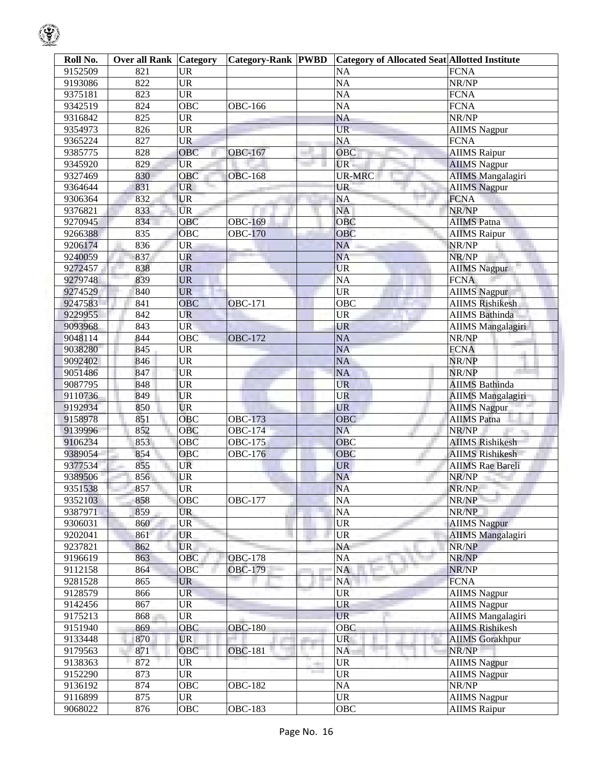| Roll No. | <b>Over all Rank Category</b> |                   | <b>Category-Rank PWBD</b> |              | <b>Category of Allocated Seat Allotted Institute</b> |                          |
|----------|-------------------------------|-------------------|---------------------------|--------------|------------------------------------------------------|--------------------------|
| 9152509  | 821                           | <b>UR</b>         |                           |              | NA                                                   | <b>FCNA</b>              |
| 9193086  | 822                           | <b>UR</b>         |                           |              | <b>NA</b>                                            | NR/NP                    |
| 9375181  | 823                           | <b>UR</b>         |                           |              | $\overline{NA}$                                      | <b>FCNA</b>              |
| 9342519  | 824                           | <b>OBC</b>        | <b>OBC-166</b>            |              | $\overline{NA}$                                      | <b>FCNA</b>              |
| 9316842  | 825                           | <b>UR</b>         |                           |              | $\overline{NA}$                                      | NR/NP                    |
| 9354973  | 826                           | <b>UR</b>         |                           |              | <b>UR</b>                                            | <b>AIIMS Nagpur</b>      |
| 9365224  | 827                           | UR                |                           |              | <b>NA</b>                                            | <b>FCNA</b>              |
| 9385775  | 828                           | OBC               | OBC-167                   |              | <b>OBC</b>                                           | <b>AIIMS</b> Raipur      |
| 9345920  | 829                           | <b>UR</b>         |                           |              | UR.                                                  | <b>AIIMS</b> Nagpur      |
| 9327469  | 830                           | OBC               | <b>OBC-168</b>            |              | <b>UR-MRC</b>                                        | <b>AIIMS</b> Mangalagiri |
| 9364644  | 831                           | <b>UR</b>         |                           |              | UR                                                   | <b>AIIMS Nagpur</b>      |
| 9306364  | 832                           | <b>UR</b>         |                           |              | NA                                                   | <b>FCNA</b>              |
| 9376821  | 833                           | <b>UR</b>         |                           |              | <b>NA</b>                                            | NR/NP                    |
| 9270945  | 834                           | OBC               | <b>OBC-169</b>            |              | OBC                                                  | <b>AIIMS</b> Patna       |
| 9266388  | 835                           | $\overline{O}$ BC | <b>OBC-170</b>            |              | <b>OBC</b>                                           | <b>AIIMS Raipur</b>      |
| 9206174  | 836                           | <b>UR</b>         |                           |              | <b>NA</b>                                            | NR/NP                    |
| 9240059  | 837                           | UR                |                           |              | <b>NA</b>                                            | NR/NP                    |
| 9272457  | 838                           | <b>UR</b>         |                           |              | <b>UR</b>                                            | <b>AIIMS Nagpur</b>      |
| 9279748  | 839                           | <b>UR</b>         |                           |              | <b>NA</b>                                            | <b>FCNA</b>              |
| 9274529  | 840                           | <b>UR</b>         |                           |              | $\overline{\text{UR}}$                               | <b>AIIMS Nagpur</b>      |
| 9247583  | 841                           | <b>OBC</b>        | <b>OBC-171</b>            |              | OBC                                                  | <b>AIIMS Rishikesh</b>   |
| 9229955  | 842                           | <b>UR</b>         |                           |              | <b>UR</b>                                            | <b>AIIMS Bathinda</b>    |
| 9093968  | 843                           | <b>UR</b>         |                           |              | <b>UR</b>                                            | <b>AIIMS</b> Mangalagiri |
| 9048114  | 844                           | OBC               | <b>OBC-172</b>            |              | <b>NA</b>                                            | NR/NP                    |
| 9038280  | 845                           | <b>UR</b>         |                           |              | <b>NA</b>                                            | <b>FCNA</b>              |
| 9092402  | 846                           | <b>UR</b>         |                           |              | <b>NA</b>                                            | NR/NP                    |
| 9051486  | 847                           | <b>UR</b>         |                           |              | <b>NA</b>                                            | NR/NP                    |
| 9087795  | 848                           | <b>UR</b>         |                           |              | <b>UR</b>                                            | <b>AIIMS Bathinda</b>    |
| 9110736  | 849                           | <b>UR</b>         |                           |              | <b>UR</b>                                            | <b>AIIMS Mangalagiri</b> |
| 9192934  | 850                           | <b>UR</b>         |                           |              | <b>UR</b>                                            | <b>AIIMS Nagpur</b>      |
| 9158978  | 851                           | $\overline{O}$ BC | <b>OBC-173</b>            |              | <b>OBC</b>                                           | <b>AIIMS Patna</b>       |
| 9139996  | 852                           | OBC               | <b>OBC-174</b>            |              | <b>NA</b>                                            | NR/NP                    |
| 9106234  | 853                           | $\overline{O}$ BC | <b>OBC-175</b>            |              | OBC                                                  | <b>AIIMS Rishikesh</b>   |
| 9389054  | 854                           | OBC               | <b>OBC-176</b>            |              | OBC                                                  | <b>AIIMS Rishikesh</b>   |
| 9377534  | 855                           | UR                |                           |              | <b>UR</b>                                            | <b>AIIMS Rae Bareli</b>  |
| 9389506  | 856                           | UR                |                           |              | <b>NA</b>                                            | NR/NP                    |
| 9351538  | 857                           | <b>UR</b>         |                           |              | <b>NA</b>                                            | NR/NP                    |
| 9352103  | 858                           | <b>OBC</b>        | <b>OBC-177</b>            |              | <b>NA</b>                                            | NR/NP                    |
| 9387971  | 859                           | <b>UR</b>         |                           |              | <b>NA</b>                                            | NR/NP                    |
| 9306031  | 860                           | <b>UR</b>         |                           |              | <b>UR</b>                                            | <b>AIIMS</b> Nagpur      |
| 9202041  | 861                           | <b>UR</b>         |                           |              | UR                                                   | <b>AIIMS Mangalagiri</b> |
| 9237821  | 862                           | <b>UR</b>         |                           |              | NA                                                   | NR/NP                    |
| 9196619  | 863                           | OBC               | <b>OBC-178</b>            |              | NA                                                   | NR/NP                    |
| 9112158  | 864                           | OBC               | <b>OBC-179</b>            |              | <b>NA</b>                                            | NR/NP                    |
| 9281528  | 865                           | <b>UR</b>         |                           |              | NA                                                   | <b>FCNA</b>              |
| 9128579  | 866                           | <b>UR</b>         |                           |              | <b>UR</b>                                            | <b>AIIMS Nagpur</b>      |
| 9142456  | 867                           | <b>UR</b>         |                           |              | UR                                                   | <b>AIIMS Nagpur</b>      |
| 9175213  | 868                           | UR                |                           |              | <b>UR</b>                                            | <b>AIIMS</b> Mangalagiri |
| 9151940  | 869                           | OBC               | <b>OBC-180</b>            |              | OBC                                                  | <b>AIIMS Rishikesh</b>   |
| 9133448  | 870                           | UR                |                           |              | <b>UR</b>                                            | <b>AIIMS</b> Gorakhpur   |
| 9179563  | 871                           | OBC               | <b>OBC-181</b>            | a,           | NA                                                   | NR/NP                    |
| 9138363  | 872                           | UR                |                           | <b>COLOR</b> | <b>UR</b>                                            | <b>AIIMS Nagpur</b>      |
| 9152290  | 873                           | UR                |                           |              | <b>UR</b>                                            | <b>AIIMS Nagpur</b>      |
| 9136192  | 874                           | OBC               | <b>OBC-182</b>            |              | <b>NA</b>                                            | NR/NP                    |
| 9116899  | 875                           | <b>UR</b>         |                           |              | <b>UR</b>                                            | <b>AIIMS Nagpur</b>      |
| 9068022  | 876                           | $\overline{O}$ BC | <b>OBC-183</b>            |              | OBC                                                  | <b>AIIMS Raipur</b>      |

 $\bigcirc$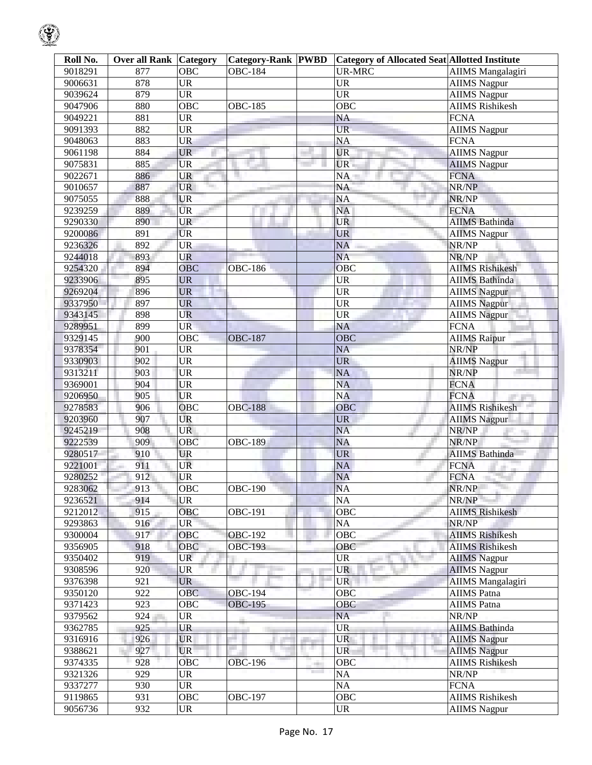| Roll No. | <b>Over all Rank</b> | Category           | <b>Category-Rank PWBD</b> |                                | <b>Category of Allocated Seat Allotted Institute</b> |                          |
|----------|----------------------|--------------------|---------------------------|--------------------------------|------------------------------------------------------|--------------------------|
| 9018291  | 877                  | <b>OBC</b>         | <b>OBC-184</b>            |                                | <b>UR-MRC</b>                                        | <b>AIIMS</b> Mangalagiri |
| 9006631  | 878                  | <b>UR</b>          |                           |                                | <b>UR</b>                                            | <b>AIIMS</b> Nagpur      |
| 9039624  | 879                  | <b>UR</b>          |                           |                                | $\overline{UR}$                                      | <b>AIIMS</b> Nagpur      |
| 9047906  | 880                  | OBC                | <b>OBC-185</b>            |                                | $\overline{OBC}$                                     | <b>AIIMS</b> Rishikesh   |
| 9049221  | 881                  | <b>UR</b>          |                           |                                | <b>NA</b>                                            | <b>FCNA</b>              |
| 9091393  | 882                  | <b>UR</b>          |                           |                                | <b>UR</b>                                            | <b>AIIMS</b> Nagpur      |
| 9048063  | 883                  | <b>UR</b>          |                           |                                | <b>NA</b>                                            | <b>FCNA</b>              |
| 9061198  | 884                  | <b>UR</b>          |                           |                                | <b>UR</b>                                            | <b>AIIMS</b> Nagpur      |
| 9075831  | 885                  | UR                 |                           |                                | <b>UR</b>                                            | <b>AIIMS</b> Nagpur      |
| 9022671  | 886                  | UR                 |                           |                                | NA                                                   | <b>FCNA</b>              |
| 9010657  | 887                  | <b>UR</b><br>Tarih |                           |                                | <b>NA</b>                                            | NR/NP                    |
| 9075055  | 888                  | <b>UR</b>          |                           |                                | <b>NA</b>                                            | NR/NP                    |
| 9239259  | 889                  | <b>UR</b>          |                           |                                | <b>NA</b>                                            | <b>FCNA</b>              |
| 9290330  | 890                  | <b>UR</b>          |                           |                                | UR                                                   | <b>AIIMS Bathinda</b>    |
| 9200086  | 891                  | <b>UR</b>          |                           |                                | <b>UR</b>                                            |                          |
|          | 892                  | <b>UR</b>          |                           |                                | <b>NA</b>                                            | <b>AIIMS Nagpur</b>      |
| 9236326  |                      |                    |                           |                                |                                                      | NR/NP                    |
| 9244018  | 893                  | <b>UR</b>          |                           |                                | <b>NA</b>                                            | NR/NP                    |
| 9254320  | 894                  | <b>OBC</b>         | <b>OBC-186</b>            |                                | OBC                                                  | <b>AIIMS Rishikesh</b>   |
| 9233906  | 895                  | <b>UR</b>          |                           |                                | <b>UR</b>                                            | <b>AIIMS</b> Bathinda    |
| 9269204  | 896                  | <b>UR</b>          |                           |                                | <b>UR</b>                                            | <b>AIIMS Nagpur</b>      |
| 9337950  | 897                  | <b>UR</b>          |                           |                                | <b>UR</b>                                            | <b>AIIMS</b> Nagpur      |
| 9343145  | 898                  | UR                 |                           |                                | <b>UR</b>                                            | <b>AIIMS</b> Nagpur      |
| 9289951  | 899                  | <b>UR</b>          |                           |                                | <b>NA</b>                                            | <b>FCNA</b>              |
| 9329145  | 900                  | OBC                | <b>OBC-187</b>            |                                | OBC                                                  | <b>AIIMS Raipur</b>      |
| 9378354  | 901                  | <b>UR</b>          |                           |                                | <b>NA</b>                                            | NR/NP                    |
| 9330903  | 902                  | <b>UR</b>          |                           |                                | <b>UR</b>                                            | <b>AIIMS</b> Nagpur      |
| 9313211  | 903                  | <b>UR</b>          |                           |                                | <b>NA</b>                                            | NR/NP                    |
| 9369001  | 904                  | UR                 |                           |                                | <b>NA</b>                                            | <b>FCNA</b>              |
| 9206950  | 905                  | <b>UR</b>          |                           |                                | <b>NA</b>                                            | <b>FCNA</b>              |
| 9278583  | 906                  | <b>OBC</b>         | <b>OBC-188</b>            |                                | OBC                                                  | <b>AIIMS Rishikesh</b>   |
| 9203960  | 907                  | UR                 |                           |                                | <b>UR</b>                                            | <b>AIIMS</b> Nagpur      |
| 9245219  | 908                  | <b>UR</b>          |                           |                                | <b>NA</b>                                            | NR/NP                    |
| 9222539  | 909                  | OBC                | <b>OBC-189</b>            |                                | <b>NA</b>                                            | NR/NP                    |
| 9280517  | 910                  | <b>UR</b>          |                           |                                | <b>UR</b>                                            | <b>AIIMS Bathinda</b>    |
| 9221001  | 911                  | UR                 |                           |                                | <b>NA</b>                                            | <b>FCNA</b>              |
| 9280252  | 912                  | <b>UR</b>          |                           |                                | <b>NA</b>                                            | <b>FCNA</b>              |
| 9283062  | 913                  | OBC                | <b>OBC-190</b>            |                                | <b>NA</b>                                            | NR/NP                    |
| 9236521  | 914                  | <b>UR</b>          |                           |                                | <b>NA</b>                                            | NR/NP                    |
| 9212012  | 915                  | OBC                | <b>OBC-191</b>            |                                | OBC                                                  | <b>AIIMS Rishikesh</b>   |
| 9293863  | 916                  | <b>UR</b>          |                           |                                | NA                                                   | NR/NP                    |
| 9300004  | 917                  | OBC                | <b>OBC-192</b>            |                                | OBC                                                  | <b>AIIMS Rishikesh</b>   |
| 9356905  | 918                  | OBC                | <b>OBC-193</b>            |                                | OBC                                                  | <b>AIIMS Rishikesh</b>   |
| 9350402  | 919                  | <b>UR</b>          |                           |                                | UR                                                   | <b>AIIMS</b> Nagpur      |
| 9308596  | 920                  | <b>UR</b>          |                           |                                | <b>UR</b>                                            | <b>AIIMS</b> Nagpur      |
| 9376398  | 921                  | <b>UR</b>          |                           |                                | <b>UR</b>                                            | <b>AIIMS</b> Mangalagiri |
| 9350120  | 922                  | <b>OBC</b>         | <b>OBC-194</b>            |                                | OBC                                                  | <b>AIIMS</b> Patna       |
| 9371423  | 923                  | OBC                | <b>OBC-195</b>            |                                | OBC                                                  | <b>AIIMS</b> Patna       |
| 9379562  | 924                  | UR                 |                           |                                | NA                                                   | NR/NP                    |
| 9362785  | 925                  | <b>UR</b>          |                           |                                | <b>UR</b>                                            | <b>AIIMS Bathinda</b>    |
|          | 926                  | <b>UR</b>          |                           |                                | <b>UR</b>                                            |                          |
| 9316916  | 927                  |                    |                           | a.                             | <b>UR</b>                                            | <b>AIIMS Nagpur</b>      |
| 9388621  |                      | <b>UR</b>          |                           |                                |                                                      | <b>AIIMS Nagpur</b>      |
| 9374335  | 928                  | <b>OBC</b>         | <b>OBC-196</b>            | <b>The Contract of Service</b> | OBC                                                  | <b>AIIMS Rishikesh</b>   |
| 9321326  | 929                  | <b>UR</b>          |                           |                                | <b>NA</b>                                            | NR/NP                    |
| 9337277  | 930                  | <b>UR</b>          |                           |                                | NA                                                   | <b>FCNA</b>              |
| 9119865  | 931                  | OBC                | <b>OBC-197</b>            |                                | OBC                                                  | <b>AIIMS Rishikesh</b>   |
| 9056736  | 932                  | <b>UR</b>          |                           |                                | <b>UR</b>                                            | <b>AIIMS Nagpur</b>      |

 $\mathbb{Q}$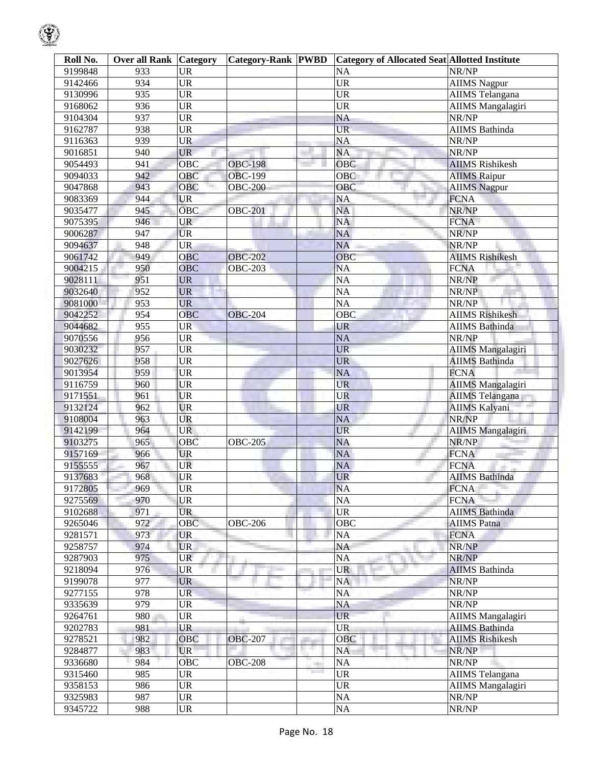| Roll No. | <b>Over all Rank Category</b> |                        | <b>Category-Rank PWBD</b> |                                                   | <b>Category of Allocated Seat Allotted Institute</b> |
|----------|-------------------------------|------------------------|---------------------------|---------------------------------------------------|------------------------------------------------------|
| 9199848  | 933                           | <b>UR</b>              |                           | $\overline{NA}$                                   | NR/NP                                                |
| 9142466  | 934                           | <b>UR</b>              |                           | <b>UR</b>                                         | <b>AIIMS Nagpur</b>                                  |
| 9130996  | 935                           | <b>UR</b>              |                           | $\overline{UR}$                                   | <b>AIIMS</b> Telangana                               |
| 9168062  | 936                           | <b>UR</b>              |                           | <b>UR</b>                                         | <b>AIIMS</b> Mangalagiri                             |
| 9104304  | 937                           | <b>UR</b>              |                           | <b>NA</b>                                         | NR/NP                                                |
| 9162787  | 938                           | <b>UR</b>              |                           | <b>UR</b>                                         | <b>AIIMS</b> Bathinda                                |
| 9116363  | 939                           | <b>UR</b>              |                           | <b>NA</b>                                         | NR/NP                                                |
| 9016851  | 940                           | <b>UR</b>              |                           | <b>NA</b>                                         | NR/NP                                                |
| 9054493  | 941                           | <b>OBC</b>             | <b>OBC-198</b>            | <b>OBC</b>                                        | <b>AIIMS</b> Rishikesh                               |
| 9094033  | 942                           | OBC                    | <b>OBC-199</b>            | OBC                                               | <b>AIIMS Raipur</b>                                  |
| 9047868  | 943                           | <b>OBC</b>             | <b>OBC-200</b>            | OBC                                               | <b>AIIMS Nagpur</b>                                  |
| 9083369  | 944                           | <b>UR</b>              |                           | <b>NA</b>                                         | <b>FCNA</b>                                          |
| 9035477  | 945                           | <b>OBC</b>             | <b>OBC-201</b>            | <b>NA</b>                                         | NR/NP                                                |
| 9075395  | 946                           | <b>UR</b>              |                           | <b>NA</b>                                         | <b>FCNA</b>                                          |
| 9006287  | 947                           | <b>UR</b>              |                           | <b>NA</b>                                         | NR/NP                                                |
| 9094637  | 948                           | <b>UR</b>              |                           | <b>NA</b>                                         | NR/NP                                                |
| 9061742  | 949                           | OBC                    | <b>OBC-202</b>            | OBC                                               | <b>AIIMS Rishikesh</b>                               |
| 9004215  | 950                           | <b>OBC</b>             | <b>OBC-203</b>            | <b>NA</b>                                         | <b>FCNA</b>                                          |
| 9028111  | 951                           | <b>UR</b>              |                           | $\overline{NA}$                                   | NR/NP                                                |
|          |                               | ۰                      |                           |                                                   |                                                      |
| 9032640  | 952                           | <b>UR</b>              |                           | $\overline{NA}$                                   | NR/NP                                                |
| 9081000  | 953                           | <b>UR</b>              |                           | NA                                                | NR/NP                                                |
| 9042252  | 954                           | OBC                    | <b>OBC-204</b>            | OBC                                               | <b>AIIMS Rishikesh</b>                               |
| 9044682  | 955                           | <b>UR</b>              |                           | <b>UR</b>                                         | <b>AIIMS</b> Bathinda                                |
| 9070556  | 956                           | <b>UR</b>              |                           | <b>NA</b>                                         | NR/NP                                                |
| 9030232  | 957                           | $\overline{UR}$        |                           | <b>UR</b>                                         | <b>AIIMS</b> Mangalagiri                             |
| 9027626  | 958                           | <b>UR</b>              |                           | <b>UR</b>                                         | <b>AIIMS</b> Bathinda                                |
| 9013954  | 959                           | <b>UR</b>              |                           | $\overline{NA}$                                   | <b>FCNA</b>                                          |
| 9116759  | 960                           | <b>UR</b>              |                           | <b>UR</b>                                         | <b>AIIMS</b> Mangalagiri                             |
| 9171551  | 961                           | <b>UR</b>              |                           | <b>UR</b>                                         | AIIMS Telangana                                      |
| 9132124  | 962                           | <b>UR</b>              |                           | UR                                                | <b>AIIMS Kalyani</b>                                 |
| 9108004  | 963                           | <b>UR</b>              |                           | <b>NA</b>                                         | NR/NP                                                |
| 9142199  | 964                           | <b>UR</b>              |                           | <b>UR</b>                                         | <b>AIIMS</b> Mangalagiri                             |
| 9103275  | 965                           | <b>OBC</b>             | <b>OBC-205</b>            | <b>NA</b>                                         | NR/NP                                                |
| 9157169  | 966                           | <b>UR</b>              |                           | NA                                                | <b>FCNA</b>                                          |
| 9155555  | 967                           | <b>UR</b>              |                           | <b>NA</b>                                         | <b>FCNA</b>                                          |
| 9137683  | 968                           | <b>UR</b>              |                           | <b>UR</b>                                         | <b>AIIMS Bathinda</b>                                |
| 9172805  | 969                           | <b>UR</b>              |                           | NA                                                | <b>FCNA</b>                                          |
| 9275569  | 970                           | <b>UR</b>              |                           | $\overline{NA}$                                   | <b>FCNA</b>                                          |
| 9102688  | 971                           | <b>UR</b>              |                           | $\overline{UR}$                                   | <b>AIIMS</b> Bathinda                                |
| 9265046  | 972                           | <b>OBC</b>             | <b>OBC-206</b>            | <b>OBC</b>                                        | <b>AIIMS</b> Patna                                   |
| 9281571  | 973                           | <b>UR</b>              |                           | NA                                                | <b>FCNA</b>                                          |
| 9258757  | 974                           | <b>UR</b>              |                           | NA                                                | NR/NP                                                |
| 9287903  | 975                           | <b>UR</b>              |                           | <b>NA</b>                                         | NR/NP                                                |
| 9218094  | 976                           | <b>UR</b>              |                           | <b>UR</b>                                         | <b>AIIMS</b> Bathinda                                |
| 9199078  | 977                           | <b>UR</b>              |                           | NA                                                | NR/NP                                                |
| 9277155  | 978                           | UR.                    |                           | NA                                                | NR/NP                                                |
| 9335639  | 979                           | <b>UR</b>              |                           | <b>NA</b>                                         | NR/NP                                                |
| 9264761  | 980                           | <b>UR</b>              |                           | <b>UR</b>                                         | AIIMS Mangalagiri                                    |
| 9202783  | 981                           | <b>UR</b>              |                           | <b>UR</b>                                         | <b>AIIMS</b> Bathinda                                |
| 9278521  | 982                           | <b>OBC</b>             | <b>OBC-207</b>            | <b>OBC</b>                                        | <b>AIIMS Rishikesh</b>                               |
| 9284877  | 983                           | <b>UR</b>              |                           | a.<br><b>NA</b>                                   | NR/NP                                                |
| 9336680  | 984                           | <b>OBC</b>             | <b>OBC-208</b>            | <b>NA</b>                                         | NR/NP                                                |
| 9315460  | 985                           | <b>UR</b>              |                           | $\overline{UR}$<br><b>The Contract of Service</b> | <b>AIIMS</b> Telangana                               |
| 9358153  | 986                           | $\overline{\text{UR}}$ |                           | $\overline{\text{UR}}$                            | AIIMS Mangalagiri                                    |
| 9325983  | 987                           | <b>UR</b>              |                           | $\overline{NA}$                                   | NR/NP                                                |

9345722 | 988 |UR | NA NA NR/NP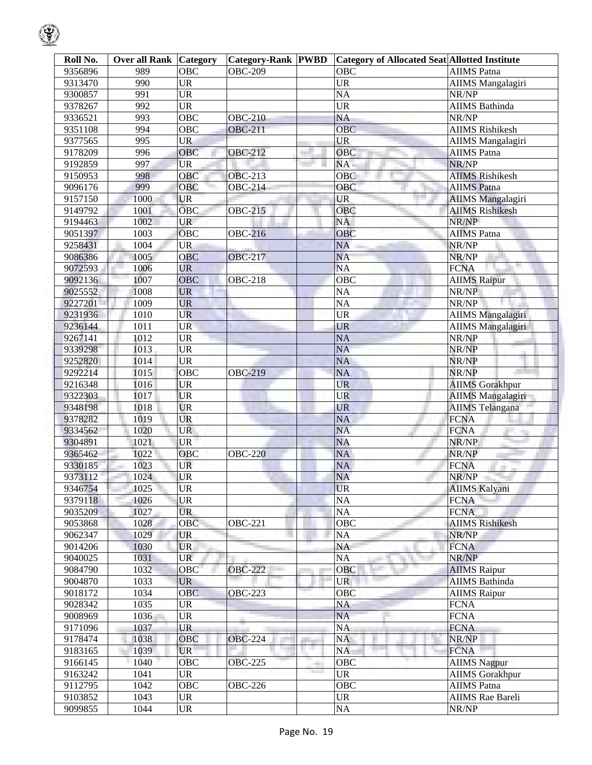| Roll No. | <b>Over all Rank Category</b> |                   | <b>Category-Rank PWBD</b> |      | <b>Category of Allocated Seat Allotted Institute</b> |                          |
|----------|-------------------------------|-------------------|---------------------------|------|------------------------------------------------------|--------------------------|
| 9356896  | 989                           | <b>OBC</b>        | <b>OBC-209</b>            |      | <b>OBC</b>                                           | <b>AIIMS</b> Patna       |
| 9313470  | 990                           | <b>UR</b>         |                           |      | <b>UR</b>                                            | <b>AIIMS</b> Mangalagiri |
| 9300857  | 991                           | <b>UR</b>         |                           |      | $\overline{NA}$                                      | NR/NP                    |
| 9378267  | 992                           | <b>UR</b>         |                           |      | $\overline{\text{UR}}$                               | AIIMS Bathinda           |
| 9336521  | 993                           | <b>OBC</b>        | <b>OBC-210</b>            |      | $\overline{NA}$                                      | NR/NP                    |
| 9351108  | 994                           | OBC               | <b>OBC-211</b>            |      | <b>OBC</b>                                           | <b>AIIMS</b> Rishikesh   |
| 9377565  | 995                           | <b>UR</b>         |                           |      | <b>UR</b>                                            | <b>AIIMS</b> Mangalagiri |
| 9178209  | 996                           | OBC               | <b>OBC-212</b>            |      | $\overline{OBC}$                                     | <b>AIIMS</b> Patna       |
| 9192859  | 997                           | <b>UR</b>         |                           |      | NA                                                   | NR/NP                    |
| 9150953  | 998                           | OBC               | <b>OBC-213</b>            |      | OBC                                                  | <b>AIIMS</b> Rishikesh   |
| 9096176  | 999                           | <b>OBC</b>        | <b>OBC-214</b>            |      | OBC                                                  | <b>AIIMS</b> Patna       |
| 9157150  | 1000                          | <b>UR</b>         |                           |      | <b>UR</b>                                            | <b>AIIMS</b> Mangalagiri |
| 9149792  | 1001                          | <b>OBC</b>        | <b>OBC-215</b>            |      | <b>OBC</b>                                           | <b>AIIMS Rishikesh</b>   |
| 9194463  | 1002                          | <b>UR</b>         |                           |      | <b>NA</b>                                            | NR/NP                    |
| 9051397  | 1003                          | <b>OBC</b>        | <b>OBC-216</b>            |      | OBC                                                  | <b>AIIMS</b> Patna       |
| 9258431  | 1004                          | <b>UR</b>         |                           |      | NA                                                   | NR/NP                    |
| 9086386  | 1005                          | <b>OBC</b>        | <b>OBC-217</b>            |      | <b>NA</b>                                            | NR/NP                    |
| 9072593  | 1006                          | <b>UR</b>         |                           |      | <b>NA</b>                                            | <b>FCNA</b>              |
| 9092136  | 1007                          | <b>OBC</b>        | <b>OBC-218</b>            |      | $\overline{OBC}$                                     | <b>AIIMS Raipur</b>      |
| 9025552  | 1008                          | <b>UR</b>         |                           |      | <b>NA</b>                                            | NR/NP                    |
| 9227201  | 1009                          | <b>UR</b>         |                           |      | <b>NA</b>                                            | NR/NP                    |
| 9231936  | 1010                          | <b>UR</b>         |                           |      | <b>UR</b>                                            | <b>AIIMS</b> Mangalagiri |
| 9236144  | 1011                          | <b>UR</b>         |                           |      | <b>UR</b>                                            | <b>AIIMS Mangalagiri</b> |
| 9267141  | 1012                          | <b>UR</b>         |                           |      | <b>NA</b>                                            | NR/NP                    |
| 9339298  | 1013                          | <b>UR</b>         |                           |      | <b>NA</b>                                            | NR/NP                    |
| 9252820  | 1014                          | <b>UR</b>         |                           |      | <b>NA</b>                                            | NR/NP                    |
| 9292214  | 1015                          | <b>OBC</b>        | <b>OBC-219</b>            |      | <b>NA</b>                                            | NR/NP                    |
| 9216348  | 1016                          | <b>UR</b>         |                           |      | <b>UR</b>                                            | <b>AIIMS</b> Gorakhpur   |
| 9322303  | 1017                          | <b>UR</b>         |                           |      | <b>UR</b>                                            | <b>AIIMS</b> Mangalagiri |
| 9348198  | 1018                          | <b>UR</b>         |                           |      | <b>UR</b>                                            | <b>AIIMS</b> Telangana   |
| 9378282  | 1019                          | <b>UR</b>         |                           |      | <b>NA</b>                                            | <b>FCNA</b>              |
| 9334562  | 1020                          | <b>UR</b>         |                           |      | <b>NA</b>                                            | <b>FCNA</b>              |
| 9304891  | 1021                          | <b>UR</b>         |                           |      | <b>NA</b>                                            | NR/NP                    |
| 9365462  | 1022                          | <b>OBC</b>        | <b>OBC-220</b>            |      | NA                                                   | NR/NP                    |
| 9330185  | 1023                          | <b>UR</b>         |                           |      | NA                                                   | <b>FCNA</b>              |
| 9373112  | 1024                          | <b>UR</b>         |                           |      | <b>NA</b>                                            | NR/NP                    |
| 9346754  | 1025                          | <b>UR</b>         |                           |      | UR                                                   | <b>AIIMS Kalyani</b>     |
| 9379118  | 1026                          | <b>UR</b>         |                           |      | <b>NA</b>                                            | <b>FCNA</b>              |
| 9035209  | 1027                          | <b>UR</b>         |                           |      | $\rm NA$                                             | <b>FCNA</b>              |
| 9053868  | 1028                          | <b>OBC</b>        | <b>OBC-221</b>            |      | <b>OBC</b>                                           | <b>AIIMS Rishikesh</b>   |
| 9062347  | 1029                          | <b>UR</b>         |                           |      | NA                                                   | NR/NP                    |
| 9014206  | 1030                          | <b>UR</b>         |                           |      | NA                                                   | <b>FCNA</b>              |
| 9040025  | 1031                          | <b>UR</b>         |                           |      | NA                                                   | NR/NP                    |
| 9084790  | 1032                          | $\overline{O}$ BC | <b>OBC-222</b>            |      | OBC                                                  | <b>AIIMS</b> Raipur      |
| 9004870  | 1033                          | <b>UR</b>         |                           |      | <b>UR</b>                                            | <b>AIIMS</b> Bathinda    |
| 9018172  | 1034                          | <b>OBC</b>        | <b>OBC-223</b>            |      | <b>OBC</b>                                           | <b>AIIMS</b> Raipur      |
| 9028342  | 1035                          | <b>UR</b>         |                           |      | NA                                                   | <b>FCNA</b>              |
| 9008969  | 1036                          | <b>UR</b>         |                           |      | <b>NA</b>                                            | <b>FCNA</b>              |
| 9171096  | 1037                          | <b>UR</b>         |                           |      | <b>NA</b>                                            | <b>FCNA</b>              |
| 9178474  | 1038                          | OBC               | <b>OBC-224</b>            |      | NA                                                   | NR/NP                    |
| 9183165  | 1039                          | <b>UR</b>         |                           |      | <b>NA</b>                                            | <b>FCNA</b>              |
| 9166145  | 1040                          | OBC               | <b>OBC-225</b>            | an a | <b>OBC</b>                                           | <b>AIIMS</b> Nagpur      |
| 9163242  | 1041                          | <b>UR</b>         |                           |      | <b>UR</b>                                            | <b>AIIMS</b> Gorakhpur   |
| 9112795  | 1042                          | $\overline{O}$ BC | <b>OBC-226</b>            |      | <b>OBC</b>                                           | <b>AIIMS</b> Patna       |
| 9103852  | 1043                          | <b>UR</b>         |                           |      | <b>UR</b>                                            | <b>AIIMS</b> Rae Bareli  |
| 9099855  | 1044                          | <b>UR</b>         |                           |      | $\rm NA$                                             | NR/NP                    |

୍କୃ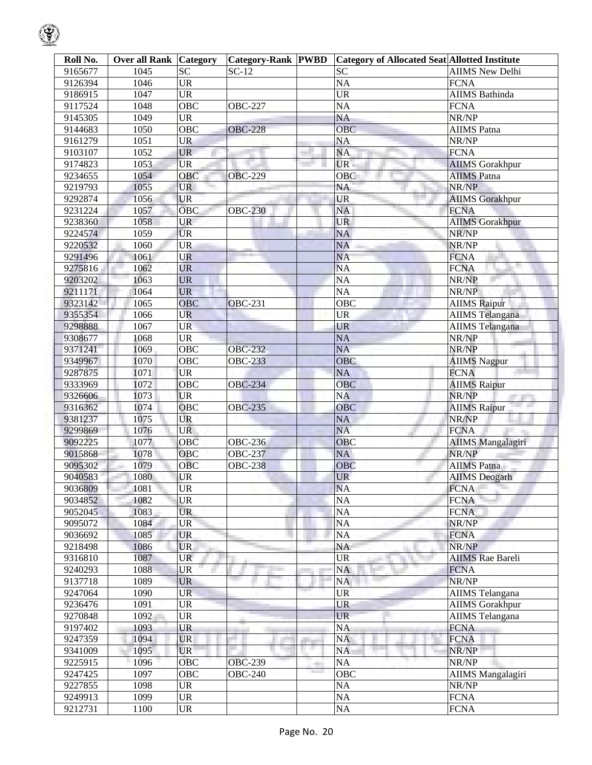| Roll No. | <b>Over all Rank Category</b> |                                   | <b>Category-Rank  PWBD</b> |            | <b>Category of Allocated Seat Allotted Institute</b> |                          |
|----------|-------------------------------|-----------------------------------|----------------------------|------------|------------------------------------------------------|--------------------------|
| 9165677  | 1045                          | <b>SC</b>                         | $SC-12$                    |            | <b>SC</b>                                            | <b>AIIMS New Delhi</b>   |
| 9126394  | 1046                          | <b>UR</b>                         |                            |            | <b>NA</b>                                            | <b>FCNA</b>              |
| 9186915  | 1047                          | <b>UR</b>                         |                            |            | <b>UR</b>                                            | <b>AIIMS</b> Bathinda    |
| 9117524  | 1048                          | <b>OBC</b>                        | <b>OBC-227</b>             |            | <b>NA</b>                                            | <b>FCNA</b>              |
| 9145305  | 1049                          | <b>UR</b>                         |                            |            | <b>NA</b>                                            | NR/NP                    |
| 9144683  | 1050                          | OBC                               | <b>OBC-228</b>             |            | $\overline{OBC}$                                     | <b>AIIMS</b> Patna       |
| 9161279  | 1051                          | <b>UR</b>                         |                            |            | <b>NA</b>                                            | NR/NP                    |
| 9103107  | 1052                          | <b>UR</b>                         |                            |            | <b>NA</b>                                            | <b>FCNA</b>              |
| 9174823  | 1053                          | <b>UR</b>                         |                            |            | UR -                                                 | <b>AIIMS</b> Gorakhpur   |
| 9234655  | 1054                          | OBC                               | <b>OBC-229</b>             |            | OBC                                                  | <b>AIIMS</b> Patna       |
| 9219793  | 1055                          | <b>UR</b>                         |                            |            | NA                                                   | NR/NP                    |
| 9292874  | 1056                          | <b>UR</b>                         |                            |            | <b>UR</b>                                            | <b>AIIMS</b> Gorakhpur   |
| 9231224  | 1057                          | <b>OBC</b>                        | <b>OBC-230</b>             |            | <b>NA</b>                                            | <b>FCNA</b>              |
| 9238360  | 1058                          | <b>UR</b>                         |                            |            | <b>UR</b>                                            | <b>AIIMS</b> Gorakhpur   |
| 9224574  | 1059                          | <b>UR</b>                         |                            |            | <b>NA</b>                                            | NR/NP                    |
| 9220532  | 1060                          | <b>UR</b>                         |                            |            | <b>NA</b>                                            | NR/NP                    |
| 9291496  | 1061                          | <b>UR</b>                         |                            |            | <b>NA</b>                                            | <b>FCNA</b>              |
| 9275816  | 1062                          | <b>UR</b>                         |                            |            | <b>NA</b>                                            | <b>FCNA</b>              |
| 9203202  | 1063                          | <b>UR</b>                         |                            |            | <b>NA</b>                                            | NR/NP                    |
| 9211171  | 1064                          | <b>UR</b>                         |                            |            | <b>NA</b>                                            | NR/NP                    |
| 9323142  | 1065                          | <b>OBC</b>                        | <b>OBC-231</b>             |            | OBC                                                  | <b>AIIMS Raipur</b>      |
| 9355354  | 1066                          | <b>UR</b>                         |                            |            | <b>UR</b>                                            | <b>AIIMS</b> Telangana   |
| 9298888  | 1067                          | <b>UR</b>                         |                            |            | <b>UR</b>                                            | <b>AIIMS</b> Telangana   |
| 9308677  | 1068                          | <b>UR</b>                         |                            |            | <b>NA</b>                                            | NR/NP                    |
| 9371241  | 1069                          | <b>OBC</b>                        | <b>OBC-232</b>             |            | <b>NA</b>                                            | NR/NP                    |
| 9349967  | 1070                          | OBC                               | <b>OBC-233</b>             |            | OBC                                                  | <b>AIIMS Nagpur</b>      |
| 9287875  | 1071                          | <b>UR</b>                         |                            |            | <b>NA</b>                                            | <b>FCNA</b>              |
| 9333969  | 1072                          | <b>OBC</b>                        | <b>OBC-234</b>             |            | <b>OBC</b>                                           | <b>AIIMS Raipur</b>      |
| 9326606  | 1073                          | <b>UR</b>                         |                            |            | <b>NA</b>                                            | NR/NP<br>an an a         |
| 9316362  | 1074                          | <b>OBC</b>                        | <b>OBC-235</b>             |            | <b>OBC</b>                                           | <b>AIIMS Raipur</b>      |
| 9381237  | 1075                          | <b>UR</b>                         |                            |            | <b>NA</b>                                            | NR/NP                    |
| 9299869  | 1076                          | <b>UR</b>                         |                            |            | <b>NA</b>                                            | <b>FCNA</b>              |
| 9092225  | 1077                          | OBC                               | <b>OBC-236</b>             |            | OBC                                                  | <b>AIIMS Mangalagiri</b> |
| 9015868  | 1078                          | OBC                               | <b>OBC-237</b>             |            | <b>NA</b>                                            | NR/NP                    |
| 9095302  | 1079                          | OBC                               | OBC-238                    |            | <b>OBC</b>                                           | <b>AIIMS</b> Patna       |
| 9040583  | 1080                          | UR                                |                            |            | <b>UR</b>                                            | <b>AIIMS</b> Deogarh     |
| 9036809  | 1081                          | UR                                |                            |            | <b>NA</b>                                            | <b>FCNA</b>              |
| 9034852  | 1082                          | <b>UR</b>                         |                            |            | <b>NA</b>                                            | <b>FCNA</b>              |
| 9052045  | 1083                          | <b>UR</b>                         |                            |            | NA                                                   | <b>FCNA</b>              |
| 9095072  | 1084                          | <b>UR</b>                         |                            |            | NA                                                   | NR/NP                    |
| 9036692  | 1085                          | <b>UR</b>                         |                            |            | <b>NA</b>                                            | <b>FCNA</b>              |
| 9218498  | 1086                          | <b>UR</b>                         |                            |            | <b>NA</b>                                            | NR/NP                    |
| 9316810  | 1087                          | <b>UR</b>                         |                            |            | UR                                                   | <b>AIIMS</b> Rae Bareli  |
| 9240293  | 1088                          | <b>UR</b>                         |                            |            | <b>NA</b>                                            | <b>FCNA</b>              |
| 9137718  | 1089                          | <b>UR</b>                         |                            |            | NA                                                   | NR/NP                    |
| 9247064  | 1090                          | <b>UR</b>                         |                            |            | <b>UR</b>                                            | <b>AIIMS</b> Telangana   |
| 9236476  | 1091                          | <b>UR</b>                         |                            |            | <b>UR</b>                                            | <b>AIIMS Gorakhpur</b>   |
| 9270848  | 1092                          | UR                                |                            |            | <b>UR</b>                                            | AIIMS Telangana          |
| 9197402  | 1093                          | <b>UR</b>                         |                            |            | <b>NA</b>                                            | <b>FCNA</b>              |
| 9247359  | 1094                          | <b>UR</b>                         |                            |            | NA                                                   | <b>FCNA</b>              |
| 9341009  | 1095                          | <b>UR</b>                         |                            | нg,        | <b>NA</b>                                            | NR/NP                    |
| 9225915  | 1096                          | <b>OBC</b>                        | <b>OBC-239</b>             | <b>COL</b> | <b>NA</b>                                            | NR/NP                    |
| 9247425  | 1097                          | <b>OBC</b>                        | <b>OBC-240</b>             |            | <b>OBC</b>                                           | <b>AIIMS</b> Mangalagiri |
| 9227855  | 1098                          | <b>UR</b>                         |                            |            | NA                                                   | NR/NP                    |
| 9249913  | 1099                          | <b>UR</b>                         |                            |            | NA                                                   | <b>FCNA</b>              |
| 9212731  | 1100                          | $\ensuremath{\mathsf{UR}}\xspace$ |                            |            | NA                                                   | <b>FCNA</b>              |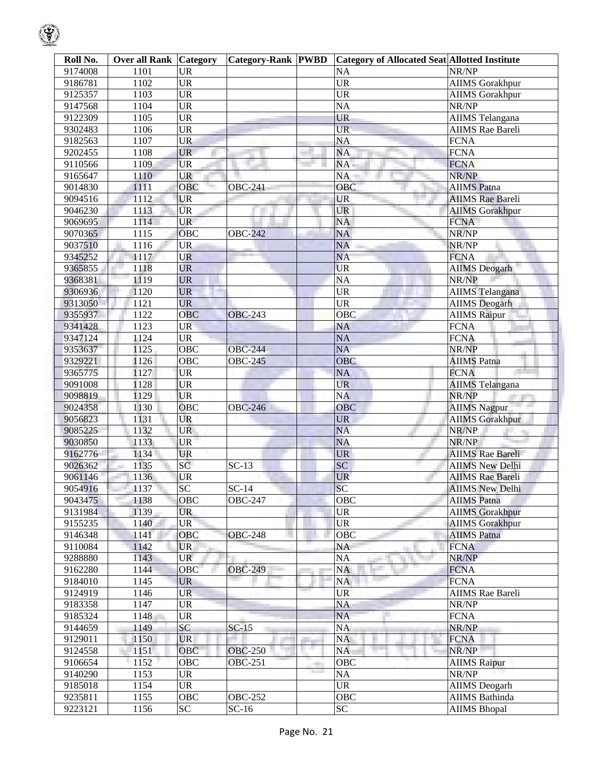| Roll No. | <b>Over all Rank Category</b> |                        | <b>Category-Rank PWBD</b> |                 | <b>Category of Allocated Seat Allotted Institute</b> |                         |
|----------|-------------------------------|------------------------|---------------------------|-----------------|------------------------------------------------------|-------------------------|
| 9174008  | 1101                          | <b>UR</b>              |                           |                 | <b>NA</b>                                            | NR/NP                   |
| 9186781  | 1102                          | $\overline{UR}$        |                           |                 | $\overline{UR}$                                      | <b>AIIMS</b> Gorakhpur  |
| 9125357  | 1103                          | $\overline{UR}$        |                           |                 | $\overline{UR}$                                      | <b>AIIMS</b> Gorakhpur  |
| 9147568  | 1104                          | $\overline{UR}$        |                           |                 | <b>NA</b>                                            | NR/NP                   |
| 9122309  | 1105                          | $\overline{UR}$        |                           |                 | <b>UR</b>                                            | <b>AIIMS</b> Telangana  |
| 9302483  | 110 <sub>6</sub>              | $\overline{UR}$        |                           |                 | <b>UR</b>                                            | <b>AIIMS</b> Rae Bareli |
| 9182563  | 1107                          | <b>UR</b>              |                           |                 | <b>NA</b>                                            | <b>FCNA</b>             |
| 9202455  | $1\overline{108}$             | <b>UR</b>              |                           |                 | <b>NA</b>                                            | <b>FCNA</b>             |
| 9110566  | 1109                          | <b>UR</b>              |                           |                 | NA                                                   | <b>FCNA</b>             |
| 9165647  | 1110                          | <b>UR</b>              |                           |                 | NA                                                   | NR/NP                   |
| 9014830  | 1111                          | OBC                    | <b>OBC-241</b>            |                 | OBC                                                  | <b>AIIMS</b> Patna      |
| 9094516  | 1112                          | <b>UR</b>              |                           |                 | <b>UR</b>                                            | <b>AIIMS</b> Rae Bareli |
| 9046230  | 1113                          | <b>UR</b>              |                           |                 | <b>UR</b>                                            | <b>AIIMS</b> Gorakhpur  |
| 9069695  | 1114                          | <b>UR</b>              |                           |                 | <b>NA</b>                                            | <b>FCNA</b>             |
| 9070365  | 1115                          | <b>OBC</b>             | <b>OBC-242</b>            |                 | <b>NA</b>                                            | NR/NP                   |
| 9037510  | 1116                          | <b>UR</b>              |                           |                 | <b>NA</b>                                            | NR/NP                   |
| 9345252  | 1117                          | <b>UR</b>              |                           |                 | <b>NA</b>                                            | <b>FCNA</b>             |
| 9365855  | 1118                          | <b>UR</b>              |                           |                 | <b>UR</b>                                            | <b>AIIMS</b> Deogarh    |
| 9368381  | 1119                          | <b>UR</b>              |                           |                 | $\overline{NA}$                                      | NR/NP                   |
| 9306936  | 1120                          | <b>UR</b>              |                           |                 | $\overline{UR}$                                      | <b>AIIMS</b> Telangana  |
| 9313050  | 1121                          | <b>UR</b>              |                           |                 | $\overline{UR}$                                      | <b>AIIMS</b> Deogarh    |
| 9355937  | 1122                          | OBC                    | <b>OBC-243</b>            |                 | OBC                                                  | <b>AIIMS</b> Raipur     |
| 9341428  | 1123                          | <b>UR</b>              |                           |                 | <b>NA</b>                                            | <b>FCNA</b>             |
| 9347124  | 1124                          | $\overline{\text{UR}}$ |                           |                 | $\overline{NA}$                                      | <b>FCNA</b>             |
| 9353637  | 1125                          | <b>OBC</b>             | <b>OBC-244</b>            |                 | <b>NA</b>                                            | NR/NP                   |
| 9329221  | 1126                          | $\overline{OBC}$       | <b>OBC-245</b>            |                 | OBC                                                  | <b>AIIMS</b> Patna      |
| 9365775  | 1127                          | <b>UR</b>              |                           |                 | <b>NA</b>                                            | <b>FCNA</b>             |
| 9091008  | 1128                          | <b>UR</b>              |                           |                 | <b>UR</b>                                            | <b>AIIMS</b> Telangana  |
| 9098819  | 1129                          | <b>UR</b>              |                           |                 | <b>NA</b>                                            | NR/NP                   |
| 9024358  | 1130                          | OBC                    | <b>OBC-246</b>            |                 | <b>OBC</b>                                           | <b>AIIMS Nagpur</b>     |
| 9056823  | 1131                          | <b>UR</b>              |                           |                 | <b>UR</b>                                            | <b>AIIMS Gorakhpur</b>  |
| 9085225  | 1132                          | <b>UR</b>              |                           |                 | <b>NA</b>                                            | NR/NP                   |
| 9030850  | 1133                          | <b>UR</b>              |                           |                 | <b>NA</b>                                            | NR/NP                   |
| 9162776  | 1134                          | <b>UR</b>              |                           |                 | <b>UR</b>                                            | <b>AIIMS Rae Bareli</b> |
| 9026362  | 1135                          | SC                     | $SC-13$                   |                 | SC                                                   | <b>AIIMS New Delhi</b>  |
| 9061146  | 1136                          | <b>UR</b>              |                           |                 | <b>UR</b>                                            | <b>AIIMS</b> Rae Bareli |
| 9054916  | 1137                          | SC                     | $SC-14$                   |                 | SC                                                   | <b>AIIMS</b> New Delhi  |
| 9043475  | 1138                          | <b>OBC</b>             | <b>OBC-247</b>            |                 | <b>OBC</b>                                           | <b>AIIMS</b> Patna      |
| 9131984  | 1139                          | <b>UR</b>              |                           |                 | <b>UR</b>                                            | <b>AIIMS</b> Gorakhpur  |
| 9155235  | 1140                          | <b>UR</b>              |                           |                 | <b>UR</b>                                            | <b>AIIMS</b> Gorakhpur  |
| 9146348  | 1141                          | OBC                    | <b>OBC-248</b>            |                 | <b>OBC</b>                                           | <b>AIIMS</b> Patna      |
| 9110084  | 1142                          | <b>UR</b>              |                           |                 | NA                                                   | <b>FCNA</b>             |
| 9288880  | 1143                          | <b>UR</b>              |                           |                 | <b>NA</b>                                            | NR/NP                   |
| 9162280  | 1144                          | <b>OBC</b>             | <b>OBC-249</b>            |                 | <b>NA</b>                                            | <b>FCNA</b>             |
| 9184010  | 1145                          | <b>UR</b>              |                           |                 | <b>NA</b>                                            | <b>FCNA</b>             |
| 9124919  | 1146                          | <b>UR</b>              |                           |                 | <b>UR</b>                                            | <b>AIIMS</b> Rae Bareli |
| 9183358  | 1147                          | <b>UR</b>              |                           |                 | NA                                                   | NR/NP                   |
| 9185324  | 1148                          | <b>UR</b>              |                           |                 | NA                                                   | <b>FCNA</b>             |
| 9144659  | 1149                          | SC                     | $SC-15$                   |                 | <b>NA</b>                                            | NR/NP                   |
| 9129011  | 1150                          | <b>UR</b>              |                           |                 | NA                                                   | <b>FCNA</b>             |
| 9124558  | 1151                          | <b>OBC</b>             | <b>OBC-250</b>            | 11 M            | NA                                                   | NR/NP                   |
| 9106654  | 1152                          | <b>OBC</b>             | <b>OBC-251</b>            | ÷               | <b>OBC</b>                                           | <b>AIIMS Raipur</b>     |
| 9140290  | 1153                          | <b>UR</b>              |                           | <b>Contract</b> | NA                                                   | NR/NP                   |
| 9185018  | 1154                          | <b>UR</b>              |                           |                 | <b>UR</b>                                            | <b>AIIMS</b> Deogarh    |
| 9235811  | 1155                          | OBC                    | <b>OBC-252</b>            |                 | <b>OBC</b>                                           | <b>AIIMS</b> Bathinda   |
| 9223121  | 1156                          | $\overline{SC}$        | $SC-16$                   |                 | SC                                                   | <b>AIIMS Bhopal</b>     |

 $\bigcirc$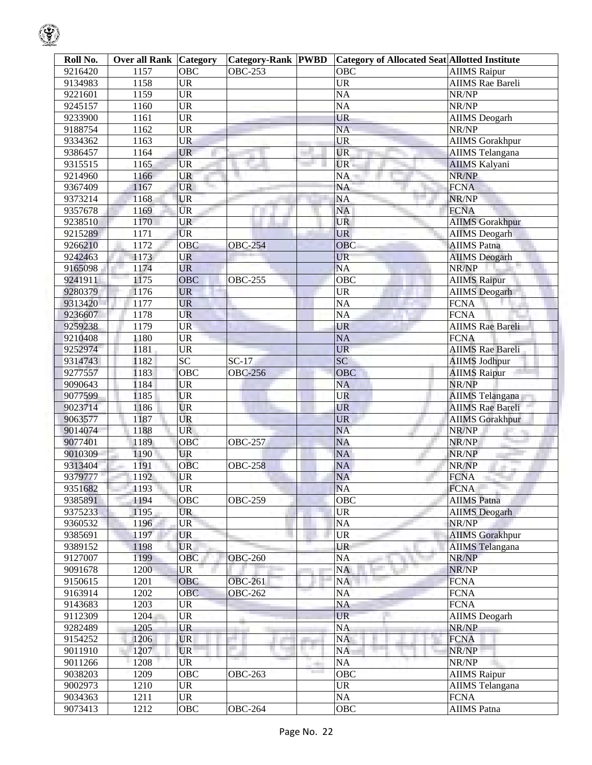| Roll No. | <b>Over all Rank Category</b> |            | <b>Category-Rank PWBD</b> |                | <b>Category of Allocated Seat Allotted Institute</b> |                         |
|----------|-------------------------------|------------|---------------------------|----------------|------------------------------------------------------|-------------------------|
| 9216420  | 1157                          | OBC        | <b>OBC-253</b>            |                | OBC                                                  | <b>AIIMS</b> Raipur     |
| 9134983  | 1158                          | <b>UR</b>  |                           |                | <b>UR</b>                                            | <b>AIIMS</b> Rae Bareli |
| 9221601  | 1159                          | <b>UR</b>  |                           |                | <b>NA</b>                                            | NR/NP                   |
| 9245157  | 1160                          | <b>UR</b>  |                           |                | NA                                                   | NR/NP                   |
| 9233900  | 1161                          | <b>UR</b>  |                           |                | <b>UR</b>                                            | <b>AIIMS</b> Deogarh    |
| 9188754  | 1162                          | <b>UR</b>  |                           |                | <b>NA</b>                                            | NR/NP                   |
| 9334362  | 1163                          | <b>UR</b>  |                           |                | <b>UR</b>                                            | <b>AIIMS</b> Gorakhpur  |
| 9386457  | 1164                          | <b>UR</b>  |                           |                | <b>UR</b>                                            | <b>AIIMS</b> Telangana  |
| 9315515  | 1165                          | <b>UR</b>  |                           |                | UR.                                                  | <b>AIIMS Kalyani</b>    |
| 9214960  | 1166                          | UR         |                           |                | NA                                                   | NR/NP                   |
| 9367409  | 1167                          | <b>UR</b>  |                           |                | NA                                                   | <b>FCNA</b>             |
| 9373214  | 1168                          | UR         |                           |                | $\rm NA$                                             | NR/NP                   |
| 9357678  | 1169                          | <b>UR</b>  |                           |                | NA                                                   | <b>FCNA</b>             |
| 9238510  | 1170                          | <b>UR</b>  |                           |                | <b>UR</b>                                            | <b>AIIMS</b> Gorakhpur  |
| 9215289  | 1171                          | <b>UR</b>  |                           |                | <b>UR</b>                                            | <b>AIIMS</b> Deogarh    |
| 9266210  | 1172                          | OBC        | <b>OBC-254</b>            |                | <b>OBC</b>                                           | <b>AIIMS Patna</b>      |
| 9242463  | 1173                          | <b>UR</b>  |                           |                | <b>UR</b>                                            | <b>AIIMS</b> Deogarh    |
| 9165098  | 1174                          | <b>UR</b>  |                           |                | <b>NA</b>                                            | NR/NP                   |
| 9241911  | 1175                          | OBC        | <b>OBC-255</b>            |                | OBC                                                  | <b>AIIMS Raipur</b>     |
| 9280379  | 1176                          | <b>UR</b>  |                           |                | <b>UR</b>                                            | <b>AIIMS</b> Deogarh    |
| 9313420  | 1177                          | <b>UR</b>  |                           |                | <b>NA</b>                                            | <b>FCNA</b>             |
|          | 1178                          | <b>UR</b>  |                           |                | <b>NA</b>                                            | <b>FCNA</b>             |
| 9236607  |                               |            |                           |                | <b>UR</b>                                            |                         |
| 9259238  | 1179                          | <b>UR</b>  |                           |                |                                                      | <b>AIIMS Rae Bareli</b> |
| 9210408  | 1180                          | <b>UR</b>  |                           |                | NA                                                   | <b>FCNA</b>             |
| 9252974  | 1181                          | <b>UR</b>  |                           |                | <b>UR</b>                                            | <b>AIIMS</b> Rae Bareli |
| 9314743  | 1182                          | <b>SC</b>  | $SC-17$                   |                | <b>SC</b>                                            | <b>AIIMS Jodhpur</b>    |
| 9277557  | 1183                          | OBC        | <b>OBC-256</b>            |                | <b>OBC</b>                                           | <b>AIIMS Raipur</b>     |
| 9090643  | 1184                          | <b>UR</b>  |                           |                | <b>NA</b>                                            | NR/NP                   |
| 9077599  | 1185                          | <b>UR</b>  |                           |                | <b>UR</b>                                            | AIIMS Telangana         |
| 9023714  | 1186                          | <b>UR</b>  |                           |                | <b>UR</b>                                            | <b>AIIMS Rae Bareli</b> |
| 9063577  | 1187                          | <b>UR</b>  |                           |                | <b>UR</b>                                            | <b>AIIMS Gorakhpur</b>  |
| 9014074  | 1188                          | <b>UR</b>  |                           |                | NA                                                   | NR/NP<br>×.             |
| 9077401  | 1189                          | OBC        | <b>OBC-257</b>            |                | <b>NA</b>                                            | NR/NP                   |
| 9010309  | 1190                          | <b>UR</b>  |                           |                | NA                                                   | NR/NP                   |
| 9313404  | 1191                          | <b>OBC</b> | <b>OBC-258</b>            |                | <b>NA</b>                                            | NR/NP<br>uit-           |
| 9379777  | 1192                          | <b>UR</b>  |                           |                | <b>NA</b>                                            | <b>FCNA</b>             |
| 9351682  | 1193                          | <b>UR</b>  |                           |                | <b>NA</b>                                            | <b>FCNA</b>             |
| 9385891  | 1194                          | OBC        | <b>OBC-259</b>            |                | OBC                                                  | <b>AIIMS</b> Patna      |
| 9375233  | 1195                          | <b>UR</b>  |                           |                | $\ensuremath{\mathrm{UR}}\xspace$                    | <b>AIIMS</b> Deogarh    |
| 9360532  | 1196                          | <b>UR</b>  |                           |                | $\rm NA$                                             | NR/NP                   |
| 9385691  | 1197                          | <b>UR</b>  |                           |                | UR                                                   | <b>AIIMS</b> Gorakhpur  |
| 9389152  | 1198                          | <b>UR</b>  |                           |                | <b>UR</b>                                            | <b>AIIMS</b> Telangana  |
| 9127007  | 1199                          | OBC        | <b>OBC-260</b>            |                | NA                                                   | NR/NP                   |
| 9091678  | 1200                          | <b>UR</b>  |                           |                | NA                                                   | NR/NP                   |
| 9150615  | 1201                          | <b>OBC</b> | <b>OBC-261</b>            |                | NA                                                   | <b>FCNA</b>             |
| 9163914  | 1202                          | <b>OBC</b> | <b>OBC-262</b>            |                | NA                                                   | <b>FCNA</b>             |
| 9143683  | 1203                          | <b>UR</b>  |                           |                | NA                                                   | <b>FCNA</b>             |
| 9112309  | 1204                          | <b>UR</b>  |                           |                | <b>UR</b>                                            | <b>AIIMS</b> Deogarh    |
| 9282489  | 1205                          | <b>UR</b>  |                           |                | NA                                                   | NR/NP                   |
| 9154252  | 1206                          | <b>UR</b>  |                           |                | <b>NA</b>                                            | <b>FCNA</b>             |
| 9011910  | 1207                          | <b>UR</b>  |                           | a.             | <b>NA</b>                                            | NR/NP                   |
| 9011266  | 1208                          | UR         |                           | <b>COLLEGE</b> | <b>NA</b>                                            | NR/NP                   |
| 9038203  | 1209                          | OBC        | <b>OBC-263</b>            |                | OBC                                                  | <b>AIIMS</b> Raipur     |
| 9002973  | 1210                          | <b>UR</b>  |                           |                | <b>UR</b>                                            | <b>AIIMS</b> Telangana  |
| 9034363  | 1211                          | <b>UR</b>  |                           |                | $\rm NA$                                             | <b>FCNA</b>             |
| 9073413  | 1212                          | OBC        | <b>OBC-264</b>            |                | OBC                                                  | <b>AIIMS</b> Patna      |

 $\mathcal{G}% _{ij}$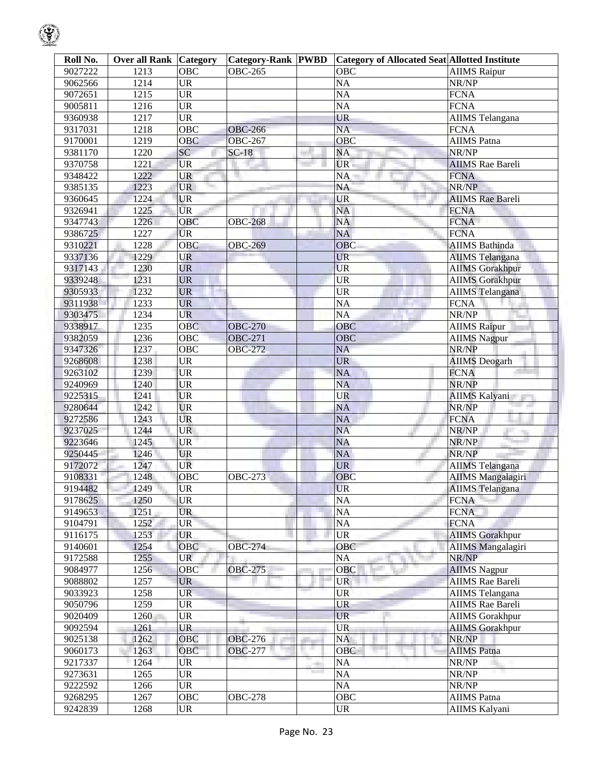| Roll No. | <b>Over all Rank</b> | Category                          | <b>Category-Rank PWBD</b> | <b>Category of Allocated Seat Allotted Institute</b> |                          |
|----------|----------------------|-----------------------------------|---------------------------|------------------------------------------------------|--------------------------|
| 9027222  | 1213                 | OBC                               | <b>OBC-265</b>            | <b>OBC</b>                                           | <b>AIIMS</b> Raipur      |
| 9062566  | 1214                 | <b>UR</b>                         |                           | <b>NA</b>                                            | NR/NP                    |
| 9072651  | 1215                 | $\overline{UR}$                   |                           | $\overline{NA}$                                      | <b>FCNA</b>              |
| 9005811  | 1216                 | $\overline{UR}$                   |                           | <b>NA</b>                                            | <b>FCNA</b>              |
| 9360938  | 1217                 | $\overline{UR}$                   |                           | <b>UR</b>                                            | AIIMS Telangana          |
| 9317031  | 1218                 | $\overline{OBC}$                  | <b>OBC-266</b>            | $\overline{NA}$                                      | <b>FCNA</b>              |
| 9170001  | 1219                 | <b>OBC</b>                        | <b>OBC-267</b>            | <b>OBC</b>                                           | <b>AIIMS</b> Patna       |
| 9381170  | 1220                 | SC                                | $SC-18$                   | <b>NA</b>                                            | NR/NP                    |
| 9370758  | 1221                 | <b>UR</b>                         |                           | <b>UR</b>                                            | <b>AIIMS</b> Rae Bareli  |
| 9348422  | 1222                 | <b>UR</b>                         | Ħ                         | <b>NA</b>                                            | <b>FCNA</b>              |
| 9385135  | 1223                 | <b>UR</b>                         |                           | <b>NA</b>                                            | NR/NP                    |
| 9360645  | 1224                 | <b>UR</b>                         |                           | <b>UR</b>                                            | <b>AIIMS</b> Rae Bareli  |
| 9326941  | 1225                 | <b>UR</b>                         |                           | <b>NA</b>                                            | <b>FCNA</b>              |
| 9347743  | 1226                 | OBC                               | <b>OBC-268</b>            | <b>NA</b>                                            | <b>FCNA</b>              |
| 9386725  | 1227                 | <b>UR</b>                         |                           | <b>NA</b>                                            | <b>FCNA</b>              |
| 9310221  | 1228                 | <b>OBC</b>                        | <b>OBC-269</b>            | <b>OBC</b>                                           | <b>AIIMS</b> Bathinda    |
| 9337136  | 1229                 | <b>UR</b>                         |                           | <b>UR</b>                                            | <b>AIIMS</b> Telangana   |
| 9317143  | 1230                 | <b>UR</b>                         |                           | <b>UR</b>                                            | <b>AIIMS</b> Gorakhpur   |
| 9339248  | 1231                 | <b>UR</b>                         |                           | <b>UR</b>                                            | <b>AIIMS</b> Gorakhpur   |
| 9305933  | 1232                 | <b>UR</b>                         |                           | <b>UR</b>                                            | <b>AIIMS</b> Telangana   |
| 9311938  | 1233                 | UR                                |                           | $\overline{NA}$                                      | <b>FCNA</b>              |
| 9303475  | 1234                 | UR                                |                           | <b>NA</b>                                            | NR/NP                    |
|          |                      | <b>OBC</b>                        |                           | <b>OBC</b>                                           |                          |
| 9338917  | 1235                 |                                   | <b>OBC-270</b>            |                                                      | <b>AIIMS</b> Raipur      |
| 9382059  | 1236                 | OBC                               | <b>OBC-271</b>            | <b>OBC</b>                                           | <b>AIIMS Nagpur</b>      |
| 9347326  | 1237                 | <b>OBC</b>                        | <b>OBC-272</b>            | <b>NA</b>                                            | NR/NP                    |
| 9268608  | 1238                 | <b>UR</b>                         |                           | <b>UR</b>                                            | <b>AIIMS</b> Deogarh     |
| 9263102  | 1239                 | <b>UR</b>                         |                           | <b>NA</b>                                            | <b>FCNA</b>              |
| 9240969  | 1240                 | <b>UR</b>                         |                           | <b>NA</b>                                            | NR/NP                    |
| 9225315  | 1241                 | UR                                |                           | UR                                                   | <b>AIIMS Kalyani</b>     |
| 9280644  | 1242                 | UR                                |                           | <b>NA</b>                                            | NR/NP                    |
| 9272586  | 1243                 | UR                                |                           | <b>NA</b>                                            | <b>FCNA</b>              |
| 9237025  | 1244                 | <b>UR</b>                         |                           | <b>NA</b>                                            | NR/NP                    |
| 9223646  | 1245                 | UR                                |                           | <b>NA</b>                                            | NR/NP                    |
| 9250445  | 1246                 | <b>UR</b>                         |                           | NA                                                   | NR/NP                    |
| 9172072  | 1247                 | <b>UR</b>                         |                           | <b>UR</b>                                            | <b>AIIMS</b> Telangana   |
| 9108331  | 1248                 | <b>OBC</b>                        | <b>OBC-273</b>            | <b>OBC</b>                                           | <b>AIIMS</b> Mangalagiri |
| 9194482  | 1249                 | <b>UR</b>                         |                           | <b>UR</b>                                            | <b>AIIMS</b> Telangana   |
| 9178625  | 1250                 | <b>UR</b>                         |                           | <b>NA</b>                                            | <b>FCNA</b>              |
| 9149653  | 1251                 | <b>UR</b>                         |                           | NA                                                   | <b>FCNA</b>              |
| 9104791  | 1252                 | <b>UR</b>                         |                           | <b>NA</b>                                            | <b>FCNA</b>              |
| 9116175  | 1253                 | <b>UR</b>                         |                           | <b>UR</b>                                            | <b>AIIMS</b> Gorakhpur   |
| 9140601  | 1254                 | OBC                               | <b>OBC-274</b>            | OBC                                                  | <b>AIIMS</b> Mangalagiri |
| 9172588  | 1255                 | <b>UR</b>                         |                           | <b>NA</b>                                            | NR/NP                    |
| 9084977  | 1256                 | OBC                               | <b>OBC-275</b>            | <b>OBC</b>                                           | <b>AIIMS</b> Nagpur      |
| 9088802  | 1257                 | <b>UR</b>                         |                           | <b>UR</b>                                            | <b>AIIMS</b> Rae Bareli  |
| 9033923  | 1258                 | <b>UR</b>                         |                           | <b>UR</b>                                            | <b>AIIMS</b> Telangana   |
| 9050796  | 1259                 | <b>UR</b>                         |                           | <b>UR</b>                                            | <b>AIIMS</b> Rae Bareli  |
| 9020409  | 1260                 | <b>UR</b>                         |                           | <b>UR</b>                                            | <b>AIIMS</b> Gorakhpur   |
| 9092594  | 1261                 | <b>UR</b>                         |                           | <b>UR</b>                                            | <b>AIIMS</b> Gorakhpur   |
| 9025138  | 1262                 | OBC                               | <b>OBC-276</b>            | <b>NA</b>                                            | NR/NP                    |
| 9060173  | 1263                 | OBC                               | <b>OBC-277</b>            | <b>OBC</b>                                           | <b>AIIMS</b> Patna       |
| 9217337  | 1264                 | UR                                |                           | <b>NA</b>                                            | NR/NP                    |
| 9273631  | 1265                 | $\ensuremath{\mathsf{UR}}\xspace$ |                           | <b>NA</b>                                            | NR/NP                    |
|          |                      |                                   |                           |                                                      |                          |

1268 UR UR AIIMS Kalyani

9222592 1266 UR NA NA NR/NP Process and the set of the Second of the Second of the Second of the Second of the Second of the Second of the Second of the Second of the Second of the Second of the Second of the Second of the Second of the Second of the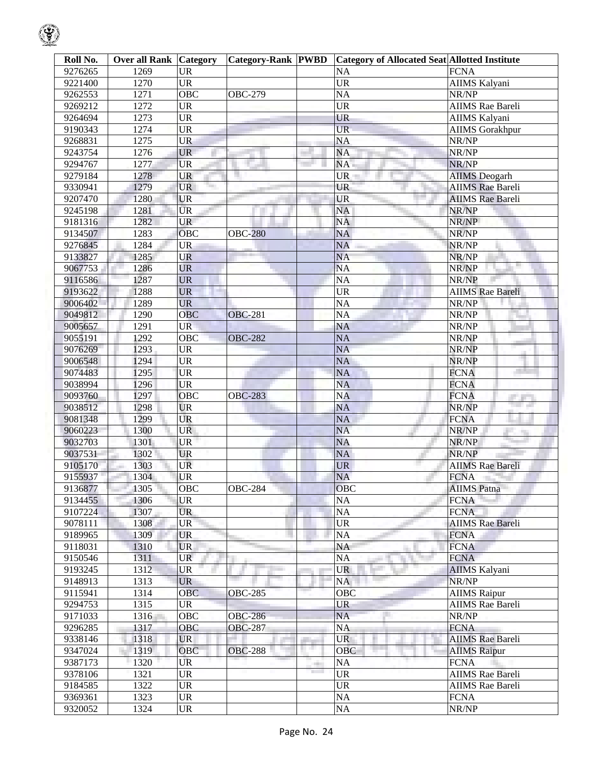| 9276265<br>1269<br><b>UR</b><br><b>NA</b><br><b>FCNA</b><br><b>UR</b><br><b>UR</b><br>1270<br>AIIMS Kalyani<br>9221400<br>1271<br><b>OBC</b><br><b>NA</b><br>9262553<br><b>OBC-279</b><br>NR/NP<br>1272<br><b>UR</b><br><b>UR</b><br>9269212<br><b>AIIMS</b> Rae Bareli<br><b>UR</b><br>1273<br><b>UR</b><br>9264694<br>AIIMS Kalyani<br>1274<br><b>UR</b><br><b>UR</b><br>9190343<br><b>AIIMS</b> Gorakhpur<br>1275<br>UR<br><b>NA</b><br>NR/NP<br>9268831<br>1276<br><b>NA</b><br>9243754<br><b>UR</b><br>NR/NP<br>9294767<br>1277<br><b>UR</b><br>NA<br>NR/NP<br>1278<br><b>UR</b><br>9279184<br><b>UR</b><br><b>AIIMS</b> Deogarh<br>1279<br><b>UR</b><br><b>UR</b><br>9330941<br><b>AIIMS</b> Rae Bareli<br>9207470<br>1280<br><b>UR</b><br><b>UR</b><br><b>AIIMS</b> Rae Bareli<br>1281<br><b>UR</b><br>NA<br>9245198<br>NR/NP<br><b>NA</b><br>1282<br><b>UR</b><br>9181316<br>NR/NP<br>1283<br>OBC<br><b>NA</b><br>9134507<br><b>OBC-280</b><br>NR/NP<br>1284<br><b>UR</b><br><b>NA</b><br>9276845<br>NR/NP<br>UR<br><b>NA</b><br>9133827<br>1285<br>NR/NP<br><b>UR</b><br><b>NA</b><br>9067753<br>1286<br>NR/NP<br>9116586<br>1287<br><b>UR</b><br><b>NA</b><br>NR/NP<br>1288<br><b>UR</b><br><b>UR</b><br>9193622<br><b>AIIMS</b> Rae Bareli<br>1289<br><b>UR</b><br><b>NA</b><br>9006402<br>NR/NP<br>1290<br>OBC<br><b>NA</b><br>9049812<br>NR/NP<br><b>OBC-281</b><br>9005657<br>1291<br>NA<br><b>UR</b><br>NR/NP<br>9055191<br>1292<br>OBC<br><b>NA</b><br>NR/NP<br><b>OBC-282</b><br>9076269<br>1293<br><b>UR</b><br><b>NA</b><br>NR/NP<br><b>UR</b><br>9006548<br>1294<br><b>NA</b><br>NR/NP<br>9074483<br>1295<br><b>UR</b><br><b>NA</b><br><b>FCNA</b><br>1296<br><b>UR</b><br><b>NA</b><br>9038994<br><b>FCNA</b><br>9093760<br>1297<br>OBC<br><b>NA</b><br><b>FCNA</b><br><b>OBC-283</b><br>and the con-<br><b>NA</b><br><b>The Contract</b><br>9038512<br>1298<br><b>UR</b><br>NR/NP<br>UR<br>1299<br><b>NA</b><br>9081348<br><b>FCNA</b><br>1300<br><b>UR</b><br><b>NA</b><br>9060223<br>NR/NP<br>×.<br>9032703<br><b>UR</b><br><b>NA</b><br>1301<br>NR/NP<br>9037531<br><b>UR</b><br>NA<br>1302<br>NR/NP<br>1303<br>UR<br><b>UR</b><br>9105170<br><b>AIIMS Rae Bareli</b><br><b>NA</b><br>9155937<br>1304<br><b>UR</b><br><b>FCNA</b><br>1305<br>OBC<br>9136877<br>OBC<br><b>AIIMS</b> Patna<br><b>OBC-284</b><br><b>UR</b><br>NA<br>9134455<br>1306<br><b>FCNA</b><br><b>NA</b><br>1307<br><b>UR</b><br>9107224<br><b>FCNA</b><br><b>UR</b><br><b>UR</b><br>9078111<br>1308<br><b>AIIMS</b> Rae Bareli<br><b>NA</b><br><b>UR</b><br>9189965<br>1309<br><b>FCNA</b><br>NA<br>9118031<br>1310<br><b>UR</b><br><b>FCNA</b><br>9150546<br>1311<br><b>UR</b><br>NA<br><b>FCNA</b><br>9193245<br>1312<br><b>UR</b><br><b>UR</b><br><b>AIIMS Kalyani</b><br><b>UR</b><br><b>NA</b><br>9148913<br>1313<br>NR/NP<br>OBC<br>9115941<br>1314<br><b>OBC</b><br><b>AIIMS</b> Raipur<br><b>OBC-285</b><br><b>UR</b><br>9294753<br>1315<br><b>UR</b><br><b>AIIMS</b> Rae Bareli<br>OBC<br>9171033<br>1316<br><b>OBC-286</b><br><b>NA</b><br>NR/NP<br><b>NA</b><br>1317<br>OBC<br>9296285<br><b>OBC-287</b><br><b>FCNA</b><br>1318<br><b>UR</b><br>9338146<br><b>UR</b><br><b>AIIMS</b> Rae Bareli<br>9347024<br>1319<br>OBC<br><b>OBC</b><br><b>OBC-288</b><br><b>AIIMS Raipur</b><br>1320<br><b>UR</b><br><b>NA</b><br>9387173<br><b>FCNA</b><br><b>COLOR</b><br><b>UR</b><br>9378106<br>1321<br><b>UR</b><br><b>AIIMS Rae Bareli</b><br>1322<br>$\ensuremath{\mathsf{UR}}\xspace$<br><b>UR</b><br>9184585<br><b>AIIMS</b> Rae Bareli<br>$\ensuremath{\mathrm{UR}}\xspace$<br>NA<br>1323<br>9369361<br><b>FCNA</b><br>NA<br>9320052<br>1324<br><b>UR</b><br>NR/NP | Roll No. | <b>Over all Rank Category</b> | <b>Category-Rank PWBD</b> | <b>Category of Allocated Seat Allotted Institute</b> |  |
|---------------------------------------------------------------------------------------------------------------------------------------------------------------------------------------------------------------------------------------------------------------------------------------------------------------------------------------------------------------------------------------------------------------------------------------------------------------------------------------------------------------------------------------------------------------------------------------------------------------------------------------------------------------------------------------------------------------------------------------------------------------------------------------------------------------------------------------------------------------------------------------------------------------------------------------------------------------------------------------------------------------------------------------------------------------------------------------------------------------------------------------------------------------------------------------------------------------------------------------------------------------------------------------------------------------------------------------------------------------------------------------------------------------------------------------------------------------------------------------------------------------------------------------------------------------------------------------------------------------------------------------------------------------------------------------------------------------------------------------------------------------------------------------------------------------------------------------------------------------------------------------------------------------------------------------------------------------------------------------------------------------------------------------------------------------------------------------------------------------------------------------------------------------------------------------------------------------------------------------------------------------------------------------------------------------------------------------------------------------------------------------------------------------------------------------------------------------------------------------------------------------------------------------------------------------------------------------------------------------------------------------------------------------------------------------------------------------------------------------------------------------------------------------------------------------------------------------------------------------------------------------------------------------------------------------------------------------------------------------------------------------------------------------------------------------------------------------------------------------------------------------------------------------------------------------------------------------------------------------------------------------------------------------------------------------------------------------------------------------------------------------------------------------------------------------------------------------------------------------------------------------------------------------------------------------------------------------------------------------------------------------------------------------------------|----------|-------------------------------|---------------------------|------------------------------------------------------|--|
|                                                                                                                                                                                                                                                                                                                                                                                                                                                                                                                                                                                                                                                                                                                                                                                                                                                                                                                                                                                                                                                                                                                                                                                                                                                                                                                                                                                                                                                                                                                                                                                                                                                                                                                                                                                                                                                                                                                                                                                                                                                                                                                                                                                                                                                                                                                                                                                                                                                                                                                                                                                                                                                                                                                                                                                                                                                                                                                                                                                                                                                                                                                                                                                                                                                                                                                                                                                                                                                                                                                                                                                                                                                                           |          |                               |                           |                                                      |  |
|                                                                                                                                                                                                                                                                                                                                                                                                                                                                                                                                                                                                                                                                                                                                                                                                                                                                                                                                                                                                                                                                                                                                                                                                                                                                                                                                                                                                                                                                                                                                                                                                                                                                                                                                                                                                                                                                                                                                                                                                                                                                                                                                                                                                                                                                                                                                                                                                                                                                                                                                                                                                                                                                                                                                                                                                                                                                                                                                                                                                                                                                                                                                                                                                                                                                                                                                                                                                                                                                                                                                                                                                                                                                           |          |                               |                           |                                                      |  |
|                                                                                                                                                                                                                                                                                                                                                                                                                                                                                                                                                                                                                                                                                                                                                                                                                                                                                                                                                                                                                                                                                                                                                                                                                                                                                                                                                                                                                                                                                                                                                                                                                                                                                                                                                                                                                                                                                                                                                                                                                                                                                                                                                                                                                                                                                                                                                                                                                                                                                                                                                                                                                                                                                                                                                                                                                                                                                                                                                                                                                                                                                                                                                                                                                                                                                                                                                                                                                                                                                                                                                                                                                                                                           |          |                               |                           |                                                      |  |
|                                                                                                                                                                                                                                                                                                                                                                                                                                                                                                                                                                                                                                                                                                                                                                                                                                                                                                                                                                                                                                                                                                                                                                                                                                                                                                                                                                                                                                                                                                                                                                                                                                                                                                                                                                                                                                                                                                                                                                                                                                                                                                                                                                                                                                                                                                                                                                                                                                                                                                                                                                                                                                                                                                                                                                                                                                                                                                                                                                                                                                                                                                                                                                                                                                                                                                                                                                                                                                                                                                                                                                                                                                                                           |          |                               |                           |                                                      |  |
|                                                                                                                                                                                                                                                                                                                                                                                                                                                                                                                                                                                                                                                                                                                                                                                                                                                                                                                                                                                                                                                                                                                                                                                                                                                                                                                                                                                                                                                                                                                                                                                                                                                                                                                                                                                                                                                                                                                                                                                                                                                                                                                                                                                                                                                                                                                                                                                                                                                                                                                                                                                                                                                                                                                                                                                                                                                                                                                                                                                                                                                                                                                                                                                                                                                                                                                                                                                                                                                                                                                                                                                                                                                                           |          |                               |                           |                                                      |  |
|                                                                                                                                                                                                                                                                                                                                                                                                                                                                                                                                                                                                                                                                                                                                                                                                                                                                                                                                                                                                                                                                                                                                                                                                                                                                                                                                                                                                                                                                                                                                                                                                                                                                                                                                                                                                                                                                                                                                                                                                                                                                                                                                                                                                                                                                                                                                                                                                                                                                                                                                                                                                                                                                                                                                                                                                                                                                                                                                                                                                                                                                                                                                                                                                                                                                                                                                                                                                                                                                                                                                                                                                                                                                           |          |                               |                           |                                                      |  |
|                                                                                                                                                                                                                                                                                                                                                                                                                                                                                                                                                                                                                                                                                                                                                                                                                                                                                                                                                                                                                                                                                                                                                                                                                                                                                                                                                                                                                                                                                                                                                                                                                                                                                                                                                                                                                                                                                                                                                                                                                                                                                                                                                                                                                                                                                                                                                                                                                                                                                                                                                                                                                                                                                                                                                                                                                                                                                                                                                                                                                                                                                                                                                                                                                                                                                                                                                                                                                                                                                                                                                                                                                                                                           |          |                               |                           |                                                      |  |
|                                                                                                                                                                                                                                                                                                                                                                                                                                                                                                                                                                                                                                                                                                                                                                                                                                                                                                                                                                                                                                                                                                                                                                                                                                                                                                                                                                                                                                                                                                                                                                                                                                                                                                                                                                                                                                                                                                                                                                                                                                                                                                                                                                                                                                                                                                                                                                                                                                                                                                                                                                                                                                                                                                                                                                                                                                                                                                                                                                                                                                                                                                                                                                                                                                                                                                                                                                                                                                                                                                                                                                                                                                                                           |          |                               |                           |                                                      |  |
|                                                                                                                                                                                                                                                                                                                                                                                                                                                                                                                                                                                                                                                                                                                                                                                                                                                                                                                                                                                                                                                                                                                                                                                                                                                                                                                                                                                                                                                                                                                                                                                                                                                                                                                                                                                                                                                                                                                                                                                                                                                                                                                                                                                                                                                                                                                                                                                                                                                                                                                                                                                                                                                                                                                                                                                                                                                                                                                                                                                                                                                                                                                                                                                                                                                                                                                                                                                                                                                                                                                                                                                                                                                                           |          |                               |                           |                                                      |  |
|                                                                                                                                                                                                                                                                                                                                                                                                                                                                                                                                                                                                                                                                                                                                                                                                                                                                                                                                                                                                                                                                                                                                                                                                                                                                                                                                                                                                                                                                                                                                                                                                                                                                                                                                                                                                                                                                                                                                                                                                                                                                                                                                                                                                                                                                                                                                                                                                                                                                                                                                                                                                                                                                                                                                                                                                                                                                                                                                                                                                                                                                                                                                                                                                                                                                                                                                                                                                                                                                                                                                                                                                                                                                           |          |                               |                           |                                                      |  |
|                                                                                                                                                                                                                                                                                                                                                                                                                                                                                                                                                                                                                                                                                                                                                                                                                                                                                                                                                                                                                                                                                                                                                                                                                                                                                                                                                                                                                                                                                                                                                                                                                                                                                                                                                                                                                                                                                                                                                                                                                                                                                                                                                                                                                                                                                                                                                                                                                                                                                                                                                                                                                                                                                                                                                                                                                                                                                                                                                                                                                                                                                                                                                                                                                                                                                                                                                                                                                                                                                                                                                                                                                                                                           |          |                               |                           |                                                      |  |
|                                                                                                                                                                                                                                                                                                                                                                                                                                                                                                                                                                                                                                                                                                                                                                                                                                                                                                                                                                                                                                                                                                                                                                                                                                                                                                                                                                                                                                                                                                                                                                                                                                                                                                                                                                                                                                                                                                                                                                                                                                                                                                                                                                                                                                                                                                                                                                                                                                                                                                                                                                                                                                                                                                                                                                                                                                                                                                                                                                                                                                                                                                                                                                                                                                                                                                                                                                                                                                                                                                                                                                                                                                                                           |          |                               |                           |                                                      |  |
|                                                                                                                                                                                                                                                                                                                                                                                                                                                                                                                                                                                                                                                                                                                                                                                                                                                                                                                                                                                                                                                                                                                                                                                                                                                                                                                                                                                                                                                                                                                                                                                                                                                                                                                                                                                                                                                                                                                                                                                                                                                                                                                                                                                                                                                                                                                                                                                                                                                                                                                                                                                                                                                                                                                                                                                                                                                                                                                                                                                                                                                                                                                                                                                                                                                                                                                                                                                                                                                                                                                                                                                                                                                                           |          |                               |                           |                                                      |  |
|                                                                                                                                                                                                                                                                                                                                                                                                                                                                                                                                                                                                                                                                                                                                                                                                                                                                                                                                                                                                                                                                                                                                                                                                                                                                                                                                                                                                                                                                                                                                                                                                                                                                                                                                                                                                                                                                                                                                                                                                                                                                                                                                                                                                                                                                                                                                                                                                                                                                                                                                                                                                                                                                                                                                                                                                                                                                                                                                                                                                                                                                                                                                                                                                                                                                                                                                                                                                                                                                                                                                                                                                                                                                           |          |                               |                           |                                                      |  |
|                                                                                                                                                                                                                                                                                                                                                                                                                                                                                                                                                                                                                                                                                                                                                                                                                                                                                                                                                                                                                                                                                                                                                                                                                                                                                                                                                                                                                                                                                                                                                                                                                                                                                                                                                                                                                                                                                                                                                                                                                                                                                                                                                                                                                                                                                                                                                                                                                                                                                                                                                                                                                                                                                                                                                                                                                                                                                                                                                                                                                                                                                                                                                                                                                                                                                                                                                                                                                                                                                                                                                                                                                                                                           |          |                               |                           |                                                      |  |
|                                                                                                                                                                                                                                                                                                                                                                                                                                                                                                                                                                                                                                                                                                                                                                                                                                                                                                                                                                                                                                                                                                                                                                                                                                                                                                                                                                                                                                                                                                                                                                                                                                                                                                                                                                                                                                                                                                                                                                                                                                                                                                                                                                                                                                                                                                                                                                                                                                                                                                                                                                                                                                                                                                                                                                                                                                                                                                                                                                                                                                                                                                                                                                                                                                                                                                                                                                                                                                                                                                                                                                                                                                                                           |          |                               |                           |                                                      |  |
|                                                                                                                                                                                                                                                                                                                                                                                                                                                                                                                                                                                                                                                                                                                                                                                                                                                                                                                                                                                                                                                                                                                                                                                                                                                                                                                                                                                                                                                                                                                                                                                                                                                                                                                                                                                                                                                                                                                                                                                                                                                                                                                                                                                                                                                                                                                                                                                                                                                                                                                                                                                                                                                                                                                                                                                                                                                                                                                                                                                                                                                                                                                                                                                                                                                                                                                                                                                                                                                                                                                                                                                                                                                                           |          |                               |                           |                                                      |  |
|                                                                                                                                                                                                                                                                                                                                                                                                                                                                                                                                                                                                                                                                                                                                                                                                                                                                                                                                                                                                                                                                                                                                                                                                                                                                                                                                                                                                                                                                                                                                                                                                                                                                                                                                                                                                                                                                                                                                                                                                                                                                                                                                                                                                                                                                                                                                                                                                                                                                                                                                                                                                                                                                                                                                                                                                                                                                                                                                                                                                                                                                                                                                                                                                                                                                                                                                                                                                                                                                                                                                                                                                                                                                           |          |                               |                           |                                                      |  |
|                                                                                                                                                                                                                                                                                                                                                                                                                                                                                                                                                                                                                                                                                                                                                                                                                                                                                                                                                                                                                                                                                                                                                                                                                                                                                                                                                                                                                                                                                                                                                                                                                                                                                                                                                                                                                                                                                                                                                                                                                                                                                                                                                                                                                                                                                                                                                                                                                                                                                                                                                                                                                                                                                                                                                                                                                                                                                                                                                                                                                                                                                                                                                                                                                                                                                                                                                                                                                                                                                                                                                                                                                                                                           |          |                               |                           |                                                      |  |
|                                                                                                                                                                                                                                                                                                                                                                                                                                                                                                                                                                                                                                                                                                                                                                                                                                                                                                                                                                                                                                                                                                                                                                                                                                                                                                                                                                                                                                                                                                                                                                                                                                                                                                                                                                                                                                                                                                                                                                                                                                                                                                                                                                                                                                                                                                                                                                                                                                                                                                                                                                                                                                                                                                                                                                                                                                                                                                                                                                                                                                                                                                                                                                                                                                                                                                                                                                                                                                                                                                                                                                                                                                                                           |          |                               |                           |                                                      |  |
|                                                                                                                                                                                                                                                                                                                                                                                                                                                                                                                                                                                                                                                                                                                                                                                                                                                                                                                                                                                                                                                                                                                                                                                                                                                                                                                                                                                                                                                                                                                                                                                                                                                                                                                                                                                                                                                                                                                                                                                                                                                                                                                                                                                                                                                                                                                                                                                                                                                                                                                                                                                                                                                                                                                                                                                                                                                                                                                                                                                                                                                                                                                                                                                                                                                                                                                                                                                                                                                                                                                                                                                                                                                                           |          |                               |                           |                                                      |  |
|                                                                                                                                                                                                                                                                                                                                                                                                                                                                                                                                                                                                                                                                                                                                                                                                                                                                                                                                                                                                                                                                                                                                                                                                                                                                                                                                                                                                                                                                                                                                                                                                                                                                                                                                                                                                                                                                                                                                                                                                                                                                                                                                                                                                                                                                                                                                                                                                                                                                                                                                                                                                                                                                                                                                                                                                                                                                                                                                                                                                                                                                                                                                                                                                                                                                                                                                                                                                                                                                                                                                                                                                                                                                           |          |                               |                           |                                                      |  |
|                                                                                                                                                                                                                                                                                                                                                                                                                                                                                                                                                                                                                                                                                                                                                                                                                                                                                                                                                                                                                                                                                                                                                                                                                                                                                                                                                                                                                                                                                                                                                                                                                                                                                                                                                                                                                                                                                                                                                                                                                                                                                                                                                                                                                                                                                                                                                                                                                                                                                                                                                                                                                                                                                                                                                                                                                                                                                                                                                                                                                                                                                                                                                                                                                                                                                                                                                                                                                                                                                                                                                                                                                                                                           |          |                               |                           |                                                      |  |
|                                                                                                                                                                                                                                                                                                                                                                                                                                                                                                                                                                                                                                                                                                                                                                                                                                                                                                                                                                                                                                                                                                                                                                                                                                                                                                                                                                                                                                                                                                                                                                                                                                                                                                                                                                                                                                                                                                                                                                                                                                                                                                                                                                                                                                                                                                                                                                                                                                                                                                                                                                                                                                                                                                                                                                                                                                                                                                                                                                                                                                                                                                                                                                                                                                                                                                                                                                                                                                                                                                                                                                                                                                                                           |          |                               |                           |                                                      |  |
|                                                                                                                                                                                                                                                                                                                                                                                                                                                                                                                                                                                                                                                                                                                                                                                                                                                                                                                                                                                                                                                                                                                                                                                                                                                                                                                                                                                                                                                                                                                                                                                                                                                                                                                                                                                                                                                                                                                                                                                                                                                                                                                                                                                                                                                                                                                                                                                                                                                                                                                                                                                                                                                                                                                                                                                                                                                                                                                                                                                                                                                                                                                                                                                                                                                                                                                                                                                                                                                                                                                                                                                                                                                                           |          |                               |                           |                                                      |  |
|                                                                                                                                                                                                                                                                                                                                                                                                                                                                                                                                                                                                                                                                                                                                                                                                                                                                                                                                                                                                                                                                                                                                                                                                                                                                                                                                                                                                                                                                                                                                                                                                                                                                                                                                                                                                                                                                                                                                                                                                                                                                                                                                                                                                                                                                                                                                                                                                                                                                                                                                                                                                                                                                                                                                                                                                                                                                                                                                                                                                                                                                                                                                                                                                                                                                                                                                                                                                                                                                                                                                                                                                                                                                           |          |                               |                           |                                                      |  |
|                                                                                                                                                                                                                                                                                                                                                                                                                                                                                                                                                                                                                                                                                                                                                                                                                                                                                                                                                                                                                                                                                                                                                                                                                                                                                                                                                                                                                                                                                                                                                                                                                                                                                                                                                                                                                                                                                                                                                                                                                                                                                                                                                                                                                                                                                                                                                                                                                                                                                                                                                                                                                                                                                                                                                                                                                                                                                                                                                                                                                                                                                                                                                                                                                                                                                                                                                                                                                                                                                                                                                                                                                                                                           |          |                               |                           |                                                      |  |
|                                                                                                                                                                                                                                                                                                                                                                                                                                                                                                                                                                                                                                                                                                                                                                                                                                                                                                                                                                                                                                                                                                                                                                                                                                                                                                                                                                                                                                                                                                                                                                                                                                                                                                                                                                                                                                                                                                                                                                                                                                                                                                                                                                                                                                                                                                                                                                                                                                                                                                                                                                                                                                                                                                                                                                                                                                                                                                                                                                                                                                                                                                                                                                                                                                                                                                                                                                                                                                                                                                                                                                                                                                                                           |          |                               |                           |                                                      |  |
|                                                                                                                                                                                                                                                                                                                                                                                                                                                                                                                                                                                                                                                                                                                                                                                                                                                                                                                                                                                                                                                                                                                                                                                                                                                                                                                                                                                                                                                                                                                                                                                                                                                                                                                                                                                                                                                                                                                                                                                                                                                                                                                                                                                                                                                                                                                                                                                                                                                                                                                                                                                                                                                                                                                                                                                                                                                                                                                                                                                                                                                                                                                                                                                                                                                                                                                                                                                                                                                                                                                                                                                                                                                                           |          |                               |                           |                                                      |  |
|                                                                                                                                                                                                                                                                                                                                                                                                                                                                                                                                                                                                                                                                                                                                                                                                                                                                                                                                                                                                                                                                                                                                                                                                                                                                                                                                                                                                                                                                                                                                                                                                                                                                                                                                                                                                                                                                                                                                                                                                                                                                                                                                                                                                                                                                                                                                                                                                                                                                                                                                                                                                                                                                                                                                                                                                                                                                                                                                                                                                                                                                                                                                                                                                                                                                                                                                                                                                                                                                                                                                                                                                                                                                           |          |                               |                           |                                                      |  |
|                                                                                                                                                                                                                                                                                                                                                                                                                                                                                                                                                                                                                                                                                                                                                                                                                                                                                                                                                                                                                                                                                                                                                                                                                                                                                                                                                                                                                                                                                                                                                                                                                                                                                                                                                                                                                                                                                                                                                                                                                                                                                                                                                                                                                                                                                                                                                                                                                                                                                                                                                                                                                                                                                                                                                                                                                                                                                                                                                                                                                                                                                                                                                                                                                                                                                                                                                                                                                                                                                                                                                                                                                                                                           |          |                               |                           |                                                      |  |
|                                                                                                                                                                                                                                                                                                                                                                                                                                                                                                                                                                                                                                                                                                                                                                                                                                                                                                                                                                                                                                                                                                                                                                                                                                                                                                                                                                                                                                                                                                                                                                                                                                                                                                                                                                                                                                                                                                                                                                                                                                                                                                                                                                                                                                                                                                                                                                                                                                                                                                                                                                                                                                                                                                                                                                                                                                                                                                                                                                                                                                                                                                                                                                                                                                                                                                                                                                                                                                                                                                                                                                                                                                                                           |          |                               |                           |                                                      |  |
|                                                                                                                                                                                                                                                                                                                                                                                                                                                                                                                                                                                                                                                                                                                                                                                                                                                                                                                                                                                                                                                                                                                                                                                                                                                                                                                                                                                                                                                                                                                                                                                                                                                                                                                                                                                                                                                                                                                                                                                                                                                                                                                                                                                                                                                                                                                                                                                                                                                                                                                                                                                                                                                                                                                                                                                                                                                                                                                                                                                                                                                                                                                                                                                                                                                                                                                                                                                                                                                                                                                                                                                                                                                                           |          |                               |                           |                                                      |  |
|                                                                                                                                                                                                                                                                                                                                                                                                                                                                                                                                                                                                                                                                                                                                                                                                                                                                                                                                                                                                                                                                                                                                                                                                                                                                                                                                                                                                                                                                                                                                                                                                                                                                                                                                                                                                                                                                                                                                                                                                                                                                                                                                                                                                                                                                                                                                                                                                                                                                                                                                                                                                                                                                                                                                                                                                                                                                                                                                                                                                                                                                                                                                                                                                                                                                                                                                                                                                                                                                                                                                                                                                                                                                           |          |                               |                           |                                                      |  |
|                                                                                                                                                                                                                                                                                                                                                                                                                                                                                                                                                                                                                                                                                                                                                                                                                                                                                                                                                                                                                                                                                                                                                                                                                                                                                                                                                                                                                                                                                                                                                                                                                                                                                                                                                                                                                                                                                                                                                                                                                                                                                                                                                                                                                                                                                                                                                                                                                                                                                                                                                                                                                                                                                                                                                                                                                                                                                                                                                                                                                                                                                                                                                                                                                                                                                                                                                                                                                                                                                                                                                                                                                                                                           |          |                               |                           |                                                      |  |
|                                                                                                                                                                                                                                                                                                                                                                                                                                                                                                                                                                                                                                                                                                                                                                                                                                                                                                                                                                                                                                                                                                                                                                                                                                                                                                                                                                                                                                                                                                                                                                                                                                                                                                                                                                                                                                                                                                                                                                                                                                                                                                                                                                                                                                                                                                                                                                                                                                                                                                                                                                                                                                                                                                                                                                                                                                                                                                                                                                                                                                                                                                                                                                                                                                                                                                                                                                                                                                                                                                                                                                                                                                                                           |          |                               |                           |                                                      |  |
|                                                                                                                                                                                                                                                                                                                                                                                                                                                                                                                                                                                                                                                                                                                                                                                                                                                                                                                                                                                                                                                                                                                                                                                                                                                                                                                                                                                                                                                                                                                                                                                                                                                                                                                                                                                                                                                                                                                                                                                                                                                                                                                                                                                                                                                                                                                                                                                                                                                                                                                                                                                                                                                                                                                                                                                                                                                                                                                                                                                                                                                                                                                                                                                                                                                                                                                                                                                                                                                                                                                                                                                                                                                                           |          |                               |                           |                                                      |  |
|                                                                                                                                                                                                                                                                                                                                                                                                                                                                                                                                                                                                                                                                                                                                                                                                                                                                                                                                                                                                                                                                                                                                                                                                                                                                                                                                                                                                                                                                                                                                                                                                                                                                                                                                                                                                                                                                                                                                                                                                                                                                                                                                                                                                                                                                                                                                                                                                                                                                                                                                                                                                                                                                                                                                                                                                                                                                                                                                                                                                                                                                                                                                                                                                                                                                                                                                                                                                                                                                                                                                                                                                                                                                           |          |                               |                           |                                                      |  |
|                                                                                                                                                                                                                                                                                                                                                                                                                                                                                                                                                                                                                                                                                                                                                                                                                                                                                                                                                                                                                                                                                                                                                                                                                                                                                                                                                                                                                                                                                                                                                                                                                                                                                                                                                                                                                                                                                                                                                                                                                                                                                                                                                                                                                                                                                                                                                                                                                                                                                                                                                                                                                                                                                                                                                                                                                                                                                                                                                                                                                                                                                                                                                                                                                                                                                                                                                                                                                                                                                                                                                                                                                                                                           |          |                               |                           |                                                      |  |
|                                                                                                                                                                                                                                                                                                                                                                                                                                                                                                                                                                                                                                                                                                                                                                                                                                                                                                                                                                                                                                                                                                                                                                                                                                                                                                                                                                                                                                                                                                                                                                                                                                                                                                                                                                                                                                                                                                                                                                                                                                                                                                                                                                                                                                                                                                                                                                                                                                                                                                                                                                                                                                                                                                                                                                                                                                                                                                                                                                                                                                                                                                                                                                                                                                                                                                                                                                                                                                                                                                                                                                                                                                                                           |          |                               |                           |                                                      |  |
|                                                                                                                                                                                                                                                                                                                                                                                                                                                                                                                                                                                                                                                                                                                                                                                                                                                                                                                                                                                                                                                                                                                                                                                                                                                                                                                                                                                                                                                                                                                                                                                                                                                                                                                                                                                                                                                                                                                                                                                                                                                                                                                                                                                                                                                                                                                                                                                                                                                                                                                                                                                                                                                                                                                                                                                                                                                                                                                                                                                                                                                                                                                                                                                                                                                                                                                                                                                                                                                                                                                                                                                                                                                                           |          |                               |                           |                                                      |  |
|                                                                                                                                                                                                                                                                                                                                                                                                                                                                                                                                                                                                                                                                                                                                                                                                                                                                                                                                                                                                                                                                                                                                                                                                                                                                                                                                                                                                                                                                                                                                                                                                                                                                                                                                                                                                                                                                                                                                                                                                                                                                                                                                                                                                                                                                                                                                                                                                                                                                                                                                                                                                                                                                                                                                                                                                                                                                                                                                                                                                                                                                                                                                                                                                                                                                                                                                                                                                                                                                                                                                                                                                                                                                           |          |                               |                           |                                                      |  |
|                                                                                                                                                                                                                                                                                                                                                                                                                                                                                                                                                                                                                                                                                                                                                                                                                                                                                                                                                                                                                                                                                                                                                                                                                                                                                                                                                                                                                                                                                                                                                                                                                                                                                                                                                                                                                                                                                                                                                                                                                                                                                                                                                                                                                                                                                                                                                                                                                                                                                                                                                                                                                                                                                                                                                                                                                                                                                                                                                                                                                                                                                                                                                                                                                                                                                                                                                                                                                                                                                                                                                                                                                                                                           |          |                               |                           |                                                      |  |
|                                                                                                                                                                                                                                                                                                                                                                                                                                                                                                                                                                                                                                                                                                                                                                                                                                                                                                                                                                                                                                                                                                                                                                                                                                                                                                                                                                                                                                                                                                                                                                                                                                                                                                                                                                                                                                                                                                                                                                                                                                                                                                                                                                                                                                                                                                                                                                                                                                                                                                                                                                                                                                                                                                                                                                                                                                                                                                                                                                                                                                                                                                                                                                                                                                                                                                                                                                                                                                                                                                                                                                                                                                                                           |          |                               |                           |                                                      |  |
|                                                                                                                                                                                                                                                                                                                                                                                                                                                                                                                                                                                                                                                                                                                                                                                                                                                                                                                                                                                                                                                                                                                                                                                                                                                                                                                                                                                                                                                                                                                                                                                                                                                                                                                                                                                                                                                                                                                                                                                                                                                                                                                                                                                                                                                                                                                                                                                                                                                                                                                                                                                                                                                                                                                                                                                                                                                                                                                                                                                                                                                                                                                                                                                                                                                                                                                                                                                                                                                                                                                                                                                                                                                                           |          |                               |                           |                                                      |  |
|                                                                                                                                                                                                                                                                                                                                                                                                                                                                                                                                                                                                                                                                                                                                                                                                                                                                                                                                                                                                                                                                                                                                                                                                                                                                                                                                                                                                                                                                                                                                                                                                                                                                                                                                                                                                                                                                                                                                                                                                                                                                                                                                                                                                                                                                                                                                                                                                                                                                                                                                                                                                                                                                                                                                                                                                                                                                                                                                                                                                                                                                                                                                                                                                                                                                                                                                                                                                                                                                                                                                                                                                                                                                           |          |                               |                           |                                                      |  |
|                                                                                                                                                                                                                                                                                                                                                                                                                                                                                                                                                                                                                                                                                                                                                                                                                                                                                                                                                                                                                                                                                                                                                                                                                                                                                                                                                                                                                                                                                                                                                                                                                                                                                                                                                                                                                                                                                                                                                                                                                                                                                                                                                                                                                                                                                                                                                                                                                                                                                                                                                                                                                                                                                                                                                                                                                                                                                                                                                                                                                                                                                                                                                                                                                                                                                                                                                                                                                                                                                                                                                                                                                                                                           |          |                               |                           |                                                      |  |
|                                                                                                                                                                                                                                                                                                                                                                                                                                                                                                                                                                                                                                                                                                                                                                                                                                                                                                                                                                                                                                                                                                                                                                                                                                                                                                                                                                                                                                                                                                                                                                                                                                                                                                                                                                                                                                                                                                                                                                                                                                                                                                                                                                                                                                                                                                                                                                                                                                                                                                                                                                                                                                                                                                                                                                                                                                                                                                                                                                                                                                                                                                                                                                                                                                                                                                                                                                                                                                                                                                                                                                                                                                                                           |          |                               |                           |                                                      |  |
|                                                                                                                                                                                                                                                                                                                                                                                                                                                                                                                                                                                                                                                                                                                                                                                                                                                                                                                                                                                                                                                                                                                                                                                                                                                                                                                                                                                                                                                                                                                                                                                                                                                                                                                                                                                                                                                                                                                                                                                                                                                                                                                                                                                                                                                                                                                                                                                                                                                                                                                                                                                                                                                                                                                                                                                                                                                                                                                                                                                                                                                                                                                                                                                                                                                                                                                                                                                                                                                                                                                                                                                                                                                                           |          |                               |                           |                                                      |  |
|                                                                                                                                                                                                                                                                                                                                                                                                                                                                                                                                                                                                                                                                                                                                                                                                                                                                                                                                                                                                                                                                                                                                                                                                                                                                                                                                                                                                                                                                                                                                                                                                                                                                                                                                                                                                                                                                                                                                                                                                                                                                                                                                                                                                                                                                                                                                                                                                                                                                                                                                                                                                                                                                                                                                                                                                                                                                                                                                                                                                                                                                                                                                                                                                                                                                                                                                                                                                                                                                                                                                                                                                                                                                           |          |                               |                           |                                                      |  |
|                                                                                                                                                                                                                                                                                                                                                                                                                                                                                                                                                                                                                                                                                                                                                                                                                                                                                                                                                                                                                                                                                                                                                                                                                                                                                                                                                                                                                                                                                                                                                                                                                                                                                                                                                                                                                                                                                                                                                                                                                                                                                                                                                                                                                                                                                                                                                                                                                                                                                                                                                                                                                                                                                                                                                                                                                                                                                                                                                                                                                                                                                                                                                                                                                                                                                                                                                                                                                                                                                                                                                                                                                                                                           |          |                               |                           |                                                      |  |
|                                                                                                                                                                                                                                                                                                                                                                                                                                                                                                                                                                                                                                                                                                                                                                                                                                                                                                                                                                                                                                                                                                                                                                                                                                                                                                                                                                                                                                                                                                                                                                                                                                                                                                                                                                                                                                                                                                                                                                                                                                                                                                                                                                                                                                                                                                                                                                                                                                                                                                                                                                                                                                                                                                                                                                                                                                                                                                                                                                                                                                                                                                                                                                                                                                                                                                                                                                                                                                                                                                                                                                                                                                                                           |          |                               |                           |                                                      |  |
|                                                                                                                                                                                                                                                                                                                                                                                                                                                                                                                                                                                                                                                                                                                                                                                                                                                                                                                                                                                                                                                                                                                                                                                                                                                                                                                                                                                                                                                                                                                                                                                                                                                                                                                                                                                                                                                                                                                                                                                                                                                                                                                                                                                                                                                                                                                                                                                                                                                                                                                                                                                                                                                                                                                                                                                                                                                                                                                                                                                                                                                                                                                                                                                                                                                                                                                                                                                                                                                                                                                                                                                                                                                                           |          |                               |                           |                                                      |  |
|                                                                                                                                                                                                                                                                                                                                                                                                                                                                                                                                                                                                                                                                                                                                                                                                                                                                                                                                                                                                                                                                                                                                                                                                                                                                                                                                                                                                                                                                                                                                                                                                                                                                                                                                                                                                                                                                                                                                                                                                                                                                                                                                                                                                                                                                                                                                                                                                                                                                                                                                                                                                                                                                                                                                                                                                                                                                                                                                                                                                                                                                                                                                                                                                                                                                                                                                                                                                                                                                                                                                                                                                                                                                           |          |                               |                           |                                                      |  |
|                                                                                                                                                                                                                                                                                                                                                                                                                                                                                                                                                                                                                                                                                                                                                                                                                                                                                                                                                                                                                                                                                                                                                                                                                                                                                                                                                                                                                                                                                                                                                                                                                                                                                                                                                                                                                                                                                                                                                                                                                                                                                                                                                                                                                                                                                                                                                                                                                                                                                                                                                                                                                                                                                                                                                                                                                                                                                                                                                                                                                                                                                                                                                                                                                                                                                                                                                                                                                                                                                                                                                                                                                                                                           |          |                               |                           |                                                      |  |
|                                                                                                                                                                                                                                                                                                                                                                                                                                                                                                                                                                                                                                                                                                                                                                                                                                                                                                                                                                                                                                                                                                                                                                                                                                                                                                                                                                                                                                                                                                                                                                                                                                                                                                                                                                                                                                                                                                                                                                                                                                                                                                                                                                                                                                                                                                                                                                                                                                                                                                                                                                                                                                                                                                                                                                                                                                                                                                                                                                                                                                                                                                                                                                                                                                                                                                                                                                                                                                                                                                                                                                                                                                                                           |          |                               |                           |                                                      |  |

 $\bigcirc$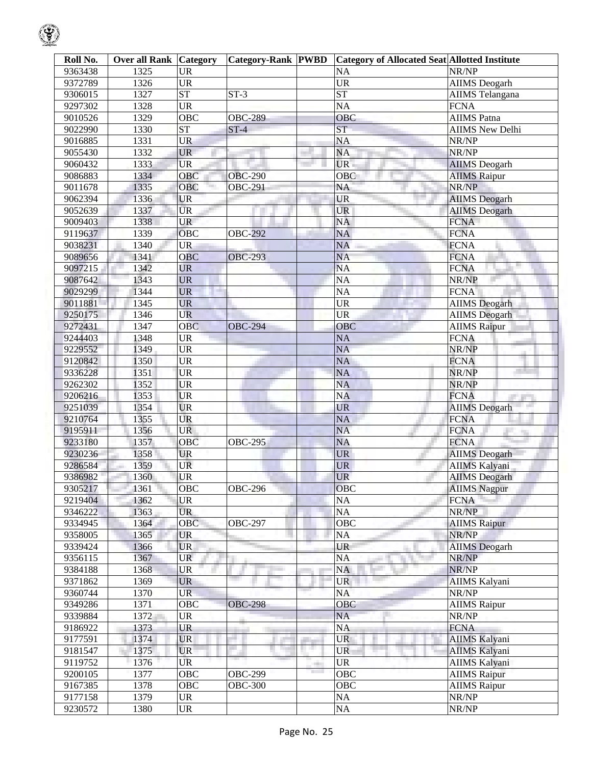| Roll No. | <b>Over all Rank Category</b> |                                   | <b>Category-Rank PWBD</b> |     | <b>Category of Allocated Seat Allotted Institute</b> |                        |
|----------|-------------------------------|-----------------------------------|---------------------------|-----|------------------------------------------------------|------------------------|
| 9363438  | 1325                          | <b>UR</b>                         |                           |     | <b>NA</b>                                            | NR/NP                  |
| 9372789  | 1326                          | <b>UR</b>                         |                           |     | $\overline{UR}$                                      | <b>AIIMS</b> Deogarh   |
| 9306015  | 1327                          | $\overline{\text{ST}}$            | $ST-3$                    |     | $\overline{\text{ST}}$                               | <b>AIIMS</b> Telangana |
| 9297302  | 1328                          | $\overline{\text{UR}}$            |                           |     | <b>NA</b>                                            | <b>FCNA</b>            |
| 9010526  | 1329                          | OBC                               | <b>OBC-289</b>            |     | OBC                                                  | <b>AIIMS</b> Patna     |
| 9022990  | 1330                          | $\overline{\text{ST}}$            | $ST-4$                    |     | ST                                                   | <b>AIIMS</b> New Delhi |
| 9016885  | 1331                          | <b>UR</b>                         |                           |     | <b>NA</b>                                            | NR/NP                  |
| 9055430  | 1332                          | <b>UR</b>                         |                           |     | <b>NA</b>                                            | NR/NP                  |
| 9060432  | 1333                          | <b>UR</b>                         |                           |     | UR.                                                  | <b>AIIMS</b> Deogarh   |
| 9086883  | 1334                          | OBC                               | <b>OBC-290</b>            |     | OBC                                                  | <b>AIIMS Raipur</b>    |
| 9011678  | 1335                          | OBC                               | <b>OBC-291</b>            |     | NA                                                   | NR/NP                  |
| 9062394  | 1336                          | UR                                |                           |     | <b>UR</b>                                            | <b>AIIMS</b> Deogarh   |
| 9052639  | 1337                          | <b>UR</b>                         |                           |     | <b>UR</b>                                            | <b>AIIMS</b> Deogarh   |
| 9009403  | 1338                          | <b>UR</b>                         |                           |     | NA                                                   | <b>FCNA</b>            |
| 9119637  | 1339                          | OBC                               | <b>OBC-292</b>            |     | NA                                                   | <b>FCNA</b>            |
| 9038231  | 1340                          | <b>UR</b>                         |                           |     | <b>NA</b>                                            | <b>FCNA</b>            |
| 9089656  | 1341                          | OBC                               | <b>OBC-293</b>            |     | <b>NA</b>                                            | <b>FCNA</b>            |
| 9097215  | 1342                          | <b>UR</b>                         |                           |     | <b>NA</b>                                            | <b>FCNA</b>            |
| 9087642  | 1343                          | <b>UR</b>                         |                           |     | NA                                                   | NR/NP                  |
| 9029299  | 1344                          | <b>UR</b>                         |                           |     | <b>NA</b>                                            | <b>FCNA</b>            |
| 9011881  | 1345                          | <b>UR</b>                         |                           |     | $\ensuremath{\mathrm{UR}}\xspace$                    | <b>AIIMS</b> Deogarh   |
| 9250175  | 1346                          | <b>UR</b>                         |                           |     | $\ensuremath{\mathrm{UR}}\xspace$                    | <b>AIIMS</b> Deogarh   |
| 9272431  | 1347                          | <b>OBC</b>                        | <b>OBC-294</b>            |     | OBC                                                  | <b>AIIMS Raipur</b>    |
| 9244403  | 1348                          | <b>UR</b>                         |                           |     | NA                                                   | <b>FCNA</b>            |
| 9229552  | 1349                          | <b>UR</b>                         |                           |     | NA                                                   | NR/NP                  |
| 9120842  | 1350                          | <b>UR</b>                         |                           |     | NA                                                   | <b>FCNA</b>            |
| 9336228  | 1351                          | <b>UR</b>                         |                           |     | NA                                                   | NR/NP                  |
| 9262302  | 1352                          | <b>UR</b>                         |                           |     | <b>NA</b>                                            | NR/NP                  |
| 9206216  | 1353                          | <b>UR</b>                         |                           |     | <b>NA</b>                                            | <b>FCNA</b>            |
| 9251039  | 1354                          | <b>UR</b>                         |                           |     | <b>UR</b>                                            | <b>AIIMS</b> Deogarh   |
| 9210764  | 1355                          | <b>UR</b>                         |                           |     | NA                                                   | <b>FCNA</b>            |
| 9195911  | 1356                          | <b>UR</b>                         |                           |     | <b>NA</b>                                            | <b>FCNA</b>            |
| 9233180  | 1357                          | $\overline{O}$ BC                 | <b>OBC-295</b>            |     | <b>NA</b>                                            | ПU.<br><b>FCNA</b>     |
| 9230236  | 1358                          | <b>UR</b>                         |                           |     | $\ensuremath{\mathrm{UR}}\xspace$                    | <b>AIIMS</b> Deogarh   |
| 9286584  | 1359                          | <b>UR</b>                         |                           |     | <b>UR</b>                                            | <b>AIIMS Kalyani</b>   |
| 9386982  | 1360                          | UR                                |                           |     | <b>UR</b>                                            | <b>AIIMS</b> Deogarh   |
| 9305217  | 1361                          | OBC                               | <b>OBC-296</b>            |     | OBC                                                  | <b>AIIMS</b> Nagpur    |
| 9219404  | 1362                          | <b>UR</b>                         |                           |     | NA                                                   | <b>FCNA</b>            |
| 9346222  | 1363                          | UR                                |                           |     | $\rm NA$                                             | NR/NP                  |
| 9334945  | 1364                          | OBC                               | <b>OBC-297</b>            |     | OBC                                                  | <b>AIIMS</b> Raipur    |
| 9358005  | 1365                          | <b>UR</b>                         |                           |     | NA                                                   | NR/NP                  |
| 9339424  | 1366                          | <b>UR</b>                         |                           |     | UR                                                   | <b>AIIMS</b> Deogarh   |
| 9356115  | 1367                          | <b>UR</b>                         |                           |     | NA                                                   | NR/NP                  |
| 9384188  | 1368                          | UR                                |                           |     | NA                                                   | NR/NP                  |
| 9371862  | 1369                          | <b>UR</b>                         |                           |     | <b>UR</b>                                            | <b>AIIMS Kalyani</b>   |
| 9360744  | 1370                          | <b>UR</b>                         |                           |     | NA                                                   | NR/NP                  |
| 9349286  | 1371                          | OBC                               | <b>OBC-298</b>            |     | OBC                                                  | <b>AIIMS Raipur</b>    |
| 9339884  | 1372                          | UR                                |                           |     | NA                                                   | NR/NP                  |
| 9186922  | 1373                          | <b>UR</b>                         |                           |     | NA                                                   | <b>FCNA</b>            |
| 9177591  | 1374                          | <b>UR</b>                         |                           |     | <b>UR</b>                                            | <b>AIIMS Kalyani</b>   |
| 9181547  | 1375                          | <b>UR</b>                         |                           |     | UR                                                   | <b>AIIMS Kalyani</b>   |
| 9119752  | 1376                          | UR                                |                           |     | <b>UR</b>                                            | <b>AIIMS Kalyani</b>   |
| 9200105  | 1377                          | OBC                               | <b>OBC-299</b>            | -93 | OBC                                                  | <b>AIIMS Raipur</b>    |
| 9167385  | 1378                          | <b>OBC</b>                        | <b>OBC-300</b>            |     | OBC                                                  | <b>AIIMS Raipur</b>    |
| 9177158  | 1379                          | <b>UR</b>                         |                           |     |                                                      | NR/NP                  |
|          |                               | $\ensuremath{\mathrm{UR}}\xspace$ |                           |     | $\rm NA$<br>$\overline{NA}$                          |                        |
| 9230572  | 1380                          |                                   |                           |     |                                                      | NR/NP                  |

 $\mathcal{G}% _{ij}$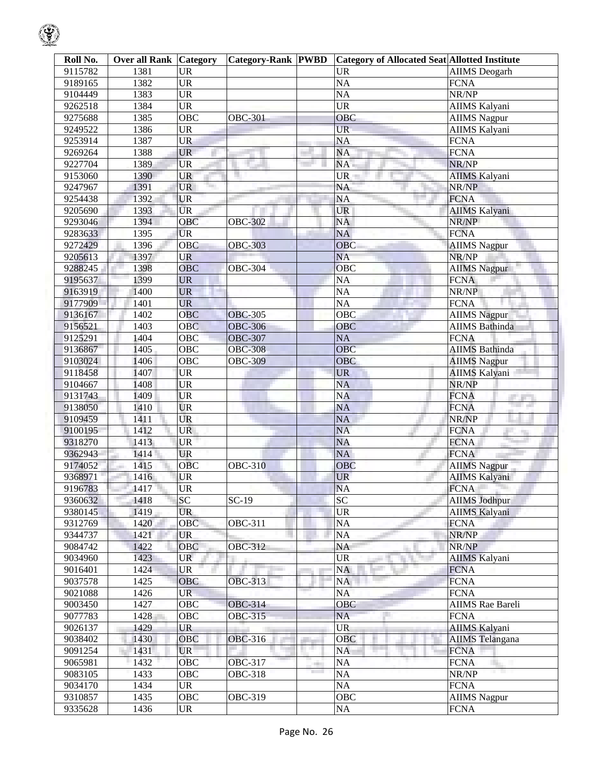| Roll No.           | <b>Over all Rank Category</b> |                                   | <b>Category-Rank PWBD</b> |                                | <b>Category of Allocated Seat Allotted Institute</b> |                                     |
|--------------------|-------------------------------|-----------------------------------|---------------------------|--------------------------------|------------------------------------------------------|-------------------------------------|
| 9115782            | 1381                          | <b>UR</b>                         |                           |                                | <b>UR</b>                                            | <b>AIIMS</b> Deogarh                |
| 9189165            | 1382                          | $\overline{\text{UR}}$            |                           |                                | $\overline{NA}$                                      | <b>FCNA</b>                         |
| 9104449            | 1383                          | $\overline{\text{UR}}$            |                           |                                | $\overline{NA}$                                      | NR/NP                               |
| 9262518            | 1384                          | $\overline{UR}$                   |                           |                                | <b>UR</b>                                            | AIIMS Kalyani                       |
| 9275688            | 1385                          | OBC                               | <b>OBC-301</b>            |                                | OBC                                                  | <b>AIIMS Nagpur</b>                 |
| 9249522            | 1386                          | $\overline{UR}$                   |                           |                                | $\overline{\text{UR}}$                               | <b>AIIMS Kalyani</b>                |
| 9253914            | 1387                          | <b>UR</b>                         |                           |                                | <b>NA</b>                                            | <b>FCNA</b>                         |
| 9269264            | 1388                          | <b>UR</b>                         |                           |                                | <b>NA</b>                                            | <b>FCNA</b>                         |
| 9227704            | 1389                          | <b>UR</b>                         |                           |                                | NA                                                   | NR/NP                               |
| 9153060            | 1390                          | UR                                |                           |                                | <b>UR</b>                                            | <b>AIIMS Kalyani</b>                |
| 9247967            | 1391                          | <b>UR</b>                         |                           |                                | <b>NA</b>                                            | NR/NP                               |
| 9254438            | 1392                          | <b>UR</b>                         |                           |                                | NA                                                   | <b>FCNA</b>                         |
| 9205690            | 1393                          | <b>UR</b>                         |                           |                                | UR                                                   | <b>AIIMS Kalyani</b>                |
| 9293046            | 1394                          | OBC                               | <b>OBC-302</b>            |                                | <b>NA</b>                                            | NR/NP                               |
| 9283633            | 1395                          | <b>UR</b>                         |                           |                                | <b>NA</b>                                            | <b>FCNA</b>                         |
| 9272429            | 1396                          | <b>OBC</b>                        | <b>OBC-303</b>            |                                | <b>OBC</b>                                           | <b>AIIMS Nagpur</b>                 |
| 9205613            | 1397                          | <b>UR</b>                         |                           |                                | <b>NA</b>                                            | NR/NP                               |
| 9288245            | 1398                          | <b>OBC</b>                        | <b>OBC-304</b>            |                                | OBC                                                  | <b>AIIMS Nagpur</b>                 |
| 9195637            | 1399                          | <b>UR</b>                         |                           |                                | <b>NA</b>                                            | <b>FCNA</b>                         |
| 9163919            | 1400                          | <b>UR</b>                         |                           |                                | $\overline{NA}$                                      | NR/NP                               |
| 9177909            | 1401                          | <b>UR</b>                         |                           |                                | $\overline{NA}$                                      | <b>FCNA</b>                         |
| 9136167            | 1402                          | OBC                               | <b>OBC-305</b>            |                                | OBC                                                  | <b>AIIMS Nagpur</b>                 |
| 9156521            | 1403                          | <b>OBC</b>                        | <b>OBC-306</b>            |                                | OBC                                                  | <b>AIIMS</b> Bathinda               |
| 9125291            | 1404                          | OBC                               | <b>OBC-307</b>            |                                | <b>NA</b>                                            | <b>FCNA</b>                         |
| 9136867            | 1405                          | OBC                               | <b>OBC-308</b>            |                                | OBC                                                  | <b>AIIMS Bathinda</b>               |
| 9103024            | 1406                          | OBC                               | <b>OBC-309</b>            |                                | OBC                                                  | <b>AIIMS Nagpur</b>                 |
| 9118458            | 1407                          | <b>UR</b>                         |                           |                                | <b>UR</b>                                            | <b>AIIMS Kalyani</b>                |
| 9104667            | 1408                          | <b>UR</b>                         |                           |                                | <b>NA</b>                                            | NR/NP                               |
| 9131743            | 1409                          | <b>UR</b>                         |                           |                                | <b>NA</b>                                            | <b>FCNA</b>                         |
| 9138050            | 1410                          | <b>UR</b>                         |                           |                                | <b>NA</b>                                            | <b>The Control</b><br><b>FCNA</b>   |
| 9109459            | 1411                          | <b>UR</b>                         |                           |                                | <b>NA</b>                                            | NR/NP                               |
| 9100195            | 1412                          | <b>UR</b>                         |                           |                                | <b>NA</b>                                            | <b>FCNA</b>                         |
| 9318270            | 1413                          | <b>UR</b>                         |                           |                                | <b>NA</b>                                            | 76<br><b>FCNA</b>                   |
| 9362943            | 1414                          | <b>UR</b>                         |                           |                                | NA                                                   | <b>FCNA</b>                         |
| 9174052            | 1415                          | OBC                               | <b>OBC-310</b>            |                                | OBC                                                  | <b>AIIMS Nagpur</b>                 |
| 9368971            | 1416                          | UR                                |                           |                                | <b>UR</b>                                            | <b>AIIMS Kalyani</b>                |
| 9196783            | 1417                          | $\overline{\text{UR}}$            |                           |                                | NA                                                   | <b>FCNA</b>                         |
| 9360632            | 1418                          | $\overline{SC}$                   | $SC-19$                   |                                | $\overline{SC}$                                      | <b>AIIMS Jodhpur</b>                |
| 9380145            | 1419                          | <b>UR</b>                         |                           |                                | $\ensuremath{\mathrm{UR}}\xspace$                    | <b>AIIMS Kalyani</b>                |
| 9312769            | 1420                          | OBC                               | <b>OBC-311</b>            |                                | $\overline{NA}$                                      | <b>FCNA</b>                         |
| 9344737            | 1421                          | <b>UR</b>                         |                           |                                | NA                                                   | NR/NP                               |
| 9084742            | 1422                          | <b>OBC</b>                        | OBC-312                   |                                | NA                                                   | NR/NP                               |
| 9034960            | 1423                          | UR                                |                           |                                | <b>UR</b>                                            | <b>AIIMS</b> Kalyani                |
| 9016401            | 1424                          | UR                                |                           |                                | <b>NA</b>                                            | <b>FCNA</b>                         |
| 9037578            | 1425                          | <b>OBC</b>                        | <b>OBC-313</b>            |                                | NA                                                   | <b>FCNA</b>                         |
| 9021088            | 1426                          | <b>UR</b>                         |                           |                                | NA                                                   | <b>FCNA</b>                         |
| 9003450            | 1427                          | OBC                               | <b>OBC-314</b>            |                                | OBC                                                  | <b>AIIMS Rae Bareli</b>             |
|                    |                               |                                   | OBC-315                   |                                |                                                      |                                     |
| 9077783<br>9026137 | 1428<br>1429                  | OBC<br><b>UR</b>                  |                           |                                | NA<br><b>UR</b>                                      | <b>FCNA</b><br><b>AIIMS Kalyani</b> |
|                    |                               |                                   |                           |                                |                                                      |                                     |
| 9038402            | 1430                          | <b>OBC</b>                        | OBC-316                   | n en                           | OBC                                                  | <b>AIIMS</b> Telangana              |
| 9091254            | 1431                          | <b>UR</b>                         |                           |                                | <b>NA</b>                                            | <b>FCNA</b>                         |
| 9065981            | 1432                          | <b>OBC</b>                        | OBC-317                   | <b>The Contract of Service</b> | <b>NA</b>                                            | <b>FCNA</b><br>- 70                 |
| 9083105            | 1433                          | OBC                               | OBC-318                   |                                | NA                                                   | NR/NP                               |
| 9034170            | 1434                          | <b>UR</b>                         |                           |                                | NA                                                   | <b>FCNA</b>                         |
| 9310857            | 1435                          | OBC                               | OBC-319                   |                                | OBC                                                  | <b>AIIMS</b> Nagpur                 |
| 9335628            | 1436                          | $\ensuremath{\mathsf{UR}}\xspace$ |                           |                                | $\overline{NA}$                                      | <b>FCNA</b>                         |

 $\mathcal{G}% _{ij}$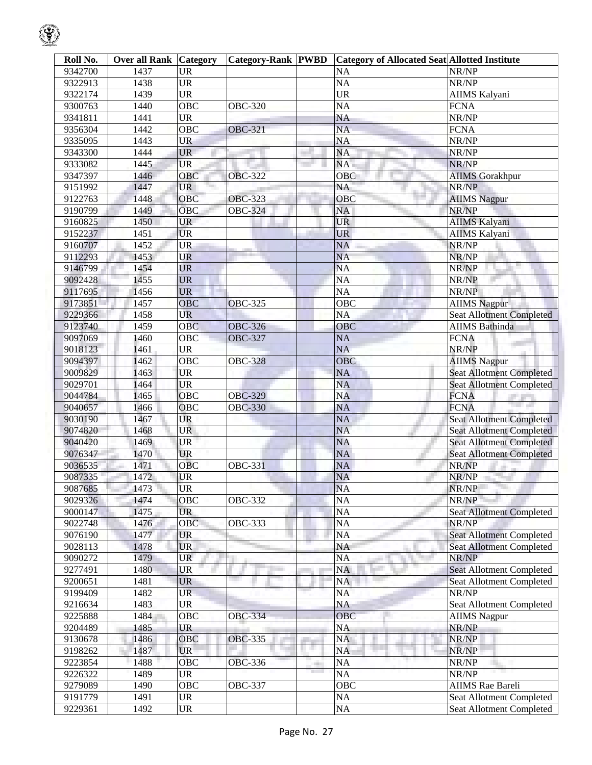| Roll No. | <b>Over all Rank Category</b> |                                   | <b>Category-Rank PWBD</b> | <b>Category of Allocated Seat Allotted Institute</b> |                                  |
|----------|-------------------------------|-----------------------------------|---------------------------|------------------------------------------------------|----------------------------------|
| 9342700  | 1437                          | <b>UR</b>                         |                           | <b>NA</b>                                            | NR/NP                            |
| 9322913  | 1438                          | <b>UR</b>                         |                           | <b>NA</b>                                            | NR/NP                            |
| 9322174  | 1439                          | $\ensuremath{\mathrm{UR}}\xspace$ |                           | <b>UR</b>                                            | AIIMS Kalyani                    |
| 9300763  | 1440                          | OBC                               | OBC-320                   | <b>NA</b>                                            | <b>FCNA</b>                      |
| 9341811  | 1441                          | <b>UR</b>                         |                           | <b>NA</b>                                            | NR/NP                            |
| 9356304  | 1442                          | OBC                               | <b>OBC-321</b>            | $\overline{NA}$                                      | <b>FCNA</b>                      |
| 9335095  | 1443                          | <b>UR</b>                         |                           | <b>NA</b>                                            | NR/NP                            |
| 9343300  | 1444                          | <b>UR</b>                         |                           | <b>NA</b>                                            | NR/NP                            |
| 9333082  | 1445                          | <b>UR</b>                         |                           | NA                                                   | NR/NP                            |
| 9347397  | 1446                          | OBC                               | <b>OBC-322</b>            | OBC                                                  | <b>AIIMS</b> Gorakhpur           |
| 9151992  | 1447                          | <b>UR</b>                         |                           | NA                                                   | NR/NP                            |
| 9122763  | 1448                          | OBC                               | <b>OBC-323</b>            | OBC                                                  | <b>AIIMS Nagpur</b>              |
| 9190799  | 1449                          | <b>OBC</b>                        | <b>OBC-324</b>            | NA                                                   | NR/NP                            |
| 9160825  | 1450                          | <b>UR</b>                         |                           | <b>UR</b>                                            | <b>AIIMS Kalyani</b>             |
| 9152237  | 1451                          | <b>UR</b>                         |                           | <b>UR</b>                                            | <b>AIIMS Kalyani</b>             |
| 9160707  | 1452                          | <b>UR</b>                         |                           | <b>NA</b>                                            | NR/NP                            |
| 9112293  | 1453                          | UR                                |                           | <b>NA</b>                                            | NR/NP                            |
| 9146799  | 1454                          | <b>UR</b>                         |                           | <b>NA</b>                                            | NR/NP                            |
| 9092428  | 1455                          | <b>UR</b>                         |                           | NA                                                   | NR/NP                            |
| 9117695  | 1456                          | <b>UR</b>                         |                           | $\overline{NA}$                                      | NR/NP                            |
| 9173851  | 1457                          | OBC                               | <b>OBC-325</b>            | OBC                                                  | <b>AIIMS</b> Nagpur              |
| 9229366  | 1458                          | <b>UR</b>                         |                           | <b>NA</b>                                            | <b>Seat Allotment Completed</b>  |
| 9123740  | 1459                          | OBC                               | <b>OBC-326</b>            | OBC                                                  | <b>AIIMS</b> Bathinda            |
| 9097069  | 1460                          | OBC                               | <b>OBC-327</b>            | <b>NA</b>                                            | <b>FCNA</b>                      |
| 9018123  | 1461                          | <b>UR</b>                         |                           | <b>NA</b>                                            | NR/NP                            |
| 9094397  | 1462                          | OBC                               | <b>OBC-328</b>            | OBC                                                  | <b>AIIMS Nagpur</b>              |
| 9009829  | 1463                          | <b>UR</b>                         |                           | <b>NA</b>                                            | <b>Seat Allotment Completed</b>  |
| 9029701  | 1464                          | <b>UR</b>                         |                           | <b>NA</b>                                            | <b>Seat Allotment Completed</b>  |
| 9044784  | 1465                          | <b>OBC</b>                        | <b>OBC-329</b>            | <b>NA</b>                                            | <b>FCNA</b><br><b>CONTRACTOR</b> |
| 9040657  | 1466                          | OBC                               | <b>OBC-330</b>            | <b>NA</b>                                            | <b>FCNA</b>                      |
| 9030190  | 1467                          | UR                                |                           | <b>NA</b>                                            | <b>Seat Allotment Completed</b>  |
| 9074820  | 1468                          | <b>UR</b>                         |                           | <b>NA</b>                                            | <b>Seat Allotment Completed</b>  |
| 9040420  | 1469                          | <b>UR</b>                         |                           | <b>NA</b>                                            | <b>Seat Allotment Completed</b>  |
| 9076347  | 1470                          | <b>UR</b>                         |                           | NA                                                   | <b>Seat Allotment Completed</b>  |
| 9036535  | 1471                          | <b>OBC</b>                        | <b>OBC-331</b>            | <b>NA</b>                                            | NR/NP                            |
| 9087335  | 1472                          | <b>UR</b>                         |                           | <b>NA</b>                                            | NR/NP                            |
| 9087685  | 1473                          | <b>UR</b>                         |                           | <b>NA</b>                                            | NR/NP                            |
| 9029326  | 1474                          | OBC                               | OBC-332                   | <b>NA</b>                                            | NR/NP                            |
| 9000147  | 1475                          | <b>UR</b>                         |                           | <b>NA</b>                                            | <b>Seat Allotment Completed</b>  |
| 9022748  | 1476                          | OBC                               | <b>OBC-333</b>            | <b>NA</b>                                            | NR/NP                            |
| 9076190  | 1477                          | <b>UR</b>                         |                           | <b>NA</b>                                            | <b>Seat Allotment Completed</b>  |
| 9028113  | 1478                          | <b>UR</b>                         |                           | <b>NA</b>                                            | <b>Seat Allotment Completed</b>  |
| 9090272  | 1479                          | <b>UR</b>                         |                           | <b>NA</b>                                            | NR/NP                            |
| 9277491  | 1480                          | <b>UR</b>                         |                           | <b>NA</b>                                            | <b>Seat Allotment Completed</b>  |
| 9200651  | 1481                          | <b>UR</b>                         |                           | NA                                                   | <b>Seat Allotment Completed</b>  |
| 9199409  | 1482                          | <b>UR</b>                         |                           | <b>NA</b>                                            | NR/NP                            |
| 9216634  | 1483                          | <b>UR</b>                         |                           | <b>NA</b>                                            | Seat Allotment Completed         |
| 9225888  | 1484                          | OBC                               | <b>OBC-334</b>            | OBC                                                  | <b>AIIMS</b> Nagpur              |
| 9204489  | 1485                          | <b>UR</b>                         |                           | <b>NA</b>                                            | NR/NP                            |
| 9130678  | 1486                          | OBC                               | <b>OBC-335</b>            | NA                                                   | NR/NP                            |
| 9198262  | 1487                          | <b>UR</b>                         |                           | NA                                                   | NR/NP                            |
| 9223854  | 1488                          | OBC                               | <b>OBC-336</b>            | <b>NA</b>                                            | NR/NP                            |
| 9226322  | 1489                          | $\ensuremath{\mathsf{UR}}\xspace$ |                           | <b>NA</b>                                            | NR/NP                            |
| 9279089  | 1490                          | OBC                               | <b>OBC-337</b>            | OBC                                                  | <b>AIIMS</b> Rae Bareli          |
| 9191779  | 1491                          | $\ensuremath{\mathsf{UR}}\xspace$ |                           | $\rm NA$                                             | Seat Allotment Completed         |
| 9229361  | 1492                          | <b>UR</b>                         |                           | <b>NA</b>                                            | Seat Allotment Completed         |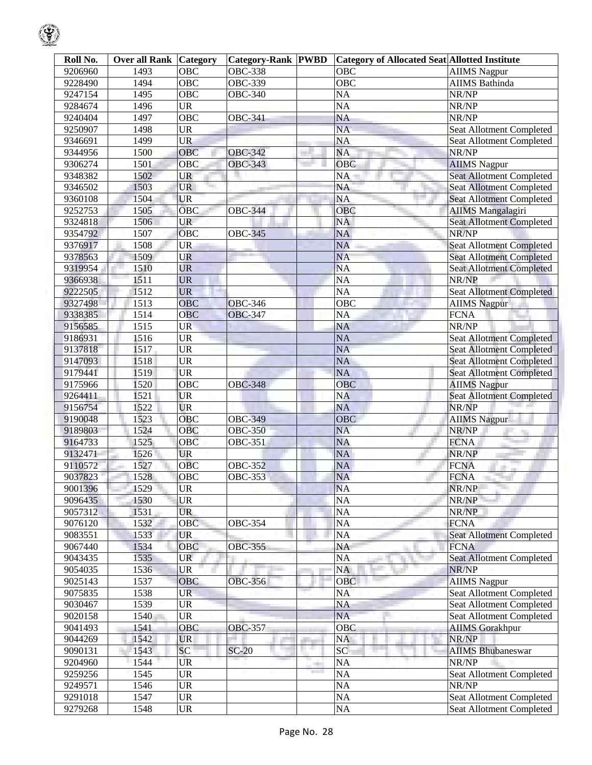| Roll No.           | <b>Over all Rank Category</b> |                                   | <b>Category-Rank PWBD</b> |                                     | <b>Category of Allocated Seat Allotted Institute</b> |                                 |
|--------------------|-------------------------------|-----------------------------------|---------------------------|-------------------------------------|------------------------------------------------------|---------------------------------|
| 9206960            | 1493                          | <b>OBC</b>                        | <b>OBC-338</b>            |                                     | <b>OBC</b>                                           | <b>AIIMS</b> Nagpur             |
| 9228490            | 1494                          | <b>OBC</b>                        | <b>OBC-339</b>            |                                     | $\overline{OBC}$                                     | <b>AIIMS</b> Bathinda           |
| 9247154            | 1495                          | <b>OBC</b>                        | <b>OBC-340</b>            |                                     | $\overline{NA}$                                      | NR/NP                           |
| 9284674            | 1496                          | <b>UR</b>                         |                           |                                     | NA                                                   | NR/NP                           |
| 9240404            | 1497                          | $\overline{OBC}$                  | <b>OBC-341</b>            |                                     | <b>NA</b>                                            | NR/NP                           |
| 9250907            | 1498                          | <b>UR</b>                         |                           |                                     | <b>NA</b>                                            | Seat Allotment Completed        |
| 9346691            | 1499                          | <b>UR</b>                         |                           |                                     | <b>NA</b>                                            | Seat Allotment Completed        |
| 9344956            | 1500                          | OBC                               | <b>OBC-342</b>            |                                     | <b>NA</b>                                            | NR/NP                           |
| 9306274            | 1501                          | OBC                               | <b>OBC-343</b>            |                                     | OBC                                                  | <b>AIIMS Nagpur</b>             |
| 9348382            | 1502                          | <b>UR</b>                         |                           |                                     | $\overline{NA}$                                      | <b>Seat Allotment Completed</b> |
| 9346502            | 1503                          | <b>UR</b>                         |                           |                                     | NA                                                   | Seat Allotment Completed        |
| 9360108            | 1504                          | <b>UR</b>                         |                           |                                     | <b>NA</b>                                            | <b>Seat Allotment Completed</b> |
| 9252753            | 1505                          | $\overline{OBC}$                  | <b>OBC-344</b>            |                                     | OBC                                                  | <b>AIIMS</b> Mangalagiri        |
| 9324818            | 1506                          | <b>UR</b>                         |                           |                                     | <b>NA</b>                                            | <b>Seat Allotment Completed</b> |
| 9354792            | 1507                          | OBC                               | <b>OBC-345</b>            |                                     | <b>NA</b>                                            | NR/NP                           |
| 9376917            | 1508                          | <b>UR</b>                         |                           |                                     | <b>NA</b>                                            | <b>Seat Allotment Completed</b> |
| 9378563            | 1509                          | <b>UR</b>                         |                           |                                     | <b>NA</b>                                            | <b>Seat Allotment Completed</b> |
| 9319954            | 1510                          | <b>UR</b>                         |                           |                                     | <b>NA</b>                                            | <b>Seat Allotment Completed</b> |
| 9366938            | 1511                          | <b>UR</b>                         |                           |                                     | <b>NA</b>                                            | NR/NP                           |
| 9222505            | 1512                          | <b>UR</b>                         |                           |                                     | $\overline{NA}$                                      | <b>Seat Allotment Completed</b> |
| 9327498            | 1513                          | <b>OBC</b>                        | <b>OBC-346</b>            |                                     | $\overline{OBC}$                                     | <b>AIIMS Nagpur</b>             |
| 9338385            | 1514                          | OBC                               | <b>OBC-347</b>            |                                     | <b>NA</b>                                            | <b>FCNA</b>                     |
| 9156585            | 1515                          | <b>UR</b>                         |                           |                                     | <b>NA</b>                                            | NR/NP                           |
|                    | 1516                          | <b>UR</b>                         |                           |                                     | <b>NA</b>                                            |                                 |
| 9186931<br>9137818 | 1517                          |                                   |                           |                                     |                                                      | <b>Seat Allotment Completed</b> |
|                    |                               | <b>UR</b>                         |                           |                                     | <b>NA</b>                                            | <b>Seat Allotment Completed</b> |
| 9147093            | 1518                          | <b>UR</b>                         |                           |                                     | <b>NA</b>                                            | <b>Seat Allotment Completed</b> |
| 9179441            | 1519                          | <b>UR</b>                         |                           |                                     | <b>NA</b>                                            | <b>Seat Allotment Completed</b> |
| 9175966            | 1520                          | OBC                               | <b>OBC-348</b>            |                                     | OBC                                                  | <b>AIIMS Nagpur</b>             |
| 9264411            | 1521                          | <b>UR</b>                         |                           |                                     | <b>NA</b>                                            | <b>Seat Allotment Completed</b> |
| 9156754            | 1522                          | <b>UR</b>                         |                           |                                     | <b>NA</b>                                            | NR/NP                           |
| 9190048            | 1523                          | <b>OBC</b>                        | <b>OBC-349</b>            |                                     | OBC                                                  | <b>AIIMS Nagpur</b>             |
| 9189803            | 1524                          | OBC                               | <b>OBC-350</b>            |                                     | <b>NA</b>                                            | NR/NP                           |
| 9164733            | 1525                          | OBC                               | <b>OBC-351</b>            |                                     | <b>NA</b>                                            | <b>FCNA</b>                     |
| 9132471            | 1526                          | <b>UR</b>                         |                           |                                     | <b>NA</b>                                            | NR/NP                           |
| 9110572            | 1527                          | <b>OBC</b>                        | <b>OBC-352</b>            |                                     | <b>NA</b>                                            | <b>FCNA</b>                     |
| 9037823            | 1528                          | OBC                               | <b>OBC-353</b>            |                                     | <b>NA</b>                                            | <b>FCNA</b>                     |
| 9001396            | 1529                          | <b>UR</b>                         |                           |                                     | <b>NA</b>                                            | NR/NP                           |
| 9096435            | 1530                          | <b>UR</b>                         |                           |                                     | <b>NA</b>                                            | NR/NP                           |
| 9057312            | 1531                          | <b>UR</b>                         |                           |                                     | NA                                                   | NR/NP                           |
| 9076120            | 1532                          | <b>OBC</b>                        | <b>OBC-354</b>            |                                     | NA                                                   | <b>FCNA</b>                     |
| 9083551            | 1533                          | <b>UR</b>                         |                           |                                     | <b>NA</b>                                            | <b>Seat Allotment Completed</b> |
| 9067440            | 1534                          | OBC                               | <b>OBC-355</b>            |                                     | <b>NA</b>                                            | <b>FCNA</b>                     |
| 9043435            | 1535                          | <b>UR</b>                         |                           |                                     | NA                                                   | <b>Seat Allotment Completed</b> |
| 9054035            | 1536                          | <b>UR</b>                         |                           |                                     | NA                                                   | NR/NP                           |
| 9025143            | 1537                          | <b>OBC</b>                        | <b>OBC-356</b>            |                                     | <b>OBC</b>                                           | <b>AIIMS</b> Nagpur             |
| 9075835            | 1538                          | <b>UR</b>                         |                           |                                     | <b>NA</b>                                            | <b>Seat Allotment Completed</b> |
| 9030467            | 1539                          | <b>UR</b>                         |                           |                                     | <b>NA</b>                                            | Seat Allotment Completed        |
| 9020158            | 1540                          | <b>UR</b>                         |                           |                                     | <b>NA</b>                                            | Seat Allotment Completed        |
| 9041493            | 1541                          | OBC                               | <b>OBC-357</b>            |                                     | <b>OBC</b>                                           | <b>AIIMS Gorakhpur</b>          |
| 9044269            | 1542                          | <b>UR</b>                         |                           |                                     | <b>NA</b>                                            | NR/NP                           |
| 9090131            | 1543                          | SC                                | $\overline{SC}$ -20       | 11 M                                | SC                                                   | <b>AIIMS Bhubaneswar</b>        |
| 9204960            | 1544                          | <b>UR</b>                         |                           | eko                                 | <b>NA</b>                                            | NR/NP                           |
| 9259256            | 1545                          | <b>UR</b>                         |                           | <b>The Contract of the Contract</b> | NA                                                   | <b>Seat Allotment Completed</b> |
| 9249571            | 1546                          | <b>UR</b>                         |                           |                                     | NA                                                   | NR/NP                           |
| 9291018            | 1547                          | <b>UR</b>                         |                           |                                     | NA                                                   | Seat Allotment Completed        |
| 9279268            | 1548                          | $\ensuremath{\mathsf{UR}}\xspace$ |                           |                                     | NA                                                   | Seat Allotment Completed        |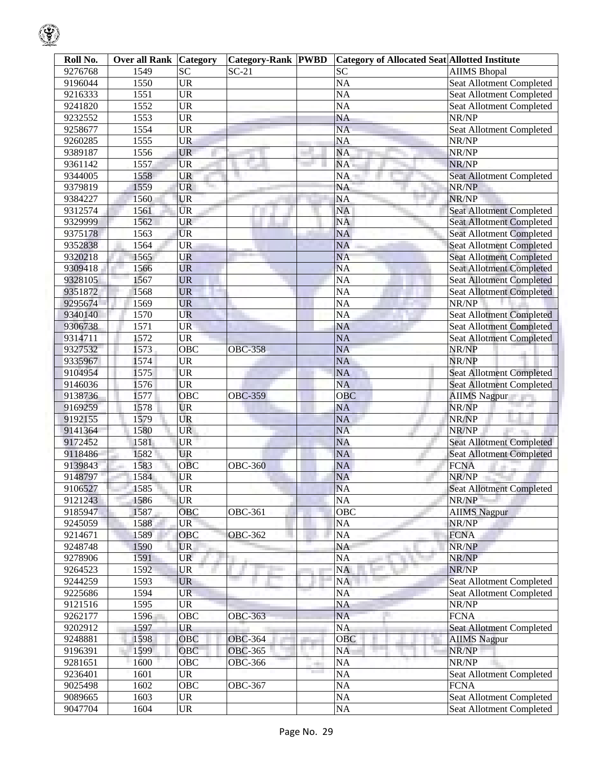| Roll No. | <b>Over all Rank Category</b> |           | <b>Category-Rank PWBD</b> |    | <b>Category of Allocated Seat Allotted Institute</b> |                                 |
|----------|-------------------------------|-----------|---------------------------|----|------------------------------------------------------|---------------------------------|
| 9276768  | 1549                          | <b>SC</b> | $SC-21$                   |    | <b>SC</b>                                            | <b>AIIMS Bhopal</b>             |
| 9196044  | 1550                          | <b>UR</b> |                           |    | <b>NA</b>                                            | Seat Allotment Completed        |
| 9216333  | 1551                          | <b>UR</b> |                           |    | $\overline{NA}$                                      | Seat Allotment Completed        |
| 9241820  | 1552                          | <b>UR</b> |                           |    | <b>NA</b>                                            | Seat Allotment Completed        |
| 9232552  | 1553                          | <b>UR</b> |                           |    | $\overline{NA}$                                      | NR/NP                           |
| 9258677  | 1554                          | <b>UR</b> |                           |    | <b>NA</b>                                            | Seat Allotment Completed        |
| 9260285  | 1555                          | <b>UR</b> |                           |    | $\overline{NA}$                                      | NR/NP                           |
| 9389187  | 1556                          | <b>UR</b> |                           |    | <b>NA</b>                                            | NR/NP                           |
| 9361142  | 1557                          | <b>UR</b> |                           |    | <b>NA</b>                                            | NR/NP                           |
| 9344005  | 1558                          | <b>UR</b> |                           |    | NA                                                   | <b>Seat Allotment Completed</b> |
| 9379819  | 1559                          | <b>UR</b> |                           |    | NA                                                   | NR/NP                           |
| 9384227  | 1560                          | <b>UR</b> |                           |    | <b>NA</b>                                            | NR/NP                           |
| 9312574  | 1561                          | <b>UR</b> |                           |    | <b>NA</b>                                            | <b>Seat Allotment Completed</b> |
| 9329999  | 1562                          | <b>UR</b> |                           |    | <b>NA</b>                                            | <b>Seat Allotment Completed</b> |
| 9375178  | 1563                          | <b>UR</b> |                           |    | <b>NA</b>                                            | <b>Seat Allotment Completed</b> |
| 9352838  | 1564                          | <b>UR</b> |                           |    | <b>NA</b>                                            | <b>Seat Allotment Completed</b> |
| 9320218  | 1565                          | UR        |                           |    | <b>NA</b>                                            | <b>Seat Allotment Completed</b> |
| 9309418  | 1566                          | <b>UR</b> |                           |    | <b>NA</b>                                            | <b>Seat Allotment Completed</b> |
| 9328105  | 1567                          | <b>UR</b> |                           |    | <b>NA</b>                                            | <b>Seat Allotment Completed</b> |
| 9351872  | 1568                          | <b>UR</b> |                           |    | <b>NA</b>                                            | <b>Seat Allotment Completed</b> |
| 9295674  | 1569                          | <b>UR</b> |                           |    | <b>NA</b>                                            | NR/NP                           |
| 9340140  | 1570                          | <b>UR</b> |                           |    | NA                                                   | <b>Seat Allotment Completed</b> |
| 9306738  | 1571                          | <b>UR</b> |                           |    | NA                                                   | Seat Allotment Completed        |
| 9314711  | 1572                          | <b>UR</b> |                           |    | NA                                                   | <b>Seat Allotment Completed</b> |
| 9327532  | 1573                          | OBC       | <b>OBC-358</b>            |    | <b>NA</b>                                            | NR/NP                           |
| 9335967  | 1574                          | <b>UR</b> |                           |    | <b>NA</b>                                            | NR/NP                           |
| 9104954  | 1575                          | <b>UR</b> |                           |    | <b>NA</b>                                            | <b>Seat Allotment Completed</b> |
| 9146036  | 1576                          | <b>UR</b> |                           |    | <b>NA</b>                                            | <b>Seat Allotment Completed</b> |
| 9138736  | 1577                          | OBC       | <b>OBC-359</b>            |    | OBC                                                  | <b>AIIMS Nagpur</b>             |
| 9169259  | 1578                          | <b>UR</b> |                           |    | <b>NA</b>                                            | NR/NP                           |
| 9192155  | 1579                          | <b>UR</b> |                           |    | <b>NA</b>                                            | NR/NP                           |
| 9141364  | 1580                          | <b>UR</b> |                           |    | <b>NA</b>                                            | NR/NP                           |
| 9172452  | 1581                          | <b>UR</b> |                           |    | <b>NA</b>                                            | <b>Seat Allotment Completed</b> |
| 9118486  | 1582                          | <b>UR</b> |                           |    | NA                                                   | <b>Seat Allotment Completed</b> |
| 9139843  | 1583                          | OBC       | <b>OBC-360</b>            |    | <b>NA</b>                                            | <b>FCNA</b>                     |
| 9148797  | 1584                          | UR        |                           |    | <b>NA</b>                                            | NR/NP                           |
| 9106527  | 1585                          | <b>UR</b> |                           |    | <b>NA</b>                                            | <b>Seat Allotment Completed</b> |
| 9121243  | 1586                          | <b>UR</b> |                           |    | NA                                                   | NR/NP                           |
| 9185947  | 1587                          | OBC       | OBC-361                   |    | OBC                                                  | <b>AIIMS</b> Nagpur             |
| 9245059  | 1588                          | <b>UR</b> |                           |    | NA                                                   | NR/NP                           |
| 9214671  | 1589                          | OBC       | <b>OBC-362</b>            |    | NA                                                   | <b>FCNA</b>                     |
| 9248748  | 1590                          | <b>UR</b> |                           |    | NA                                                   | NR/NP                           |
| 9278906  | 1591                          | <b>UR</b> |                           |    | NA                                                   | NR/NP                           |
| 9264523  | 1592                          | UR        |                           |    | NA                                                   | NR/NP                           |
| 9244259  | 1593                          | <b>UR</b> |                           |    | NA                                                   | Seat Allotment Completed        |
| 9225686  | 1594                          | <b>UR</b> |                           |    | <b>NA</b>                                            | <b>Seat Allotment Completed</b> |
| 9121516  | 1595                          | <b>UR</b> |                           |    | NA                                                   | NR/NP                           |
| 9262177  | 1596                          | OBC       | <b>OBC-363</b>            |    | <b>NA</b>                                            | <b>FCNA</b>                     |
| 9202912  | 1597                          | <b>UR</b> |                           |    | NA                                                   | <b>Seat Allotment Completed</b> |
| 9248881  | 1598                          | OBC       | <b>OBC-364</b>            |    | OBC                                                  | <b>AIIMS Nagpur</b>             |
| 9196391  | 1599                          | OBC       | <b>OBC-365</b>            | s. | NA                                                   | NR/NP                           |
| 9281651  | 1600                          | OBC       | OBC-366                   |    | NA                                                   | NR/NP                           |
| 9236401  | 1601                          | <b>UR</b> |                           |    | <b>NA</b>                                            | Seat Allotment Completed        |
| 9025498  | 1 <sub>602</sub>              | OBC       | OBC-367                   |    | NA                                                   | <b>FCNA</b>                     |
| 9089665  | 1603                          | <b>UR</b> |                           |    | NA                                                   | Seat Allotment Completed        |
| 9047704  | 1604                          | <b>UR</b> |                           |    | NA                                                   | Seat Allotment Completed        |
|          |                               |           |                           |    |                                                      |                                 |

 $\mathbb{C}$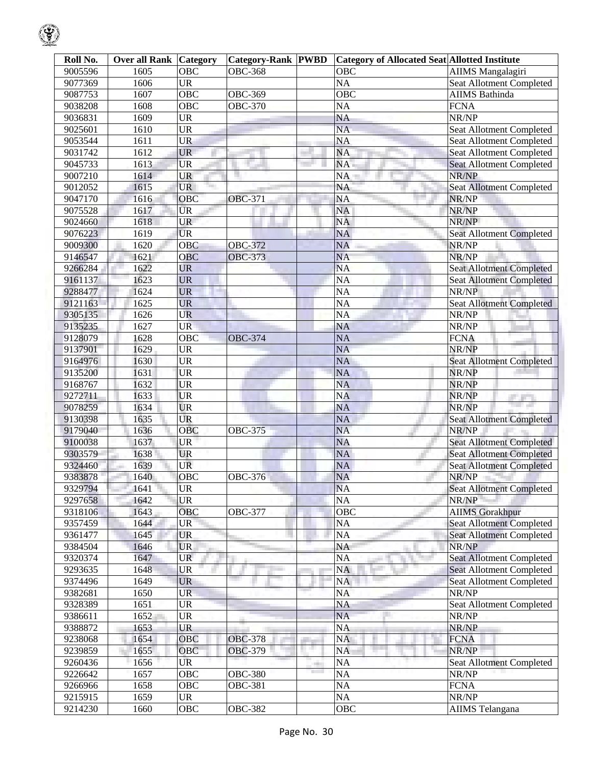| Roll No. | Over all Rank | <b>Category</b>   | <b>Category-Rank PWBD</b> |      | <b>Category of Allocated Seat Allotted Institute</b> |                                 |
|----------|---------------|-------------------|---------------------------|------|------------------------------------------------------|---------------------------------|
| 9005596  | 1605          | OBC               | <b>OBC-368</b>            |      | OBC                                                  | <b>AIIMS</b> Mangalagiri        |
| 9077369  | 1606          | <b>UR</b>         |                           |      | <b>NA</b>                                            | Seat Allotment Completed        |
| 9087753  | 1607          | OBC               | <b>OBC-369</b>            |      | $\overline{OBC}$                                     | <b>AIIMS Bathinda</b>           |
| 9038208  | 1608          | OBC               | <b>OBC-370</b>            |      | <b>NA</b>                                            | <b>FCNA</b>                     |
| 9036831  | 1609          | <b>UR</b>         |                           |      | <b>NA</b>                                            | NR/NP                           |
| 9025601  | 1610          | <b>UR</b>         |                           |      | <b>NA</b>                                            | Seat Allotment Completed        |
| 9053544  | 1611          | <b>UR</b>         |                           |      | <b>NA</b>                                            | Seat Allotment Completed        |
| 9031742  | 1612          | <b>UR</b>         |                           |      | <b>NA</b>                                            | <b>Seat Allotment Completed</b> |
| 9045733  | 1613          | <b>UR</b>         |                           |      | NA                                                   | <b>Seat Allotment Completed</b> |
| 9007210  | 1614          | <b>UR</b>         |                           |      | NA                                                   | NR/NP                           |
| 9012052  | 1615          | <b>UR</b>         |                           |      | <b>NA</b>                                            | Seat Allotment Completed        |
| 9047170  | 1616          | OBC               | <b>OBC-371</b>            |      | <b>NA</b>                                            | NR/NP                           |
| 9075528  | 1617          | <b>UR</b>         |                           |      | <b>NA</b>                                            | NR/NP                           |
| 9024660  | 1618          | <b>UR</b>         |                           |      | <b>NA</b>                                            | NR/NP                           |
| 9076223  | 1619          | <b>UR</b>         |                           |      | <b>NA</b>                                            | Seat Allotment Completed        |
| 9009300  | 1620          | $\overline{OBC}$  | <b>OBC-372</b>            |      | <b>NA</b>                                            | NR/NP                           |
| 9146547  | 1621          | OBC               | <b>OBC-373</b>            |      | <b>NA</b>                                            | NR/NP                           |
| 9266284  | 1622          | <b>UR</b>         |                           |      | <b>NA</b>                                            | <b>Seat Allotment Completed</b> |
| 9161137  | 1623          | <b>UR</b>         |                           |      | <b>NA</b>                                            | <b>Seat Allotment Completed</b> |
| 9288477  | 1624          | <b>UR</b>         |                           |      | <b>NA</b>                                            | NR/NP                           |
| 9121163  | 1625          | <b>UR</b>         |                           |      | <b>NA</b>                                            | <b>Seat Allotment Completed</b> |
| 9305135  | 1626          | <b>UR</b>         |                           |      | <b>NA</b>                                            | NR/NP                           |
| 9135235  | 1627          | <b>UR</b>         |                           |      | <b>NA</b>                                            | NR/NP                           |
| 9128079  | 1628          | OBC               | <b>OBC-374</b>            |      | <b>NA</b>                                            | <b>FCNA</b>                     |
| 9137901  | 1629          | <b>UR</b>         |                           |      | <b>NA</b>                                            | NR/NP                           |
| 9164976  | 1630          | <b>UR</b>         |                           |      | <b>NA</b>                                            | <b>Seat Allotment Completed</b> |
| 9135200  | 1631          | <b>UR</b>         |                           |      | <b>NA</b>                                            | NR/NP                           |
| 9168767  | 1632          | <b>UR</b>         |                           |      | <b>NA</b>                                            | NR/NP                           |
| 9272711  | 1633          | <b>UR</b>         |                           |      | <b>NA</b>                                            | NR/NP                           |
| 9078259  | 1634          | <b>UR</b>         |                           |      | <b>NA</b>                                            | والتواريخ<br>NR/NP              |
| 9130398  | 1635          | UR                |                           |      | <b>NA</b>                                            | Seat Allotment Completed        |
| 9179040  | 1636          | OBC               | <b>OBC-375</b>            |      | <b>NA</b>                                            | NR/NP                           |
| 9100038  | 1637          | UR                |                           |      | <b>NA</b>                                            | <b>Seat Allotment Completed</b> |
| 9303579  | 1638          | <b>UR</b>         |                           |      | <b>NA</b>                                            | <b>Seat Allotment Completed</b> |
| 9324460  | 1639          | UR                |                           |      | <b>NA</b>                                            | <b>Seat Allotment Completed</b> |
| 9383878  | 1640          | <b>OBC</b>        | <b>OBC-376</b>            |      | <b>NA</b>                                            | NR/NP                           |
| 9329794  | 1641          | <b>UR</b>         |                           |      | <b>NA</b>                                            | Seat Allotment Completed        |
| 9297658  | 1642          | <b>UR</b>         |                           |      | <b>NA</b>                                            | NR/NP                           |
| 9318106  | 1643          | OBC               | <b>OBC-377</b>            |      | OBC                                                  | <b>AIIMS Gorakhpur</b>          |
| 9357459  | 1644          | <b>UR</b>         |                           |      | NA                                                   | <b>Seat Allotment Completed</b> |
| 9361477  | 1645          | <b>UR</b>         |                           |      | <b>NA</b>                                            | <b>Seat Allotment Completed</b> |
| 9384504  | 1646          | <b>UR</b>         |                           |      | NA                                                   | NR/NP                           |
| 9320374  | 1647          | <b>UR</b>         |                           |      | NA                                                   | <b>Seat Allotment Completed</b> |
| 9293635  | 1648          | UR                |                           |      | <b>NA</b>                                            | <b>Seat Allotment Completed</b> |
| 9374496  | 1649          | <b>UR</b>         |                           |      | NA                                                   | Seat Allotment Completed        |
| 9382681  | 1650          | <b>UR</b>         |                           |      | <b>NA</b>                                            | NR/NP                           |
| 9328389  | 1651          | <b>UR</b>         |                           |      | NA                                                   | Seat Allotment Completed        |
| 9386611  | 1652          | UR                |                           |      | <b>NA</b>                                            | NR/NP                           |
| 9388872  | 1653          | <b>UR</b>         |                           |      | <b>NA</b>                                            | NR/NP                           |
|          | 1654          |                   | OBC-378                   |      |                                                      |                                 |
| 9238068  | 1655          | OBC<br>OBC        | <b>OBC-379</b>            |      | <b>NA</b><br><b>NA</b>                               | <b>FCNA</b><br>NR/NP            |
| 9239859  | 1656          | UR                |                           |      |                                                      |                                 |
| 9260436  |               |                   |                           | an a | <b>NA</b>                                            | <b>Seat Allotment Completed</b> |
| 9226642  | 1657          | OBC<br><b>OBC</b> | OBC-380                   |      | NA                                                   | NR/NP<br><b>FCNA</b>            |
| 9266966  | 1658<br>1659  |                   | <b>OBC-381</b>            |      | NA                                                   | NR/NP                           |
| 9215915  |               | <b>UR</b>         |                           |      | NA                                                   |                                 |
| 9214230  | 1660          | OBC               | <b>OBC-382</b>            |      | <b>OBC</b>                                           | <b>AIIMS</b> Telangana          |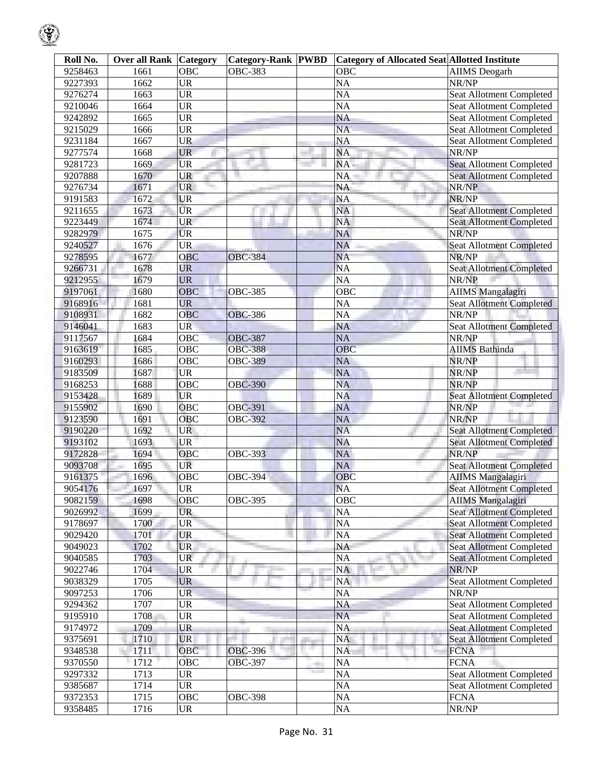| Roll No. | <b>Over all Rank Category</b> |            | <b>Category-Rank PWBD</b> |    | <b>Category of Allocated Seat Allotted Institute</b> |                                 |
|----------|-------------------------------|------------|---------------------------|----|------------------------------------------------------|---------------------------------|
| 9258463  | 1661                          | OBC        | <b>OBC-383</b>            |    | <b>OBC</b>                                           | <b>AIIMS</b> Deogarh            |
| 9227393  | <sup>1</sup> 662              | UR         |                           |    | <b>NA</b>                                            | NR/NP                           |
| 9276274  | 1663                          | UR         |                           |    | NA                                                   | Seat Allotment Completed        |
| 9210046  | 1664                          | <b>UR</b>  |                           |    | <b>NA</b>                                            | Seat Allotment Completed        |
| 9242892  | 1665                          | UR         |                           |    | $\overline{NA}$                                      | <b>Seat Allotment Completed</b> |
| 9215029  | 1666                          | <b>UR</b>  |                           |    | <b>NA</b>                                            | Seat Allotment Completed        |
| 9231184  | 1667                          | UR         |                           |    | <b>NA</b>                                            | Seat Allotment Completed        |
| 9277574  | 1668                          | <b>UR</b>  |                           |    | NA                                                   | NR/NP                           |
| 9281723  | 1669                          | <b>UR</b>  |                           |    | <b>NA</b>                                            | <b>Seat Allotment Completed</b> |
| 9207888  | 1670                          | UR         |                           |    | NA                                                   | <b>Seat Allotment Completed</b> |
| 9276734  | 1671                          | <b>UR</b>  |                           |    | NA                                                   | NR/NP                           |
| 9191583  | 1672                          | <b>UR</b>  |                           |    | <b>NA</b>                                            | NR/NP                           |
| 9211655  | 1673                          | <b>UR</b>  |                           |    | <b>NA</b>                                            | <b>Seat Allotment Completed</b> |
| 9223449  | 1674                          | UR         |                           |    | <b>NA</b>                                            | <b>Seat Allotment Completed</b> |
| 9282979  | 1675                          | <b>UR</b>  |                           |    | <b>NA</b>                                            | NR/NP                           |
| 9240527  | 1676                          | <b>UR</b>  |                           |    | <b>NA</b>                                            | <b>Seat Allotment Completed</b> |
| 9278595  | 1677                          | OBC        | <b>OBC-384</b>            |    | <b>NA</b>                                            | NR/NP                           |
| 9266731  | 1678                          | <b>UR</b>  |                           |    | <b>NA</b>                                            | <b>Seat Allotment Completed</b> |
| 9212955  | 1679                          | <b>UR</b>  |                           |    | <b>NA</b>                                            | NR/NP                           |
| 9197061  | 1680                          | OBC        | <b>OBC-385</b>            |    | $\overline{OBC}$                                     | <b>AIIMS Mangalagiri</b>        |
| 9168916  | 1681                          | <b>UR</b>  |                           |    | <b>NA</b>                                            | Seat Allotment Completed        |
| 9108931  | 1682                          | <b>OBC</b> | <b>OBC-386</b>            |    | <b>NA</b>                                            | NR/NP                           |
| 9146041  | 1683                          | <b>UR</b>  |                           |    | NA                                                   | <b>Seat Allotment Completed</b> |
| 9117567  | 1684                          | OBC        |                           |    | <b>NA</b>                                            |                                 |
|          | 1685                          |            | <b>OBC-387</b>            |    | OBC                                                  | NR/NP                           |
| 9163619  |                               | OBC        | <b>OBC-388</b>            |    |                                                      | <b>AIIMS Bathinda</b>           |
| 9160293  | 1686                          | OBC        | <b>OBC-389</b>            |    | <b>NA</b>                                            | NR/NP                           |
| 9183509  | 1687                          | <b>UR</b>  |                           |    | <b>NA</b>                                            | NR/NP                           |
| 9168253  | 1688                          | OBC        | <b>OBC-390</b>            |    | <b>NA</b>                                            | NR/NP                           |
| 9153428  | 1689                          | <b>UR</b>  |                           |    | <b>NA</b>                                            | <b>Seat Allotment Completed</b> |
| 9155902  | 1690                          | OBC        | <b>OBC-391</b>            |    | <b>NA</b>                                            | NR/NP                           |
| 9123590  | 1691                          | OBC        | <b>OBC-392</b>            |    | <b>NA</b>                                            | NR/NP                           |
| 9190220  | 1692                          | <b>UR</b>  |                           |    | <b>NA</b>                                            | Seat Allotment Completed        |
| 9193102  | 1693                          | <b>UR</b>  |                           |    | <b>NA</b>                                            | <b>Seat Allotment Completed</b> |
| 9172828  | 1694                          | OBC        | <b>OBC-393</b>            |    | <b>NA</b>                                            | NR/NP                           |
| 9093708  | 1695                          | UR         |                           |    | NA                                                   | <b>Seat Allotment Completed</b> |
| 9161375  | 1696                          | OBC        | <b>OBC-394</b>            |    | OBC                                                  | <b>AIIMS Mangalagiri</b>        |
| 9054176  | 1697                          | <b>UR</b>  |                           |    | <b>NA</b>                                            | <b>Seat Allotment Completed</b> |
| 9082159  | 1698                          | OBC        | <b>OBC-395</b>            |    | OBC                                                  | <b>AIIMS Mangalagiri</b>        |
| 9026992  | 1699                          | <b>UR</b>  |                           |    | NA                                                   | <b>Seat Allotment Completed</b> |
| 9178697  | 1700                          | <b>UR</b>  |                           |    | <b>NA</b>                                            | <b>Seat Allotment Completed</b> |
| 9029420  | 1701                          | <b>UR</b>  |                           |    | <b>NA</b>                                            | <b>Seat Allotment Completed</b> |
| 9049023  | 1702                          | <b>UR</b>  |                           |    | NA                                                   | <b>Seat Allotment Completed</b> |
| 9040585  | 1703                          | <b>UR</b>  |                           |    | NA                                                   | <b>Seat Allotment Completed</b> |
| 9022746  | 1704                          | UR         |                           |    | <b>NA</b>                                            | NR/NP                           |
| 9038329  | 1705                          | <b>UR</b>  |                           |    | NA                                                   | Seat Allotment Completed        |
| 9097253  | 1706                          | <b>UR</b>  |                           |    | <b>NA</b>                                            | NR/NP                           |
| 9294362  | 1707                          | <b>UR</b>  |                           |    | NA                                                   | Seat Allotment Completed        |
| 9195910  | 1708                          | <b>UR</b>  |                           |    | <b>NA</b>                                            | <b>Seat Allotment Completed</b> |
| 9174972  | 1709                          | UR         |                           |    | <b>NA</b>                                            | <b>Seat Allotment Completed</b> |
| 9375691  | 1710                          | <b>UR</b>  |                           |    | <b>NA</b>                                            | <b>Seat Allotment Completed</b> |
| 9348538  | 1711                          | OBC        | <b>OBC-396</b>            | a. | NA                                                   | <b>FCNA</b>                     |
| 9370550  | 1712                          | <b>OBC</b> | <b>OBC-397</b>            |    | <b>NA</b>                                            | <b>FCNA</b>                     |
| 9297332  | 1713                          | <b>UR</b>  |                           |    | <b>NA</b>                                            | <b>Seat Allotment Completed</b> |
| 9385687  | 1714                          | <b>UR</b>  |                           |    | <b>NA</b>                                            | <b>Seat Allotment Completed</b> |
| 9372353  | 1715                          | OBC        | <b>OBC-398</b>            |    | <b>NA</b>                                            | <b>FCNA</b>                     |
| 9358485  | 1716                          | UR         |                           |    | $\rm NA$                                             | NR/NP                           |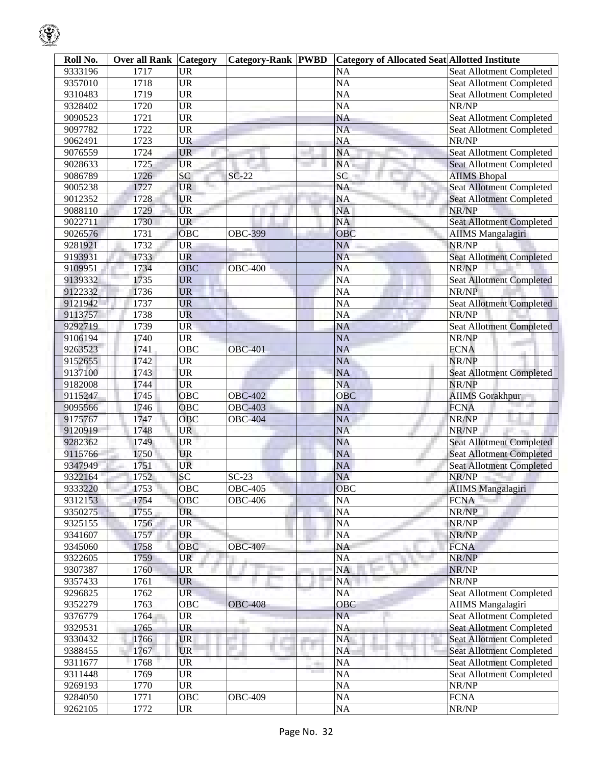| Roll No. | Over all Rank | Category                          | <b>Category-Rank PWBD</b> |       | <b>Category of Allocated Seat Allotted Institute</b> |                                 |
|----------|---------------|-----------------------------------|---------------------------|-------|------------------------------------------------------|---------------------------------|
| 9333196  | 1717          | <b>UR</b>                         |                           |       | <b>NA</b>                                            | Seat Allotment Completed        |
| 9357010  | 1718          | <b>UR</b>                         |                           |       | $\overline{NA}$                                      | <b>Seat Allotment Completed</b> |
| 9310483  | 1719          | <b>UR</b>                         |                           |       | $\overline{NA}$                                      | Seat Allotment Completed        |
| 9328402  | 1720          | $\overline{\text{UR}}$            |                           |       | <b>NA</b>                                            | NR/NP                           |
| 9090523  | 1721          | $\overline{\text{UR}}$            |                           |       | $\overline{NA}$                                      | Seat Allotment Completed        |
| 9097782  | 1722          | $\overline{\text{UR}}$            |                           |       | $\overline{NA}$                                      | Seat Allotment Completed        |
| 9062491  | 1723          | <b>UR</b>                         |                           |       | <b>NA</b>                                            | NR/NP                           |
| 9076559  | 1724          | <b>UR</b>                         |                           |       | <b>NA</b>                                            | <b>Seat Allotment Completed</b> |
| 9028633  | 1725          | <b>UR</b>                         |                           |       | NA.                                                  | Seat Allotment Completed        |
| 9086789  | 1726          | SC                                | $SC-22$                   |       | $\overline{SC}$                                      | <b>AIIMS</b> Bhopal             |
| 9005238  | 1727          | <b>UR</b>                         |                           |       | <b>NA</b>                                            | <b>Seat Allotment Completed</b> |
| 9012352  | 1728          | <b>UR</b>                         |                           |       | <b>NA</b>                                            | <b>Seat Allotment Completed</b> |
| 9088110  | 1729          | <b>UR</b>                         |                           |       | <b>NA</b>                                            | NR/NP                           |
|          |               | <b>UR</b>                         |                           |       | <b>NA</b>                                            |                                 |
| 9022711  | 1730          |                                   |                           |       |                                                      | <b>Seat Allotment Completed</b> |
| 9026576  | 1731          | OBC                               | <b>OBC-399</b>            |       | OBC                                                  | <b>AIIMS Mangalagiri</b>        |
| 9281921  | 1732          | <b>UR</b>                         |                           |       | <b>NA</b>                                            | NR/NP                           |
| 9193931  | 1733          | <b>UR</b>                         |                           |       | <b>NA</b>                                            | <b>Seat Allotment Completed</b> |
| 9109951  | 1734          | OBC                               | <b>OBC-400</b>            |       | <b>NA</b>                                            | NR/NP                           |
| 9139332  | 1735          | <b>UR</b>                         |                           |       | $\overline{NA}$                                      | <b>Seat Allotment Completed</b> |
| 9122332  | 1736          | <b>UR</b>                         |                           |       | <b>NA</b>                                            | NR/NP                           |
| 9121942  | 1737          | <b>UR</b>                         |                           |       | $\overline{NA}$                                      | <b>Seat Allotment Completed</b> |
| 9113757  | 1738          | <b>UR</b>                         |                           |       | <b>NA</b>                                            | NR/NP                           |
| 9292719  | 1739          | <b>UR</b>                         |                           |       | <b>NA</b>                                            | <b>Seat Allotment Completed</b> |
| 9106194  | 1740          | <b>UR</b>                         |                           |       | <b>NA</b>                                            | NR/NP                           |
| 9263523  | 1741          | $\overline{OBC}$                  | <b>OBC-401</b>            |       | <b>NA</b>                                            | <b>FCNA</b>                     |
| 9152655  | 1742          | <b>UR</b>                         |                           |       | <b>NA</b>                                            | NR/NP                           |
| 9137100  | 1743          | <b>UR</b>                         |                           |       | <b>NA</b>                                            | <b>Seat Allotment Completed</b> |
| 9182008  | 1744          | <b>UR</b>                         |                           |       | <b>NA</b>                                            | NR/NP                           |
| 9115247  | 1745          | OBC                               | <b>OBC-402</b>            |       | <b>OBC</b>                                           | <b>AIIMS</b> Gorakhpur          |
| 9095566  | 1746          | OBC                               | <b>OBC-403</b>            |       | <b>NA</b>                                            | <b>FCNA</b>                     |
| 9175767  | 1747          | OBC                               | <b>OBC-404</b>            |       | <b>NA</b>                                            | NR/NP                           |
| 9120919  | 1748          | <b>UR</b>                         |                           |       | <b>NA</b>                                            | NR/NP                           |
| 9282362  | 1749          | <b>UR</b>                         |                           |       | <b>NA</b>                                            | <b>Seat Allotment Completed</b> |
| 9115766  | 1750          | <b>UR</b>                         |                           |       | NA                                                   | <b>Seat Allotment Completed</b> |
| 9347949  | 1751          | <b>UR</b>                         |                           |       | NA                                                   | <b>Seat Allotment Completed</b> |
| 9322164  | 1752          | SC                                | $SC-23$                   |       | <b>NA</b>                                            | NR/NP                           |
| 9333220  | 1753          | OBC                               | <b>OBC-405</b>            |       | <b>OBC</b>                                           | <b>AIIMS</b> Mangalagiri        |
| 9312153  | 1754          | OBC                               | <b>OBC-406</b>            |       | <b>NA</b>                                            | <b>FCNA</b>                     |
| 9350275  | 1755          | <b>UR</b>                         |                           |       | <b>NA</b>                                            | NR/NP                           |
| 9325155  | 1756          | <b>UR</b>                         |                           |       | <b>NA</b>                                            | NR/NP                           |
| 9341607  | 1757          | <b>UR</b>                         |                           |       | <b>NA</b>                                            | NR/NP                           |
| 9345060  | 1758          | OBC                               | <b>OBC-407</b>            |       | NA                                                   | <b>FCNA</b>                     |
| 9322605  | 1759          | <b>UR</b>                         |                           |       | <b>NA</b>                                            | NR/NP                           |
| 9307387  | 1760          | <b>UR</b>                         |                           |       | <b>NA</b>                                            | NR/NP                           |
| 9357433  | 1761          | <b>UR</b>                         |                           |       | <b>NA</b>                                            | NR/NP                           |
| 9296825  | 1762          | <b>UR</b>                         |                           |       | <b>NA</b>                                            | <b>Seat Allotment Completed</b> |
| 9352279  | 1763          | $\overline{OBC}$                  | <b>OBC-408</b>            |       | OBC                                                  | <b>AIIMS</b> Mangalagiri        |
| 9376779  | 1764          | UR                                |                           |       | <b>NA</b>                                            | Seat Allotment Completed        |
| 9329531  | 1765          | <b>UR</b>                         |                           |       | <b>NA</b>                                            | <b>Seat Allotment Completed</b> |
| 9330432  | 1766          | <b>UR</b>                         |                           |       | <b>NA</b>                                            | <b>Seat Allotment Completed</b> |
| 9388455  | 1767          | <b>UR</b>                         |                           | ш     | <b>NA</b>                                            | Seat Allotment Completed        |
| 9311677  | 1768          | ŪR                                |                           |       | <b>NA</b>                                            | Seat Allotment Completed        |
| 9311448  | 1769          | <b>UR</b>                         |                           | and a | <b>NA</b>                                            | <b>Seat Allotment Completed</b> |
| 9269193  | 1770          | <b>UR</b>                         |                           |       | <b>NA</b>                                            | NR/NP                           |
| 9284050  | 1771          | OBC                               | <b>OBC-409</b>            |       | <b>NA</b>                                            | <b>FCNA</b>                     |
|          |               |                                   |                           |       |                                                      |                                 |
| 9262105  | 1772          | $\ensuremath{\mathsf{UR}}\xspace$ |                           |       | $\rm NA$                                             | NR/NP                           |

ୢୄୄ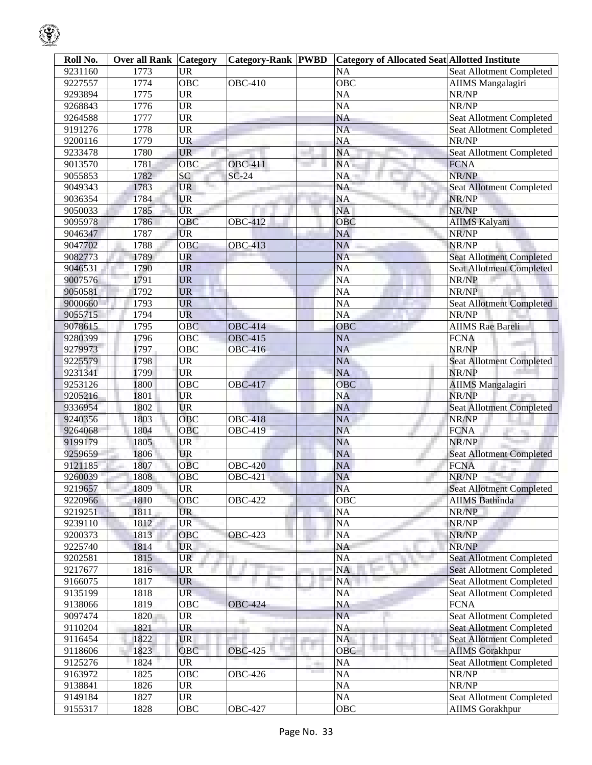| Roll No. | <b>Over all Rank</b> | <b>Category</b>        | <b>Category-Rank PWBD</b> | Category of Allocated Seat Allotted Institute |                                 |
|----------|----------------------|------------------------|---------------------------|-----------------------------------------------|---------------------------------|
| 9231160  | 1773                 | <b>UR</b>              |                           | <b>NA</b>                                     | <b>Seat Allotment Completed</b> |
| 9227557  | 1774                 | $\overline{OBC}$       | <b>OBC-410</b>            | OBC                                           | <b>AIIMS</b> Mangalagiri        |
| 9293894  | 1775                 | <b>UR</b>              |                           | $\overline{NA}$                               | NR/NP                           |
| 9268843  | 1776                 | $\overline{\text{UR}}$ |                           | <b>NA</b>                                     | NR/NP                           |
| 9264588  | 1777                 | $\overline{\text{UR}}$ |                           | <b>NA</b>                                     | <b>Seat Allotment Completed</b> |
| 9191276  | 1778                 | <b>UR</b>              |                           | $\overline{NA}$                               | <b>Seat Allotment Completed</b> |
| 9200116  | 1779                 | <b>UR</b>              |                           | <b>NA</b>                                     | NR/NP                           |
| 9233478  | 1780                 | <b>UR</b>              |                           | <b>NA</b>                                     | Seat Allotment Completed        |
| 9013570  | 1781                 | OBC                    | <b>OBC-411</b>            | <b>NA</b>                                     | <b>FCNA</b>                     |
| 9055853  | 1782                 | SC                     | $SC-24$                   | NA                                            | NR/NP                           |
| 9049343  | 1783                 | <b>UR</b>              |                           | <b>NA</b>                                     | <b>Seat Allotment Completed</b> |
| 9036354  | 1784                 | <b>UR</b>              |                           | <b>NA</b>                                     | NR/NP                           |
| 9050033  | 1785                 | <b>UR</b>              |                           | <b>NA</b>                                     | NR/NP                           |
| 9095978  | 1786                 | OBC                    | <b>OBC-412</b>            | OBC                                           | <b>AIIMS Kalyani</b>            |
| 9046347  | 1787                 | <b>UR</b>              |                           | <b>NA</b>                                     | NR/NP                           |
| 9047702  | 1788                 | <b>OBC</b>             | <b>OBC-413</b>            | <b>NA</b>                                     | NR/NP                           |
| 9082773  | 1789                 | <b>UR</b>              |                           | <b>NA</b>                                     | <b>Seat Allotment Completed</b> |
|          |                      | <b>UR</b>              |                           | <b>NA</b>                                     |                                 |
| 9046531  | 1790                 |                        |                           |                                               | Seat Allotment Completed        |
| 9007576  | 1791                 | <b>UR</b>              |                           | <b>NA</b>                                     | NR/NP                           |
| 9050581  | 1792                 | <b>UR</b>              |                           | $\overline{NA}$                               | NR/NP                           |
| 9000660  | 1793                 | <b>UR</b>              |                           | $\overline{NA}$                               | <b>Seat Allotment Completed</b> |
| 9055715  | 1794                 | <b>UR</b>              |                           | $\overline{NA}$                               | NR/NP                           |
| 9078615  | 1795                 | <b>OBC</b>             | <b>OBC-414</b>            | OBC                                           | <b>AIIMS</b> Rae Bareli         |
| 9280399  | 1796                 | OBC                    | <b>OBC-415</b>            | <b>NA</b>                                     | <b>FCNA</b>                     |
| 9279973  | 1797                 | $\overline{OBC}$       | <b>OBC-416</b>            | <b>NA</b>                                     | NR/NP                           |
| 9225579  | 1798                 | <b>UR</b>              |                           | <b>NA</b>                                     | <b>Seat Allotment Completed</b> |
| 9231341  | 1799                 | <b>UR</b>              |                           | <b>NA</b>                                     | NR/NP                           |
| 9253126  | 1800                 | OBC                    | <b>OBC-417</b>            | <b>OBC</b>                                    | <b>AIIMS</b> Mangalagiri        |
| 9205216  | 1801                 | <b>UR</b>              |                           | <b>NA</b>                                     | NR/NP                           |
| 9336954  | 1802                 | <b>UR</b>              |                           | <b>NA</b>                                     | <b>Seat Allotment Completed</b> |
| 9240356  | 1803                 | OBC                    | <b>OBC-418</b>            | <b>NA</b>                                     | NR/NP                           |
| 9264068  | 1804                 | OBC                    | <b>OBC-419</b>            | <b>NA</b>                                     | <b>FCNA</b>                     |
| 9199179  | 1805                 | <b>UR</b>              |                           | <b>NA</b>                                     | NR/NP                           |
| 9259659  | 1806                 | <b>UR</b>              |                           | <b>NA</b>                                     | <b>Seat Allotment Completed</b> |
| 9121185  | 1807                 | $\overline{O}$ BC      | <b>OBC-420</b>            | <b>NA</b>                                     | <b>FCNA</b>                     |
| 9260039  | 1808                 | OBC                    | <b>OBC-421</b>            | <b>NA</b>                                     | NR/NP                           |
| 9219657  | 1809                 | <b>UR</b>              |                           | <b>NA</b>                                     | <b>Seat Allotment Completed</b> |
| 9220966  | 1810                 | <b>OBC</b>             | <b>OBC-422</b>            | <b>OBC</b>                                    | <b>AIIMS</b> Bathinda           |
| 9219251  | 1811                 | <b>UR</b>              |                           | NA                                            | NR/NP                           |
| 9239110  | 1812                 | <b>UR</b>              |                           | NA                                            | NR/NP                           |
| 9200373  | 1813                 | OBC                    | <b>OBC-423</b>            | NA                                            | NR/NP                           |
| 9225740  | 1814                 | <b>UR</b>              |                           | <b>NA</b>                                     | NR/NP                           |
| 9202581  | 1815                 | <b>UR</b>              |                           | <b>NA</b>                                     | <b>Seat Allotment Completed</b> |
| 9217677  | 1816                 | <b>UR</b>              |                           | <b>NA</b>                                     | <b>Seat Allotment Completed</b> |
| 9166075  | 1817                 | <b>UR</b>              |                           | <b>NA</b>                                     | Seat Allotment Completed        |
| 9135199  | 1818                 | <b>UR</b>              |                           | NA                                            | Seat Allotment Completed        |
| 9138066  | 1819                 | OBC                    | <b>OBC-424</b>            | NA                                            | <b>FCNA</b>                     |
| 9097474  | 1820                 | <b>UR</b>              |                           | NA                                            | Seat Allotment Completed        |
| 9110204  | 1821                 | <b>UR</b>              |                           | <b>NA</b>                                     | <b>Seat Allotment Completed</b> |
| 9116454  | 1822                 | <b>UR</b>              |                           | <b>NA</b>                                     | <b>Seat Allotment Completed</b> |
| 9118606  | 1823                 | OBC                    | <b>OBC-425</b>            | <b>OBC</b>                                    | <b>AIIMS</b> Gorakhpur          |
| 9125276  | 1824                 | UR                     |                           | <b>NA</b>                                     | Seat Allotment Completed        |
| 9163972  | 1825                 | OBC                    | <b>OBC-426</b>            | NA                                            | NR/NP                           |
| 9138841  | 1826                 | <b>UR</b>              |                           | NA                                            | NR/NP                           |
| 9149184  | 1827                 | <b>UR</b>              |                           | NA                                            | Seat Allotment Completed        |
| 9155317  | 1828                 | OBC                    | <b>OBC-427</b>            | <b>OBC</b>                                    | <b>AIIMS</b> Gorakhpur          |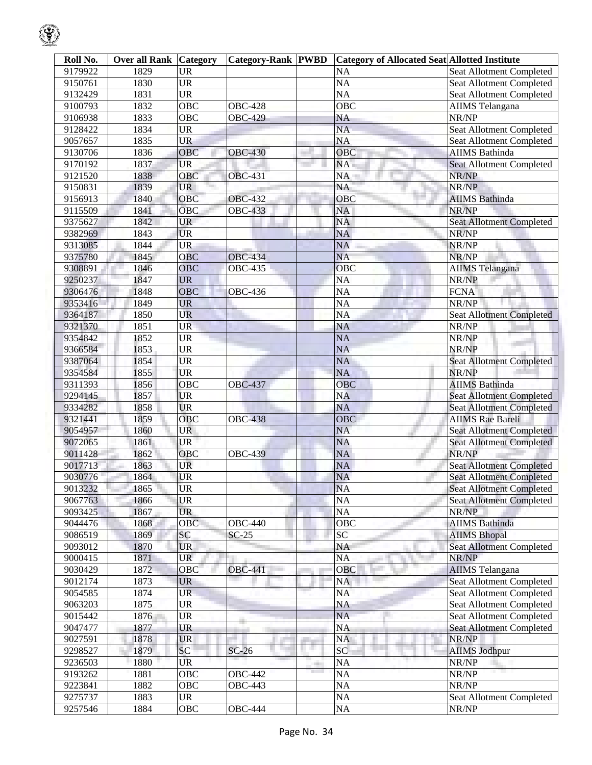| Roll No. | <b>Over all Rank Category</b> |                                   | Category-Rank PWBD | <b>Category of Allocated Seat Allotted Institute</b> |                                 |
|----------|-------------------------------|-----------------------------------|--------------------|------------------------------------------------------|---------------------------------|
| 9179922  | 1829                          | <b>UR</b>                         |                    | <b>NA</b>                                            | Seat Allotment Completed        |
| 9150761  | 1830                          | <b>UR</b>                         |                    | <b>NA</b>                                            | <b>Seat Allotment Completed</b> |
| 9132429  | 1831                          | <b>UR</b>                         |                    | <b>NA</b>                                            | Seat Allotment Completed        |
| 9100793  | 1832                          | OBC                               | <b>OBC-428</b>     | $\overline{OBC}$                                     | <b>AIIMS</b> Telangana          |
| 9106938  | 1833                          | OBC                               | <b>OBC-429</b>     | <b>NA</b>                                            | NR/NP                           |
| 9128422  | 1834                          | <b>UR</b>                         |                    | <b>NA</b>                                            | Seat Allotment Completed        |
| 9057657  | 1835                          | <b>UR</b>                         |                    | <b>NA</b>                                            | Seat Allotment Completed        |
| 9130706  | 1836                          | OBC                               | <b>OBC-430</b>     | OBC                                                  | <b>AIIMS</b> Bathinda           |
| 9170192  | 1837                          | <b>UR</b>                         |                    | NA                                                   | <b>Seat Allotment Completed</b> |
| 9121520  | 1838                          | OBC                               | <b>OBC-431</b>     | NA                                                   | NR/NP                           |
| 9150831  | 1839                          | <b>UR</b>                         |                    | <b>NA</b>                                            | NR/NP                           |
| 9156913  | 1840                          | OBC                               | <b>OBC-432</b>     | OBC                                                  | <b>AIIMS</b> Bathinda           |
| 9115509  | 1841                          | $\overline{OBC}$                  | <b>OBC-433</b>     | NA                                                   | NR/NP                           |
| 9375627  | 1842                          | <b>UR</b>                         |                    | <b>NA</b>                                            | <b>Seat Allotment Completed</b> |
| 9382969  | 1843                          | <b>UR</b>                         |                    | <b>NA</b>                                            | NR/NP                           |
| 9313085  | 1844                          | <b>UR</b>                         |                    | <b>NA</b>                                            | NR/NP                           |
| 9375780  | 1845                          | OBC                               | <b>OBC-434</b>     | <b>NA</b>                                            | NR/NP                           |
| 9308891  | 1846                          | OBC                               | <b>OBC-435</b>     | OBC                                                  | <b>AIIMS</b> Telangana          |
| 9250237  | 1847                          | <b>UR</b>                         |                    | <b>NA</b>                                            | NR/NP                           |
| 9306476  | 1848                          | OBC                               | <b>OBC-436</b>     | <b>NA</b>                                            | <b>FCNA</b>                     |
| 9353416  | 1849                          | <b>UR</b>                         |                    | <b>NA</b>                                            | NR/NP                           |
| 9364187  | 1850                          | UR                                |                    | <b>NA</b>                                            | <b>Seat Allotment Completed</b> |
| 9321370  | 1851                          | <b>UR</b>                         |                    | <b>NA</b>                                            | NR/NP                           |
| 9354842  | 1852                          | <b>UR</b>                         |                    | <b>NA</b>                                            | NR/NP                           |
| 9366584  | 1853                          | <b>UR</b>                         |                    | <b>NA</b>                                            | NR/NP                           |
| 9387064  | 1854                          | <b>UR</b>                         |                    | <b>NA</b>                                            | <b>Seat Allotment Completed</b> |
| 9354584  | 1855                          | <b>UR</b>                         |                    | <b>NA</b>                                            | NR/NP                           |
| 9311393  | 1856                          | OBC                               | <b>OBC-437</b>     | OBC                                                  | <b>AIIMS</b> Bathinda           |
| 9294145  | 1857                          | <b>UR</b>                         |                    | <b>NA</b>                                            | Seat Allotment Completed        |
| 9334282  | 1858                          | <b>UR</b>                         |                    | <b>NA</b>                                            | <b>Seat Allotment Completed</b> |
| 9321441  | 1859                          | OBC                               | <b>OBC-438</b>     | OBC                                                  | <b>AIIMS</b> Rae Bareli         |
| 9054957  | 1860                          | <b>UR</b>                         |                    | <b>NA</b>                                            | <b>Seat Allotment Completed</b> |
| 9072065  | 1861                          | <b>UR</b>                         |                    | <b>NA</b>                                            | <b>Seat Allotment Completed</b> |
| 9011428  | 1862                          | OBC                               | <b>OBC-439</b>     | <b>NA</b>                                            | NR/NP                           |
| 9017713  | 1863                          | UR                                |                    | <b>NA</b>                                            | <b>Seat Allotment Completed</b> |
| 9030776  | 1864                          | <b>UR</b>                         |                    | <b>NA</b>                                            | <b>Seat Allotment Completed</b> |
| 9013232  | 1865                          | <b>UR</b>                         |                    | <b>NA</b>                                            | <b>Seat Allotment Completed</b> |
| 9067763  | 1866                          | <b>UR</b>                         |                    | <b>NA</b>                                            | <b>Seat Allotment Completed</b> |
| 9093425  | 1867                          | <b>UR</b>                         |                    | <b>NA</b>                                            | NR/NP                           |
| 9044476  | 1868                          | OBC                               | <b>OBC-440</b>     | OBC                                                  | <b>AIIMS Bathinda</b>           |
| 9086519  | 1869                          | SC                                | $SC-25$            | $\overline{SC}$                                      | <b>AIIMS Bhopal</b>             |
| 9093012  | 1870                          | <b>UR</b>                         |                    | <b>NA</b>                                            | <b>Seat Allotment Completed</b> |
| 9000415  | 1871                          | <b>UR</b>                         |                    | <b>NA</b>                                            | NR/NP                           |
| 9030429  | 1872                          | OBC                               | <b>OBC-441</b>     | OBC                                                  | <b>AIIMS</b> Telangana          |
| 9012174  | 1873                          | <b>UR</b>                         |                    | NA                                                   | Seat Allotment Completed        |
| 9054585  | 1874                          | <b>UR</b>                         |                    | <b>NA</b>                                            | <b>Seat Allotment Completed</b> |
| 9063203  | 1875                          | <b>UR</b>                         |                    | <b>NA</b>                                            | Seat Allotment Completed        |
| 9015442  | 1876                          | <b>UR</b>                         |                    | <b>NA</b>                                            | Seat Allotment Completed        |
| 9047477  | 1877                          | <b>UR</b>                         |                    | <b>NA</b>                                            | <b>Seat Allotment Completed</b> |
| 9027591  | 1878                          | <b>UR</b>                         |                    | NA                                                   | NR/NP                           |
| 9298527  | 1879                          | SC                                | $SC-26$            | SC                                                   | <b>AIIMS Jodhpur</b>            |
| 9236503  | 1880                          | UR                                |                    | <b>NA</b>                                            | NR/NP                           |
| 9193262  | 1881                          | OBC                               | OBC-442            | <b>NA</b>                                            | NR/NP                           |
| 9223841  | 1882                          | OBC                               | <b>OBC-443</b>     | <b>NA</b>                                            | NR/NP                           |
| 9275737  | 1883                          | $\ensuremath{\mathsf{UR}}\xspace$ |                    | $\rm NA$                                             | Seat Allotment Completed        |
| 9257546  | 1884                          | OBC                               | <b>OBC-444</b>     | NA                                                   | NR/NP                           |
|          |                               |                                   |                    |                                                      |                                 |

 $\mathbb{Q}$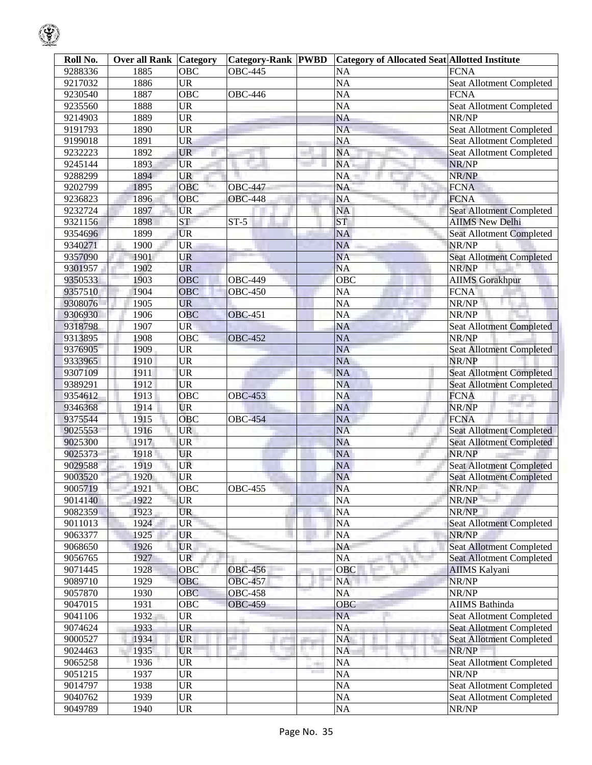| Roll No. | <b>Over all Rank   Category</b> |                                   | <b>Category-Rank PWBD</b> |                             | <b>Category of Allocated Seat Allotted Institute</b> |                                 |
|----------|---------------------------------|-----------------------------------|---------------------------|-----------------------------|------------------------------------------------------|---------------------------------|
| 9288336  | 1885                            | <b>OBC</b>                        | <b>OBC-445</b>            |                             | <b>NA</b>                                            | <b>FCNA</b>                     |
| 9217032  | 1886                            | <b>UR</b>                         |                           |                             | <b>NA</b>                                            | Seat Allotment Completed        |
| 9230540  | 1887                            | $\overline{OBC}$                  | <b>OBC-446</b>            |                             | <b>NA</b>                                            | <b>FCNA</b>                     |
| 9235560  | 1888                            | <b>UR</b>                         |                           |                             | <b>NA</b>                                            | Seat Allotment Completed        |
| 9214903  | 1889                            | <b>UR</b>                         |                           |                             | <b>NA</b>                                            | NR/NP                           |
| 9191793  | 1890                            | <b>UR</b>                         |                           |                             | <b>NA</b>                                            | Seat Allotment Completed        |
| 9199018  | 1891                            | <b>UR</b>                         |                           |                             | <b>NA</b>                                            | Seat Allotment Completed        |
| 9232223  | 1892                            | <b>UR</b>                         |                           |                             | <b>NA</b>                                            | Seat Allotment Completed        |
| 9245144  | 1893                            | <b>UR</b>                         |                           |                             | NA                                                   | NR/NP                           |
| 9288299  | 1894                            | <b>UR</b>                         |                           |                             | NA                                                   | NR/NP                           |
| 9202799  | 1895                            | <b>OBC</b>                        | <b>OBC-447</b>            |                             | <b>NA</b>                                            | <b>FCNA</b>                     |
| 9236823  | 1896                            | OBC                               | <b>OBC-448</b>            |                             | <b>NA</b>                                            | <b>FCNA</b>                     |
| 9232724  | 1897                            | <b>UR</b>                         |                           |                             | <b>NA</b>                                            | <b>Seat Allotment Completed</b> |
| 9321156  | 1898                            | <b>ST</b>                         | $ST-5$                    |                             | <b>ST</b>                                            | <b>AIIMS New Delhi</b>          |
| 9354696  | 1899                            | <b>UR</b>                         |                           |                             | <b>NA</b>                                            | <b>Seat Allotment Completed</b> |
| 9340271  | 1900                            | UR                                |                           |                             | <b>NA</b>                                            | NR/NP                           |
| 9357090  | 1901                            | UR                                |                           |                             | <b>NA</b>                                            | <b>Seat Allotment Completed</b> |
| 9301957  | 1902                            | <b>UR</b>                         |                           |                             | <b>NA</b>                                            | NR/NP                           |
| 9350533  | 1903                            | OBC                               | <b>OBC-449</b>            |                             | OBC                                                  | <b>AIIMS</b> Gorakhpur          |
| 9357510  | 1904                            | OBC                               | <b>OBC-450</b>            |                             | <b>NA</b>                                            | <b>FCNA</b>                     |
| 9308076  | 1905                            | <b>UR</b>                         |                           |                             | <b>NA</b>                                            | NR/NP                           |
| 9306930  | 1906                            | OBC                               | <b>OBC-451</b>            |                             | <b>NA</b>                                            | NR/NP                           |
| 9318798  | 1907                            | <b>UR</b>                         |                           |                             | <b>NA</b>                                            | <b>Seat Allotment Completed</b> |
| 9313895  | 1908                            | OBC                               | <b>OBC-452</b>            |                             | <b>NA</b>                                            | NR/NP                           |
| 9376905  | 1909                            | <b>UR</b>                         |                           |                             | <b>NA</b>                                            | <b>Seat Allotment Completed</b> |
| 9333965  | 1910                            | <b>UR</b>                         |                           |                             | <b>NA</b>                                            | NR/NP                           |
| 9307109  | 1911                            | <b>UR</b>                         |                           |                             | <b>NA</b>                                            | <b>Seat Allotment Completed</b> |
| 9389291  | 1912                            | <b>UR</b>                         |                           |                             | <b>NA</b>                                            | <b>Seat Allotment Completed</b> |
| 9354612  | 1913                            | OBC                               | <b>OBC-453</b>            |                             | <b>NA</b>                                            | <b>FCNA</b>                     |
| 9346368  | 1914                            | <b>UR</b>                         |                           |                             | <b>NA</b>                                            | NR/NP                           |
| 9375544  | 1915                            | OBC                               | <b>OBC-454</b>            |                             | <b>NA</b>                                            | <b>FCNA</b>                     |
| 9025553  | 1916                            | UR                                |                           |                             | <b>NA</b>                                            | Seat Allotment Completed        |
| 9025300  | 1917                            | <b>UR</b>                         |                           |                             | <b>NA</b>                                            | <b>Seat Allotment Completed</b> |
| 9025373  | 1918                            | <b>UR</b>                         |                           |                             | <b>NA</b>                                            | NR/NP                           |
| 9029588  | 1919                            | UR                                |                           |                             | NA                                                   | <b>Seat Allotment Completed</b> |
| 9003520  | 1920                            | <b>UR</b>                         |                           |                             | NA                                                   | <b>Seat Allotment Completed</b> |
| 9005719  | 1921                            | OBC                               | <b>OBC-455</b>            |                             | <b>NA</b>                                            | NR/NP                           |
| 9014140  | 1922                            | <b>UR</b>                         |                           |                             | <b>NA</b>                                            | NR/NP                           |
| 9082359  | 1923                            | <b>UR</b>                         |                           |                             | NA                                                   | NR/NP                           |
| 9011013  | 1924                            | <b>UR</b>                         |                           |                             | NA                                                   | <b>Seat Allotment Completed</b> |
| 9063377  | 1925                            | <b>UR</b>                         |                           |                             | <b>NA</b>                                            | NR/NP                           |
| 9068650  | 1926                            | <b>UR</b>                         |                           |                             | <b>NA</b>                                            | <b>Seat Allotment Completed</b> |
| 9056765  | 1927                            | <b>UR</b>                         |                           |                             | <b>NA</b>                                            | <b>Seat Allotment Completed</b> |
| 9071445  | 1928                            | OBC                               | <b>OBC-456</b>            |                             | <b>OBC</b>                                           | <b>AIIMS Kalyani</b>            |
| 9089710  | 1929                            | <b>OBC</b>                        | <b>OBC-457</b>            |                             | NA                                                   | NR/NP                           |
| 9057870  | 1930                            | <b>OBC</b>                        | <b>OBC-458</b>            |                             | <b>NA</b>                                            | NR/NP                           |
| 9047015  | 1931                            | <b>OBC</b>                        | <b>OBC-459</b>            |                             | <b>OBC</b>                                           | <b>AIIMS</b> Bathinda           |
| 9041106  | 1932                            | <b>UR</b>                         |                           |                             | <b>NA</b>                                            | <b>Seat Allotment Completed</b> |
| 9074624  | 1933                            | <b>UR</b>                         |                           |                             | <b>NA</b>                                            | Seat Allotment Completed        |
| 9000527  | 1934                            | <b>UR</b>                         |                           |                             | <b>NA</b>                                            | <b>Seat Allotment Completed</b> |
| 9024463  | 1935                            | <b>UR</b>                         |                           | нg (                        | <b>NA</b>                                            | NR/NP                           |
| 9065258  | 1936                            | UR                                |                           |                             | NA                                                   | <b>Seat Allotment Completed</b> |
| 9051215  | 1937                            | <b>UR</b>                         |                           | ek i<br><b>The Contract</b> | <b>NA</b>                                            | NR/NP                           |
| 9014797  | 1938                            | <b>UR</b>                         |                           |                             | NA                                                   | Seat Allotment Completed        |
| 9040762  | 1939                            | <b>UR</b>                         |                           |                             | NA                                                   | Seat Allotment Completed        |
|          | 1940                            |                                   |                           |                             |                                                      |                                 |
| 9049789  |                                 | $\ensuremath{\mathsf{UR}}\xspace$ |                           |                             | NA                                                   | NR/NP                           |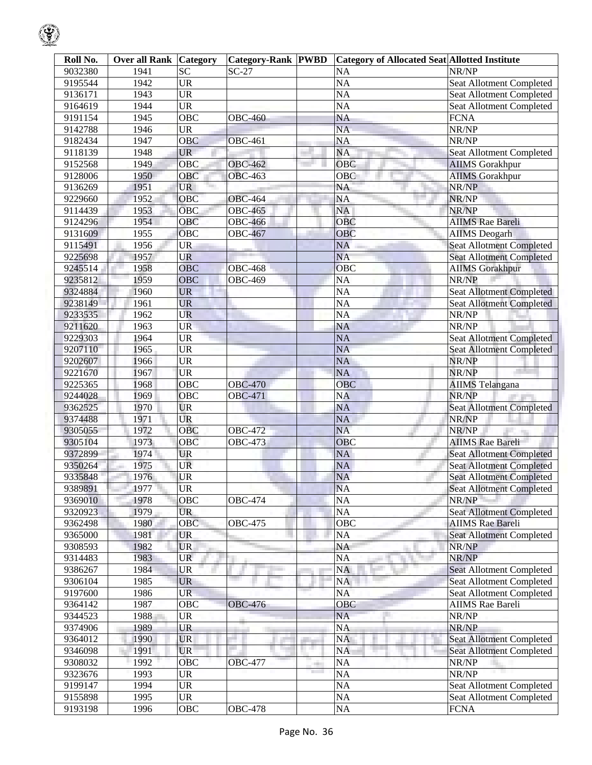| Roll No. | <b>Over all Rank Category</b> |                                   | <b>Category-Rank PWBD</b> |     | <b>Category of Allocated Seat Allotted Institute</b> |                                 |
|----------|-------------------------------|-----------------------------------|---------------------------|-----|------------------------------------------------------|---------------------------------|
| 9032380  | 1941                          | <b>SC</b>                         | $SC-27$                   |     | <b>NA</b>                                            | NR/NP                           |
| 9195544  | 1942                          | $\overline{UR}$                   |                           |     | $\overline{NA}$                                      | Seat Allotment Completed        |
| 9136171  | 1943                          | <b>UR</b>                         |                           |     | $\overline{NA}$                                      | Seat Allotment Completed        |
| 9164619  | 1944                          | <b>UR</b>                         |                           |     | <b>NA</b>                                            | Seat Allotment Completed        |
| 9191154  | 1945                          | $\overline{OBC}$                  | <b>OBC-460</b>            |     | <b>NA</b>                                            | <b>FCNA</b>                     |
| 9142788  | 1946                          | <b>UR</b>                         |                           |     | $\overline{NA}$                                      | NR/NP                           |
| 9182434  | 1947                          | OBC                               | <b>OBC-461</b>            |     | <b>NA</b>                                            | NR/NP                           |
| 9118139  | 1948                          | <b>UR</b>                         |                           |     | NA                                                   | Seat Allotment Completed        |
| 9152568  | 1949                          | OBC                               | <b>OBC-462</b>            |     | OBC                                                  | <b>AIIMS</b> Gorakhpur          |
| 9128006  | 1950                          | OBC                               | <b>OBC-463</b>            |     | OBC                                                  | <b>AIIMS</b> Gorakhpur          |
| 9136269  | 1951                          | <b>UR</b>                         |                           |     | NA                                                   | NR/NP                           |
| 9229660  | 1952                          | <b>OBC</b>                        | <b>OBC-464</b>            |     | <b>NA</b>                                            | NR/NP                           |
| 9114439  | 1953                          | OBC                               | <b>OBC-465</b>            |     | <b>NA</b>                                            | NR/NP                           |
| 9124296  | 1954                          | OBC                               | <b>OBC-466</b>            |     | OBC                                                  | <b>AIIMS</b> Rae Bareli         |
| 9131609  | 1955                          | OBC                               | <b>OBC-467</b>            |     | OBC                                                  | <b>AIIMS</b> Deogarh            |
| 9115491  | 1956                          | <b>UR</b>                         |                           |     | <b>NA</b>                                            | Seat Allotment Completed        |
| 9225698  | 1957                          | UR                                |                           |     | <b>NA</b>                                            | <b>Seat Allotment Completed</b> |
| 9245514  | 1958                          | OBC                               | <b>OBC-468</b>            |     | OBC                                                  | <b>AIIMS</b> Gorakhpur          |
| 9235812  | 1959                          | <b>OBC</b>                        | <b>OBC-469</b>            |     | <b>NA</b>                                            | NR/NP                           |
| 9324884  | 1960                          | <b>UR</b>                         |                           |     | $\overline{NA}$                                      | <b>Seat Allotment Completed</b> |
| 9238149  | 1961                          | <b>UR</b>                         |                           |     | <b>NA</b>                                            | <b>Seat Allotment Completed</b> |
| 9233535  | 1962                          | <b>UR</b>                         |                           |     | $\overline{NA}$                                      | NR/NP                           |
| 9211620  | 1963                          | <b>UR</b>                         |                           |     | <b>NA</b>                                            | NR/NP                           |
| 9229303  | 1964                          | <b>UR</b>                         |                           |     | <b>NA</b>                                            | <b>Seat Allotment Completed</b> |
| 9207110  | 1965                          | <b>UR</b>                         |                           |     | <b>NA</b>                                            | <b>Seat Allotment Completed</b> |
| 9202607  | 1966                          | <b>UR</b>                         |                           |     | <b>NA</b>                                            | NR/NP                           |
| 9221670  | 1967                          | <b>UR</b>                         |                           |     | <b>NA</b>                                            | NR/NP                           |
| 9225365  | 1968                          | OBC                               | <b>OBC-470</b>            |     | OBC                                                  | <b>AIIMS</b> Telangana          |
| 9244028  | 1969                          | OBC                               | <b>OBC-471</b>            |     | <b>NA</b>                                            | NR/NP                           |
| 9362525  | 1970                          | <b>UR</b>                         |                           |     | <b>NA</b>                                            | <b>Seat Allotment Completed</b> |
| 9374488  | 1971                          | <b>UR</b>                         |                           |     | <b>NA</b>                                            | NR/NP                           |
| 9305055  | 1972                          | OBC                               | <b>OBC-472</b>            |     | <b>NA</b>                                            | NR/NP                           |
| 9305104  | 1973                          | OBC                               | <b>OBC-473</b>            |     | OBC                                                  | <b>AIIMS</b> Rae Bareli         |
| 9372899  | 1974                          | <b>UR</b>                         |                           |     | <b>NA</b>                                            | <b>Seat Allotment Completed</b> |
| 9350264  | 1975                          | UR                                |                           |     | <b>NA</b>                                            | <b>Seat Allotment Completed</b> |
| 9335848  | 1976                          | <b>UR</b>                         |                           |     | <b>NA</b>                                            | <b>Seat Allotment Completed</b> |
| 9389891  | 1977                          | <b>UR</b>                         |                           |     | <b>NA</b>                                            | <b>Seat Allotment Completed</b> |
| 9369010  | 1978                          | OBC                               | <b>OBC-474</b>            |     | <b>NA</b>                                            | NR/NP                           |
| 9320923  | 1979                          | <b>UR</b>                         |                           |     | <b>NA</b>                                            | <b>Seat Allotment Completed</b> |
| 9362498  | 1980                          | OBC                               | <b>OBC-475</b>            |     | OBC                                                  | <b>AIIMS Rae Bareli</b>         |
| 9365000  | 1981                          | <b>UR</b>                         |                           |     | <b>NA</b>                                            | <b>Seat Allotment Completed</b> |
| 9308593  | 1982                          | <b>UR</b>                         |                           |     | <b>NA</b>                                            | NR/NP                           |
| 9314483  | 1983                          | <b>UR</b>                         |                           |     | <b>NA</b>                                            | NR/NP                           |
| 9386267  | 1984                          | UR                                |                           |     | <b>NA</b>                                            | <b>Seat Allotment Completed</b> |
| 9306104  | 1985                          | <b>UR</b>                         |                           |     | NA                                                   | <b>Seat Allotment Completed</b> |
| 9197600  | 1986                          | <b>UR</b>                         |                           |     | <b>NA</b>                                            | Seat Allotment Completed        |
| 9364142  | 1987                          | OBC                               | <b>OBC-476</b>            |     | OBC                                                  | <b>AIIMS</b> Rae Bareli         |
| 9344523  | 1988                          | <b>UR</b>                         |                           |     | <b>NA</b>                                            | NR/NP                           |
| 9374906  | 1989                          | UR                                |                           |     | <b>NA</b>                                            | NR/NP                           |
| 9364012  | 1990                          | <b>UR</b>                         |                           |     | <b>NA</b>                                            | <b>Seat Allotment Completed</b> |
| 9346098  | 1991                          | <b>UR</b>                         |                           | . . | <b>NA</b>                                            | <b>Seat Allotment Completed</b> |
| 9308032  | 1992                          | <b>OBC</b>                        | <b>OBC-477</b>            | m   | <b>NA</b>                                            | NR/NP                           |
| 9323676  | 1993                          | <b>UR</b>                         |                           |     | <b>NA</b>                                            | NR/NP                           |
| 9199147  | 1994                          | <b>UR</b>                         |                           |     | <b>NA</b>                                            | Seat Allotment Completed        |
| 9155898  | 1995                          | $\ensuremath{\mathsf{UR}}\xspace$ |                           |     | NA                                                   | Seat Allotment Completed        |
| 9193198  | 1996                          | OBC                               | <b>OBC-478</b>            |     | $\overline{NA}$                                      | <b>FCNA</b>                     |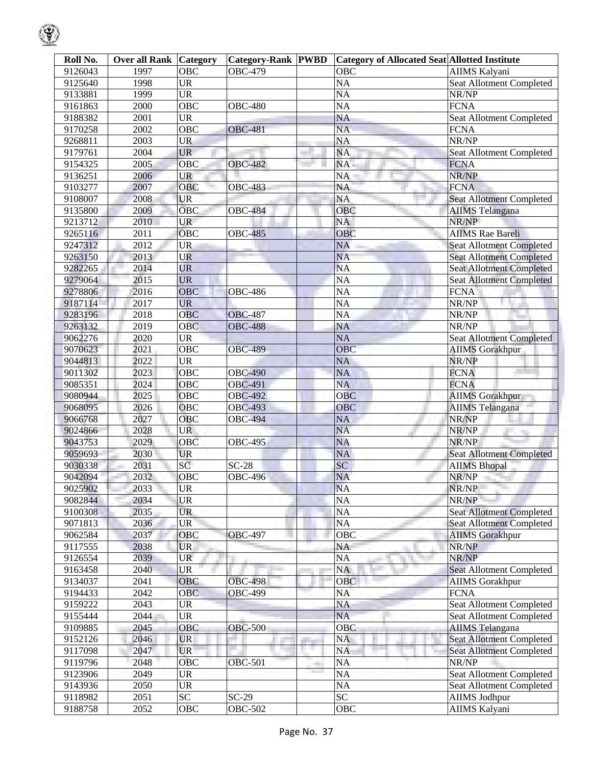| Roll No. | <b>Over all Rank   Category</b> |            | <b>Category-Rank  PWBD</b> |              | <b>Category of Allocated Seat Allotted Institute</b> |                                 |
|----------|---------------------------------|------------|----------------------------|--------------|------------------------------------------------------|---------------------------------|
| 9126043  | 1997                            | OBC        | <b>OBC-479</b>             |              | OBC                                                  | AIIMS Kalyani                   |
| 9125640  | 1998                            | <b>UR</b>  |                            |              | <b>NA</b>                                            | Seat Allotment Completed        |
| 9133881  | 1999                            | <b>UR</b>  |                            |              | <b>NA</b>                                            | NR/NP                           |
| 9161863  | 2000                            | <b>OBC</b> | <b>OBC-480</b>             |              | <b>NA</b>                                            | <b>FCNA</b>                     |
| 9188382  | 2001                            | <b>UR</b>  |                            |              | <b>NA</b>                                            | Seat Allotment Completed        |
| 9170258  | 2002                            | <b>OBC</b> | <b>OBC-481</b>             |              | <b>NA</b>                                            | <b>FCNA</b>                     |
| 9268811  | 2003                            | <b>UR</b>  |                            |              | <b>NA</b>                                            | NR/NP                           |
| 9179761  | 2004                            | <b>UR</b>  |                            |              | NA                                                   | Seat Allotment Completed        |
| 9154325  | 2005                            | OBC        | <b>OBC-482</b>             |              | NA.                                                  | <b>FCNA</b>                     |
| 9136251  | 2006                            | <b>UR</b>  |                            |              | NA                                                   | NR/NP                           |
| 9103277  | 2007                            | <b>OBC</b> | <b>OBC-483</b>             |              | NA                                                   | <b>FCNA</b>                     |
| 9108007  | 2008                            | <b>UR</b>  |                            |              | <b>NA</b>                                            | <b>Seat Allotment Completed</b> |
| 9135800  | 2009                            | <b>OBC</b> | <b>OBC-484</b>             |              | OBC                                                  | <b>AIIMS</b> Telangana          |
| 9213712  | 2010                            | <b>UR</b>  |                            |              | NA                                                   | NR/NP                           |
| 9265116  | 2011                            | OBC        | <b>OBC-485</b>             |              | <b>OBC</b>                                           | <b>AIIMS</b> Rae Bareli         |
| 9247312  | 2012                            | <b>UR</b>  |                            |              | <b>NA</b>                                            | <b>Seat Allotment Completed</b> |
| 9263150  | 2013                            | UR         |                            |              | <b>NA</b>                                            | <b>Seat Allotment Completed</b> |
| 9282265  | 2014                            | <b>UR</b>  |                            |              | <b>NA</b>                                            | <b>Seat Allotment Completed</b> |
| 9279064  | 2015                            | <b>UR</b>  |                            |              | <b>NA</b>                                            | <b>Seat Allotment Completed</b> |
| 9278806  | 2016                            | <b>OBC</b> | <b>OBC-486</b>             |              | <b>NA</b>                                            | <b>FCNA</b>                     |
| 9187114  | 2017                            | <b>UR</b>  |                            |              | <b>NA</b>                                            | NR/NP                           |
| 9283196  | 2018                            | <b>OBC</b> | <b>OBC-487</b>             |              | <b>NA</b>                                            | NR/NP                           |
|          |                                 |            |                            |              |                                                      | NR/NP                           |
| 9263132  | 2019                            | OBC        | <b>OBC-488</b>             |              | NA                                                   |                                 |
| 9062276  | 2020                            | <b>UR</b>  |                            |              | <b>NA</b>                                            | <b>Seat Allotment Completed</b> |
| 9070623  | 2021                            | OBC        | <b>OBC-489</b>             |              | OBC                                                  | <b>AIIMS Gorakhpur</b>          |
| 9044813  | 2022                            | <b>UR</b>  |                            |              | <b>NA</b>                                            | NR/NP                           |
| 9011302  | 2023                            | <b>OBC</b> | <b>OBC-490</b>             |              | <b>NA</b>                                            | <b>FCNA</b>                     |
| 9085351  | 2024                            | OBC        | <b>OBC-491</b>             |              | <b>NA</b>                                            | <b>FCNA</b>                     |
| 9080944  | 2025                            | OBC        | <b>OBC-492</b>             |              | <b>OBC</b>                                           | <b>AIIMS Gorakhpur</b>          |
| 9068095  | 2026                            | OBC        | <b>OBC-493</b>             |              | <b>OBC</b>                                           | <b>AIIMS</b> Telangana          |
| 9066768  | 2027                            | <b>OBC</b> | <b>OBC-494</b>             |              | <b>NA</b>                                            | NR/NP                           |
| 9024866  | 2028                            | UR.        |                            |              | <b>NA</b>                                            | NR/NP<br><b>CONTRACTOR</b>      |
| 9043753  | 2029                            | OBC        | <b>OBC-495</b>             |              | <b>NA</b>                                            | NR/NP                           |
| 9059693  | 2030                            | UR         |                            |              | NA                                                   | <b>Seat Allotment Completed</b> |
| 9030338  | 2031                            | SC         | $SC-28$                    |              | SC                                                   | <b>AIIMS Bhopal</b>             |
| 9042094  | 2032                            | OBC        | <b>OBC-496</b>             |              | <b>NA</b>                                            | NR/NP                           |
| 9025902  | 2033                            | UR.        |                            |              | NA                                                   | NR/NP                           |
| 9082844  | 2034                            | <b>UR</b>  |                            |              | <b>NA</b>                                            | NR/NP                           |
| 9100308  | 2035                            | <b>UR</b>  |                            |              | NA                                                   | <b>Seat Allotment Completed</b> |
| 9071813  | 2036                            | <b>UR</b>  |                            |              | <b>NA</b>                                            | <b>Seat Allotment Completed</b> |
| 9062584  | 2037                            | OBC        | <b>OBC-497</b>             |              | OBC                                                  | <b>AIIMS</b> Gorakhpur          |
| 9117555  | 2038                            | <b>UR</b>  |                            |              | NA                                                   | NR/NP                           |
| 9126554  | 2039                            | <b>UR</b>  |                            |              | NA                                                   | NR/NP                           |
| 9163458  | 2040                            | <b>UR</b>  |                            |              | NA                                                   | Seat Allotment Completed        |
| 9134037  | 2041                            | <b>OBC</b> | <b>OBC-498</b>             |              | OBC                                                  | <b>AIIMS</b> Gorakhpur          |
| 9194433  | 2042                            | <b>OBC</b> | <b>OBC-499</b>             |              | <b>NA</b>                                            | <b>FCNA</b>                     |
| 9159222  | 2043                            | <b>UR</b>  |                            |              | NA                                                   | <b>Seat Allotment Completed</b> |
| 9155444  | 2044                            | <b>UR</b>  |                            |              | <b>NA</b>                                            | Seat Allotment Completed        |
| 9109885  | 2045                            | OBC        | <b>OBC-500</b>             |              | <b>OBC</b>                                           | <b>AIIMS Telangana</b>          |
| 9152126  | 2046                            | <b>UR</b>  |                            | an a         | NA                                                   | <b>Seat Allotment Completed</b> |
| 9117098  | 2047                            | <b>UR</b>  |                            |              | <b>NA</b>                                            | <b>Seat Allotment Completed</b> |
| 9119796  | 2048                            | <b>OBC</b> | <b>OBC-501</b>             | <b>COLOR</b> | <b>NA</b>                                            | NR/NP                           |
| 9123906  | 2049                            | <b>UR</b>  |                            |              | <b>NA</b>                                            | <b>Seat Allotment Completed</b> |
| 9143936  | 2050                            | <b>UR</b>  |                            |              | NA                                                   | Seat Allotment Completed        |
| 9118982  | 2051                            | <b>SC</b>  | $SC-29$                    |              | $\overline{SC}$                                      | <b>AIIMS Jodhpur</b>            |
| 9188758  | 2052                            | OBC        | <b>OBC-502</b>             |              | OBC                                                  | AIIMS Kalyani                   |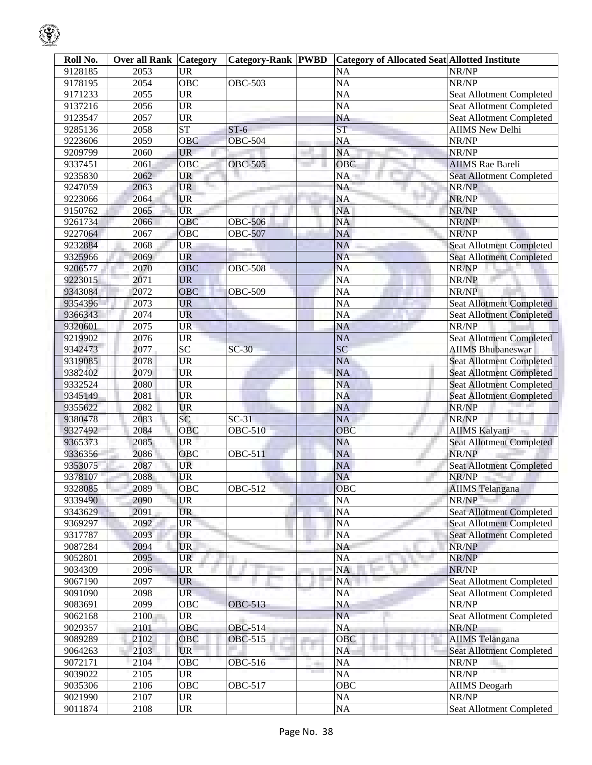| Roll No. | <b>Over all Rank Category</b> |                        | <b>Category-Rank PWBD</b> |                      | <b>Category of Allocated Seat Allotted Institute</b> |                                 |
|----------|-------------------------------|------------------------|---------------------------|----------------------|------------------------------------------------------|---------------------------------|
| 9128185  | 2053                          | <b>UR</b>              |                           |                      | <b>NA</b>                                            | NR/NP                           |
| 9178195  | 2054                          | $\overline{OBC}$       | <b>OBC-503</b>            |                      | $\overline{NA}$                                      | NR/NP                           |
| 9171233  | $\overline{2055}$             | $\overline{\text{UR}}$ |                           |                      | $\overline{NA}$                                      | Seat Allotment Completed        |
| 9137216  | 2056                          | $\overline{\text{UR}}$ |                           |                      | <b>NA</b>                                            | Seat Allotment Completed        |
| 9123547  | 2057                          | $\overline{\text{UR}}$ |                           |                      | <b>NA</b>                                            | Seat Allotment Completed        |
| 9285136  | 2058                          | ST                     | $ST-6$                    |                      | $\overline{\text{ST}}$                               | <b>AIIMS New Delhi</b>          |
| 9223606  | 2059                          | OBC                    | $OE$ -504                 |                      | <b>NA</b>                                            | NR/NP                           |
| 9209799  | 2060                          | <b>UR</b>              |                           |                      | <b>NA</b>                                            | NR/NP                           |
| 9337451  | 2061                          | OBC                    | <b>OBC-505</b>            |                      | <b>OBC</b>                                           | <b>AIIMS</b> Rae Bareli         |
| 9235830  | 2062                          | UR                     |                           |                      | NA                                                   | <b>Seat Allotment Completed</b> |
| 9247059  | 2063                          | <b>UR</b>              |                           |                      | <b>NA</b>                                            | NR/NP                           |
| 9223066  | 2064                          | <b>UR</b>              |                           |                      | <b>NA</b>                                            | NR/NP                           |
| 9150762  | 2065                          | <b>UR</b>              |                           |                      | <b>NA</b>                                            | NR/NP                           |
| 9261734  | 2066                          | OBC                    | <b>OBC-506</b>            |                      | <b>NA</b>                                            | NR/NP                           |
| 9227064  | 2067                          | OBC                    | <b>OBC-507</b>            |                      | <b>NA</b>                                            | NR/NP                           |
| 9232884  | 2068                          | <b>UR</b>              |                           |                      | <b>NA</b>                                            | <b>Seat Allotment Completed</b> |
| 9325966  | 2069                          | <b>UR</b>              |                           |                      | <b>NA</b>                                            | <b>Seat Allotment Completed</b> |
| 9206577  | 2070                          | OBC                    | <b>OBC-508</b>            |                      | <b>NA</b>                                            | NR/NP                           |
| 9223015  | 2071                          | <b>UR</b>              |                           |                      | $\overline{NA}$                                      | NR/NP                           |
| 9343084  | 2072                          | OBC                    | <b>OBC-509</b>            |                      | $\overline{NA}$                                      | NR/NP                           |
| 9354396  | 2073                          | <b>UR</b>              |                           |                      | <b>NA</b>                                            | <b>Seat Allotment Completed</b> |
| 9366343  | 2074                          | UR                     |                           |                      | <b>NA</b>                                            | <b>Seat Allotment Completed</b> |
| 9320601  | $\overline{2075}$             | <b>UR</b>              |                           |                      | <b>NA</b>                                            | NR/NP                           |
| 9219902  | 2076                          | <b>UR</b>              |                           |                      | <b>NA</b>                                            | <b>Seat Allotment Completed</b> |
| 9342473  | 2077                          | $\overline{SC}$        | $SC-30$                   |                      | $\overline{SC}$                                      | <b>AIIMS Bhubaneswar</b>        |
| 9319085  | 2078                          | <b>UR</b>              |                           |                      | <b>NA</b>                                            | <b>Seat Allotment Completed</b> |
| 9382402  | 2079                          | <b>UR</b>              |                           |                      | <b>NA</b>                                            | <b>Seat Allotment Completed</b> |
| 9332524  | 2080                          | <b>UR</b>              |                           |                      | <b>NA</b>                                            | <b>Seat Allotment Completed</b> |
| 9345149  | 2081                          | <b>UR</b>              |                           |                      | <b>NA</b>                                            | <b>Seat Allotment Completed</b> |
| 9355622  | 2082                          | <b>UR</b>              |                           |                      | <b>NA</b>                                            | NR/NP                           |
| 9380478  | 2083                          | SC                     | $SC-31$                   |                      | <b>NA</b>                                            | NR/NP                           |
| 9327492  | 2084                          | OBC                    | <b>OBC-510</b>            |                      | OBC                                                  | <b>AIIMS Kalyani</b>            |
| 9365373  | 2085                          | <b>UR</b>              |                           |                      | <b>NA</b>                                            | <b>Seat Allotment Completed</b> |
| 9336356  | 2086                          | OBC                    | <b>OBC-511</b>            |                      | <b>NA</b>                                            | NR/NP                           |
| 9353075  | 2087                          | <b>UR</b>              |                           |                      | <b>NA</b>                                            | <b>Seat Allotment Completed</b> |
| 9378107  | 2088                          | UR                     |                           |                      | <b>NA</b>                                            | NR/NP                           |
| 9328085  | 2089                          | OBC                    | $OE-512$                  |                      | OBC                                                  | <b>AIIMS</b> Telangana          |
| 9339490  | 2090                          | <b>UR</b>              |                           |                      | <b>NA</b>                                            | NR/NP                           |
| 9343629  | 2091                          | <b>UR</b>              |                           |                      | <b>NA</b>                                            | <b>Seat Allotment Completed</b> |
| 9369297  | 2092                          | <b>UR</b>              |                           |                      | <b>NA</b>                                            | <b>Seat Allotment Completed</b> |
| 9317787  | 2093                          | <b>UR</b>              |                           |                      | <b>NA</b>                                            | <b>Seat Allotment Completed</b> |
| 9087284  | 2094                          | <b>UR</b>              |                           |                      | <b>NA</b>                                            | NR/NP                           |
| 9052801  | 2095                          | <b>UR</b>              |                           |                      | <b>NA</b>                                            | NR/NP                           |
| 9034309  | 2096                          | <b>UR</b>              |                           |                      | <b>NA</b>                                            | NR/NP                           |
| 9067190  | 2097                          | <b>UR</b>              |                           |                      | <b>NA</b>                                            |                                 |
| 9091090  | 2098                          | <b>UR</b>              |                           |                      |                                                      | Seat Allotment Completed        |
| 9083691  | 2099                          | $\overline{OBC}$       | <b>OBC-513</b>            |                      | <b>NA</b>                                            | Seat Allotment Completed        |
|          |                               |                        |                           |                      | NA                                                   | NR/NP                           |
| 9062168  | 2100                          | UR                     |                           |                      | <b>NA</b>                                            | Seat Allotment Completed        |
| 9029357  | 2101                          | OBC                    | <b>OBC-514</b>            |                      | <b>NA</b>                                            | NR/NP                           |
| 9089289  | 2102                          | OBC                    | OBC-515                   | 11 M                 | OBC                                                  | <b>AIIMS</b> Telangana          |
| 9064263  | 2103                          | UR                     |                           |                      | <b>NA</b>                                            | <b>Seat Allotment Completed</b> |
| 9072171  | 2104                          | OBC                    | OBC-516                   | a.<br><b>College</b> | <b>NA</b>                                            | NR/NP                           |
| 9039022  | 2105                          | <b>UR</b>              |                           |                      | <b>NA</b>                                            | NR/NP                           |
| 9035306  | 2106                          | $\overline{OBC}$       | <b>OBC-517</b>            |                      | <b>OBC</b>                                           | <b>AIIMS</b> Deogarh            |
| 9021990  | 2107                          | <b>UR</b>              |                           |                      | <b>NA</b>                                            | NR/NP                           |
| 9011874  | 2108                          | $\overline{\text{UR}}$ |                           |                      | <b>NA</b>                                            | Seat Allotment Completed        |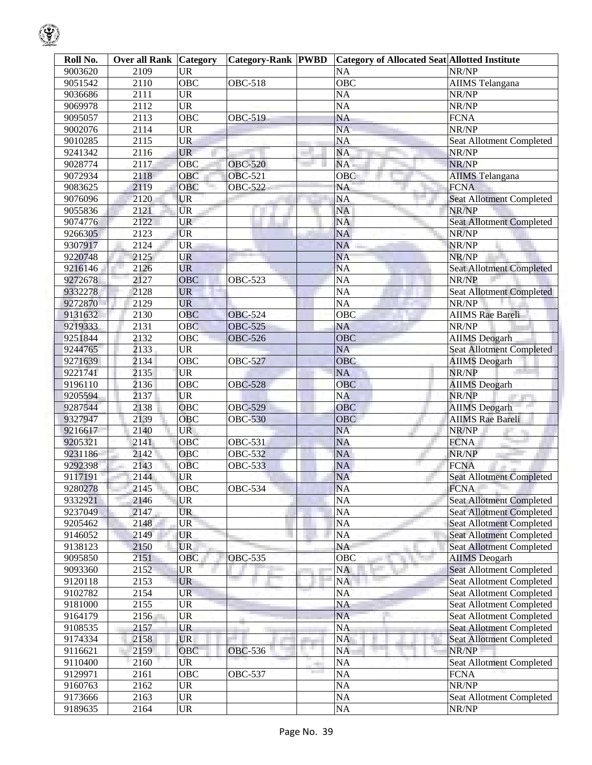| Roll No. | <b>Over all Rank Category</b> |                                   | Category-Rank PWBD |              | <b>Category of Allocated Seat Allotted Institute</b> |                                 |
|----------|-------------------------------|-----------------------------------|--------------------|--------------|------------------------------------------------------|---------------------------------|
| 9003620  | 2109                          | <b>UR</b>                         |                    |              | NA                                                   | NR/NP                           |
| 9051542  | 2110                          | <b>OBC</b>                        | <b>OBC-518</b>     |              | $\overline{OBC}$                                     | <b>AIIMS</b> Telangana          |
| 9036686  | 2111                          | <b>UR</b>                         |                    |              | <b>NA</b>                                            | NR/NP                           |
| 9069978  | 2112                          | <b>UR</b>                         |                    |              | <b>NA</b>                                            | NR/NP                           |
| 9095057  | 2113                          | OBC                               | <b>OBC-519</b>     |              | $\overline{NA}$                                      | <b>FCNA</b>                     |
| 9002076  | 2114                          | <b>UR</b>                         |                    |              | <b>NA</b>                                            | NR/NP                           |
| 9010285  | 2115                          | <b>UR</b>                         |                    |              | <b>NA</b>                                            | Seat Allotment Completed        |
| 9241342  | 2116                          | <b>UR</b>                         |                    |              | NA                                                   | NR/NP                           |
| 9028774  | 2117                          | OBC                               | <b>OBC-520</b>     |              | NA                                                   | NR/NP                           |
| 9072934  | 2118                          | OBC                               | OBC-521            |              | OBC                                                  | <b>AIIMS</b> Telangana          |
| 9083625  | 2119                          | OBC                               | <b>OBC-522</b>     |              | NA                                                   | <b>FCNA</b>                     |
| 9076096  | 2120                          | <b>UR</b>                         |                    |              | NA                                                   | <b>Seat Allotment Completed</b> |
| 9055836  | 2121                          | <b>UR</b>                         |                    |              | NA                                                   | NR/NP                           |
| 9074776  | 2122                          | <b>UR</b>                         |                    |              | <b>NA</b>                                            | <b>Seat Allotment Completed</b> |
| 9266305  | 2123                          | <b>UR</b>                         |                    |              | <b>NA</b>                                            | NR/NP                           |
| 9307917  | 2124                          | <b>UR</b>                         |                    |              | <b>NA</b>                                            | NR/NP                           |
| 9220748  | 2125                          | <b>UR</b>                         |                    |              | <b>NA</b>                                            | NR/NP                           |
| 9216146  | 2126                          | <b>UR</b>                         |                    |              | <b>NA</b>                                            | <b>Seat Allotment Completed</b> |
| 9272678  | 2127                          | <b>OBC</b>                        | <b>OBC-523</b>     |              | $\overline{NA}$                                      | NR/NP                           |
| 9332278  | 2128                          | <b>UR</b>                         |                    |              | <b>NA</b>                                            | <b>Seat Allotment Completed</b> |
|          | 2129                          | <b>UR</b>                         |                    |              | <b>NA</b>                                            | NR/NP                           |
| 9272870  |                               |                                   |                    |              |                                                      |                                 |
| 9131632  | 2130                          | OBC                               | <b>OBC-524</b>     |              | OBC                                                  | <b>AIIMS Rae Bareli</b>         |
| 9219333  | 2131                          | <b>OBC</b>                        | <b>OBC-525</b>     |              | NA                                                   | NR/NP                           |
| 9251844  | 2132                          | OBC                               | <b>OBC-526</b>     |              | OBC                                                  | <b>AIIMS</b> Deogarh            |
| 9244765  | 2133                          | <b>UR</b>                         |                    |              | <b>NA</b>                                            | Seat Allotment Completed        |
| 9271639  | 2134                          | <b>OBC</b>                        | <b>OBC-527</b>     |              | <b>OBC</b>                                           | <b>AIIMS</b> Deogarh            |
| 9221741  | 2135                          | <b>UR</b>                         |                    |              | <b>NA</b>                                            | NR/NP                           |
| 9196110  | 2136                          | OBC                               | <b>OBC-528</b>     |              | $\overline{O}$ BC                                    | <b>AIIMS</b> Deogarh            |
| 9205594  | 2137                          | <b>UR</b>                         |                    |              | <b>NA</b>                                            | NR/NP                           |
| 9287544  | 2138                          | <b>OBC</b>                        | <b>OBC-529</b>     |              | OBC                                                  | <b>AIIMS</b> Deogarh            |
| 9327947  | 2139                          | <b>OBC</b>                        | <b>OBC-530</b>     |              | OBC                                                  | <b>AIIMS</b> Rae Bareli         |
| 9216617  | 2140                          | <b>UR</b>                         |                    |              | <b>NA</b>                                            | NR/NP<br>76                     |
| 9205321  | 2141                          | OBC                               | <b>OBC-531</b>     |              | <b>NA</b>                                            | <b>FCNA</b>                     |
| 9231186  | 2142                          | OBC                               | OBC-532            |              | $\overline{NA}$                                      | NR/NP                           |
| 9292398  | 2143                          | <b>OBC</b>                        | OBC-533            |              | NA                                                   | <b>FCNA</b>                     |
| 9117191  | 2144                          | UR                                |                    |              | <b>NA</b>                                            | <b>Seat Allotment Completed</b> |
| 9280278  | 2145                          | OBC                               | <b>OBC-534</b>     |              | <b>NA</b>                                            | <b>FCNA</b>                     |
| 9332921  | 2146                          | <b>UR</b>                         |                    |              | <b>NA</b>                                            | <b>Seat Allotment Completed</b> |
| 9237049  | 2147                          | <b>UR</b>                         |                    |              | NA                                                   | <b>Seat Allotment Completed</b> |
| 9205462  | 2148                          | <b>UR</b>                         |                    |              | NA                                                   | <b>Seat Allotment Completed</b> |
| 9146052  | 2149                          | <b>UR</b>                         |                    |              | <b>NA</b>                                            | <b>Seat Allotment Completed</b> |
| 9138123  | 2150                          | <b>UR</b>                         |                    |              | NA                                                   | <b>Seat Allotment Completed</b> |
| 9095850  | 2151                          | OBC                               | <b>OBC-535</b>     |              | OBC                                                  | <b>AIIMS</b> Deogarh            |
| 9093360  | 2152                          | <b>UR</b>                         |                    |              | NA                                                   | <b>Seat Allotment Completed</b> |
| 9120118  | 2153                          | <b>UR</b>                         |                    |              | NA                                                   | <b>Seat Allotment Completed</b> |
| 9102782  | 2154                          | <b>UR</b>                         |                    |              | <b>NA</b>                                            | <b>Seat Allotment Completed</b> |
| 9181000  | 2155                          | <b>UR</b>                         |                    |              | NA                                                   | Seat Allotment Completed        |
| 9164179  | 2156                          | <b>UR</b>                         |                    |              | <b>NA</b>                                            | Seat Allotment Completed        |
| 9108535  | 2157                          | <b>UR</b>                         |                    |              | <b>NA</b>                                            | <b>Seat Allotment Completed</b> |
| 9174334  | 2158                          | <b>UR</b>                         |                    |              | NA                                                   | <b>Seat Allotment Completed</b> |
| 9116621  | 2159                          | OBC                               | OBC-536            |              | <b>NA</b>                                            | NR/NP                           |
| 9110400  | 2160                          | UR                                |                    | <b>COLOR</b> | <b>NA</b>                                            | <b>Seat Allotment Completed</b> |
| 9129971  | 2161                          | OBC                               | <b>OBC-537</b>     |              | NA                                                   | <b>FCNA</b>                     |
| 9160763  | 2162                          | <b>UR</b>                         |                    |              | <b>NA</b>                                            | NR/NP                           |
| 9173666  | 2163                          | <b>UR</b>                         |                    |              | NA                                                   | Seat Allotment Completed        |
| 9189635  | 2164                          | $\ensuremath{\mathsf{UR}}\xspace$ |                    |              | NA                                                   | NR/NP                           |

 $\mathcal{G}$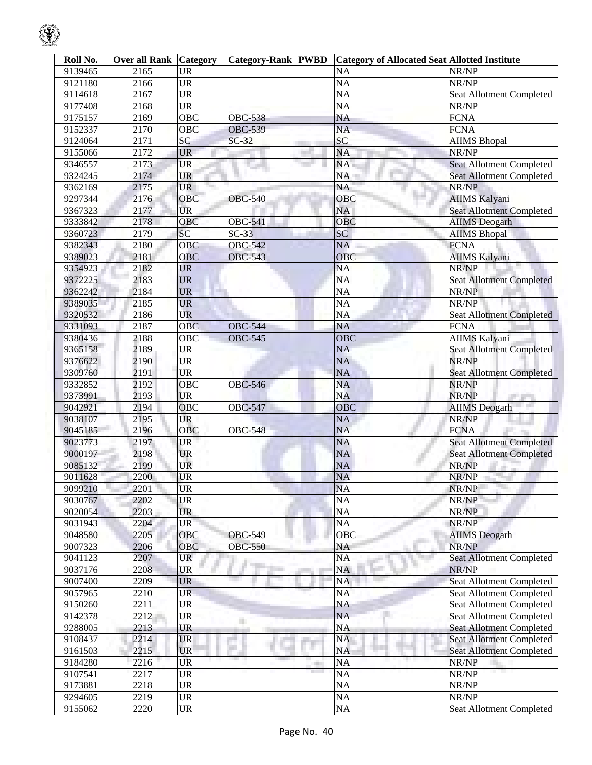| Roll No. | <b>Over all Rank Category</b> |                  | <b>Category-Rank PWBD</b> |               | <b>Category of Allocated Seat Allotted Institute</b> |                                 |
|----------|-------------------------------|------------------|---------------------------|---------------|------------------------------------------------------|---------------------------------|
| 9139465  | 2165                          | <b>UR</b>        |                           |               | <b>NA</b>                                            | NR/NP                           |
| 9121180  | 2166                          | $\overline{UR}$  |                           |               | $\overline{NA}$                                      | NR/NP                           |
| 9114618  | 2167                          | $\overline{UR}$  |                           |               | $\overline{NA}$                                      | Seat Allotment Completed        |
| 9177408  | 2168                          | $\overline{UR}$  |                           |               | <b>NA</b>                                            | NR/NP                           |
| 9175157  | 2169                          | $\overline{OBC}$ | <b>OBC-538</b>            |               | <b>NA</b>                                            | <b>FCNA</b>                     |
| 9152337  | 2170                          | OBC              | <b>OBC-539</b>            |               | $\overline{NA}$                                      | <b>FCNA</b>                     |
| 9124064  | 2171                          | SC               | $SC-32$                   |               | SC                                                   | <b>AIIMS</b> Bhopal             |
| 9155066  | 2172                          | <b>UR</b>        |                           |               | <b>NA</b>                                            | NR/NP                           |
| 9346557  | 2173                          | <b>UR</b>        |                           |               | NA                                                   | <b>Seat Allotment Completed</b> |
| 9324245  | 2174                          | <b>UR</b>        |                           |               | NA                                                   | <b>Seat Allotment Completed</b> |
| 9362169  | 2175                          | <b>UR</b>        |                           |               | <b>NA</b>                                            | NR/NP                           |
| 9297344  | 2176                          | OBC              | <b>OBC-540</b>            |               | OBC                                                  | <b>AIIMS Kalyani</b>            |
| 9367323  | 2177                          | <b>UR</b>        |                           |               | <b>NA</b>                                            | <b>Seat Allotment Completed</b> |
| 9333842  | 2178                          | <b>OBC</b>       | <b>OBC-541</b>            |               | OBC                                                  | <b>AIIMS</b> Deogarh            |
| 9360723  | 2179                          | SC               | $SC-33$                   |               | <b>SC</b>                                            | <b>AIIMS Bhopal</b>             |
| 9382343  | 2180                          | OBC              | <b>OBC-542</b>            |               | <b>NA</b>                                            | <b>FCNA</b>                     |
| 9389023  | 2181                          | OBC              | <b>OBC-543</b>            |               | OBC                                                  | <b>AIIMS Kalyani</b>            |
| 9354923  | 2182                          | <b>UR</b>        |                           |               | <b>NA</b>                                            | NR/NP                           |
| 9372225  | 2183                          | <b>UR</b>        |                           |               | $\overline{NA}$                                      | <b>Seat Allotment Completed</b> |
| 9362242  | 2184                          | <b>UR</b>        |                           |               | $\overline{NA}$                                      | NR/NP                           |
| 9389035  | 2185                          | <b>UR</b>        |                           |               | <b>NA</b>                                            | NR/NP                           |
| 9320532  | 2186                          | <b>UR</b>        |                           |               | $\overline{NA}$                                      | <b>Seat Allotment Completed</b> |
| 9331093  | 2187                          | OBC              | <b>OBC-544</b>            |               | <b>NA</b>                                            | <b>FCNA</b>                     |
| 9380436  | 2188                          | OBC              | <b>OBC-545</b>            |               | OBC                                                  | <b>AIIMS Kalyani</b>            |
| 9365158  | 2189                          | <b>UR</b>        |                           |               | <b>NA</b>                                            | <b>Seat Allotment Completed</b> |
| 9376622  | 2190                          | <b>UR</b>        |                           |               | <b>NA</b>                                            | NR/NP                           |
| 9309760  | $\overline{2191}$             | <b>UR</b>        |                           |               | <b>NA</b>                                            | <b>Seat Allotment Completed</b> |
| 9332852  | 2192                          | OBC              | <b>OBC-546</b>            |               | <b>NA</b>                                            | NR/NP                           |
| 9373991  | 2193                          | <b>UR</b>        |                           |               | <b>NA</b>                                            | NR/NP                           |
| 9042921  | 2194                          | <b>OBC</b>       | <b>OBC-547</b>            |               | <b>OBC</b>                                           | <b>AIIMS</b> Deogarh            |
| 9038107  | 2195                          | <b>UR</b>        |                           |               | <b>NA</b>                                            | NR/NP                           |
| 9045185  | 2196                          | <b>OBC</b>       | <b>OBC-548</b>            |               | <b>NA</b>                                            | <b>FCNA</b>                     |
| 9023773  | 2197                          | <b>UR</b>        |                           |               | <b>NA</b>                                            | <b>Seat Allotment Completed</b> |
| 9000197  | 2198                          | <b>UR</b>        |                           |               | <b>NA</b>                                            | <b>Seat Allotment Completed</b> |
| 9085132  | 2199                          | <b>UR</b>        |                           |               | <b>NA</b>                                            | NR/NP                           |
| 9011628  | 2200                          | <b>UR</b>        |                           |               | <b>NA</b>                                            | NR/NP                           |
| 9099210  | 2201                          | <b>UR</b>        |                           |               | <b>NA</b>                                            | NR/NP                           |
| 9030767  | 2202                          | <b>UR</b>        |                           |               | <b>NA</b>                                            | NR/NP                           |
| 9020054  | 2203                          | <b>UR</b>        |                           |               | <b>NA</b>                                            | NR/NP                           |
| 9031943  | 2204                          | <b>UR</b>        |                           |               | $\overline{NA}$                                      | NR/NP                           |
| 9048580  | 2205                          | OBC              | <b>OBC-549</b>            |               | <b>OBC</b>                                           | <b>AIIMS</b> Deogarh            |
| 9007323  | 2206                          | OBC              | <b>OBC-550</b>            |               | NA                                                   | NR/NP                           |
| 9041123  | 2207                          | <b>UR</b>        |                           |               | <b>NA</b>                                            | <b>Seat Allotment Completed</b> |
| 9037176  | 2208                          | UR               |                           |               | <b>NA</b>                                            | NR/NP                           |
| 9007400  | 2209                          | <b>UR</b>        |                           |               | NA                                                   | <b>Seat Allotment Completed</b> |
| 9057965  | 2210                          | <b>UR</b>        |                           |               | <b>NA</b>                                            | Seat Allotment Completed        |
| 9150260  | 2211                          | <b>UR</b>        |                           |               | NA                                                   | <b>Seat Allotment Completed</b> |
| 9142378  | 2212                          | <b>UR</b>        |                           |               | <b>NA</b>                                            | Seat Allotment Completed        |
| 9288005  | 2213                          | <b>UR</b>        |                           |               | <b>NA</b>                                            | Seat Allotment Completed        |
| 9108437  | 2214                          | <b>UR</b>        |                           |               | <b>NA</b>                                            | <b>Seat Allotment Completed</b> |
| 9161503  | 2215                          | <b>UR</b>        |                           | u a           | <b>NA</b>                                            | <b>Seat Allotment Completed</b> |
| 9184280  | 2216                          | UR               |                           | $\Rightarrow$ | <b>NA</b>                                            | NR/NP                           |
| 9107541  | 2217                          | <b>UR</b>        |                           | m             | NA                                                   | NR/NP                           |
| 9173881  | 2218                          | <b>UR</b>        |                           |               | NA                                                   | NR/NP                           |
| 9294605  | 2219                          | <b>UR</b>        |                           |               | $\rm NA$                                             | NR/NP                           |
| 9155062  | 2220                          | <b>UR</b>        |                           |               | $\overline{NA}$                                      | Seat Allotment Completed        |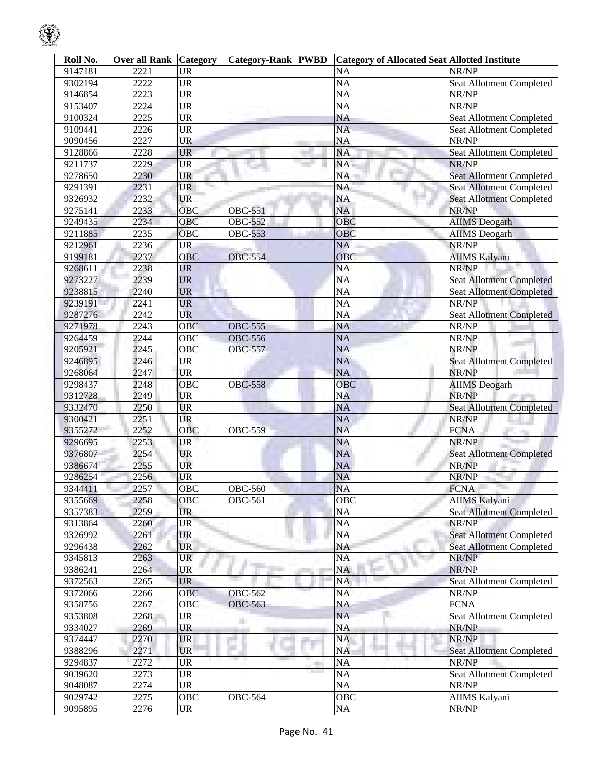| Roll No. | <b>Over all Rank Category</b> |                                   | <b>Category-Rank PWBD</b> |                               | <b>Category of Allocated Seat Allotted Institute</b> |                                 |
|----------|-------------------------------|-----------------------------------|---------------------------|-------------------------------|------------------------------------------------------|---------------------------------|
| 9147181  | 2221                          | <b>UR</b>                         |                           |                               | <b>NA</b>                                            | NR/NP                           |
| 9302194  | 2222                          | $\overline{UR}$                   |                           |                               | $\overline{NA}$                                      | Seat Allotment Completed        |
| 9146854  | 2223                          | <b>UR</b>                         |                           |                               | $\overline{NA}$                                      | NR/NP                           |
| 9153407  | 2224                          | $\overline{\text{UR}}$            |                           |                               | $\overline{NA}$                                      | NR/NP                           |
| 9100324  | 2225                          | <b>UR</b>                         |                           |                               | <b>NA</b>                                            | Seat Allotment Completed        |
| 9109441  | 2226                          | <b>UR</b>                         |                           |                               | $\overline{NA}$                                      | Seat Allotment Completed        |
| 9090456  | 2227                          | <b>UR</b>                         |                           |                               | <b>NA</b>                                            | NR/NP                           |
| 9128866  | 2228                          | <b>UR</b>                         |                           |                               | <b>NA</b>                                            | <b>Seat Allotment Completed</b> |
| 9211737  | 2229                          | <b>UR</b>                         |                           |                               | NA                                                   | NR/NP                           |
| 9278650  | 2230                          | <b>UR</b>                         |                           |                               | NA                                                   | <b>Seat Allotment Completed</b> |
| 9291391  | 2231                          | <b>UR</b>                         |                           |                               | <b>NA</b>                                            | <b>Seat Allotment Completed</b> |
| 9326932  | 2232                          | <b>UR</b>                         |                           |                               | <b>NA</b>                                            | <b>Seat Allotment Completed</b> |
| 9275141  | 2233                          | <b>OBC</b>                        | <b>OBC-551</b>            |                               | <b>NA</b>                                            | NR/NP                           |
| 9249435  | 2234                          | OBC                               | <b>OBC-552</b>            |                               | OBC                                                  | <b>AIIMS</b> Deogarh            |
| 9211885  | 2235                          | OBC                               | <b>OBC-553</b>            |                               | OBC                                                  | <b>AIIMS</b> Deogarh            |
| 9212961  | 2236                          | <b>UR</b>                         |                           |                               | <b>NA</b>                                            | NR/NP                           |
| 9199181  | 2237                          | OBC                               | <b>OBC-554</b>            |                               | OBC                                                  | <b>AIIMS Kalyani</b>            |
| 9268611  | 2238                          | <b>UR</b>                         |                           |                               | <b>NA</b>                                            | NR/NP                           |
| 9273227  | 2239                          | <b>UR</b>                         |                           |                               | $\overline{NA}$                                      | Seat Allotment Completed        |
| 9238815  | 2240                          | <b>UR</b>                         |                           |                               | $\overline{NA}$                                      | <b>Seat Allotment Completed</b> |
| 9239191  | 2241                          | <b>UR</b>                         |                           |                               | NA                                                   | NR/NP                           |
| 9287276  | 2242                          | <b>UR</b>                         |                           |                               | $\overline{NA}$                                      | <b>Seat Allotment Completed</b> |
| 9271978  | 2243                          | <b>OBC</b>                        | <b>OBC-555</b>            |                               | <b>NA</b>                                            | NR/NP                           |
| 9264459  | 2244                          | OBC                               | <b>OBC-556</b>            |                               | $\overline{NA}$                                      | NR/NP                           |
| 9205921  | 2245                          | OBC                               | <b>OBC-557</b>            |                               | <b>NA</b>                                            | NR/NP                           |
| 9246895  | 2246                          | <b>UR</b>                         |                           |                               | <b>NA</b>                                            | <b>Seat Allotment Completed</b> |
| 9268064  | 2247                          | <b>UR</b>                         |                           |                               | <b>NA</b>                                            | NR/NP                           |
| 9298437  | 2248                          | <b>OBC</b>                        | <b>OBC-558</b>            |                               | OBC                                                  | <b>AIIMS</b> Deogarh            |
| 9312728  | 2249                          | <b>UR</b>                         |                           |                               | <b>NA</b>                                            | NR/NP                           |
| 9332470  | 2250                          | UR                                |                           |                               | <b>NA</b>                                            | <b>Seat Allotment Completed</b> |
| 9300421  | 2251                          | UR                                |                           |                               | <b>NA</b>                                            | NR/NP                           |
| 9355272  | 2252                          | OBC                               | <b>OBC-559</b>            |                               | <b>NA</b>                                            | <b>FCNA</b>                     |
| 9296695  | 2253                          | <b>UR</b>                         |                           |                               | <b>NA</b>                                            | NR/NP                           |
| 9376807  | 2254                          | <b>UR</b>                         |                           |                               | NA                                                   | <b>Seat Allotment Completed</b> |
| 9386674  | 2255                          | <b>UR</b>                         |                           |                               | NA                                                   | NR/NP                           |
| 9286254  | 2256                          | <b>UR</b>                         |                           |                               | <b>NA</b>                                            | NR/NP                           |
| 9344411  | 2257                          | OBC                               | <b>OBC-560</b>            |                               | <b>NA</b>                                            | <b>FCNA</b>                     |
| 9355669  | 2258                          | <b>OBC</b>                        | <b>OBC-561</b>            |                               | <b>OBC</b>                                           | <b>AIIMS Kalyani</b>            |
| 9357383  | 2259                          | <b>UR</b>                         |                           |                               | NA                                                   | <b>Seat Allotment Completed</b> |
| 9313864  | 2260                          | <b>UR</b>                         |                           |                               | NA                                                   | NR/NP                           |
| 9326992  | 2261                          | <b>UR</b>                         |                           |                               | <b>NA</b>                                            | <b>Seat Allotment Completed</b> |
| 9296438  | 2262                          | <b>UR</b>                         |                           |                               | NA                                                   | <b>Seat Allotment Completed</b> |
| 9345813  | 2263                          | <b>UR</b>                         |                           |                               | <b>NA</b>                                            | NR/NP                           |
| 9386241  | 2264                          | <b>UR</b>                         |                           |                               | NA                                                   | NR/NP                           |
| 9372563  | 2265                          | <b>UR</b>                         |                           |                               | NA                                                   | Seat Allotment Completed        |
| 9372066  | 2266                          | <b>OBC</b>                        | <b>OBC-562</b>            |                               | <b>NA</b>                                            | NR/NP                           |
| 9358756  | 2267                          | OBC                               | <b>OBC-563</b>            |                               | NA                                                   | <b>FCNA</b>                     |
| 9353808  | 2268                          | UR                                |                           |                               | <b>NA</b>                                            | Seat Allotment Completed        |
| 9334027  | 2269                          | <b>UR</b>                         |                           |                               | <b>NA</b>                                            | NR/NP                           |
| 9374447  | 2270                          | <b>UR</b>                         |                           |                               | NA                                                   | NR/NP                           |
| 9388296  | 2271                          | <b>UR</b>                         |                           |                               | <b>NA</b>                                            | <b>Seat Allotment Completed</b> |
| 9294837  | 2272                          | <b>UR</b>                         |                           |                               | <b>NA</b>                                            | NR/NP                           |
| 9039620  | 2273                          | <b>UR</b>                         |                           | <b>The Contract of Street</b> | $\overline{NA}$                                      | <b>Seat Allotment Completed</b> |
| 9048087  | 2274                          | <b>UR</b>                         |                           |                               | <b>NA</b>                                            | NR/NP                           |
| 9029742  | 2275                          | OBC                               | <b>OBC-564</b>            |                               | OBC                                                  | AIIMS Kalyani                   |
| 9095895  | 2276                          | $\ensuremath{\mathrm{UR}}\xspace$ |                           |                               | NA                                                   | NR/NP                           |
|          |                               |                                   |                           |                               |                                                      |                                 |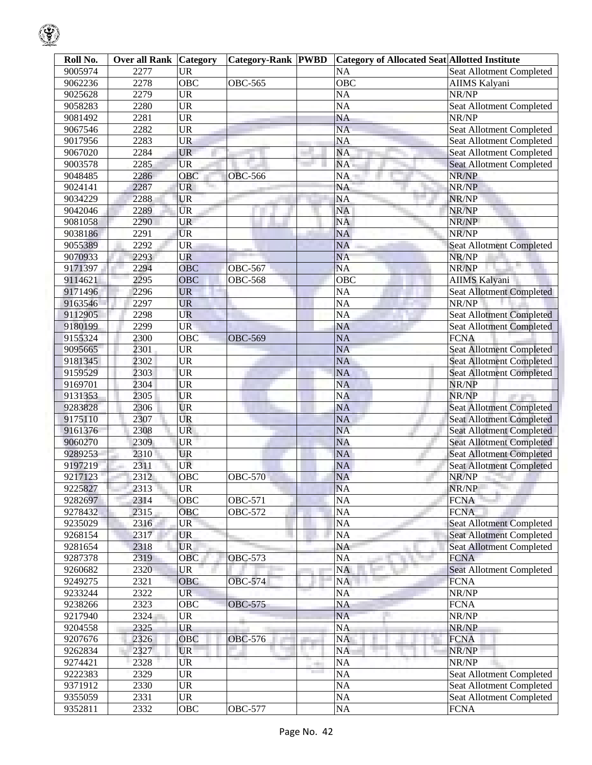| Roll No. | <b>Over all Rank Category</b> |                        | <b>Category-Rank PWBD</b> |      | <b>Category of Allocated Seat Allotted Institute</b> |                                 |
|----------|-------------------------------|------------------------|---------------------------|------|------------------------------------------------------|---------------------------------|
| 9005974  | 2277                          | <b>UR</b>              |                           |      | <b>NA</b>                                            | Seat Allotment Completed        |
| 9062236  | 2278                          | $\overline{OBC}$       | <b>OBC-565</b>            |      | OBC                                                  | AIIMS Kalyani                   |
| 9025628  | 2279                          | $\overline{\text{UR}}$ |                           |      | $\overline{NA}$                                      | NR/NP                           |
| 9058283  | 2280                          | <b>UR</b>              |                           |      | NA                                                   | Seat Allotment Completed        |
| 9081492  | 2281                          | $\overline{\text{UR}}$ |                           |      | <b>NA</b>                                            | NR/NP                           |
| 9067546  | 2282                          | <b>UR</b>              |                           |      | $\overline{NA}$                                      | Seat Allotment Completed        |
| 9017956  | 2283                          | <b>UR</b>              |                           |      | <b>NA</b>                                            | Seat Allotment Completed        |
| 9067020  | 2284                          | <b>UR</b>              |                           |      | <b>NA</b>                                            | Seat Allotment Completed        |
| 9003578  | 2285                          | <b>UR</b>              |                           |      | NA                                                   | <b>Seat Allotment Completed</b> |
| 9048485  | 2286                          | <b>OBC</b>             | <b>OBC-566</b>            |      | NA                                                   | NR/NP                           |
| 9024141  | 2287                          | <b>UR</b>              |                           |      | <b>NA</b>                                            | NR/NP                           |
| 9034229  | 2288                          | <b>UR</b>              |                           |      | $\overline{NA}$                                      | NR/NP                           |
| 9042046  | 2289                          | <b>UR</b>              |                           |      | <b>NA</b>                                            | NR/NP                           |
| 9081058  | 2290                          | <b>UR</b>              |                           |      | <b>NA</b>                                            | NR/NP                           |
| 9038186  | 2291                          | <b>UR</b>              |                           |      | <b>NA</b>                                            | NR/NP                           |
| 9055389  | 2292                          | <b>UR</b>              |                           |      | <b>NA</b>                                            | <b>Seat Allotment Completed</b> |
| 9070933  | 2293                          | <b>UR</b>              |                           |      | <b>NA</b>                                            | NR/NP                           |
| 9171397  | 2294                          | <b>OBC</b>             | <b>OBC-567</b>            |      | <b>NA</b>                                            | NR/NP                           |
| 9114621  | 2295                          | OBC                    | <b>OBC-568</b>            |      | $\overline{OBC}$                                     | <b>AIIMS Kalyani</b>            |
| 9171496  | 2296                          | <b>UR</b>              |                           |      | $\overline{NA}$                                      | <b>Seat Allotment Completed</b> |
| 9163546  | 2297                          | <b>UR</b>              |                           |      | $\overline{NA}$                                      | NR/NP                           |
| 9112905  | 2298                          | UR                     |                           |      | $\overline{NA}$                                      | <b>Seat Allotment Completed</b> |
| 9180199  | 2299                          | <b>UR</b>              |                           |      | <b>NA</b>                                            | <b>Seat Allotment Completed</b> |
| 9155324  | 2300                          | OBC                    | <b>OBC-569</b>            |      | <b>NA</b>                                            | <b>FCNA</b>                     |
| 9095665  | $\overline{2301}$             | <b>UR</b>              |                           |      | <b>NA</b>                                            | <b>Seat Allotment Completed</b> |
| 9181345  | 2302                          | <b>UR</b>              |                           |      | <b>NA</b>                                            | <b>Seat Allotment Completed</b> |
| 9159529  | 2303                          | <b>UR</b>              |                           |      | <b>NA</b>                                            | <b>Seat Allotment Completed</b> |
| 9169701  | 2304                          | <b>UR</b>              |                           |      | <b>NA</b>                                            | NR/NP                           |
| 9131353  | 2305                          | <b>UR</b>              |                           |      | <b>NA</b>                                            | NR/NP                           |
| 9283828  | 2306                          | <b>UR</b>              |                           |      | <b>NA</b>                                            | Seat Allotment Completed        |
| 9175110  | 2307                          | UR                     |                           |      | <b>NA</b>                                            | <b>Seat Allotment Completed</b> |
| 9161376  | 2308                          | <b>UR</b>              |                           |      | <b>NA</b>                                            | <b>Seat Allotment Completed</b> |
| 9060270  | 2309                          | <b>UR</b>              |                           |      | <b>NA</b>                                            | <b>Seat Allotment Completed</b> |
| 9289253  | $\overline{2310}$             | UR                     |                           |      | <b>NA</b>                                            | <b>Seat Allotment Completed</b> |
| 9197219  | 2311                          | <b>UR</b>              |                           |      | <b>NA</b>                                            | <b>Seat Allotment Completed</b> |
| 9217123  | 2312                          | OBC                    | <b>OBC-570</b>            |      | <b>NA</b>                                            | NR/NP                           |
| 9225827  | 2313                          | <b>UR</b>              |                           |      | NA                                                   | NR/NP                           |
| 9282697  | 2314                          | <b>OBC</b>             | OBC-571                   |      | <b>NA</b>                                            | <b>FCNA</b>                     |
| 9278432  | 2315                          | OBC                    | <b>OBC-572</b>            |      | <b>NA</b>                                            | <b>FCNA</b>                     |
| 9235029  | 2316                          | <b>UR</b>              |                           |      | $\overline{NA}$                                      | <b>Seat Allotment Completed</b> |
| 9268154  | 2317                          | <b>UR</b>              |                           |      | $N\overline{A}$                                      | <b>Seat Allotment Completed</b> |
| 9281654  | 2318                          | <b>UR</b>              |                           |      | NA                                                   | <b>Seat Allotment Completed</b> |
| 9287378  | 2319                          | OBC                    | <b>OBC-573</b>            |      | <b>NA</b>                                            | <b>FCNA</b>                     |
| 9260682  | 2320                          | <b>UR</b>              |                           |      | <b>NA</b>                                            | <b>Seat Allotment Completed</b> |
| 9249275  | 2321                          | OBC                    | <b>OBC-574</b>            |      | <b>NA</b>                                            | <b>FCNA</b>                     |
| 9233244  | 2322                          | <b>UR</b>              |                           |      | <b>NA</b>                                            | NR/NP                           |
| 9238266  | 2323                          | $\overline{O}$ BC      | <b>OBC-575</b>            |      | NA                                                   | <b>FCNA</b>                     |
| 9217940  | 2324                          | <b>UR</b>              |                           |      | <b>NA</b>                                            | NR/NP                           |
| 9204558  | 2325                          | <b>UR</b>              |                           |      | $\overline{NA}$                                      | NR/NP                           |
| 9207676  | 2326                          | OBC                    | <b>OBC-576</b>            |      | <b>NA</b>                                            | <b>FCNA</b>                     |
| 9262834  | 2327                          | UR                     |                           | a sa | <b>NA</b>                                            | NR/NP                           |
| 9274421  | 2328                          | UR                     |                           |      | <b>NA</b>                                            | NR/NP                           |
| 9222383  | 2329                          | <b>UR</b>              |                           | m    | <b>NA</b>                                            | Seat Allotment Completed        |
| 9371912  | 2330                          | <b>UR</b>              |                           |      | NA                                                   | Seat Allotment Completed        |
| 9355059  | 2331                          | $\overline{UR}$        |                           |      | NA                                                   | Seat Allotment Completed        |
| 9352811  | 2332                          | OBC                    | OBC-577                   |      | $\overline{NA}$                                      | <b>FCNA</b>                     |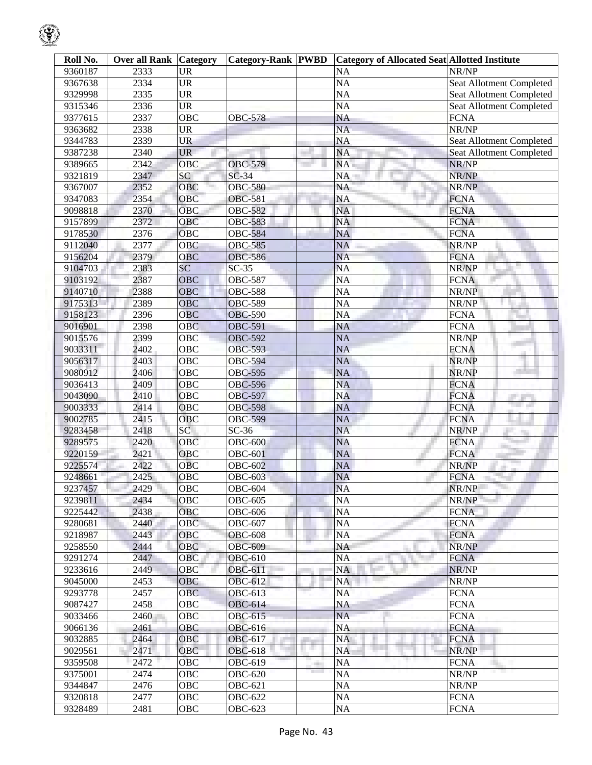| Roll No. | <b>Over all Rank Category</b> |                        | <b>Category-Rank PWBD</b> |     | <b>Category of Allocated Seat Allotted Institute</b> |                                       |
|----------|-------------------------------|------------------------|---------------------------|-----|------------------------------------------------------|---------------------------------------|
| 9360187  | 2333                          | <b>UR</b>              |                           |     | <b>NA</b>                                            | NR/NP                                 |
| 9367638  | 2334                          | $\overline{\text{UR}}$ |                           |     | $\overline{NA}$                                      | <b>Seat Allotment Completed</b>       |
| 9329998  | 2335                          | $\overline{\text{UR}}$ |                           |     | $\overline{NA}$                                      | Seat Allotment Completed              |
| 9315346  | 2336                          | $\overline{UR}$        |                           |     | $\overline{NA}$                                      | Seat Allotment Completed              |
| 9377615  | 2337                          | <b>OBC</b>             | <b>OBC-578</b>            |     | $\overline{NA}$                                      | <b>FCNA</b>                           |
| 9363682  | 2338                          | $\overline{UR}$        |                           |     | <b>NA</b>                                            | NR/NP                                 |
| 9344783  | 2339                          | <b>UR</b>              |                           |     | <b>NA</b>                                            | Seat Allotment Completed              |
| 9387238  | 2340                          | <b>UR</b>              |                           |     | <b>NA</b>                                            | Seat Allotment Completed              |
| 9389665  | 2342                          | <b>OBC</b>             | <b>OBC-579</b>            |     | NA                                                   | NR/NP                                 |
| 9321819  | 2347                          | SC                     | $SC-34$                   |     | NA                                                   | NR/NP                                 |
| 9367007  | 2352                          | OBC                    | <b>OBC-580</b>            |     | <b>NA</b>                                            | NR/NP                                 |
| 9347083  | 2354                          | OBC                    | <b>OBC-581</b>            |     | <b>NA</b>                                            | <b>FCNA</b>                           |
| 9098818  | 2370                          | <b>OBC</b>             | <b>OBC-582</b>            |     | <b>NA</b>                                            | <b>FCNA</b>                           |
| 9157899  | 2372                          | OBC                    | <b>OBC-583</b>            |     | <b>NA</b>                                            | <b>FCNA</b>                           |
| 9178530  | 2376                          | OBC                    | <b>OBC-584</b>            |     | <b>NA</b>                                            | <b>FCNA</b>                           |
| 9112040  | 2377                          | OBC                    | <b>OBC-585</b>            |     | <b>NA</b>                                            | NR/NP                                 |
| 9156204  | 2379                          | <b>OBC</b>             | <b>OBC-586</b>            |     | <b>NA</b>                                            | <b>FCNA</b>                           |
| 9104703  | 2383                          | SC                     | $SC-35$                   |     | <b>NA</b>                                            | NR/NP                                 |
| 9103192  | 2387                          | OBC                    | <b>OBC-587</b>            |     | $\overline{NA}$                                      | <b>FCNA</b>                           |
| 9140710  | 2388                          | <b>OBC</b>             | <b>OBC-588</b>            |     | $\overline{NA}$                                      | NR/NP                                 |
| 9175313  | 2389                          | OBC                    | <b>OBC-589</b>            |     | $\overline{NA}$                                      | $\overline{\text{NR}}/\text{NP}$      |
| 9158123  | 2396                          | OBC                    | <b>OBC-590</b>            |     | $\overline{NA}$                                      | <b>FCNA</b>                           |
| 9016901  | 2398                          | <b>OBC</b>             | <b>OBC-591</b>            |     | <b>NA</b>                                            | <b>FCNA</b>                           |
| 9015576  | 2399                          | OBC                    | OBC-592                   |     | <b>NA</b>                                            | NR/NP                                 |
| 9033311  | 2402                          | $\overline{OBC}$       | <b>OBC-593</b>            |     | <b>NA</b>                                            | <b>FCNA</b>                           |
| 9056317  | 2403                          | OBC                    | <b>OBC-594</b>            |     | <b>NA</b>                                            | NR/NP                                 |
| 9080912  | 2406                          | OBC                    | OBC-595                   |     | NA                                                   | NR/NP                                 |
| 9036413  | 2409                          | OBC                    | <b>OBC-596</b>            |     | <b>NA</b>                                            | <b>FCNA</b>                           |
| 9043090  | 2410                          | OBC                    | <b>OBC-597</b>            |     | <b>NA</b>                                            | <b>FCNA</b>                           |
| 9003333  | 2414                          | OBC                    | <b>OBC-598</b>            |     | <b>NA</b>                                            | <b>College College</b><br><b>FCNA</b> |
| 9002785  | 2415                          | <b>OBC</b>             | <b>OBC-599</b>            |     | <b>NA</b>                                            | <b>FCNA</b>                           |
| 9283458  | 2418                          | SC                     | $SC-36$                   |     | <b>NA</b>                                            | NR/NP                                 |
| 9289575  | 2420                          | OBC                    | <b>OBC-600</b>            |     | <b>NA</b>                                            | <b>FCNA</b>                           |
| 9220159  | 2421                          | <b>OBC</b>             | <b>OBC-601</b>            |     | <b>NA</b>                                            | <b>FCNA</b>                           |
| 9225574  | 2422                          | <b>OBC</b>             | <b>OBC-602</b>            |     | NA                                                   | NR/NP                                 |
| 9248661  | 2425                          | <b>OBC</b>             | <b>OBC-603</b>            |     | <b>NA</b>                                            | <b>FCNA</b>                           |
| 9237457  | 2429                          | OBC                    | <b>OBC-604</b>            |     | <b>NA</b>                                            | NR/NP                                 |
| 9239811  | 2434                          | OBC                    | <b>OBC-605</b>            |     | <b>NA</b>                                            | NR/NP                                 |
| 9225442  | 2438                          | <b>OBC</b>             | <b>OBC-606</b>            |     | NA                                                   | <b>FCNA</b>                           |
| 9280681  | 2440                          | OBC                    | <b>OBC-607</b>            |     | NA                                                   | <b>FCNA</b>                           |
| 9218987  | 2443                          | OBC                    | <b>OBC-608</b>            |     | <b>NA</b>                                            | <b>FCNA</b>                           |
| 9258550  | 2444                          | <b>OBC</b>             | <b>OBC-609</b>            |     | NA                                                   | NR/NP                                 |
| 9291274  | 2447                          | <b>OBC</b>             | <b>OBC-610</b>            |     | <b>NA</b>                                            | <b>FCNA</b>                           |
| 9233616  | 2449                          | <b>OBC</b>             | OBC-611                   |     | <b>NA</b>                                            | NR/NP                                 |
| 9045000  | 2453                          | <b>OBC</b>             | OBC-612                   |     | <b>NA</b>                                            | NR/NP                                 |
| 9293778  | 2457                          | <b>OBC</b>             | <b>OBC-613</b>            |     | <b>NA</b>                                            | <b>FCNA</b>                           |
| 9087427  | 2458                          | <b>OBC</b>             | <b>OBC-614</b>            |     | NA                                                   | <b>FCNA</b>                           |
| 9033466  | 2460                          | OBC                    | <b>OBC-615</b>            |     | <b>NA</b>                                            | <b>FCNA</b>                           |
| 9066136  | 2461                          | <b>OBC</b>             | <b>OBC-616</b>            |     | <b>NA</b>                                            | <b>FCNA</b>                           |
| 9032885  | 2464                          | <b>OBC</b>             | <b>OBC-617</b>            | . . | <b>NA</b>                                            | <b>FCNA</b>                           |
| 9029561  | 2471                          | OBC                    | <b>OBC-618</b>            |     | <b>NA</b>                                            | NR/NP                                 |
| 9359508  | 2472                          | <b>OBC</b>             | OBC-619                   |     | <b>NA</b>                                            | <b>FCNA</b>                           |
| 9375001  | 2474                          | OBC                    | <b>OBC-620</b>            |     | <b>NA</b>                                            | NR/NP                                 |
| 9344847  | 2476                          | <b>OBC</b>             | <b>OBC-621</b>            |     | <b>NA</b>                                            | NR/NP                                 |
| 9320818  | 2477                          | OBC                    | <b>OBC-622</b>            |     | NA                                                   | <b>FCNA</b>                           |
| 9328489  | 2481                          | OBC                    | <b>OBC-623</b>            |     | NA                                                   | <b>FCNA</b>                           |

 $\mathcal{G}% _{ij}$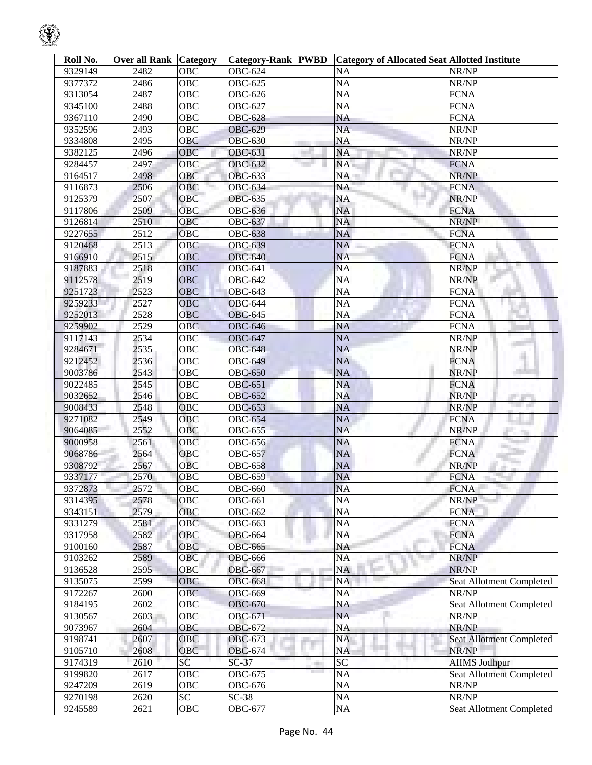|--|

| Roll No.           | <b>Over all Rank Category</b> |                         | <b>Category-Rank PWBD</b>        |    | <b>Category of Allocated Seat Allotted Institute</b> |                                   |
|--------------------|-------------------------------|-------------------------|----------------------------------|----|------------------------------------------------------|-----------------------------------|
| 9329149            | 2482                          | <b>OBC</b>              | <b>OBC-624</b>                   |    | <b>NA</b>                                            | NR/NP                             |
| 9377372            | 2486                          | $\overline{OBC}$        | <b>OBC-625</b>                   |    | $\overline{NA}$                                      | NR/NP                             |
| 9313054            | 2487                          | <b>OBC</b>              | <b>OBC-626</b>                   |    | <b>NA</b>                                            | <b>FCNA</b>                       |
| 9345100            | 2488                          | OBC                     | <b>OBC-627</b>                   |    | <b>NA</b>                                            | <b>FCNA</b>                       |
| 9367110            | 2490                          | OBC                     | <b>OBC-628</b>                   |    | <b>NA</b>                                            | <b>FCNA</b>                       |
| 9352596            | 2493                          | OBC                     | <b>OBC-629</b>                   |    | <b>NA</b>                                            | NR/NP                             |
| 9334808            | 2495                          | OBC                     | <b>OBC-630</b>                   |    | <b>NA</b>                                            | NR/NP                             |
| 9382125            | 2496                          | OBC                     | <b>OBC-631</b>                   |    | <b>NA</b>                                            | NR/NP                             |
| 9284457            | 2497                          | OBC                     | <b>OBC-632</b>                   |    | NA                                                   | <b>FCNA</b>                       |
| 9164517            | 2498                          | OBC                     | <b>OBC-633</b>                   |    | <b>NA</b>                                            | NR/NP                             |
| 9116873            | 2506                          | OBC                     | <b>OBC-634</b>                   |    | <b>NA</b>                                            | <b>FCNA</b>                       |
| 9125379            | 2507                          | OBC                     | <b>OBC-635</b>                   |    | <b>NA</b>                                            | NR/NP                             |
| 9117806            | 2509                          | OBC                     | <b>OBC-636</b>                   |    | <b>NA</b>                                            | <b>FCNA</b>                       |
| 9126814            | 2510                          | <b>OBC</b>              | <b>OBC-637</b>                   |    | <b>NA</b>                                            | NR/NP                             |
| 9227655            | 2512                          | OBC                     | <b>OBC-638</b>                   |    | <b>NA</b>                                            | <b>FCNA</b>                       |
| 9120468            | 2513                          | OBC                     | <b>OBC-639</b>                   |    | <b>NA</b>                                            | <b>FCNA</b>                       |
| 9166910            | 2515                          | OBC                     | <b>OBC-640</b>                   |    | <b>NA</b>                                            | <b>FCNA</b>                       |
| 9187883            | 2518                          | <b>OBC</b>              | <b>OBC-641</b>                   |    | <b>NA</b>                                            | NR/NP                             |
| 9112578            | 2519                          | <b>OBC</b>              | <b>OBC-642</b>                   |    | <b>NA</b>                                            | NR/NP                             |
| 9251723            | 2523                          | OBC                     | <b>OBC-643</b>                   |    | <b>NA</b>                                            | <b>FCNA</b>                       |
| 9259233            | 2527                          | OBC                     | <b>OBC-644</b>                   |    | <b>NA</b>                                            | <b>FCNA</b>                       |
| 9252013            | 2528                          | OBC                     | <b>OBC-645</b>                   |    | <b>NA</b>                                            | <b>FCNA</b>                       |
| 9259902            | 2529                          | <b>OBC</b>              | <b>OBC-646</b>                   |    | <b>NA</b>                                            | <b>FCNA</b>                       |
| 9117143            | 2534                          | OBC                     | <b>OBC-647</b>                   |    | <b>NA</b>                                            | NR/NP                             |
| 9284671            | 2535                          | OBC                     | <b>OBC-648</b>                   |    | <b>NA</b>                                            | NR/NP                             |
| 9212452            | 2536                          | OBC                     | <b>OBC-649</b>                   |    | <b>NA</b>                                            | <b>FCNA</b>                       |
| 9003786            | 2543                          | OBC                     | <b>OBC-650</b>                   |    | <b>NA</b>                                            | NR/NP                             |
| 9022485            | 2545                          | OBC                     | <b>OBC-651</b>                   |    | <b>NA</b>                                            | <b>FCNA</b>                       |
| 9032652            | 2546                          | <b>OBC</b>              | <b>OBC-652</b>                   |    | <b>NA</b>                                            | NR/NP                             |
| 9008433            | 2548                          | OBC                     | <b>OBC-653</b>                   |    | <b>NA</b>                                            | <b>Contract</b><br>NR/NP          |
| 9271082            | 2549                          | OBC                     | <b>OBC-654</b>                   |    | <b>NA</b>                                            | <b>FCNA</b>                       |
| 9064085            | 2552                          | OBC                     | <b>OBC-655</b>                   |    | <b>NA</b>                                            | NR/NP                             |
| 9000958            | 2561                          | OBC                     | <b>OBC-656</b>                   |    | <b>NA</b>                                            | <b>FCNA</b>                       |
| 9068786            | 2564                          | OBC                     | <b>OBC-657</b>                   |    | <b>NA</b>                                            | <b>FCNA</b>                       |
| 9308792            | 2567                          | <b>OBC</b>              | <b>OBC-658</b>                   |    | <b>NA</b>                                            | NR/NP                             |
| 9337177            | 2570                          | <b>OBC</b>              | <b>OBC-659</b>                   |    | <b>NA</b>                                            | <b>FCNA</b>                       |
| 9372873            | 2572                          | OBC                     | <b>OBC-660</b>                   |    | <b>NA</b>                                            | <b>FCNA</b>                       |
| 9314395            | 2578                          | OBC                     | <b>OBC-661</b>                   |    | <b>NA</b>                                            | NR/NP                             |
| 9343151            | 2579                          | OBC                     | <b>OBC-662</b>                   |    | <b>NA</b>                                            | <b>FCNA</b>                       |
| 9331279            | 2581                          | OBC                     | OBC-663                          |    | <b>NA</b>                                            | <b>FCNA</b>                       |
| 9317958            | 2582                          | OBC                     | <b>OBC-664</b>                   |    | <b>NA</b>                                            | <b>FCNA</b>                       |
| 9100160            | 2587                          | OBC                     | <b>OBC-665</b>                   |    | <b>NA</b>                                            | <b>FCNA</b>                       |
| 9103262            | 2589                          | OBC                     | <b>OBC-666</b>                   |    | <b>NA</b>                                            | NR/NP                             |
| 9136528            | 2595                          | OBC                     | <b>OBC-667</b>                   |    | <b>NA</b>                                            | NR/NP                             |
| 9135075            | 2599                          | OBC                     | <b>OBC-668</b>                   |    | <b>NA</b>                                            | Seat Allotment Completed          |
| 9172267            | 2600                          | OBC                     | <b>OBC-669</b>                   |    | <b>NA</b>                                            | NR/NP                             |
| 9184195<br>9130567 | 2602<br>2603                  | OBC<br>$\overline{OBC}$ | <b>OBC-670</b><br><b>OBC-671</b> |    | <b>NA</b><br><b>NA</b>                               | Seat Allotment Completed<br>NR/NP |
| 9073967            | 2604                          | OBC                     | <b>OBC-672</b>                   |    | <b>NA</b>                                            | NR/NP                             |
| 9198741            | 2607                          | OBC                     | OBC-673                          |    | <b>NA</b>                                            | <b>Seat Allotment Completed</b>   |
| 9105710            | 2608                          | OBC                     | OBC-674                          | ш. | <b>NA</b>                                            | NR/NP                             |
| 9174319            | 2610                          | $\overline{SC}$         | $SC-37$                          |    | SC                                                   | <b>AIIMS Jodhpur</b>              |
| 9199820            | 2617                          | OBC                     | <b>OBC-675</b>                   | w. | <b>NA</b>                                            | <b>Seat Allotment Completed</b>   |
| 9247209            | 2619                          | OBC                     | <b>OBC-676</b>                   |    | <b>NA</b>                                            | NR/NP                             |
| 9270198            | 2620                          | $\overline{SC}$         | $SC-38$                          |    | $\overline{NA}$                                      | NR/NP                             |
| 9245589            | 2621                          | OBC                     | <b>OBC-677</b>                   |    | $\overline{NA}$                                      | Seat Allotment Completed          |
|                    |                               |                         |                                  |    |                                                      |                                   |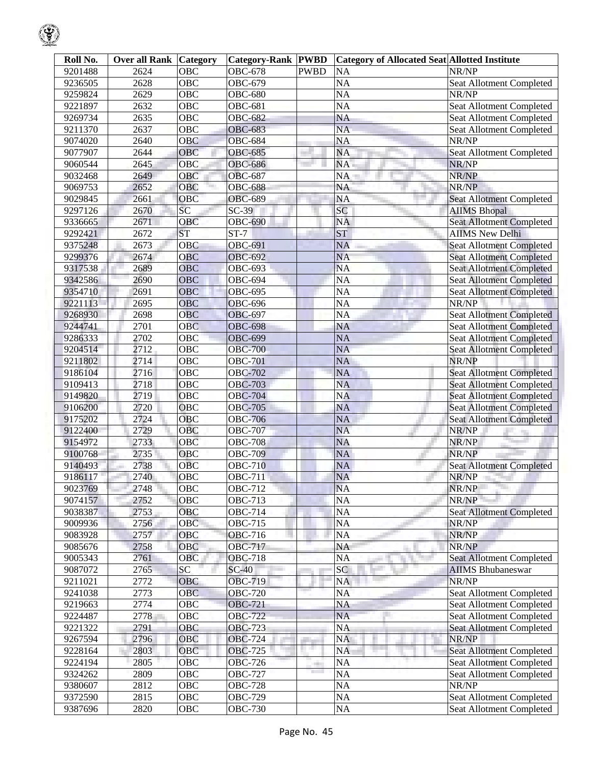| Roll No. | <b>Over all Rank Category</b> |                 | <b>Category-Rank PWBD</b> |             | <b>Category of Allocated Seat Allotted Institute</b> |                                 |
|----------|-------------------------------|-----------------|---------------------------|-------------|------------------------------------------------------|---------------------------------|
| 9201488  | 2624                          | <b>OBC</b>      | <b>OBC-678</b>            | <b>PWBD</b> | <b>NA</b>                                            | NR/NP                           |
| 9236505  | 2628                          | <b>OBC</b>      | <b>OBC-679</b>            |             | <b>NA</b>                                            | Seat Allotment Completed        |
| 9259824  | 2629                          | <b>OBC</b>      | <b>OBC-680</b>            |             | <b>NA</b>                                            | NR/NP                           |
| 9221897  | 2632                          | <b>OBC</b>      | <b>OBC-681</b>            |             | <b>NA</b>                                            | Seat Allotment Completed        |
| 9269734  | 2635                          | <b>OBC</b>      | <b>OBC-682</b>            |             | NA                                                   | <b>Seat Allotment Completed</b> |
| 9211370  | 2637                          | <b>OBC</b>      | <b>OBC-683</b>            |             | <b>NA</b>                                            | Seat Allotment Completed        |
| 9074020  | 2640                          | <b>OBC</b>      | <b>OBC-684</b>            |             | <b>NA</b>                                            | NR/NP                           |
| 9077907  | 2644                          | OBC             | <b>OBC-685</b>            |             | <b>NA</b>                                            | Seat Allotment Completed        |
| 9060544  | 2645                          | OBC             | <b>OBC-686</b>            |             | NA                                                   | NR/NP                           |
| 9032468  | 2649                          | OBC             | <b>OBC-687</b>            |             | NA                                                   | NR/NP                           |
| 9069753  | 2652                          | OBC             | <b>OBC-688</b>            |             | <b>NA</b>                                            | NR/NP                           |
| 9029845  | 2661                          | OBC             | <b>OBC-689</b>            |             | NA                                                   | <b>Seat Allotment Completed</b> |
| 9297126  | 2670                          | SC              | $SC-39$                   |             | SC                                                   | <b>AIIMS Bhopal</b>             |
| 9336665  | 2671                          | <b>OBC</b>      | <b>OBC-690</b>            |             | <b>NA</b>                                            | <b>Seat Allotment Completed</b> |
| 9292421  | 2672                          | <b>ST</b>       | $ST-7$                    |             | <b>ST</b>                                            | <b>AIIMS New Delhi</b>          |
| 9375248  | 2673                          | <b>OBC</b>      | OBC-691                   |             | <b>NA</b>                                            | <b>Seat Allotment Completed</b> |
| 9299376  | 2674                          | OBC             | <b>OBC-692</b>            |             | <b>NA</b>                                            | <b>Seat Allotment Completed</b> |
| 9317538  | 2689                          | <b>OBC</b>      | <b>OBC-693</b>            |             | <b>NA</b>                                            | <b>Seat Allotment Completed</b> |
| 9342586  | 2690                          | <b>OBC</b>      | <b>OBC-694</b>            |             | <b>NA</b>                                            | <b>Seat Allotment Completed</b> |
| 9354710  | 2691                          | OBC             | <b>OBC-695</b>            |             | <b>NA</b>                                            | <b>Seat Allotment Completed</b> |
| 9221113  | 2695                          | <b>OBC</b>      | <b>OBC-696</b>            |             | NA                                                   | NR/NP                           |
| 9268930  | 2698                          | <b>OBC</b>      | <b>OBC-697</b>            |             | <b>NA</b>                                            | <b>Seat Allotment Completed</b> |
| 9244741  | 2701                          | <b>OBC</b>      | <b>OBC-698</b>            |             | NA                                                   | <b>Seat Allotment Completed</b> |
| 9286333  | 2702                          | OBC             | <b>OBC-699</b>            |             | <b>NA</b>                                            | <b>Seat Allotment Completed</b> |
| 9204514  | 2712                          | OBC             | <b>OBC-700</b>            |             | <b>NA</b>                                            | <b>Seat Allotment Completed</b> |
| 9211802  | 2714                          | OBC             | <b>OBC-701</b>            |             | <b>NA</b>                                            | NR/NP                           |
| 9186104  | 2716                          | <b>OBC</b>      | <b>OBC-702</b>            |             | <b>NA</b>                                            | <b>Seat Allotment Completed</b> |
| 9109413  | 2718                          | <b>OBC</b>      | <b>OBC-703</b>            |             | <b>NA</b>                                            | <b>Seat Allotment Completed</b> |
| 9149820  | 2719                          | <b>OBC</b>      | <b>OBC-704</b>            |             | <b>NA</b>                                            | <b>Seat Allotment Completed</b> |
| 9106200  | 2720                          | <b>OBC</b>      | <b>OBC-705</b>            |             | <b>NA</b>                                            | Seat Allotment Completed        |
| 9175202  | 2724                          | <b>OBC</b>      | <b>OBC-706</b>            |             | <b>NA</b>                                            | <b>Seat Allotment Completed</b> |
| 9122400  | 2729                          | OBC             | <b>OBC-707</b>            |             | <b>NA</b>                                            | NR/NP                           |
| 9154972  | 2733                          | OBC             | <b>OBC-708</b>            |             | <b>NA</b>                                            | NR/NP                           |
| 9100768  | 2735                          | OBC             | <b>OBC-709</b>            |             | <b>NA</b>                                            | NR/NP                           |
| 9140493  | 2738                          | <b>OBC</b>      | <b>OBC-710</b>            |             | <b>NA</b>                                            | <b>Seat Allotment Completed</b> |
| 9186117  | 2740                          | OBC             | <b>OBC-711</b>            |             | <b>NA</b>                                            | NR/NP                           |
| 9023769  | 2748                          | OBC             | OBC-712                   |             | <b>NA</b>                                            | NR/NP                           |
| 9074157  | 2752                          | OBC             | <b>OBC-713</b>            |             | NA                                                   | NR/NP                           |
| 9038387  | 2753                          | OBC             | <b>OBC-714</b>            |             | NA                                                   | <b>Seat Allotment Completed</b> |
| 9009936  | 2756                          | OBC             | <b>OBC-715</b>            |             | <b>NA</b>                                            | NR/NP                           |
| 9083928  | 2757                          | OBC             | <b>OBC-716</b>            |             | <b>NA</b>                                            | NR/NP                           |
| 9085676  | 2758                          | OBC             | <b>OBC-717</b>            |             | NA                                                   | NR/NP                           |
| 9005343  | 2761                          | OBC             | <b>OBC-718</b>            |             | NA                                                   | <b>Seat Allotment Completed</b> |
| 9087072  | 2765                          | $\overline{SC}$ | $SC-40$                   |             | $\overline{SC}$                                      | <b>AIIMS</b> Bhubaneswar        |
| 9211021  | 2772                          | OBC             | OBC-719                   |             | <b>NA</b>                                            | NR/NP                           |
| 9241038  | 2773                          | <b>OBC</b>      | <b>OBC-720</b>            |             | <b>NA</b>                                            | Seat Allotment Completed        |
| 9219663  | 2774                          | OBC             | <b>OBC-721</b>            |             | NA                                                   | Seat Allotment Completed        |
| 9224487  | 2778                          | OBC             | <b>OBC-722</b>            |             | <b>NA</b>                                            | Seat Allotment Completed        |
| 9221322  | 2791                          | OBC             | <b>OBC-723</b>            |             | <b>NA</b>                                            | Seat Allotment Completed        |
| 9267594  | 2796                          | OBC             | <b>OBC-724</b>            |             | <b>NA</b>                                            | NR/NP                           |
| 9228164  | 2803                          | OBC             | OBC-725                   | a,          | <b>NA</b>                                            | Seat Allotment Completed        |
| 9224194  | 2805                          | <b>OBC</b>      | <b>OBC-726</b>            | a.          | <b>NA</b>                                            | <b>Seat Allotment Completed</b> |
| 9324262  | 2809                          | OBC             | <b>OBC-727</b>            | m.          | <b>NA</b>                                            | Seat Allotment Completed        |
| 9380607  | 2812                          | OBC             | <b>OBC-728</b>            |             | <b>NA</b>                                            | NR/NP                           |
| 9372590  | 2815                          | OBC             | <b>OBC-729</b>            |             | <b>NA</b>                                            | Seat Allotment Completed        |
| 9387696  | 2820                          | OBC             | <b>OBC-730</b>            |             | <b>NA</b>                                            | Seat Allotment Completed        |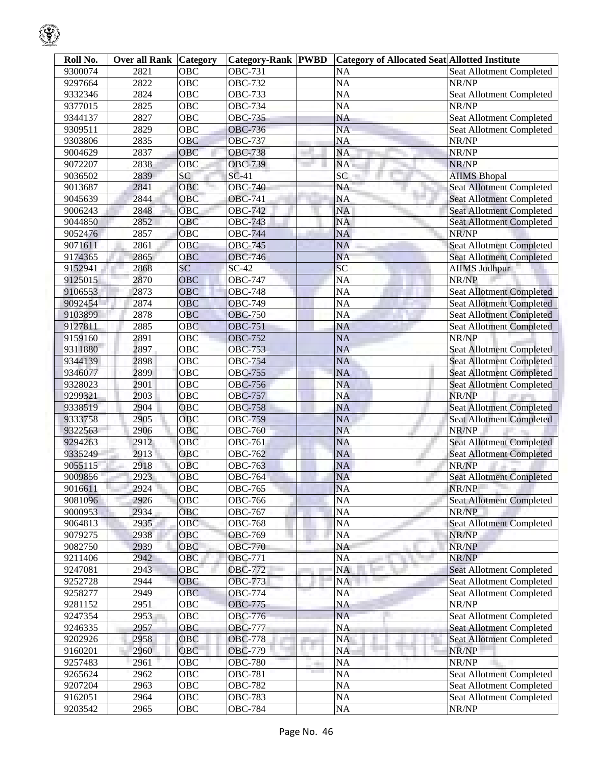| Roll No. | <b>Over all Rank Category</b> |                  | <b>Category-Rank PWBD</b> |                      | <b>Category of Allocated Seat Allotted Institute</b> |                                 |
|----------|-------------------------------|------------------|---------------------------|----------------------|------------------------------------------------------|---------------------------------|
| 9300074  | 2821                          | OBC              | <b>OBC-731</b>            |                      | $\overline{NA}$                                      | <b>Seat Allotment Completed</b> |
| 9297664  | 2822                          | $\overline{OBC}$ | <b>OBC-732</b>            |                      | $\overline{NA}$                                      | NR/NP                           |
| 9332346  | 2824                          | <b>OBC</b>       | <b>OBC-733</b>            |                      | $\overline{NA}$                                      | Seat Allotment Completed        |
| 9377015  | 2825                          | $\overline{OBC}$ | <b>OBC-734</b>            |                      | NA                                                   | NR/NP                           |
| 9344137  | 2827                          | $\overline{OBC}$ | <b>OBC-735</b>            |                      | NA                                                   | Seat Allotment Completed        |
| 9309511  | 2829                          | $\overline{OBC}$ | <b>OBC-736</b>            |                      | $\overline{NA}$                                      | <b>Seat Allotment Completed</b> |
| 9303806  | 2835                          | <b>OBC</b>       | <b>OBC-737</b>            |                      | $\overline{NA}$                                      | NR/NP                           |
| 9004629  | 2837                          | OBC              | <b>OBC-738</b>            |                      | <b>NA</b>                                            | NR/NP                           |
| 9072207  | 2838                          | <b>OBC</b>       | <b>OBC-739</b>            |                      | NA                                                   | NR/NP                           |
| 9036502  | 2839                          | SC               | $SC-41$                   |                      | $\overline{SC}$                                      | <b>AIIMS</b> Bhopal             |
| 9013687  | 2841                          | OBC              | <b>OBC-740</b>            |                      | <b>NA</b>                                            | <b>Seat Allotment Completed</b> |
| 9045639  | 2844                          | <b>OBC</b>       | <b>OBC-741</b>            |                      | <b>NA</b>                                            | <b>Seat Allotment Completed</b> |
| 9006243  | 2848                          | OBC              | <b>OBC-742</b>            |                      | <b>NA</b>                                            | <b>Seat Allotment Completed</b> |
| 9044850  | 2852                          | OBC              | <b>OBC-743</b>            |                      | <b>NA</b>                                            | <b>Seat Allotment Completed</b> |
| 9052476  | 2857                          | OBC              | <b>OBC-744</b>            |                      | <b>NA</b>                                            | NR/NP                           |
| 9071611  | 2861                          | OBC              | <b>OBC-745</b>            |                      | <b>NA</b>                                            | <b>Seat Allotment Completed</b> |
| 9174365  | 2865                          | OBC              | <b>OBC-746</b>            |                      | <b>NA</b>                                            | <b>Seat Allotment Completed</b> |
| 9152941  | 2868                          | SC               | $SC-42$                   |                      | SC                                                   | <b>AIIMS Jodhpur</b>            |
| 9125015  | 2870                          | <b>OBC</b>       | <b>OBC-747</b>            |                      | $\overline{NA}$                                      | NR/NP                           |
| 9106553  | 2873                          | <b>OBC</b>       | <b>OBC-748</b>            |                      | $\overline{NA}$                                      | <b>Seat Allotment Completed</b> |
| 9092454  | 2874                          | OBC              | <b>OBC-749</b>            |                      | $\overline{NA}$                                      | <b>Seat Allotment Completed</b> |
| 9103899  | 2878                          | OBC              | <b>OBC-750</b>            |                      | $\overline{NA}$                                      | <b>Seat Allotment Completed</b> |
| 9127811  | 2885                          | OBC              | <b>OBC-751</b>            |                      | <b>NA</b>                                            | <b>Seat Allotment Completed</b> |
| 9159160  | 2891                          | OBC              | <b>OBC-752</b>            |                      | <b>NA</b>                                            | NR/NP                           |
| 9311880  | 2897                          | <b>OBC</b>       | <b>OBC-753</b>            |                      | <b>NA</b>                                            | <b>Seat Allotment Completed</b> |
| 9344139  | 2898                          | OBC              | <b>OBC-754</b>            |                      | <b>NA</b>                                            | <b>Seat Allotment Completed</b> |
| 9346077  | 2899                          | OBC              | <b>OBC-755</b>            |                      | <b>NA</b>                                            | <b>Seat Allotment Completed</b> |
| 9328023  | 2901                          | OBC              | <b>OBC-756</b>            |                      | <b>NA</b>                                            | <b>Seat Allotment Completed</b> |
| 9299321  | 2903                          | OBC              | <b>OBC-757</b>            |                      | <b>NA</b>                                            | NR/NP                           |
| 9338519  | 2904                          | <b>OBC</b>       | <b>OBC-758</b>            |                      | <b>NA</b>                                            | <b>Seat Allotment Completed</b> |
| 9333758  | 2905                          | OBC              | <b>OBC-759</b>            |                      | <b>NA</b>                                            | <b>Seat Allotment Completed</b> |
| 9322563  | 2906                          | <b>OBC</b>       | <b>OBC-760</b>            |                      | <b>NA</b>                                            | NR/NP                           |
| 9294263  | 2912                          | OBC              | <b>OBC-761</b>            |                      | <b>NA</b>                                            | Seat Allotment Completed        |
| 9335249  | 2913                          | OBC              | OBC-762                   |                      | $\rm NA$                                             | <b>Seat Allotment Completed</b> |
| 9055115  | 2918                          | <b>OBC</b>       | <b>OBC-763</b>            |                      | NA                                                   | NR/NP                           |
| 9009856  | 2923                          | OBC              | <b>OBC-764</b>            |                      | <b>NA</b>                                            | <b>Seat Allotment Completed</b> |
| 9016611  | 2924                          | OBC              | <b>OBC-765</b>            |                      | <b>NA</b>                                            | NR/NP                           |
| 9081096  | 2926                          | OBC              | <b>OBC-766</b>            |                      | $\overline{NA}$                                      | <b>Seat Allotment Completed</b> |
| 9000953  | 2934                          | OBC              | <b>OBC-767</b>            |                      | $\overline{NA}$                                      | NR/NP                           |
| 9064813  | 2935                          | OBC              | <b>OBC-768</b>            |                      | <b>NA</b>                                            | <b>Seat Allotment Completed</b> |
| 9079275  | 2938                          | OBC              | <b>OBC-769</b>            |                      | $\overline{NA}$                                      | NR/NP                           |
| 9082750  | 2939                          | OBC              | <b>OBC-770</b>            |                      | NA                                                   | NR/NP                           |
| 9211406  | 2942                          | OBC              | <b>OBC-771</b>            |                      | <b>NA</b>                                            | NR/NP                           |
| 9247081  | 2943                          | OBC              | OBC-772                   |                      | <b>NA</b>                                            | <b>Seat Allotment Completed</b> |
| 9252728  | 2944                          | OBC              | <b>OBC-773</b>            |                      | NA                                                   | Seat Allotment Completed        |
| 9258277  | 2949                          | OBC              | <b>OBC-774</b>            |                      | <b>NA</b>                                            | Seat Allotment Completed        |
| 9281152  | 2951                          | OBC              | <b>OBC-775</b>            |                      | $\overline{NA}$                                      | NR/NP                           |
| 9247354  | 2953                          | OBC              | <b>OBC-776</b>            |                      | <b>NA</b>                                            | <b>Seat Allotment Completed</b> |
| 9246335  | 2957                          | OBC              | <b>OBC-777</b>            |                      | $\overline{NA}$                                      | Seat Allotment Completed        |
| 9202926  | 2958                          | OBC              | <b>OBC-778</b>            |                      | <b>NA</b>                                            | <b>Seat Allotment Completed</b> |
| 9160201  | 2960                          | OBC              | OBC-779                   | ×.                   | <b>NA</b>                                            | NR/NP                           |
|          |                               |                  |                           |                      |                                                      |                                 |
| 9257483  | 2961                          | OBC              | <b>OBC-780</b>            | ÷<br><b>Contract</b> | <b>NA</b>                                            | NR/NP                           |
| 9265624  | 2962                          | OBC              | <b>OBC-781</b>            |                      | $\overline{NA}$                                      | <b>Seat Allotment Completed</b> |
| 9207204  | 2963                          | OBC              | <b>OBC-782</b>            |                      | $\overline{NA}$                                      | Seat Allotment Completed        |
| 9162051  | 2964                          | OBC              | <b>OBC-783</b>            |                      | $\overline{NA}$                                      | Seat Allotment Completed        |
| 9203542  | 2965                          | OBC              | <b>OBC-784</b>            |                      | $\overline{NA}$                                      | NR/NP                           |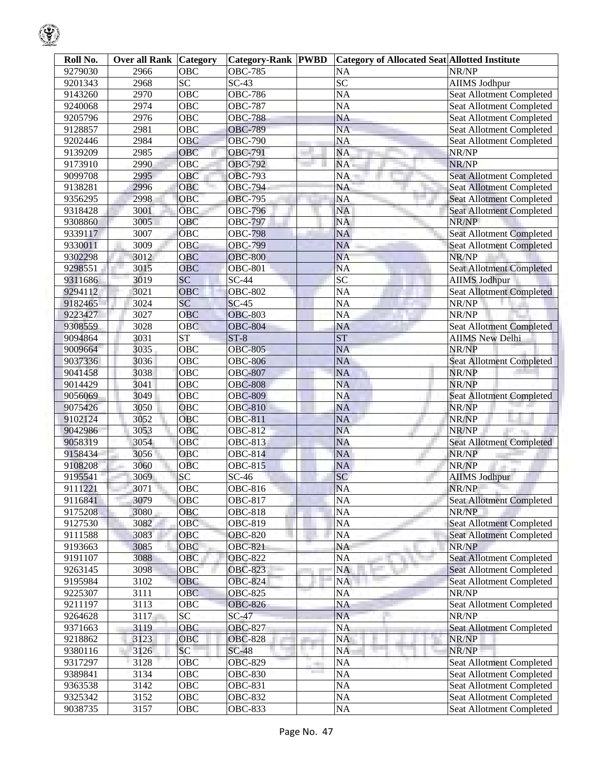| Roll No. | <b>Over all Rank Category</b> |                        | <b>Category-Rank PWBD</b> |    | Category of Allocated Seat Allotted Institute |                                 |
|----------|-------------------------------|------------------------|---------------------------|----|-----------------------------------------------|---------------------------------|
| 9279030  | 2966                          | <b>OBC</b>             | <b>OBC-785</b>            |    | <b>NA</b>                                     | NR/NP                           |
| 9201343  | 2968                          | $\overline{SC}$        | $SC-43$                   |    | $\overline{SC}$                               | <b>AIIMS Jodhpur</b>            |
| 9143260  | 2970                          | <b>OBC</b>             | <b>OBC-786</b>            |    | <b>NA</b>                                     | <b>Seat Allotment Completed</b> |
| 9240068  | 2974                          | <b>OBC</b>             | <b>OBC-787</b>            |    | <b>NA</b>                                     | <b>Seat Allotment Completed</b> |
| 9205796  | 2976                          | <b>OBC</b>             | <b>OBC-788</b>            |    | <b>NA</b>                                     | <b>Seat Allotment Completed</b> |
| 9128857  | 2981                          | <b>OBC</b>             | <b>OBC-789</b>            |    | <b>NA</b>                                     | Seat Allotment Completed        |
| 9202446  | 2984                          | <b>OBC</b>             | <b>OBC-790</b>            |    | <b>NA</b>                                     | Seat Allotment Completed        |
| 9139209  | 2985                          | OBC                    | OBC-791                   |    | <b>NA</b>                                     | NR/NP                           |
| 9173910  | 2990                          | OBC                    | OBC-792                   |    | NA                                            | NR/NP                           |
| 9099708  | 2995                          | OBC                    | <b>OBC-793</b>            |    | <b>NA</b>                                     | <b>Seat Allotment Completed</b> |
| 9138281  | 2996                          | OBC                    | <b>OBC-794</b>            |    | <b>NA</b>                                     | <b>Seat Allotment Completed</b> |
| 9356295  | 2998                          | <b>OBC</b>             | <b>OBC-795</b>            |    | <b>NA</b>                                     | <b>Seat Allotment Completed</b> |
| 9318428  | 3001                          | <b>OBC</b>             | <b>OBC-796</b>            |    | <b>NA</b>                                     | <b>Seat Allotment Completed</b> |
| 9308860  | 3005                          | OBC                    | <b>OBC-797</b>            |    | <b>NA</b>                                     | NR/NP                           |
| 9339117  | 3007                          | OBC                    | <b>OBC-798</b>            |    | <b>NA</b>                                     | <b>Seat Allotment Completed</b> |
| 9330011  | 3009                          | <b>OBC</b>             | <b>OBC-799</b>            |    | <b>NA</b>                                     | <b>Seat Allotment Completed</b> |
| 9302298  | 3012                          | <b>OBC</b>             | <b>OBC-800</b>            |    | <b>NA</b>                                     | NR/NP                           |
| 9298551  | 3015                          | <b>OBC</b>             | <b>OBC-801</b>            |    | <b>NA</b>                                     | <b>Seat Allotment Completed</b> |
| 9311686  | 3019                          | SC                     | $SC-44$                   |    | $\overline{SC}$                               | <b>AIIMS Jodhpur</b>            |
| 9294112  | 3021                          | <b>OBC</b>             | <b>OBC-802</b>            |    | <b>NA</b>                                     | <b>Seat Allotment Completed</b> |
| 9182465  | 3024                          | $\overline{SC}$        | $SC-45$                   |    | <b>NA</b>                                     | NR/NP                           |
| 9223427  | 3027                          | <b>OBC</b>             | <b>OBC-803</b>            |    | <b>NA</b>                                     | NR/NP                           |
| 9308559  | 3028                          | <b>OBC</b>             | <b>OBC-804</b>            |    | <b>NA</b>                                     | Seat Allotment Completed        |
| 9094864  | 3031                          | $\overline{\text{ST}}$ | $ST-8$                    |    | <b>ST</b>                                     |                                 |
|          |                               | $\overline{OBC}$       |                           |    |                                               | <b>AIIMS New Delhi</b><br>NR/NP |
| 9009664  | 3035                          |                        | <b>OBC-805</b>            |    | <b>NA</b>                                     |                                 |
| 9037336  | 3036                          | <b>OBC</b>             | <b>OBC-806</b>            |    | <b>NA</b>                                     | <b>Seat Allotment Completed</b> |
| 9041458  | 3038                          | OBC                    | <b>OBC-807</b>            |    | <b>NA</b>                                     | NR/NP                           |
| 9014429  | 3041                          | OBC                    | <b>OBC-808</b>            |    | <b>NA</b>                                     | NR/NP                           |
| 9056069  | 3049                          | <b>OBC</b>             | <b>OBC-809</b>            |    | <b>NA</b>                                     | <b>Seat Allotment Completed</b> |
| 9075426  | 3050                          | <b>OBC</b>             | <b>OBC-810</b>            |    | <b>NA</b>                                     | NR/NP                           |
| 9102124  | 3052                          | OBC                    | <b>OBC-811</b>            |    | <b>NA</b>                                     | NR/NP                           |
| 9042986  | 3053                          | OBC                    | <b>OBC-812</b>            |    | <b>NA</b>                                     | NR/NP                           |
| 9058319  | 3054                          | OBC                    | OBC-813                   |    | <b>NA</b>                                     | <b>Seat Allotment Completed</b> |
| 9158434  | 3056                          | OBC                    | $\overline{OBC}$ -814     |    | <b>NA</b>                                     | NR/NP                           |
| 9108208  | 3060                          | <b>OBC</b>             | OBC-815                   |    | <b>NA</b>                                     | NR/NP                           |
| 9195541  | 3069                          | $\overline{SC}$        | $SC-46$                   |    | SC                                            | <b>AIIMS Jodhpur</b>            |
| 9111221  | 3071                          | OBC                    | OBC-816                   |    | <b>NA</b>                                     | NR/NP                           |
| 9116841  | 3079                          | <b>OBC</b>             | <b>OBC-817</b>            |    | <b>NA</b>                                     | <b>Seat Allotment Completed</b> |
| 9175208  | 3080                          | OBC                    | <b>OBC-818</b>            |    | <b>NA</b>                                     | NR/NP                           |
| 9127530  | 3082                          | OBC                    | OBC-819                   |    | <b>NA</b>                                     | <b>Seat Allotment Completed</b> |
| 9111588  | 3083                          | OBC                    | <b>OBC-820</b>            |    | <b>NA</b>                                     | <b>Seat Allotment Completed</b> |
| 9193663  | 3085                          | OBC                    | <b>OBC-821</b>            |    | <b>NA</b>                                     | NR/NP                           |
| 9191107  | 3088                          | OBC                    | <b>OBC-822</b>            |    | <b>NA</b>                                     | <b>Seat Allotment Completed</b> |
| 9263145  | 3098                          | OBC                    | <b>OBC-823</b>            |    | <b>NA</b>                                     | <b>Seat Allotment Completed</b> |
| 9195984  | 3102                          | OBC                    | <b>OBC-824</b>            |    | NA                                            | Seat Allotment Completed        |
| 9225307  | 3111                          | OBC                    | <b>OBC-825</b>            |    | <b>NA</b>                                     | NR/NP                           |
| 9211197  | 3113                          | OBC                    | <b>OBC-826</b>            |    | <b>NA</b>                                     | Seat Allotment Completed        |
| 9264628  | 3117                          | $\overline{SC}$        | $SC-47$                   |    | <b>NA</b>                                     | NR/NP                           |
| 9371663  | 3119                          | OBC                    | <b>OBC-827</b>            |    | <b>NA</b>                                     | <b>Seat Allotment Completed</b> |
| 9218862  | 3123                          | OBC                    | <b>OBC-828</b>            |    | <b>NA</b>                                     | NR/NP                           |
| 9380116  | 3126                          | SC                     | $SC-48$                   | a. | <b>NA</b>                                     | NR/NP                           |
| 9317297  | 3128                          | <b>OBC</b>             | OBC-829                   |    | <b>NA</b>                                     | Seat Allotment Completed        |
| 9389841  | 3134                          | OBC                    | OBC-830                   |    | <b>NA</b>                                     | <b>Seat Allotment Completed</b> |
| 9363538  | 3142                          | $\overline{O}$ BC      | <b>OBC-831</b>            |    | <b>NA</b>                                     | Seat Allotment Completed        |
| 9325342  | 3152                          | OBC                    | OBC-832                   |    | NA                                            | Seat Allotment Completed        |
| 9038735  | $\overline{3}157$             | OBC                    | OBC-833                   |    | NA                                            | Seat Allotment Completed        |
|          |                               |                        |                           |    |                                               |                                 |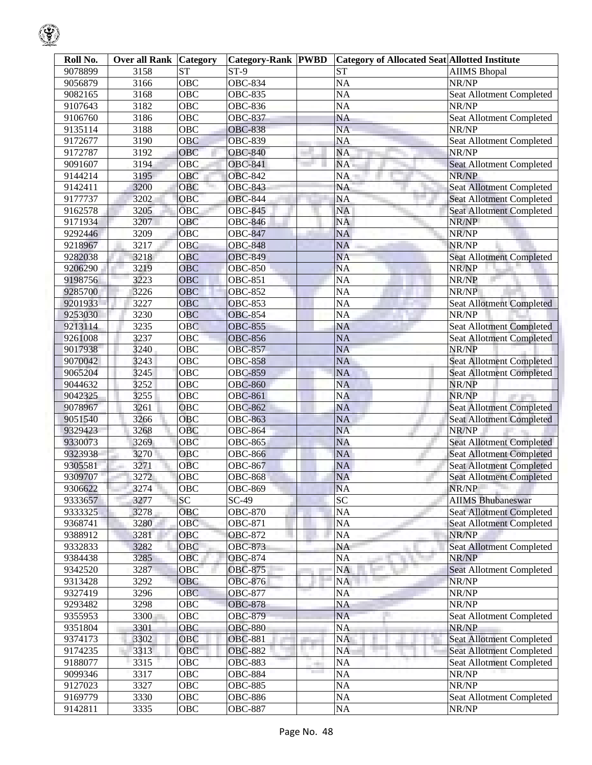| Roll No. | <b>Over all Rank</b> | Category          | <b>Category-Rank PWBD</b> |       | <b>Category of Allocated Seat Allotted Institute</b> |                                 |
|----------|----------------------|-------------------|---------------------------|-------|------------------------------------------------------|---------------------------------|
| 9078899  | 3158                 | ST                | $\overline{\text{ST-9}}$  |       | $\overline{\text{ST}}$                               | <b>AIIMS</b> Bhopal             |
| 9056879  | 3166                 | $\overline{OBC}$  | <b>OBC-834</b>            |       | NA                                                   | NR/NP                           |
| 9082165  | 3168                 | <b>OBC</b>        | <b>OBC-835</b>            |       | $\overline{NA}$                                      | Seat Allotment Completed        |
| 9107643  | 3182                 | $\overline{OBC}$  | <b>OBC-836</b>            |       | $\overline{NA}$                                      | NR/NP                           |
| 9106760  | 3186                 | OBC               | <b>OBC-837</b>            |       | <b>NA</b>                                            | Seat Allotment Completed        |
| 9135114  | 3188                 | OBC               | <b>OBC-838</b>            |       | $\overline{NA}$                                      | NR/NP                           |
| 9172677  | 3190                 | <b>OBC</b>        | <b>OBC-839</b>            |       | <b>NA</b>                                            | Seat Allotment Completed        |
| 9172787  | 3192                 | OBC               | <b>OBC-840</b>            |       | <b>NA</b>                                            | NR/NP                           |
| 9091607  | 3194                 | OBC               | <b>OBC-841</b>            |       | NA                                                   | <b>Seat Allotment Completed</b> |
| 9144214  | 3195                 | OBC               | <b>OBC-842</b>            |       | $\overline{NA}$                                      | NR/NP                           |
| 9142411  | 3200                 | OBC               | <b>OBC-843</b>            |       | <b>NA</b>                                            | Seat Allotment Completed        |
| 9177737  | 3202                 | OBC               | <b>OBC-844</b>            |       | <b>NA</b>                                            | <b>Seat Allotment Completed</b> |
| 9162578  | 3205                 | <b>OBC</b>        | <b>OBC-845</b>            |       | <b>NA</b>                                            | <b>Seat Allotment Completed</b> |
| 9171934  | 3207                 | OBC               | <b>OBC-846</b>            |       | <b>NA</b>                                            | NR/NP                           |
| 9292446  | 3209                 | OBC               | <b>OBC-847</b>            |       | <b>NA</b>                                            | NR/NP                           |
| 9218967  | 3217                 | <b>OBC</b>        | <b>OBC-848</b>            |       | <b>NA</b>                                            | NR/NP                           |
| 9282038  | 3218                 | OBC               | <b>OBC-849</b>            |       | <b>NA</b>                                            | <b>Seat Allotment Completed</b> |
| 9206290  | 3219                 | <b>OBC</b>        | <b>OBC-850</b>            |       | <b>NA</b>                                            | NR/NP                           |
| 9198756  | 3223                 | <b>OBC</b>        | <b>OBC-851</b>            |       | $\overline{NA}$                                      | NR/NP                           |
| 9285700  | 3226                 | <b>OBC</b>        | <b>OBC-852</b>            |       | $\overline{NA}$                                      | NR/NP                           |
| 9201933  | 3227                 | <b>OBC</b>        | <b>OBC-853</b>            |       | $\overline{NA}$                                      | <b>Seat Allotment Completed</b> |
| 9253030  | 3230                 | <b>OBC</b>        | <b>OBC-854</b>            |       | $\overline{NA}$                                      | NR/NP                           |
| 9213114  | 3235                 | OBC               | <b>OBC-855</b>            |       | <b>NA</b>                                            | <b>Seat Allotment Completed</b> |
| 9261008  | 3237                 | OBC               | <b>OBC-856</b>            |       | <b>NA</b>                                            | <b>Seat Allotment Completed</b> |
| 9017938  | 3240                 | OBC               | <b>OBC-857</b>            |       | <b>NA</b>                                            | NR/NP                           |
| 9070042  | 3243                 | $\overline{OBC}$  | <b>OBC-858</b>            |       | <b>NA</b>                                            | <b>Seat Allotment Completed</b> |
| 9065204  | 3245                 | OBC               | <b>OBC-859</b>            |       | $\overline{NA}$                                      | <b>Seat Allotment Completed</b> |
| 9044632  | 3252                 | <b>OBC</b>        | <b>OBC-860</b>            |       | <b>NA</b>                                            | NR/NP                           |
| 9042325  | 3255                 | <b>OBC</b>        | <b>OBC-861</b>            |       | <b>NA</b>                                            | NR/NP                           |
| 9078967  | 3261                 | <b>OBC</b>        | <b>OBC-862</b>            |       | <b>NA</b>                                            | <b>Seat Allotment Completed</b> |
| 9051540  | 3266                 | <b>OBC</b>        | <b>OBC-863</b>            |       | <b>NA</b>                                            | <b>Seat Allotment Completed</b> |
| 9329423  | 3268                 | OBC               | <b>OBC-864</b>            |       | <b>NA</b>                                            | NR/NP                           |
| 9330073  | 3269                 | OBC               | <b>OBC-865</b>            |       | <b>NA</b>                                            | <b>Seat Allotment Completed</b> |
| 9323938  | 3270                 | OBC               | <b>OBC-866</b>            |       | NA                                                   | <b>Seat Allotment Completed</b> |
| 9305581  | 3271                 | <b>OBC</b>        | <b>OBC-867</b>            |       | $\overline{NA}$                                      | <b>Seat Allotment Completed</b> |
| 9309707  | 3272                 | OBC               | <b>OBC-868</b>            |       | <b>NA</b>                                            | <b>Seat Allotment Completed</b> |
| 9306622  | 3274                 | <b>OBC</b>        | <b>OBC-869</b>            |       | <b>NA</b>                                            | NR/NP                           |
| 9333657  | 3277                 | SC                | $SC-49$                   |       | $\overline{SC}$                                      | <b>AIIMS Bhubaneswar</b>        |
| 9333325  | 3278                 | $\overline{O}$ BC | <b>OBC-870</b>            |       | NA                                                   | <b>Seat Allotment Completed</b> |
| 9368741  | 3280                 | OBC               | <b>OBC-871</b>            |       | NA                                                   | <b>Seat Allotment Completed</b> |
| 9388912  | 3281                 | <b>OBC</b>        | <b>OBC-872</b>            |       | <b>NA</b>                                            | NR/NP                           |
| 9332833  | 3282                 | <b>OBC</b>        | <b>OBC-873</b>            |       | NA                                                   | <b>Seat Allotment Completed</b> |
| 9384438  | 3285                 | OBC               | <b>OBC-874</b>            |       | <b>NA</b>                                            | NR/NP                           |
| 9342520  | 3287                 | OBC               | <b>OBC-875</b>            |       | <b>NA</b>                                            | <b>Seat Allotment Completed</b> |
| 9313428  | 3292                 | OBC               | <b>OBC-876</b>            |       | NA                                                   | NR/NP                           |
| 9327419  | 3296                 | <b>OBC</b>        | <b>OBC-877</b>            |       | <b>NA</b>                                            | NR/NP                           |
| 9293482  | 3298                 | <b>OBC</b>        | <b>OBC-878</b>            |       | NA                                                   | NR/NP                           |
| 9355953  | 3300                 | OBC               | <b>OBC-879</b>            |       | <b>NA</b>                                            | Seat Allotment Completed        |
| 9351804  | 3301                 | <b>OBC</b>        | <b>OBC-880</b>            |       | $\overline{NA}$                                      | NR/NP                           |
| 9374173  | 3302                 | <b>OBC</b>        | <b>OBC-881</b>            |       | <b>NA</b>                                            | <b>Seat Allotment Completed</b> |
| 9174235  | 3313                 | $\overline{O}$ BC | <b>OBC-882</b>            | u a   | <b>NA</b>                                            | <b>Seat Allotment Completed</b> |
| 9188077  | 3315                 | OBC               | <b>OBC-883</b>            | nin i | <b>NA</b>                                            | Seat Allotment Completed        |
| 9099346  | 3317                 | <b>OBC</b>        | <b>OBC-884</b>            |       | NA                                                   | NR/NP                           |
| 9127023  | 3327                 | <b>OBC</b>        | <b>OBC-885</b>            |       | NA                                                   | NR/NP                           |
| 9169779  | 3330                 | OBC               | <b>OBC-886</b>            |       | $\rm NA$                                             | Seat Allotment Completed        |
| 9142811  | 3335                 | OBC               | <b>OBC-887</b>            |       | NA                                                   | NR/NP                           |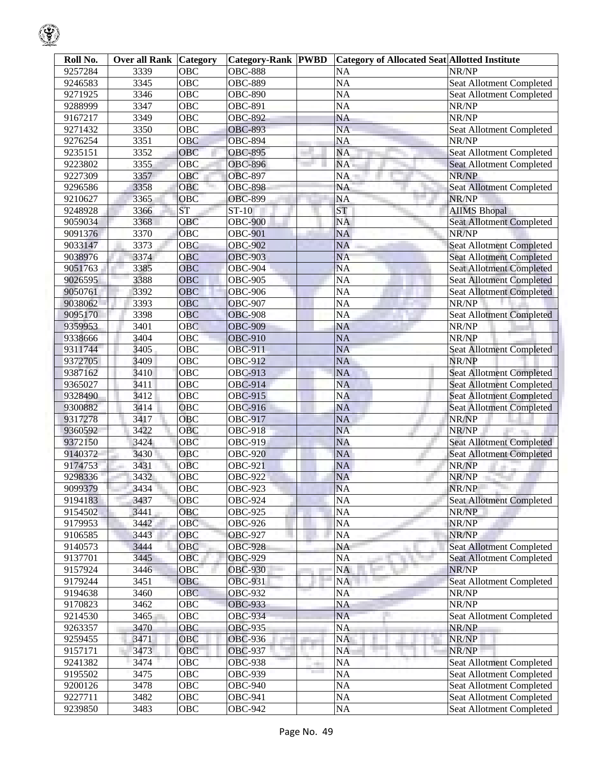| 9257284<br><b>OBC</b><br><b>OBC-888</b><br>NR/NP<br>3339<br><b>NA</b><br>3345<br><b>OBC</b><br><b>OBC-889</b><br><b>NA</b><br>9246583<br>Seat Allotment Completed<br>9271925<br><b>OBC</b><br><b>OBC-890</b><br><b>NA</b><br>3346<br><b>Seat Allotment Completed</b><br>3347<br>OBC<br><b>OBC-891</b><br><b>NA</b><br>NR/NP<br>9288999<br>3349<br><b>OBC</b><br><b>OBC-892</b><br><b>NA</b><br>NR/NP<br>9167217<br>3350<br><b>OBC</b><br><b>OBC-893</b><br><b>NA</b><br>9271432<br>Seat Allotment Completed<br>3351<br><b>OBC-894</b><br><b>NA</b><br>NR/NP<br>9276254<br><b>OBC</b><br>3352<br>OBC<br><b>OBC-895</b><br><b>NA</b><br>9235151<br>Seat Allotment Completed<br>9223802<br>3355<br>OBC<br><b>OBC-896</b><br>NA<br><b>Seat Allotment Completed</b><br>9227309<br>3357<br>OBC<br><b>OBC-897</b><br>NR/NP<br>NA<br>3358<br><b>OBC-898</b><br>9296586<br>OBC<br><b>NA</b><br><b>Seat Allotment Completed</b><br><b>OBC-899</b><br>NR/NP<br>9210627<br>3365<br><b>OBC</b><br><b>NA</b><br><b>ST</b><br>9248928<br>3366<br>$ST-10$<br><b>ST</b><br><b>AIIMS Bhopal</b><br>9059034<br>3368<br>OBC<br><b>OBC-900</b><br>Seat Allotment Completed<br><b>NA</b><br>9091376<br>3370<br>OBC<br><b>OBC-901</b><br><b>NA</b><br>NR/NP<br>9033147<br>3373<br>OBC<br><b>OBC-902</b><br><b>NA</b><br><b>Seat Allotment Completed</b><br><b>OBC-903</b><br>9038976<br>3374<br>OBC<br><b>NA</b><br><b>Seat Allotment Completed</b><br>9051763<br>3385<br>OBC<br><b>OBC-904</b><br><b>NA</b><br><b>Seat Allotment Completed</b><br>3388<br>$\overline{OBC}$<br><b>OBC-905</b><br>9026595<br><b>NA</b><br><b>Seat Allotment Completed</b><br>9050761<br>3392<br><b>OBC-906</b><br><b>OBC</b><br><b>NA</b><br><b>Seat Allotment Completed</b><br>9038062<br>3393<br>OBC<br><b>OBC-907</b><br>NR/NP<br><b>NA</b><br>3398<br>OBC<br><b>OBC-908</b><br><b>NA</b><br>9095170<br>Seat Allotment Completed<br>9359953<br>3401<br>OBC<br><b>OBC-909</b><br><b>NA</b><br>NR/NP<br>3404<br><b>OBC-910</b><br><b>NA</b><br>NR/NP<br>9338666<br><b>OBC</b><br>3405<br><b>OBC-911</b><br>9311744<br>OBC<br><b>NA</b><br><b>Seat Allotment Completed</b><br>OBC<br><b>OBC-912</b><br><b>NA</b><br>NR/NP<br>9372705<br>3409<br>9387162<br>3410<br>OBC<br><b>OBC-913</b><br><b>NA</b><br><b>Seat Allotment Completed</b><br>3411<br><b>OBC</b><br><b>OBC-914</b><br><b>NA</b><br>9365027<br><b>Seat Allotment Completed</b><br>3412<br><b>OBC</b><br><b>OBC-915</b><br><b>Seat Allotment Completed</b><br>9328490<br><b>NA</b><br>3414<br>OBC<br><b>OBC-916</b><br><b>NA</b><br>9300882<br><b>Seat Allotment Completed</b><br>3417<br>OBC<br><b>OBC-917</b><br><b>NA</b><br>NR/NP<br>9317278<br>3422<br>OBC<br><b>OBC-918</b><br><b>NA</b><br>NR/NP<br>9360592<br>3424<br>OBC<br><b>OBC-919</b><br><b>NA</b><br><b>Seat Allotment Completed</b><br>9372150<br>3430<br><b>OBC-920</b><br><b>NA</b><br>9140372<br>OBC<br><b>Seat Allotment Completed</b><br>3431<br>9174753<br><b>OBC</b><br><b>OBC-921</b><br><b>NA</b><br>NR/NP<br>3432<br>9298336<br><b>OBC-922</b><br><b>NA</b><br><b>OBC</b><br>NR/NP<br><b>NA</b><br>3434<br>$\overline{OBC}$<br>OBC-923<br>NR/NP<br>9099379<br><b>Seat Allotment Completed</b><br>9194183<br>OBC<br><b>OBC-924</b><br>NA<br>3437<br>9154502<br>3441<br>OBC<br><b>OBC-925</b><br>NA<br>NR/NP<br>OBC<br>9179953<br>3442<br><b>OBC-926</b><br><b>NA</b><br>NR/NP<br>NR/NP<br>3443<br>OBC<br><b>OBC-927</b><br>NA<br>9106585<br><b>Seat Allotment Completed</b><br>3444<br>OBC<br><b>OBC-928</b><br>NA<br>9140573<br>9137701<br>3445<br>OBC<br><b>OBC-929</b><br><b>Seat Allotment Completed</b><br>NA<br>a.<br>OBC<br>9157924<br>3446<br><b>OBC-930</b><br>NA<br>NR/NP<br>9179244<br>3451<br>OBC<br><b>OBC-931</b><br>Seat Allotment Completed<br><b>NA</b><br>NR/NP<br>9194638<br>3460<br><b>OBC</b><br><b>OBC-932</b><br><b>NA</b><br>9170823<br>3462<br>OBC<br><b>OBC-933</b><br>NR/NP<br>NA<br>3465<br>OBC<br><b>OBC-934</b><br><b>NA</b><br>Seat Allotment Completed<br>9214530<br>9263357<br>3470<br>OBC<br><b>OBC-935</b><br><b>NA</b><br>NR/NP<br>9259455<br>3471<br>OBC<br><b>NA</b><br>NR/NP<br><b>OBC-936</b><br>a ser<br>3473<br>9157171<br>OBC<br><b>OBC-937</b><br><b>NA</b><br>NR/NP<br>3474<br><b>OBC</b><br><b>Seat Allotment Completed</b><br>9241382<br><b>OBC-938</b><br>NA<br><b>STERN</b><br><b>The Contract of Street</b><br>9195502<br>3475<br>OBC<br><b>OBC-939</b><br>NA<br>Seat Allotment Completed<br>3478<br>9200126<br>OBC<br><b>OBC-940</b><br><b>NA</b><br>Seat Allotment Completed<br>9227711<br>3482<br>OBC<br><b>OBC-941</b><br><b>NA</b><br>Seat Allotment Completed | Roll No. | <b>Over all Rank Category</b> |     | <b>Category-Rank PWBD</b> | <b>Category of Allocated Seat Allotted Institute</b> |                          |
|--------------------------------------------------------------------------------------------------------------------------------------------------------------------------------------------------------------------------------------------------------------------------------------------------------------------------------------------------------------------------------------------------------------------------------------------------------------------------------------------------------------------------------------------------------------------------------------------------------------------------------------------------------------------------------------------------------------------------------------------------------------------------------------------------------------------------------------------------------------------------------------------------------------------------------------------------------------------------------------------------------------------------------------------------------------------------------------------------------------------------------------------------------------------------------------------------------------------------------------------------------------------------------------------------------------------------------------------------------------------------------------------------------------------------------------------------------------------------------------------------------------------------------------------------------------------------------------------------------------------------------------------------------------------------------------------------------------------------------------------------------------------------------------------------------------------------------------------------------------------------------------------------------------------------------------------------------------------------------------------------------------------------------------------------------------------------------------------------------------------------------------------------------------------------------------------------------------------------------------------------------------------------------------------------------------------------------------------------------------------------------------------------------------------------------------------------------------------------------------------------------------------------------------------------------------------------------------------------------------------------------------------------------------------------------------------------------------------------------------------------------------------------------------------------------------------------------------------------------------------------------------------------------------------------------------------------------------------------------------------------------------------------------------------------------------------------------------------------------------------------------------------------------------------------------------------------------------------------------------------------------------------------------------------------------------------------------------------------------------------------------------------------------------------------------------------------------------------------------------------------------------------------------------------------------------------------------------------------------------------------------------------------------------------------------------------------------------------------------------------------------------------------------------------------------------------------------------------------------------------------------------------------------------------------------------------------------------------------------------------------------------------------------------------------------------------------------------------------------------------------------------------------------------------------------------------------------------------------------------------------------------------------------------------------------------------------------------------------------------------------------------------------------------------------------------------------------------------------------------------------------------------------------------------------------------------------------------------------------------------|----------|-------------------------------|-----|---------------------------|------------------------------------------------------|--------------------------|
|                                                                                                                                                                                                                                                                                                                                                                                                                                                                                                                                                                                                                                                                                                                                                                                                                                                                                                                                                                                                                                                                                                                                                                                                                                                                                                                                                                                                                                                                                                                                                                                                                                                                                                                                                                                                                                                                                                                                                                                                                                                                                                                                                                                                                                                                                                                                                                                                                                                                                                                                                                                                                                                                                                                                                                                                                                                                                                                                                                                                                                                                                                                                                                                                                                                                                                                                                                                                                                                                                                                                                                                                                                                                                                                                                                                                                                                                                                                                                                                                                                                                                                                                                                                                                                                                                                                                                                                                                                                                                                                                                                                                                    |          |                               |     |                           |                                                      |                          |
|                                                                                                                                                                                                                                                                                                                                                                                                                                                                                                                                                                                                                                                                                                                                                                                                                                                                                                                                                                                                                                                                                                                                                                                                                                                                                                                                                                                                                                                                                                                                                                                                                                                                                                                                                                                                                                                                                                                                                                                                                                                                                                                                                                                                                                                                                                                                                                                                                                                                                                                                                                                                                                                                                                                                                                                                                                                                                                                                                                                                                                                                                                                                                                                                                                                                                                                                                                                                                                                                                                                                                                                                                                                                                                                                                                                                                                                                                                                                                                                                                                                                                                                                                                                                                                                                                                                                                                                                                                                                                                                                                                                                                    |          |                               |     |                           |                                                      |                          |
|                                                                                                                                                                                                                                                                                                                                                                                                                                                                                                                                                                                                                                                                                                                                                                                                                                                                                                                                                                                                                                                                                                                                                                                                                                                                                                                                                                                                                                                                                                                                                                                                                                                                                                                                                                                                                                                                                                                                                                                                                                                                                                                                                                                                                                                                                                                                                                                                                                                                                                                                                                                                                                                                                                                                                                                                                                                                                                                                                                                                                                                                                                                                                                                                                                                                                                                                                                                                                                                                                                                                                                                                                                                                                                                                                                                                                                                                                                                                                                                                                                                                                                                                                                                                                                                                                                                                                                                                                                                                                                                                                                                                                    |          |                               |     |                           |                                                      |                          |
|                                                                                                                                                                                                                                                                                                                                                                                                                                                                                                                                                                                                                                                                                                                                                                                                                                                                                                                                                                                                                                                                                                                                                                                                                                                                                                                                                                                                                                                                                                                                                                                                                                                                                                                                                                                                                                                                                                                                                                                                                                                                                                                                                                                                                                                                                                                                                                                                                                                                                                                                                                                                                                                                                                                                                                                                                                                                                                                                                                                                                                                                                                                                                                                                                                                                                                                                                                                                                                                                                                                                                                                                                                                                                                                                                                                                                                                                                                                                                                                                                                                                                                                                                                                                                                                                                                                                                                                                                                                                                                                                                                                                                    |          |                               |     |                           |                                                      |                          |
|                                                                                                                                                                                                                                                                                                                                                                                                                                                                                                                                                                                                                                                                                                                                                                                                                                                                                                                                                                                                                                                                                                                                                                                                                                                                                                                                                                                                                                                                                                                                                                                                                                                                                                                                                                                                                                                                                                                                                                                                                                                                                                                                                                                                                                                                                                                                                                                                                                                                                                                                                                                                                                                                                                                                                                                                                                                                                                                                                                                                                                                                                                                                                                                                                                                                                                                                                                                                                                                                                                                                                                                                                                                                                                                                                                                                                                                                                                                                                                                                                                                                                                                                                                                                                                                                                                                                                                                                                                                                                                                                                                                                                    |          |                               |     |                           |                                                      |                          |
|                                                                                                                                                                                                                                                                                                                                                                                                                                                                                                                                                                                                                                                                                                                                                                                                                                                                                                                                                                                                                                                                                                                                                                                                                                                                                                                                                                                                                                                                                                                                                                                                                                                                                                                                                                                                                                                                                                                                                                                                                                                                                                                                                                                                                                                                                                                                                                                                                                                                                                                                                                                                                                                                                                                                                                                                                                                                                                                                                                                                                                                                                                                                                                                                                                                                                                                                                                                                                                                                                                                                                                                                                                                                                                                                                                                                                                                                                                                                                                                                                                                                                                                                                                                                                                                                                                                                                                                                                                                                                                                                                                                                                    |          |                               |     |                           |                                                      |                          |
|                                                                                                                                                                                                                                                                                                                                                                                                                                                                                                                                                                                                                                                                                                                                                                                                                                                                                                                                                                                                                                                                                                                                                                                                                                                                                                                                                                                                                                                                                                                                                                                                                                                                                                                                                                                                                                                                                                                                                                                                                                                                                                                                                                                                                                                                                                                                                                                                                                                                                                                                                                                                                                                                                                                                                                                                                                                                                                                                                                                                                                                                                                                                                                                                                                                                                                                                                                                                                                                                                                                                                                                                                                                                                                                                                                                                                                                                                                                                                                                                                                                                                                                                                                                                                                                                                                                                                                                                                                                                                                                                                                                                                    |          |                               |     |                           |                                                      |                          |
|                                                                                                                                                                                                                                                                                                                                                                                                                                                                                                                                                                                                                                                                                                                                                                                                                                                                                                                                                                                                                                                                                                                                                                                                                                                                                                                                                                                                                                                                                                                                                                                                                                                                                                                                                                                                                                                                                                                                                                                                                                                                                                                                                                                                                                                                                                                                                                                                                                                                                                                                                                                                                                                                                                                                                                                                                                                                                                                                                                                                                                                                                                                                                                                                                                                                                                                                                                                                                                                                                                                                                                                                                                                                                                                                                                                                                                                                                                                                                                                                                                                                                                                                                                                                                                                                                                                                                                                                                                                                                                                                                                                                                    |          |                               |     |                           |                                                      |                          |
|                                                                                                                                                                                                                                                                                                                                                                                                                                                                                                                                                                                                                                                                                                                                                                                                                                                                                                                                                                                                                                                                                                                                                                                                                                                                                                                                                                                                                                                                                                                                                                                                                                                                                                                                                                                                                                                                                                                                                                                                                                                                                                                                                                                                                                                                                                                                                                                                                                                                                                                                                                                                                                                                                                                                                                                                                                                                                                                                                                                                                                                                                                                                                                                                                                                                                                                                                                                                                                                                                                                                                                                                                                                                                                                                                                                                                                                                                                                                                                                                                                                                                                                                                                                                                                                                                                                                                                                                                                                                                                                                                                                                                    |          |                               |     |                           |                                                      |                          |
|                                                                                                                                                                                                                                                                                                                                                                                                                                                                                                                                                                                                                                                                                                                                                                                                                                                                                                                                                                                                                                                                                                                                                                                                                                                                                                                                                                                                                                                                                                                                                                                                                                                                                                                                                                                                                                                                                                                                                                                                                                                                                                                                                                                                                                                                                                                                                                                                                                                                                                                                                                                                                                                                                                                                                                                                                                                                                                                                                                                                                                                                                                                                                                                                                                                                                                                                                                                                                                                                                                                                                                                                                                                                                                                                                                                                                                                                                                                                                                                                                                                                                                                                                                                                                                                                                                                                                                                                                                                                                                                                                                                                                    |          |                               |     |                           |                                                      |                          |
|                                                                                                                                                                                                                                                                                                                                                                                                                                                                                                                                                                                                                                                                                                                                                                                                                                                                                                                                                                                                                                                                                                                                                                                                                                                                                                                                                                                                                                                                                                                                                                                                                                                                                                                                                                                                                                                                                                                                                                                                                                                                                                                                                                                                                                                                                                                                                                                                                                                                                                                                                                                                                                                                                                                                                                                                                                                                                                                                                                                                                                                                                                                                                                                                                                                                                                                                                                                                                                                                                                                                                                                                                                                                                                                                                                                                                                                                                                                                                                                                                                                                                                                                                                                                                                                                                                                                                                                                                                                                                                                                                                                                                    |          |                               |     |                           |                                                      |                          |
|                                                                                                                                                                                                                                                                                                                                                                                                                                                                                                                                                                                                                                                                                                                                                                                                                                                                                                                                                                                                                                                                                                                                                                                                                                                                                                                                                                                                                                                                                                                                                                                                                                                                                                                                                                                                                                                                                                                                                                                                                                                                                                                                                                                                                                                                                                                                                                                                                                                                                                                                                                                                                                                                                                                                                                                                                                                                                                                                                                                                                                                                                                                                                                                                                                                                                                                                                                                                                                                                                                                                                                                                                                                                                                                                                                                                                                                                                                                                                                                                                                                                                                                                                                                                                                                                                                                                                                                                                                                                                                                                                                                                                    |          |                               |     |                           |                                                      |                          |
|                                                                                                                                                                                                                                                                                                                                                                                                                                                                                                                                                                                                                                                                                                                                                                                                                                                                                                                                                                                                                                                                                                                                                                                                                                                                                                                                                                                                                                                                                                                                                                                                                                                                                                                                                                                                                                                                                                                                                                                                                                                                                                                                                                                                                                                                                                                                                                                                                                                                                                                                                                                                                                                                                                                                                                                                                                                                                                                                                                                                                                                                                                                                                                                                                                                                                                                                                                                                                                                                                                                                                                                                                                                                                                                                                                                                                                                                                                                                                                                                                                                                                                                                                                                                                                                                                                                                                                                                                                                                                                                                                                                                                    |          |                               |     |                           |                                                      |                          |
|                                                                                                                                                                                                                                                                                                                                                                                                                                                                                                                                                                                                                                                                                                                                                                                                                                                                                                                                                                                                                                                                                                                                                                                                                                                                                                                                                                                                                                                                                                                                                                                                                                                                                                                                                                                                                                                                                                                                                                                                                                                                                                                                                                                                                                                                                                                                                                                                                                                                                                                                                                                                                                                                                                                                                                                                                                                                                                                                                                                                                                                                                                                                                                                                                                                                                                                                                                                                                                                                                                                                                                                                                                                                                                                                                                                                                                                                                                                                                                                                                                                                                                                                                                                                                                                                                                                                                                                                                                                                                                                                                                                                                    |          |                               |     |                           |                                                      |                          |
|                                                                                                                                                                                                                                                                                                                                                                                                                                                                                                                                                                                                                                                                                                                                                                                                                                                                                                                                                                                                                                                                                                                                                                                                                                                                                                                                                                                                                                                                                                                                                                                                                                                                                                                                                                                                                                                                                                                                                                                                                                                                                                                                                                                                                                                                                                                                                                                                                                                                                                                                                                                                                                                                                                                                                                                                                                                                                                                                                                                                                                                                                                                                                                                                                                                                                                                                                                                                                                                                                                                                                                                                                                                                                                                                                                                                                                                                                                                                                                                                                                                                                                                                                                                                                                                                                                                                                                                                                                                                                                                                                                                                                    |          |                               |     |                           |                                                      |                          |
|                                                                                                                                                                                                                                                                                                                                                                                                                                                                                                                                                                                                                                                                                                                                                                                                                                                                                                                                                                                                                                                                                                                                                                                                                                                                                                                                                                                                                                                                                                                                                                                                                                                                                                                                                                                                                                                                                                                                                                                                                                                                                                                                                                                                                                                                                                                                                                                                                                                                                                                                                                                                                                                                                                                                                                                                                                                                                                                                                                                                                                                                                                                                                                                                                                                                                                                                                                                                                                                                                                                                                                                                                                                                                                                                                                                                                                                                                                                                                                                                                                                                                                                                                                                                                                                                                                                                                                                                                                                                                                                                                                                                                    |          |                               |     |                           |                                                      |                          |
|                                                                                                                                                                                                                                                                                                                                                                                                                                                                                                                                                                                                                                                                                                                                                                                                                                                                                                                                                                                                                                                                                                                                                                                                                                                                                                                                                                                                                                                                                                                                                                                                                                                                                                                                                                                                                                                                                                                                                                                                                                                                                                                                                                                                                                                                                                                                                                                                                                                                                                                                                                                                                                                                                                                                                                                                                                                                                                                                                                                                                                                                                                                                                                                                                                                                                                                                                                                                                                                                                                                                                                                                                                                                                                                                                                                                                                                                                                                                                                                                                                                                                                                                                                                                                                                                                                                                                                                                                                                                                                                                                                                                                    |          |                               |     |                           |                                                      |                          |
|                                                                                                                                                                                                                                                                                                                                                                                                                                                                                                                                                                                                                                                                                                                                                                                                                                                                                                                                                                                                                                                                                                                                                                                                                                                                                                                                                                                                                                                                                                                                                                                                                                                                                                                                                                                                                                                                                                                                                                                                                                                                                                                                                                                                                                                                                                                                                                                                                                                                                                                                                                                                                                                                                                                                                                                                                                                                                                                                                                                                                                                                                                                                                                                                                                                                                                                                                                                                                                                                                                                                                                                                                                                                                                                                                                                                                                                                                                                                                                                                                                                                                                                                                                                                                                                                                                                                                                                                                                                                                                                                                                                                                    |          |                               |     |                           |                                                      |                          |
|                                                                                                                                                                                                                                                                                                                                                                                                                                                                                                                                                                                                                                                                                                                                                                                                                                                                                                                                                                                                                                                                                                                                                                                                                                                                                                                                                                                                                                                                                                                                                                                                                                                                                                                                                                                                                                                                                                                                                                                                                                                                                                                                                                                                                                                                                                                                                                                                                                                                                                                                                                                                                                                                                                                                                                                                                                                                                                                                                                                                                                                                                                                                                                                                                                                                                                                                                                                                                                                                                                                                                                                                                                                                                                                                                                                                                                                                                                                                                                                                                                                                                                                                                                                                                                                                                                                                                                                                                                                                                                                                                                                                                    |          |                               |     |                           |                                                      |                          |
|                                                                                                                                                                                                                                                                                                                                                                                                                                                                                                                                                                                                                                                                                                                                                                                                                                                                                                                                                                                                                                                                                                                                                                                                                                                                                                                                                                                                                                                                                                                                                                                                                                                                                                                                                                                                                                                                                                                                                                                                                                                                                                                                                                                                                                                                                                                                                                                                                                                                                                                                                                                                                                                                                                                                                                                                                                                                                                                                                                                                                                                                                                                                                                                                                                                                                                                                                                                                                                                                                                                                                                                                                                                                                                                                                                                                                                                                                                                                                                                                                                                                                                                                                                                                                                                                                                                                                                                                                                                                                                                                                                                                                    |          |                               |     |                           |                                                      |                          |
|                                                                                                                                                                                                                                                                                                                                                                                                                                                                                                                                                                                                                                                                                                                                                                                                                                                                                                                                                                                                                                                                                                                                                                                                                                                                                                                                                                                                                                                                                                                                                                                                                                                                                                                                                                                                                                                                                                                                                                                                                                                                                                                                                                                                                                                                                                                                                                                                                                                                                                                                                                                                                                                                                                                                                                                                                                                                                                                                                                                                                                                                                                                                                                                                                                                                                                                                                                                                                                                                                                                                                                                                                                                                                                                                                                                                                                                                                                                                                                                                                                                                                                                                                                                                                                                                                                                                                                                                                                                                                                                                                                                                                    |          |                               |     |                           |                                                      |                          |
|                                                                                                                                                                                                                                                                                                                                                                                                                                                                                                                                                                                                                                                                                                                                                                                                                                                                                                                                                                                                                                                                                                                                                                                                                                                                                                                                                                                                                                                                                                                                                                                                                                                                                                                                                                                                                                                                                                                                                                                                                                                                                                                                                                                                                                                                                                                                                                                                                                                                                                                                                                                                                                                                                                                                                                                                                                                                                                                                                                                                                                                                                                                                                                                                                                                                                                                                                                                                                                                                                                                                                                                                                                                                                                                                                                                                                                                                                                                                                                                                                                                                                                                                                                                                                                                                                                                                                                                                                                                                                                                                                                                                                    |          |                               |     |                           |                                                      |                          |
|                                                                                                                                                                                                                                                                                                                                                                                                                                                                                                                                                                                                                                                                                                                                                                                                                                                                                                                                                                                                                                                                                                                                                                                                                                                                                                                                                                                                                                                                                                                                                                                                                                                                                                                                                                                                                                                                                                                                                                                                                                                                                                                                                                                                                                                                                                                                                                                                                                                                                                                                                                                                                                                                                                                                                                                                                                                                                                                                                                                                                                                                                                                                                                                                                                                                                                                                                                                                                                                                                                                                                                                                                                                                                                                                                                                                                                                                                                                                                                                                                                                                                                                                                                                                                                                                                                                                                                                                                                                                                                                                                                                                                    |          |                               |     |                           |                                                      |                          |
|                                                                                                                                                                                                                                                                                                                                                                                                                                                                                                                                                                                                                                                                                                                                                                                                                                                                                                                                                                                                                                                                                                                                                                                                                                                                                                                                                                                                                                                                                                                                                                                                                                                                                                                                                                                                                                                                                                                                                                                                                                                                                                                                                                                                                                                                                                                                                                                                                                                                                                                                                                                                                                                                                                                                                                                                                                                                                                                                                                                                                                                                                                                                                                                                                                                                                                                                                                                                                                                                                                                                                                                                                                                                                                                                                                                                                                                                                                                                                                                                                                                                                                                                                                                                                                                                                                                                                                                                                                                                                                                                                                                                                    |          |                               |     |                           |                                                      |                          |
|                                                                                                                                                                                                                                                                                                                                                                                                                                                                                                                                                                                                                                                                                                                                                                                                                                                                                                                                                                                                                                                                                                                                                                                                                                                                                                                                                                                                                                                                                                                                                                                                                                                                                                                                                                                                                                                                                                                                                                                                                                                                                                                                                                                                                                                                                                                                                                                                                                                                                                                                                                                                                                                                                                                                                                                                                                                                                                                                                                                                                                                                                                                                                                                                                                                                                                                                                                                                                                                                                                                                                                                                                                                                                                                                                                                                                                                                                                                                                                                                                                                                                                                                                                                                                                                                                                                                                                                                                                                                                                                                                                                                                    |          |                               |     |                           |                                                      |                          |
|                                                                                                                                                                                                                                                                                                                                                                                                                                                                                                                                                                                                                                                                                                                                                                                                                                                                                                                                                                                                                                                                                                                                                                                                                                                                                                                                                                                                                                                                                                                                                                                                                                                                                                                                                                                                                                                                                                                                                                                                                                                                                                                                                                                                                                                                                                                                                                                                                                                                                                                                                                                                                                                                                                                                                                                                                                                                                                                                                                                                                                                                                                                                                                                                                                                                                                                                                                                                                                                                                                                                                                                                                                                                                                                                                                                                                                                                                                                                                                                                                                                                                                                                                                                                                                                                                                                                                                                                                                                                                                                                                                                                                    |          |                               |     |                           |                                                      |                          |
|                                                                                                                                                                                                                                                                                                                                                                                                                                                                                                                                                                                                                                                                                                                                                                                                                                                                                                                                                                                                                                                                                                                                                                                                                                                                                                                                                                                                                                                                                                                                                                                                                                                                                                                                                                                                                                                                                                                                                                                                                                                                                                                                                                                                                                                                                                                                                                                                                                                                                                                                                                                                                                                                                                                                                                                                                                                                                                                                                                                                                                                                                                                                                                                                                                                                                                                                                                                                                                                                                                                                                                                                                                                                                                                                                                                                                                                                                                                                                                                                                                                                                                                                                                                                                                                                                                                                                                                                                                                                                                                                                                                                                    |          |                               |     |                           |                                                      |                          |
|                                                                                                                                                                                                                                                                                                                                                                                                                                                                                                                                                                                                                                                                                                                                                                                                                                                                                                                                                                                                                                                                                                                                                                                                                                                                                                                                                                                                                                                                                                                                                                                                                                                                                                                                                                                                                                                                                                                                                                                                                                                                                                                                                                                                                                                                                                                                                                                                                                                                                                                                                                                                                                                                                                                                                                                                                                                                                                                                                                                                                                                                                                                                                                                                                                                                                                                                                                                                                                                                                                                                                                                                                                                                                                                                                                                                                                                                                                                                                                                                                                                                                                                                                                                                                                                                                                                                                                                                                                                                                                                                                                                                                    |          |                               |     |                           |                                                      |                          |
|                                                                                                                                                                                                                                                                                                                                                                                                                                                                                                                                                                                                                                                                                                                                                                                                                                                                                                                                                                                                                                                                                                                                                                                                                                                                                                                                                                                                                                                                                                                                                                                                                                                                                                                                                                                                                                                                                                                                                                                                                                                                                                                                                                                                                                                                                                                                                                                                                                                                                                                                                                                                                                                                                                                                                                                                                                                                                                                                                                                                                                                                                                                                                                                                                                                                                                                                                                                                                                                                                                                                                                                                                                                                                                                                                                                                                                                                                                                                                                                                                                                                                                                                                                                                                                                                                                                                                                                                                                                                                                                                                                                                                    |          |                               |     |                           |                                                      |                          |
|                                                                                                                                                                                                                                                                                                                                                                                                                                                                                                                                                                                                                                                                                                                                                                                                                                                                                                                                                                                                                                                                                                                                                                                                                                                                                                                                                                                                                                                                                                                                                                                                                                                                                                                                                                                                                                                                                                                                                                                                                                                                                                                                                                                                                                                                                                                                                                                                                                                                                                                                                                                                                                                                                                                                                                                                                                                                                                                                                                                                                                                                                                                                                                                                                                                                                                                                                                                                                                                                                                                                                                                                                                                                                                                                                                                                                                                                                                                                                                                                                                                                                                                                                                                                                                                                                                                                                                                                                                                                                                                                                                                                                    |          |                               |     |                           |                                                      |                          |
|                                                                                                                                                                                                                                                                                                                                                                                                                                                                                                                                                                                                                                                                                                                                                                                                                                                                                                                                                                                                                                                                                                                                                                                                                                                                                                                                                                                                                                                                                                                                                                                                                                                                                                                                                                                                                                                                                                                                                                                                                                                                                                                                                                                                                                                                                                                                                                                                                                                                                                                                                                                                                                                                                                                                                                                                                                                                                                                                                                                                                                                                                                                                                                                                                                                                                                                                                                                                                                                                                                                                                                                                                                                                                                                                                                                                                                                                                                                                                                                                                                                                                                                                                                                                                                                                                                                                                                                                                                                                                                                                                                                                                    |          |                               |     |                           |                                                      |                          |
|                                                                                                                                                                                                                                                                                                                                                                                                                                                                                                                                                                                                                                                                                                                                                                                                                                                                                                                                                                                                                                                                                                                                                                                                                                                                                                                                                                                                                                                                                                                                                                                                                                                                                                                                                                                                                                                                                                                                                                                                                                                                                                                                                                                                                                                                                                                                                                                                                                                                                                                                                                                                                                                                                                                                                                                                                                                                                                                                                                                                                                                                                                                                                                                                                                                                                                                                                                                                                                                                                                                                                                                                                                                                                                                                                                                                                                                                                                                                                                                                                                                                                                                                                                                                                                                                                                                                                                                                                                                                                                                                                                                                                    |          |                               |     |                           |                                                      |                          |
|                                                                                                                                                                                                                                                                                                                                                                                                                                                                                                                                                                                                                                                                                                                                                                                                                                                                                                                                                                                                                                                                                                                                                                                                                                                                                                                                                                                                                                                                                                                                                                                                                                                                                                                                                                                                                                                                                                                                                                                                                                                                                                                                                                                                                                                                                                                                                                                                                                                                                                                                                                                                                                                                                                                                                                                                                                                                                                                                                                                                                                                                                                                                                                                                                                                                                                                                                                                                                                                                                                                                                                                                                                                                                                                                                                                                                                                                                                                                                                                                                                                                                                                                                                                                                                                                                                                                                                                                                                                                                                                                                                                                                    |          |                               |     |                           |                                                      |                          |
|                                                                                                                                                                                                                                                                                                                                                                                                                                                                                                                                                                                                                                                                                                                                                                                                                                                                                                                                                                                                                                                                                                                                                                                                                                                                                                                                                                                                                                                                                                                                                                                                                                                                                                                                                                                                                                                                                                                                                                                                                                                                                                                                                                                                                                                                                                                                                                                                                                                                                                                                                                                                                                                                                                                                                                                                                                                                                                                                                                                                                                                                                                                                                                                                                                                                                                                                                                                                                                                                                                                                                                                                                                                                                                                                                                                                                                                                                                                                                                                                                                                                                                                                                                                                                                                                                                                                                                                                                                                                                                                                                                                                                    |          |                               |     |                           |                                                      |                          |
|                                                                                                                                                                                                                                                                                                                                                                                                                                                                                                                                                                                                                                                                                                                                                                                                                                                                                                                                                                                                                                                                                                                                                                                                                                                                                                                                                                                                                                                                                                                                                                                                                                                                                                                                                                                                                                                                                                                                                                                                                                                                                                                                                                                                                                                                                                                                                                                                                                                                                                                                                                                                                                                                                                                                                                                                                                                                                                                                                                                                                                                                                                                                                                                                                                                                                                                                                                                                                                                                                                                                                                                                                                                                                                                                                                                                                                                                                                                                                                                                                                                                                                                                                                                                                                                                                                                                                                                                                                                                                                                                                                                                                    |          |                               |     |                           |                                                      |                          |
|                                                                                                                                                                                                                                                                                                                                                                                                                                                                                                                                                                                                                                                                                                                                                                                                                                                                                                                                                                                                                                                                                                                                                                                                                                                                                                                                                                                                                                                                                                                                                                                                                                                                                                                                                                                                                                                                                                                                                                                                                                                                                                                                                                                                                                                                                                                                                                                                                                                                                                                                                                                                                                                                                                                                                                                                                                                                                                                                                                                                                                                                                                                                                                                                                                                                                                                                                                                                                                                                                                                                                                                                                                                                                                                                                                                                                                                                                                                                                                                                                                                                                                                                                                                                                                                                                                                                                                                                                                                                                                                                                                                                                    |          |                               |     |                           |                                                      |                          |
|                                                                                                                                                                                                                                                                                                                                                                                                                                                                                                                                                                                                                                                                                                                                                                                                                                                                                                                                                                                                                                                                                                                                                                                                                                                                                                                                                                                                                                                                                                                                                                                                                                                                                                                                                                                                                                                                                                                                                                                                                                                                                                                                                                                                                                                                                                                                                                                                                                                                                                                                                                                                                                                                                                                                                                                                                                                                                                                                                                                                                                                                                                                                                                                                                                                                                                                                                                                                                                                                                                                                                                                                                                                                                                                                                                                                                                                                                                                                                                                                                                                                                                                                                                                                                                                                                                                                                                                                                                                                                                                                                                                                                    |          |                               |     |                           |                                                      |                          |
|                                                                                                                                                                                                                                                                                                                                                                                                                                                                                                                                                                                                                                                                                                                                                                                                                                                                                                                                                                                                                                                                                                                                                                                                                                                                                                                                                                                                                                                                                                                                                                                                                                                                                                                                                                                                                                                                                                                                                                                                                                                                                                                                                                                                                                                                                                                                                                                                                                                                                                                                                                                                                                                                                                                                                                                                                                                                                                                                                                                                                                                                                                                                                                                                                                                                                                                                                                                                                                                                                                                                                                                                                                                                                                                                                                                                                                                                                                                                                                                                                                                                                                                                                                                                                                                                                                                                                                                                                                                                                                                                                                                                                    |          |                               |     |                           |                                                      |                          |
|                                                                                                                                                                                                                                                                                                                                                                                                                                                                                                                                                                                                                                                                                                                                                                                                                                                                                                                                                                                                                                                                                                                                                                                                                                                                                                                                                                                                                                                                                                                                                                                                                                                                                                                                                                                                                                                                                                                                                                                                                                                                                                                                                                                                                                                                                                                                                                                                                                                                                                                                                                                                                                                                                                                                                                                                                                                                                                                                                                                                                                                                                                                                                                                                                                                                                                                                                                                                                                                                                                                                                                                                                                                                                                                                                                                                                                                                                                                                                                                                                                                                                                                                                                                                                                                                                                                                                                                                                                                                                                                                                                                                                    |          |                               |     |                           |                                                      |                          |
|                                                                                                                                                                                                                                                                                                                                                                                                                                                                                                                                                                                                                                                                                                                                                                                                                                                                                                                                                                                                                                                                                                                                                                                                                                                                                                                                                                                                                                                                                                                                                                                                                                                                                                                                                                                                                                                                                                                                                                                                                                                                                                                                                                                                                                                                                                                                                                                                                                                                                                                                                                                                                                                                                                                                                                                                                                                                                                                                                                                                                                                                                                                                                                                                                                                                                                                                                                                                                                                                                                                                                                                                                                                                                                                                                                                                                                                                                                                                                                                                                                                                                                                                                                                                                                                                                                                                                                                                                                                                                                                                                                                                                    |          |                               |     |                           |                                                      |                          |
|                                                                                                                                                                                                                                                                                                                                                                                                                                                                                                                                                                                                                                                                                                                                                                                                                                                                                                                                                                                                                                                                                                                                                                                                                                                                                                                                                                                                                                                                                                                                                                                                                                                                                                                                                                                                                                                                                                                                                                                                                                                                                                                                                                                                                                                                                                                                                                                                                                                                                                                                                                                                                                                                                                                                                                                                                                                                                                                                                                                                                                                                                                                                                                                                                                                                                                                                                                                                                                                                                                                                                                                                                                                                                                                                                                                                                                                                                                                                                                                                                                                                                                                                                                                                                                                                                                                                                                                                                                                                                                                                                                                                                    |          |                               |     |                           |                                                      |                          |
|                                                                                                                                                                                                                                                                                                                                                                                                                                                                                                                                                                                                                                                                                                                                                                                                                                                                                                                                                                                                                                                                                                                                                                                                                                                                                                                                                                                                                                                                                                                                                                                                                                                                                                                                                                                                                                                                                                                                                                                                                                                                                                                                                                                                                                                                                                                                                                                                                                                                                                                                                                                                                                                                                                                                                                                                                                                                                                                                                                                                                                                                                                                                                                                                                                                                                                                                                                                                                                                                                                                                                                                                                                                                                                                                                                                                                                                                                                                                                                                                                                                                                                                                                                                                                                                                                                                                                                                                                                                                                                                                                                                                                    |          |                               |     |                           |                                                      |                          |
|                                                                                                                                                                                                                                                                                                                                                                                                                                                                                                                                                                                                                                                                                                                                                                                                                                                                                                                                                                                                                                                                                                                                                                                                                                                                                                                                                                                                                                                                                                                                                                                                                                                                                                                                                                                                                                                                                                                                                                                                                                                                                                                                                                                                                                                                                                                                                                                                                                                                                                                                                                                                                                                                                                                                                                                                                                                                                                                                                                                                                                                                                                                                                                                                                                                                                                                                                                                                                                                                                                                                                                                                                                                                                                                                                                                                                                                                                                                                                                                                                                                                                                                                                                                                                                                                                                                                                                                                                                                                                                                                                                                                                    |          |                               |     |                           |                                                      |                          |
|                                                                                                                                                                                                                                                                                                                                                                                                                                                                                                                                                                                                                                                                                                                                                                                                                                                                                                                                                                                                                                                                                                                                                                                                                                                                                                                                                                                                                                                                                                                                                                                                                                                                                                                                                                                                                                                                                                                                                                                                                                                                                                                                                                                                                                                                                                                                                                                                                                                                                                                                                                                                                                                                                                                                                                                                                                                                                                                                                                                                                                                                                                                                                                                                                                                                                                                                                                                                                                                                                                                                                                                                                                                                                                                                                                                                                                                                                                                                                                                                                                                                                                                                                                                                                                                                                                                                                                                                                                                                                                                                                                                                                    |          |                               |     |                           |                                                      |                          |
|                                                                                                                                                                                                                                                                                                                                                                                                                                                                                                                                                                                                                                                                                                                                                                                                                                                                                                                                                                                                                                                                                                                                                                                                                                                                                                                                                                                                                                                                                                                                                                                                                                                                                                                                                                                                                                                                                                                                                                                                                                                                                                                                                                                                                                                                                                                                                                                                                                                                                                                                                                                                                                                                                                                                                                                                                                                                                                                                                                                                                                                                                                                                                                                                                                                                                                                                                                                                                                                                                                                                                                                                                                                                                                                                                                                                                                                                                                                                                                                                                                                                                                                                                                                                                                                                                                                                                                                                                                                                                                                                                                                                                    |          |                               |     |                           |                                                      |                          |
|                                                                                                                                                                                                                                                                                                                                                                                                                                                                                                                                                                                                                                                                                                                                                                                                                                                                                                                                                                                                                                                                                                                                                                                                                                                                                                                                                                                                                                                                                                                                                                                                                                                                                                                                                                                                                                                                                                                                                                                                                                                                                                                                                                                                                                                                                                                                                                                                                                                                                                                                                                                                                                                                                                                                                                                                                                                                                                                                                                                                                                                                                                                                                                                                                                                                                                                                                                                                                                                                                                                                                                                                                                                                                                                                                                                                                                                                                                                                                                                                                                                                                                                                                                                                                                                                                                                                                                                                                                                                                                                                                                                                                    |          |                               |     |                           |                                                      |                          |
|                                                                                                                                                                                                                                                                                                                                                                                                                                                                                                                                                                                                                                                                                                                                                                                                                                                                                                                                                                                                                                                                                                                                                                                                                                                                                                                                                                                                                                                                                                                                                                                                                                                                                                                                                                                                                                                                                                                                                                                                                                                                                                                                                                                                                                                                                                                                                                                                                                                                                                                                                                                                                                                                                                                                                                                                                                                                                                                                                                                                                                                                                                                                                                                                                                                                                                                                                                                                                                                                                                                                                                                                                                                                                                                                                                                                                                                                                                                                                                                                                                                                                                                                                                                                                                                                                                                                                                                                                                                                                                                                                                                                                    |          |                               |     |                           |                                                      |                          |
|                                                                                                                                                                                                                                                                                                                                                                                                                                                                                                                                                                                                                                                                                                                                                                                                                                                                                                                                                                                                                                                                                                                                                                                                                                                                                                                                                                                                                                                                                                                                                                                                                                                                                                                                                                                                                                                                                                                                                                                                                                                                                                                                                                                                                                                                                                                                                                                                                                                                                                                                                                                                                                                                                                                                                                                                                                                                                                                                                                                                                                                                                                                                                                                                                                                                                                                                                                                                                                                                                                                                                                                                                                                                                                                                                                                                                                                                                                                                                                                                                                                                                                                                                                                                                                                                                                                                                                                                                                                                                                                                                                                                                    |          |                               |     |                           |                                                      |                          |
|                                                                                                                                                                                                                                                                                                                                                                                                                                                                                                                                                                                                                                                                                                                                                                                                                                                                                                                                                                                                                                                                                                                                                                                                                                                                                                                                                                                                                                                                                                                                                                                                                                                                                                                                                                                                                                                                                                                                                                                                                                                                                                                                                                                                                                                                                                                                                                                                                                                                                                                                                                                                                                                                                                                                                                                                                                                                                                                                                                                                                                                                                                                                                                                                                                                                                                                                                                                                                                                                                                                                                                                                                                                                                                                                                                                                                                                                                                                                                                                                                                                                                                                                                                                                                                                                                                                                                                                                                                                                                                                                                                                                                    |          |                               |     |                           |                                                      |                          |
|                                                                                                                                                                                                                                                                                                                                                                                                                                                                                                                                                                                                                                                                                                                                                                                                                                                                                                                                                                                                                                                                                                                                                                                                                                                                                                                                                                                                                                                                                                                                                                                                                                                                                                                                                                                                                                                                                                                                                                                                                                                                                                                                                                                                                                                                                                                                                                                                                                                                                                                                                                                                                                                                                                                                                                                                                                                                                                                                                                                                                                                                                                                                                                                                                                                                                                                                                                                                                                                                                                                                                                                                                                                                                                                                                                                                                                                                                                                                                                                                                                                                                                                                                                                                                                                                                                                                                                                                                                                                                                                                                                                                                    |          |                               |     |                           |                                                      |                          |
|                                                                                                                                                                                                                                                                                                                                                                                                                                                                                                                                                                                                                                                                                                                                                                                                                                                                                                                                                                                                                                                                                                                                                                                                                                                                                                                                                                                                                                                                                                                                                                                                                                                                                                                                                                                                                                                                                                                                                                                                                                                                                                                                                                                                                                                                                                                                                                                                                                                                                                                                                                                                                                                                                                                                                                                                                                                                                                                                                                                                                                                                                                                                                                                                                                                                                                                                                                                                                                                                                                                                                                                                                                                                                                                                                                                                                                                                                                                                                                                                                                                                                                                                                                                                                                                                                                                                                                                                                                                                                                                                                                                                                    |          |                               |     |                           |                                                      |                          |
|                                                                                                                                                                                                                                                                                                                                                                                                                                                                                                                                                                                                                                                                                                                                                                                                                                                                                                                                                                                                                                                                                                                                                                                                                                                                                                                                                                                                                                                                                                                                                                                                                                                                                                                                                                                                                                                                                                                                                                                                                                                                                                                                                                                                                                                                                                                                                                                                                                                                                                                                                                                                                                                                                                                                                                                                                                                                                                                                                                                                                                                                                                                                                                                                                                                                                                                                                                                                                                                                                                                                                                                                                                                                                                                                                                                                                                                                                                                                                                                                                                                                                                                                                                                                                                                                                                                                                                                                                                                                                                                                                                                                                    |          |                               |     |                           |                                                      |                          |
|                                                                                                                                                                                                                                                                                                                                                                                                                                                                                                                                                                                                                                                                                                                                                                                                                                                                                                                                                                                                                                                                                                                                                                                                                                                                                                                                                                                                                                                                                                                                                                                                                                                                                                                                                                                                                                                                                                                                                                                                                                                                                                                                                                                                                                                                                                                                                                                                                                                                                                                                                                                                                                                                                                                                                                                                                                                                                                                                                                                                                                                                                                                                                                                                                                                                                                                                                                                                                                                                                                                                                                                                                                                                                                                                                                                                                                                                                                                                                                                                                                                                                                                                                                                                                                                                                                                                                                                                                                                                                                                                                                                                                    |          |                               |     |                           |                                                      |                          |
|                                                                                                                                                                                                                                                                                                                                                                                                                                                                                                                                                                                                                                                                                                                                                                                                                                                                                                                                                                                                                                                                                                                                                                                                                                                                                                                                                                                                                                                                                                                                                                                                                                                                                                                                                                                                                                                                                                                                                                                                                                                                                                                                                                                                                                                                                                                                                                                                                                                                                                                                                                                                                                                                                                                                                                                                                                                                                                                                                                                                                                                                                                                                                                                                                                                                                                                                                                                                                                                                                                                                                                                                                                                                                                                                                                                                                                                                                                                                                                                                                                                                                                                                                                                                                                                                                                                                                                                                                                                                                                                                                                                                                    |          |                               |     |                           |                                                      |                          |
|                                                                                                                                                                                                                                                                                                                                                                                                                                                                                                                                                                                                                                                                                                                                                                                                                                                                                                                                                                                                                                                                                                                                                                                                                                                                                                                                                                                                                                                                                                                                                                                                                                                                                                                                                                                                                                                                                                                                                                                                                                                                                                                                                                                                                                                                                                                                                                                                                                                                                                                                                                                                                                                                                                                                                                                                                                                                                                                                                                                                                                                                                                                                                                                                                                                                                                                                                                                                                                                                                                                                                                                                                                                                                                                                                                                                                                                                                                                                                                                                                                                                                                                                                                                                                                                                                                                                                                                                                                                                                                                                                                                                                    |          |                               |     |                           |                                                      |                          |
|                                                                                                                                                                                                                                                                                                                                                                                                                                                                                                                                                                                                                                                                                                                                                                                                                                                                                                                                                                                                                                                                                                                                                                                                                                                                                                                                                                                                                                                                                                                                                                                                                                                                                                                                                                                                                                                                                                                                                                                                                                                                                                                                                                                                                                                                                                                                                                                                                                                                                                                                                                                                                                                                                                                                                                                                                                                                                                                                                                                                                                                                                                                                                                                                                                                                                                                                                                                                                                                                                                                                                                                                                                                                                                                                                                                                                                                                                                                                                                                                                                                                                                                                                                                                                                                                                                                                                                                                                                                                                                                                                                                                                    | 9239850  | 3483                          | OBC | <b>OBC-942</b>            | NA                                                   | Seat Allotment Completed |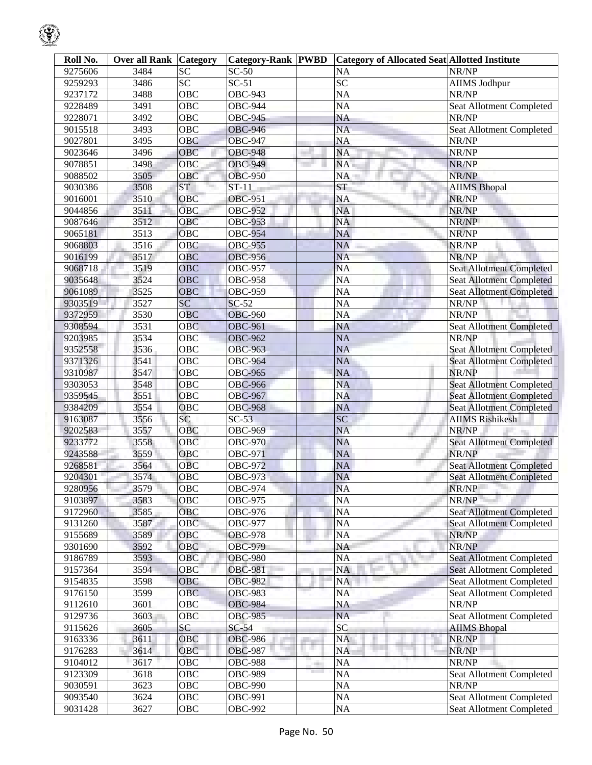| Roll No.           | <b>Over all Rank Category</b> |                 | <b>Category-Rank PWBD</b> |            | <b>Category of Allocated Seat Allotted Institute</b> |                                 |
|--------------------|-------------------------------|-----------------|---------------------------|------------|------------------------------------------------------|---------------------------------|
| 9275606            | 3484                          | <b>SC</b>       | $SC-50$                   |            | <b>NA</b>                                            | NR/NP                           |
| 9259293            | 3486                          | $\overline{SC}$ | $SC-51$                   |            | <b>SC</b>                                            | <b>AIIMS Jodhpur</b>            |
| 9237172            | 3488                          | OBC             | <b>OBC-943</b>            |            | <b>NA</b>                                            | NR/NP                           |
| 9228489            | 3491                          | OBC             | <b>OBC-944</b>            |            | <b>NA</b>                                            | Seat Allotment Completed        |
| 9228071            | 3492                          | OBC             | <b>OBC-945</b>            |            | <b>NA</b>                                            | NR/NP                           |
| 9015518            | 3493                          | OBC             | <b>OBC-946</b>            |            | <b>NA</b>                                            | Seat Allotment Completed        |
| 9027801            | 3495                          | <b>OBC</b>      | <b>OBC-947</b>            |            | <b>NA</b>                                            | NR/NP                           |
| 9023646            | 3496                          | OBC             | <b>OBC-948</b>            |            | <b>NA</b>                                            | NR/NP                           |
| 9078851            | 3498                          | OBC             | <b>OBC-949</b>            |            | NA.                                                  | NR/NP                           |
| 9088502            | 3505                          | OBC             | <b>OBC-950</b>            |            | NA                                                   | NR/NP                           |
| 9030386            | 3508                          | <b>ST</b>       | $ST-11$                   |            | <b>ST</b>                                            | <b>AIIMS Bhopal</b>             |
| 9016001            | 3510                          | OBC             | <b>OBC-951</b>            |            | <b>NA</b>                                            | NR/NP                           |
| 9044856            | 3511                          | OBC             | <b>OBC-952</b>            |            | <b>NA</b>                                            | NR/NP                           |
| 9087646            | 3512                          | OBC             | <b>OBC-953</b>            |            | NA                                                   | NR/NP                           |
| 9065181            | 3513                          | OBC             | <b>OBC-954</b>            |            | NA                                                   | NR/NP                           |
| 9068803            | 3516                          | OBC             | <b>OBC-955</b>            |            | <b>NA</b>                                            | NR/NP                           |
| 9016199            | 3517                          | OBC             | <b>OBC-956</b>            |            | <b>NA</b>                                            | NR/NP                           |
| 9068718            | 3519                          | <b>OBC</b>      | <b>OBC-957</b>            |            | <b>NA</b>                                            | <b>Seat Allotment Completed</b> |
| 9035648            | 3524                          | OBC             | <b>OBC-958</b>            |            | <b>NA</b>                                            | <b>Seat Allotment Completed</b> |
| 9061089            | 3525                          | OBC             | <b>OBC-959</b>            |            | <b>NA</b>                                            | <b>Seat Allotment Completed</b> |
| 9303519            | 3527                          | <b>SC</b>       | $SC-52$                   |            | <b>NA</b>                                            | NR/NP                           |
| 9372959            | 3530                          | OBC             | <b>OBC-960</b>            |            | <b>NA</b>                                            | NR/NP                           |
| 9308594            | 3531                          | <b>OBC</b>      | <b>OBC-961</b>            |            | <b>NA</b>                                            | <b>Seat Allotment Completed</b> |
| 9203985            | 3534                          | OBC             | <b>OBC-962</b>            |            | <b>NA</b>                                            | NR/NP                           |
| 9352558            | 3536                          | OBC             | <b>OBC-963</b>            |            | <b>NA</b>                                            | <b>Seat Allotment Completed</b> |
| 9371326            | 3541                          | OBC             | <b>OBC-964</b>            |            | <b>NA</b>                                            | <b>Seat Allotment Completed</b> |
| 9310987            | 3547                          | OBC             | <b>OBC-965</b>            |            | <b>NA</b>                                            | NR/NP                           |
| 9303053            | 3548                          | OBC             | <b>OBC-966</b>            |            | <b>NA</b>                                            | <b>Seat Allotment Completed</b> |
| 9359545            | 3551                          | OBC             | <b>OBC-967</b>            |            | <b>NA</b>                                            | <b>Seat Allotment Completed</b> |
| 9384209            | 3554                          | OBC             | <b>OBC-968</b>            |            | <b>NA</b>                                            | <b>Seat Allotment Completed</b> |
| 9163087            | 3556                          | SC              | $SC-53$                   |            | SC                                                   | <b>AIIMS Rishikesh</b>          |
| 9202583            | 3557                          | OBC             | <b>OBC-969</b>            |            | <b>NA</b>                                            | NR/NP                           |
| 9233772            | 3558                          | OBC             | <b>OBC-970</b>            |            | <b>NA</b>                                            | <b>Seat Allotment Completed</b> |
|                    | 3559                          | OBC             | <b>OBC-971</b>            |            | NA                                                   | NR/NP                           |
| 9243588            | 3564                          | <b>OBC</b>      | <b>OBC-972</b>            |            | <b>NA</b>                                            | <b>Seat Allotment Completed</b> |
| 9268581            | 3574                          |                 | <b>OBC-973</b>            |            |                                                      | <b>Seat Allotment Completed</b> |
| 9204301<br>9280956 |                               | OBC<br>OBC      | OBC-974                   |            | <b>NA</b><br><b>NA</b>                               |                                 |
| 9103897            | 3579                          |                 | <b>OBC-975</b>            |            |                                                      | NR/NP<br>NR/NP                  |
|                    | 3583                          | OBC             |                           |            | NA                                                   |                                 |
| 9172960            | 3585                          | OBC             | OBC-976                   |            | NA                                                   | <b>Seat Allotment Completed</b> |
| 9131260            | 3587                          | OBC             | <b>OBC-977</b>            |            | NA                                                   | <b>Seat Allotment Completed</b> |
| 9155689            | 3589                          | OBC             | <b>OBC-978</b>            |            | <b>NA</b>                                            | NR/NP                           |
| 9301690            | 3592                          | OBC             | <b>OBC-979</b>            |            | NA                                                   | NR/NP                           |
| 9186789            | 3593                          | OBC             | <b>OBC-980</b>            |            | <b>NA</b>                                            | <b>Seat Allotment Completed</b> |
| 9157364            | 3594                          | OBC             | <b>OBC-981</b>            |            | <b>NA</b>                                            | <b>Seat Allotment Completed</b> |
| 9154835            | 3598                          | OBC             | <b>OBC-982</b>            |            | <b>NA</b>                                            | Seat Allotment Completed        |
| 9176150            | 3599                          | <b>OBC</b>      | <b>OBC-983</b>            |            | <b>NA</b>                                            | Seat Allotment Completed        |
| 9112610            | 3601                          | OBC             | <b>OBC-984</b>            |            | NA                                                   | NR/NP                           |
| 9129736            | 3603                          | OBC             | <b>OBC-985</b>            |            | <b>NA</b>                                            | Seat Allotment Completed        |
| 9115626            | 3605                          | SC              | $SC-54$                   |            | $\overline{SC}$                                      | <b>AIIMS Bhopal</b>             |
| 9163336            | 3611                          | OBC             | <b>OBC-986</b>            |            | <b>NA</b>                                            | NR/NP                           |
| 9176283            | 3614                          | OBC             | <b>OBC-987</b>            |            | <b>NA</b>                                            | NR/NP                           |
| 9104012            | 3617                          | <b>OBC</b>      | <b>OBC-988</b>            | <b>THE</b> | <b>NA</b>                                            | NR/NP                           |
| 9123309            | 3618                          | OBC             | <b>OBC-989</b>            |            | <b>NA</b>                                            | <b>Seat Allotment Completed</b> |
| 9030591            | 3623                          | OBC             | <b>OBC-990</b>            |            | NA                                                   | NR/NP                           |
| 9093540            | 3624                          | OBC             | OBC-991                   |            | $\rm NA$                                             | Seat Allotment Completed        |
| 9031428            | 3627                          | OBC             | <b>OBC-992</b>            |            | NA                                                   | Seat Allotment Completed        |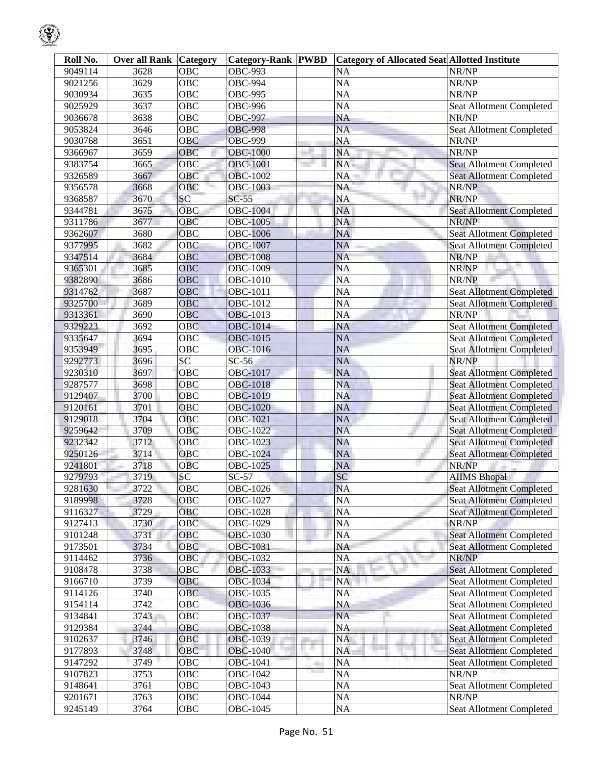| Roll No. | <b>Over all Rank Category</b> |                 | <b>Category-Rank PWBD</b> |            | <b>Category of Allocated Seat Allotted Institute</b> |                                 |
|----------|-------------------------------|-----------------|---------------------------|------------|------------------------------------------------------|---------------------------------|
| 9049114  | 3628                          | <b>OBC</b>      | <b>OBC-993</b>            |            | <b>NA</b>                                            | NR/NP                           |
| 9021256  | 3629                          | <b>OBC</b>      | <b>OBC-994</b>            |            | <b>NA</b>                                            | NR/NP                           |
| 9030934  | 3635                          | <b>OBC</b>      | <b>OBC-995</b>            |            | <b>NA</b>                                            | NR/NP                           |
| 9025929  | 3637                          | <b>OBC</b>      | <b>OBC-996</b>            |            | <b>NA</b>                                            | Seat Allotment Completed        |
| 9036678  | 3638                          | <b>OBC</b>      | <b>OBC-997</b>            |            | NA                                                   | NR/NP                           |
| 9053824  | 3646                          | <b>OBC</b>      | <b>OBC-998</b>            |            | <b>NA</b>                                            | Seat Allotment Completed        |
| 9030768  | 3651                          | <b>OBC</b>      | <b>OBC-999</b>            |            | <b>NA</b>                                            | NR/NP                           |
| 9366967  | 3659                          | OBC             | <b>OBC-1000</b>           |            | <b>NA</b>                                            | NR/NP                           |
| 9383754  | 3665                          | OBC             | <b>OBC-1001</b>           |            | NA                                                   | <b>Seat Allotment Completed</b> |
| 9326589  | 3667                          | OBC             | <b>OBC-1002</b>           |            | NA                                                   | <b>Seat Allotment Completed</b> |
| 9356578  | 3668                          | <b>OBC</b>      | <b>OBC-1003</b>           |            | NA                                                   | NR/NP                           |
| 9368587  | 3670                          | SC              | $SC-55$                   |            | <b>NA</b>                                            | NR/NP                           |
| 9344781  | 3675                          | <b>OBC</b>      | <b>OBC-1004</b>           |            | <b>NA</b>                                            | <b>Seat Allotment Completed</b> |
| 9311786  | 3677                          | <b>OBC</b>      | <b>OBC-1005</b>           |            | <b>NA</b>                                            | NR/NP                           |
| 9362607  | 3680                          | <b>OBC</b>      | <b>OBC-1006</b>           |            | <b>NA</b>                                            | Seat Allotment Completed        |
| 9377995  | 3682                          | <b>OBC</b>      | <b>OBC-1007</b>           |            | <b>NA</b>                                            | <b>Seat Allotment Completed</b> |
| 9347514  | 3684                          | OBC             | <b>OBC-1008</b>           |            | <b>NA</b>                                            | NR/NP                           |
| 9365301  | 3685                          | <b>OBC</b>      | <b>OBC-1009</b>           |            | <b>NA</b>                                            | NR/NP                           |
| 9382890  | 3686                          | <b>OBC</b>      | <b>OBC-1010</b>           |            | <b>NA</b>                                            | NR/NP                           |
| 9314762  | 3687                          | <b>OBC</b>      | <b>OBC-1011</b>           |            | <b>NA</b>                                            | <b>Seat Allotment Completed</b> |
| 9325700  | 3689                          | <b>OBC</b>      | <b>OBC-1012</b>           |            | <b>NA</b>                                            | <b>Seat Allotment Completed</b> |
| 9313361  | 3690                          | <b>OBC</b>      | <b>OBC-1013</b>           |            | <b>NA</b>                                            | NR/NP                           |
| 9329223  | 3692                          | <b>OBC</b>      | <b>OBC-1014</b>           |            | NA                                                   | <b>Seat Allotment Completed</b> |
| 9335647  | 3694                          | OBC             | <b>OBC-1015</b>           |            | <b>NA</b>                                            | <b>Seat Allotment Completed</b> |
| 9353949  | 3695                          | OBC             | <b>OBC-1016</b>           |            | <b>NA</b>                                            | <b>Seat Allotment Completed</b> |
| 9292773  | 3696                          | $\overline{SC}$ | $SC-56$                   |            | <b>NA</b>                                            | NR/NP                           |
| 9230310  | 3697                          | OBC             | <b>OBC-1017</b>           |            | <b>NA</b>                                            | <b>Seat Allotment Completed</b> |
| 9287577  | 3698                          | <b>OBC</b>      | <b>OBC-1018</b>           |            | <b>NA</b>                                            | <b>Seat Allotment Completed</b> |
| 9129407  | 3700                          | <b>OBC</b>      | <b>OBC-1019</b>           |            | <b>NA</b>                                            | <b>Seat Allotment Completed</b> |
| 9120161  | 3701                          | <b>OBC</b>      | <b>OBC-1020</b>           |            | <b>NA</b>                                            | Seat Allotment Completed        |
| 9129018  | 3704                          | <b>OBC</b>      | OBC-1021                  |            | <b>NA</b>                                            | <b>Seat Allotment Completed</b> |
| 9259642  | 3709                          | <b>OBC</b>      | <b>OBC-1022</b>           |            | <b>NA</b>                                            | <b>Seat Allotment Completed</b> |
| 9232342  | 3712                          | OBC             | OBC-1023                  |            | <b>NA</b>                                            | <b>Seat Allotment Completed</b> |
| 9250126  | 3714                          | OBC             | <b>OBC-1024</b>           |            | <b>NA</b>                                            | <b>Seat Allotment Completed</b> |
| 9241801  | 3718                          | <b>OBC</b>      | <b>OBC-1025</b>           |            | <b>NA</b>                                            | NR/NP                           |
| 9279793  | 3719                          | SC              | $SC-57$                   |            | SC                                                   | <b>AIIMS</b> Bhopal             |
| 9281630  | 3722                          | OBC             | OBC-1026                  |            | <b>NA</b>                                            | <b>Seat Allotment Completed</b> |
| 9189998  | 3728                          | OBC             | OBC-1027                  |            | <b>NA</b>                                            | <b>Seat Allotment Completed</b> |
| 9116327  | 3729                          | OBC             | OBC-1028                  |            | NA                                                   | <b>Seat Allotment Completed</b> |
| 9127413  | 3730                          | OBC             | OBC-1029                  |            | <b>NA</b>                                            | NR/NP                           |
| 9101248  | 3731                          | OBC             | <b>OBC-1030</b>           |            | <b>NA</b>                                            | <b>Seat Allotment Completed</b> |
| 9173501  | 3734                          | OBC             | OBC-1031                  |            | NA                                                   | <b>Seat Allotment Completed</b> |
| 9114462  | 3736                          | OBC             | <b>OBC-1032</b>           |            | NA<br>a.                                             | NR/NP                           |
| 9108478  | 3738                          | OBC             | OBC-1033                  |            | NA                                                   | Seat Allotment Completed        |
| 9166710  | 3739                          | OBC             | OBC-1034                  |            | <b>NA</b>                                            | Seat Allotment Completed        |
| 9114126  | 3740                          | <b>OBC</b>      | OBC-1035                  |            | <b>NA</b>                                            | Seat Allotment Completed        |
| 9154114  | 3742                          | OBC             | OBC-1036                  |            | NA                                                   | Seat Allotment Completed        |
| 9134841  | 3743                          | OBC             | OBC-1037                  |            | <b>NA</b>                                            | Seat Allotment Completed        |
| 9129384  | 3744                          | OBC             | <b>OBC-1038</b>           |            | <b>NA</b>                                            | <b>Seat Allotment Completed</b> |
| 9102637  | 3746                          | OBC             | OBC-1039                  |            | <b>NA</b>                                            | <b>Seat Allotment Completed</b> |
| 9177893  | 3748                          | OBC             | OBC-1040                  | m.         | <b>NA</b>                                            | <b>Seat Allotment Completed</b> |
| 9147292  | 3749                          | <b>OBC</b>      | OBC-1041                  | <b>THE</b> | NA                                                   | Seat Allotment Completed        |
| 9107823  | 3753                          | OBC             | OBC-1042                  |            | <b>NA</b>                                            | NR/NP                           |
| 9148641  | 3761                          | OBC             | OBC-1043                  |            | <b>NA</b>                                            | Seat Allotment Completed        |
| 9201671  | 3763                          | OBC             | OBC-1044                  |            | <b>NA</b>                                            | NR/NP                           |
| 9245149  | 3764                          | OBC             | OBC-1045                  |            | <b>NA</b>                                            | Seat Allotment Completed        |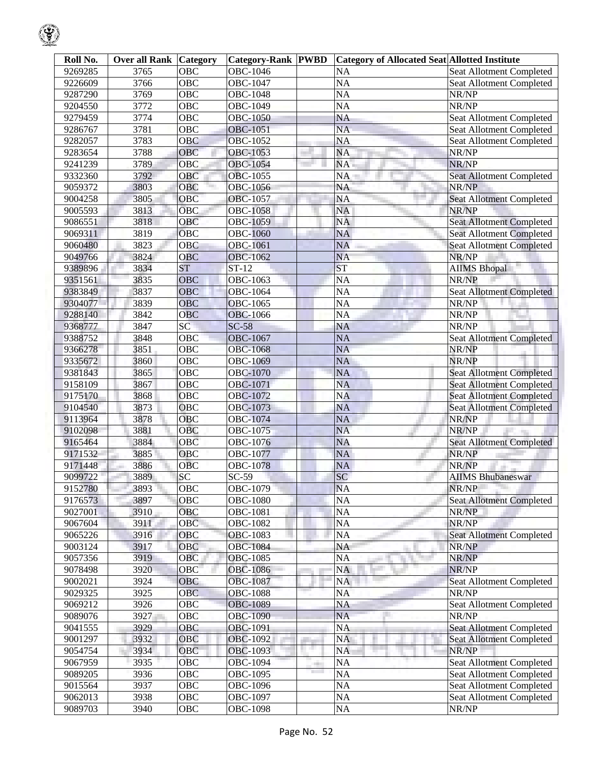|--|

| Roll No. | <b>Over all Rank Category</b> |                  | <b>Category-Rank PWBD</b> | <b>Category of Allocated Seat Allotted Institute</b> |                                 |
|----------|-------------------------------|------------------|---------------------------|------------------------------------------------------|---------------------------------|
| 9269285  | 3765                          | <b>OBC</b>       | OBC-1046                  | <b>NA</b>                                            | Seat Allotment Completed        |
| 9226609  | 3766                          | $\overline{OBC}$ | <b>OBC-1047</b>           | <b>NA</b>                                            | Seat Allotment Completed        |
| 9287290  | $\frac{1}{3769}$              | $\overline{OBC}$ | <b>OBC-1048</b>           | <b>NA</b>                                            | NR/NP                           |
| 9204550  | 3772                          | <b>OBC</b>       | <b>OBC-1049</b>           | <b>NA</b>                                            | NR/NP                           |
| 9279459  | 3774                          | OBC              | <b>OBC-1050</b>           | <b>NA</b>                                            | Seat Allotment Completed        |
| 9286767  | 3781                          | $\overline{OBC}$ | <b>OBC-1051</b>           | <b>NA</b>                                            | Seat Allotment Completed        |
| 9282057  | 3783                          | OBC              | OBC-1052                  | <b>NA</b>                                            | Seat Allotment Completed        |
| 9283654  | 3788                          | OBC              | <b>OBC-1053</b>           | <b>NA</b>                                            | NR/NP                           |
| 9241239  | 3789                          | OBC              | <b>OBC-1054</b>           | NA                                                   | NR/NP                           |
| 9332360  | 3792                          | OBC              | OBC-1055                  | NA                                                   | <b>Seat Allotment Completed</b> |
| 9059372  | 3803                          | <b>OBC</b>       | OBC-1056                  | <b>NA</b>                                            | NR/NP                           |
| 9004258  | 3805                          | <b>OBC</b>       | <b>OBC-1057</b>           | <b>NA</b>                                            | <b>Seat Allotment Completed</b> |
| 9005593  | 3813                          | <b>OBC</b>       | <b>OBC-1058</b>           | <b>NA</b>                                            | NR/NP                           |
| 9086551  | 3818                          | OBC              | OBC-1059                  | <b>NA</b>                                            | <b>Seat Allotment Completed</b> |
| 9069311  | 3819                          | OBC              | <b>OBC-1060</b>           | <b>NA</b>                                            | <b>Seat Allotment Completed</b> |
| 9060480  | 3823                          | <b>OBC</b>       | <b>OBC-1061</b>           | <b>NA</b>                                            | <b>Seat Allotment Completed</b> |
| 9049766  | 3824                          | OBC              | <b>OBC-1062</b>           | <b>NA</b>                                            | NR/NP                           |
| 9389896  | 3834                          | <b>ST</b>        | $\overline{\text{ST-12}}$ | <b>ST</b>                                            | <b>AIIMS</b> Bhopal             |
| 9351561  | 3835                          | <b>OBC</b>       | <b>OBC-1063</b>           | <b>NA</b>                                            | NR/NP                           |
| 9383849  | 3837                          | OBC              | OBC-1064                  | <b>NA</b>                                            | <b>Seat Allotment Completed</b> |
| 9304077  | 3839                          | <b>OBC</b>       | <b>OBC-1065</b>           | <b>NA</b>                                            | NR/NP                           |
| 9288140  | 3842                          | OBC              | <b>OBC-1066</b>           | <b>NA</b>                                            | NR/NP                           |
| 9368777  | 3847                          | $\overline{SC}$  | $SC-58$                   | NA                                                   | NR/NP                           |
| 9388752  | 3848                          | OBC              | <b>OBC-1067</b>           | <b>NA</b>                                            | <b>Seat Allotment Completed</b> |
| 9366278  | 3851                          | $\overline{OBC}$ | <b>OBC-1068</b>           | <b>NA</b>                                            | NR/NP                           |
| 9335672  | 3860                          | OBC              | OBC-1069                  | <b>NA</b>                                            | NR/NP                           |
| 9381843  | 3865                          | OBC              | <b>OBC-1070</b>           | <b>NA</b>                                            | <b>Seat Allotment Completed</b> |
| 9158109  | 3867                          | OBC              | <b>OBC-1071</b>           | <b>NA</b>                                            | <b>Seat Allotment Completed</b> |
| 9175170  | 3868                          | OBC              | OBC-1072                  | <b>NA</b>                                            | <b>Seat Allotment Completed</b> |
| 9104540  | 3873                          | <b>OBC</b>       | <b>OBC-1073</b>           | <b>NA</b>                                            | Seat Allotment Completed        |
| 9113964  | 3878                          | OBC              | OBC-1074                  | <b>NA</b>                                            | NR/NP                           |
| 9102098  | 3881                          | <b>OBC</b>       | OBC-1075                  | <b>NA</b>                                            | NR/NP                           |
| 9165464  | 3884                          | OBC              | OBC-1076                  | <b>NA</b>                                            | <b>Seat Allotment Completed</b> |
| 9171532  | 3885                          | OBC              | OBC-1077                  | <b>NA</b>                                            | NR/NP                           |
| 9171448  | 3886                          | OBC              | <b>OBC-1078</b>           | <b>NA</b>                                            | NR/NP                           |
| 9099722  | 3889                          | $\overline{SC}$  | $SC-59$                   | SC                                                   | <b>AIIMS Bhubaneswar</b>        |
| 9152780  | 3893                          | OBC              | <b>OBC-1079</b>           | <b>NA</b>                                            | NR/NP                           |
| 9176573  | 3897                          | <b>OBC</b>       | <b>OBC-1080</b>           | <b>NA</b>                                            | <b>Seat Allotment Completed</b> |
| 9027001  | 3910                          | OBC              | <b>OBC-1081</b>           | NA                                                   | NR/NP                           |
| 9067604  | 3911                          | OBC              | <b>OBC-1082</b>           | <b>NA</b>                                            | NR/NP                           |
| 9065226  | 3916                          | OBC              | <b>OBC-1083</b>           | <b>NA</b>                                            | <b>Seat Allotment Completed</b> |
| 9003124  | 3917                          | OBC              | <b>OBC-1084</b>           | NA                                                   | NR/NP                           |
| 9057356  | 3919                          | OBC              | <b>OBC-1085</b>           | NA                                                   | NR/NP                           |
| 9078498  | 3920                          | OBC              | <b>OBC-1086</b>           | <b>NA</b>                                            | NR/NP                           |
| 9002021  | 3924                          | OBC              | OBC-1087                  | NA                                                   | Seat Allotment Completed        |
| 9029325  | 3925                          | OBC              | <b>OBC-1088</b>           | <b>NA</b>                                            | NR/NP                           |
| 9069212  | 3926                          | OBC              | OBC-1089                  | NA                                                   | Seat Allotment Completed        |
| 9089076  | 3927                          | OBC              | <b>OBC-1090</b>           | <b>NA</b>                                            | NR/NP                           |
| 9041555  | 3929                          | OBC              | OBC-1091                  | <b>NA</b>                                            | Seat Allotment Completed        |
| 9001297  | 3932                          | OBC              | OBC-1092                  | <b>NA</b>                                            | <b>Seat Allotment Completed</b> |
| 9054754  | 3934                          | OBC              | OBC-1093                  | <b>NA</b>                                            | NR/NP                           |
| 9067959  | 3935                          | OBC              | <b>OBC-1094</b>           | <b>NA</b>                                            | Seat Allotment Completed        |
| 9089205  | 3936                          | OBC              | OBC-1095                  | <b>NA</b>                                            | Seat Allotment Completed        |
| 9015564  | 3937                          | OBC              | OBC-1096                  | <b>NA</b>                                            | Seat Allotment Completed        |
| 9062013  | 3938                          | OBC              | OBC-1097                  | NA                                                   | Seat Allotment Completed        |
| 9089703  | 3940                          | OBC              | <b>OBC-1098</b>           | <b>NA</b>                                            | NR/NP                           |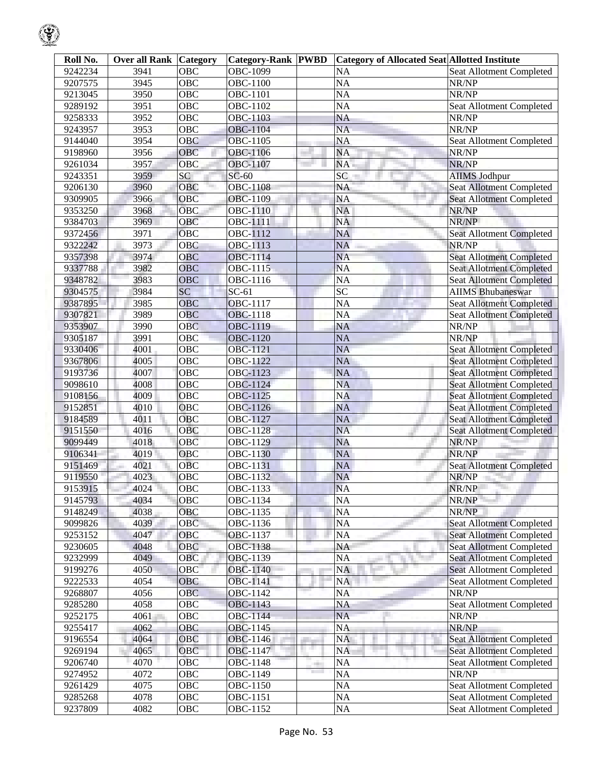| Roll No. | <b>Over all Rank Category</b> |                   | <b>Category-Rank PWBD</b> |     | <b>Category of Allocated Seat Allotted Institute</b> |                                 |
|----------|-------------------------------|-------------------|---------------------------|-----|------------------------------------------------------|---------------------------------|
| 9242234  | 3941                          | $\overline{O}$ BC | <b>OBC-1099</b>           |     | <b>NA</b>                                            | <b>Seat Allotment Completed</b> |
| 9207575  | 3945                          | $\overline{OBC}$  | OBC-1100                  |     | <b>NA</b>                                            | NR/NP                           |
| 9213045  | 3950                          | <b>OBC</b>        | OBC-1101                  |     | <b>NA</b>                                            | NR/NP                           |
| 9289192  | 3951                          | <b>OBC</b>        | OBC-1102                  |     | <b>NA</b>                                            | Seat Allotment Completed        |
| 9258333  | 3952                          | <b>OBC</b>        | <b>OBC-1103</b>           |     | <b>NA</b>                                            | NR/NP                           |
| 9243957  | 3953                          | $\overline{OBC}$  | <b>OBC-1104</b>           |     | <b>NA</b>                                            | NR/NP                           |
| 9144040  | 3954                          | <b>OBC</b>        | OBC-1105                  |     | <b>NA</b>                                            | Seat Allotment Completed        |
| 9198960  | 3956                          | OBC               | OBC-1106                  |     | <b>NA</b>                                            | NR/NP                           |
| 9261034  | 3957                          | OBC               | <b>OBC-1107</b>           |     | <b>NA</b>                                            | NR/NP                           |
| 9243351  | 3959                          | SC                | $SC-60$                   |     | $\overline{SC}$                                      | <b>AIIMS Jodhpur</b>            |
| 9206130  | 3960                          | OBC               | <b>OBC-1108</b>           |     | <b>NA</b>                                            | <b>Seat Allotment Completed</b> |
| 9309905  | 3966                          | OBC               | OBC-1109                  |     | <b>NA</b>                                            | <b>Seat Allotment Completed</b> |
| 9353250  | 3968                          | <b>OBC</b>        | OBC-1110                  |     | <b>NA</b>                                            | NR/NP                           |
| 9384703  | 3969                          | OBC               | OBC-1111                  |     | <b>NA</b>                                            | NR/NP                           |
| 9372456  | 3971                          | OBC               | OBC-1112                  |     | <b>NA</b>                                            | <b>Seat Allotment Completed</b> |
| 9322242  | 3973                          | OBC               | OBC-1113                  |     | <b>NA</b>                                            | NR/NP                           |
| 9357398  | 3974                          | OBC               | <b>OBC-1114</b>           |     | <b>NA</b>                                            | <b>Seat Allotment Completed</b> |
| 9337788  | 3982                          | OBC               | OBC-1115                  |     | <b>NA</b>                                            | <b>Seat Allotment Completed</b> |
| 9348782  | 3983                          | OBC               | OBC-1116                  |     | <b>NA</b>                                            | <b>Seat Allotment Completed</b> |
| 9304575  | 3984                          | SC                | $SC-61$                   |     | $\overline{SC}$                                      | <b>AIIMS Bhubaneswar</b>        |
| 9387895  | 3985                          | OBC               | <b>OBC-1117</b>           |     | <b>NA</b>                                            | <b>Seat Allotment Completed</b> |
| 9307821  | 3989                          | OBC               | <b>OBC-1118</b>           |     | <b>NA</b>                                            | <b>Seat Allotment Completed</b> |
| 9353907  | 3990                          | OBC               | <b>OBC-1119</b>           |     | <b>NA</b>                                            | NR/NP                           |
| 9305187  | 3991                          | OBC               | <b>OBC-1120</b>           |     | <b>NA</b>                                            | NR/NP                           |
| 9330406  | 4001                          | OBC               | <b>OBC-1121</b>           |     | <b>NA</b>                                            | <b>Seat Allotment Completed</b> |
| 9367806  | 4005                          | OBC               | OBC-1122                  |     | <b>NA</b>                                            | <b>Seat Allotment Completed</b> |
| 9193736  | 4007                          | OBC               | OBC-1123                  |     | <b>NA</b>                                            | <b>Seat Allotment Completed</b> |
| 9098610  | 4008                          | OBC               | OBC-1124                  |     | <b>NA</b>                                            | <b>Seat Allotment Completed</b> |
| 9108156  | 4009                          | <b>OBC</b>        | OBC-1125                  |     | <b>NA</b>                                            | <b>Seat Allotment Completed</b> |
| 9152851  | 4010                          | OBC               | OBC-1126                  |     | <b>NA</b>                                            | Seat Allotment Completed        |
| 9184589  | 4011                          | <b>OBC</b>        | <b>OBC-1127</b>           |     | <b>NA</b>                                            | <b>Seat Allotment Completed</b> |
| 9151550  | 4016                          | OBC               | <b>OBC-1128</b>           |     | <b>NA</b>                                            | <b>Seat Allotment Completed</b> |
| 9099449  | 4018                          | OBC               | OBC-1129                  |     | <b>NA</b>                                            | NR/NP                           |
| 9106341  | 4019                          | OBC               | <b>OBC-1130</b>           |     | <b>NA</b>                                            | NR/NP                           |
| 9151469  | 4021                          | <b>OBC</b>        | <b>OBC-1131</b>           |     | <b>NA</b>                                            | <b>Seat Allotment Completed</b> |
| 9119550  | 4023                          | OBC               | OBC-1132                  |     | <b>NA</b>                                            | NR/NP                           |
| 9153915  | 4024                          | OBC               | OBC-1133                  |     | <b>NA</b>                                            | NR/NP                           |
| 9145793  | 4034                          | <b>OBC</b>        | OBC-1134                  |     | <b>NA</b>                                            | NR/NP                           |
| 9148249  | 4038                          | OBC               | OBC-1135                  |     | <b>NA</b>                                            | NR/NP                           |
| 9099826  | 4039                          | OBC               | OBC-1136                  |     | <b>NA</b>                                            | <b>Seat Allotment Completed</b> |
| 9253152  | 4047                          | OBC               | OBC-1137                  |     | <b>NA</b>                                            | <b>Seat Allotment Completed</b> |
| 9230605  | 4048                          | OBC               | OBC-1138                  |     | <b>NA</b>                                            | Seat Allotment Completed        |
| 9232999  | 4049                          | OBC               | OBC-1139                  |     | <b>NA</b>                                            | <b>Seat Allotment Completed</b> |
| 9199276  | 4050                          | OBC               | <b>OBC-1140</b>           |     | <b>NA</b>                                            | <b>Seat Allotment Completed</b> |
| 9222533  | 4054                          | OBC               | OBC-1141                  |     | NA                                                   | Seat Allotment Completed        |
| 9268807  | 4056                          | OBC               | <b>OBC-1142</b>           |     | <b>NA</b>                                            | NR/NP                           |
| 9285280  | 4058                          | OBC               | OBC-1143                  |     | <b>NA</b>                                            | <b>Seat Allotment Completed</b> |
| 9252175  | 4061                          | OBC               | <b>OBC-1144</b>           |     | <b>NA</b>                                            | NR/NP                           |
| 9255417  | 4062                          | OBC               | OBC-1145                  |     | <b>NA</b>                                            | NR/NP                           |
| 9196554  | 4064                          | OBC               | OBC-1146                  |     | NA                                                   | <b>Seat Allotment Completed</b> |
| 9269194  | 4065                          | OBC               | OBC-1147                  | цņ, | <b>NA</b>                                            | <b>Seat Allotment Completed</b> |
| 9206740  | 4070                          | OBC               | OBC-1148                  |     | <b>NA</b>                                            | Seat Allotment Completed        |
| 9274952  | 4072                          | OBC               | OBC-1149                  | m   | <b>NA</b>                                            | NR/NP                           |
| 9261429  | 4075                          | OBC               | OBC-1150                  |     | <b>NA</b>                                            | Seat Allotment Completed        |
| 9285268  | 4078                          | OBC               | OBC-1151                  |     | <b>NA</b>                                            | Seat Allotment Completed        |
| 9237809  | 4082                          | OBC               | OBC-1152                  |     | <b>NA</b>                                            | Seat Allotment Completed        |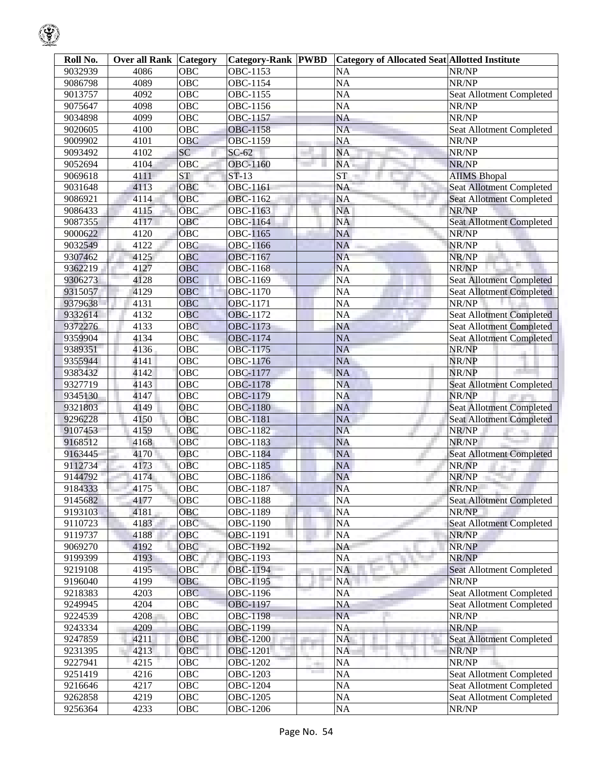| Roll No. | <b>Over all Rank Category</b> |            | <b>Category-Rank PWBD</b> |                                                           | <b>Category of Allocated Seat Allotted Institute</b> |                                 |
|----------|-------------------------------|------------|---------------------------|-----------------------------------------------------------|------------------------------------------------------|---------------------------------|
| 9032939  | 4086                          | OBC        | OBC-1153                  |                                                           | <b>NA</b>                                            | NR/NP                           |
| 9086798  | 4089                          | OBC        | OBC-1154                  |                                                           | <b>NA</b>                                            | NR/NP                           |
| 9013757  | 4092                          | OBC        | OBC-1155                  |                                                           | <b>NA</b>                                            | Seat Allotment Completed        |
| 9075647  | 4098                          | OBC        | OBC-1156                  |                                                           | <b>NA</b>                                            | NR/NP                           |
| 9034898  | 4099                          | OBC        | OBC-1157                  |                                                           | <b>NA</b>                                            | NR/NP                           |
| 9020605  | 4100                          | OBC        | OBC-1158                  |                                                           | <b>NA</b>                                            | Seat Allotment Completed        |
| 9009902  | 4101                          | <b>OBC</b> | OBC-1159                  |                                                           | <b>NA</b>                                            | NR/NP                           |
| 9093492  | 4102                          | SC         | $SC-62$                   |                                                           | <b>NA</b>                                            | NR/NP                           |
| 9052694  | 4104                          | OBC        | OBC-1160                  |                                                           | NA.                                                  | NR/NP                           |
| 9069618  | 4111                          | <b>ST</b>  | $ST-13$                   |                                                           | <b>ST</b>                                            | <b>AIIMS Bhopal</b>             |
| 9031648  | 4113                          | OBC        | OBC-1161                  |                                                           | <b>NA</b>                                            | <b>Seat Allotment Completed</b> |
| 9086921  | 4114                          | OBC        | OBC-1162                  |                                                           | <b>NA</b>                                            | <b>Seat Allotment Completed</b> |
| 9086433  | 4115                          | <b>OBC</b> | OBC-1163                  |                                                           | NA                                                   | NR/NP                           |
| 9087355  | 4117                          | <b>OBC</b> | OBC-1164                  |                                                           | <b>NA</b>                                            | <b>Seat Allotment Completed</b> |
| 9000622  | 4120                          | OBC        | OBC-1165                  |                                                           | <b>NA</b>                                            | NR/NP                           |
| 9032549  | 4122                          | <b>OBC</b> | OBC-1166                  |                                                           | <b>NA</b>                                            | NR/NP                           |
| 9307462  | 4125                          | OBC        | OBC-1167                  |                                                           | <b>NA</b>                                            | NR/NP                           |
| 9362219  | 4127                          | <b>OBC</b> | OBC-1168                  |                                                           | <b>NA</b>                                            | NR/NP                           |
| 9306273  | 4128                          | <b>OBC</b> | OBC-1169                  |                                                           | <b>NA</b>                                            | <b>Seat Allotment Completed</b> |
| 9315057  | 4129                          | <b>OBC</b> | OBC-1170                  |                                                           | <b>NA</b>                                            | <b>Seat Allotment Completed</b> |
| 9379638  | 4131                          | <b>OBC</b> | OBC-1171                  |                                                           | NA                                                   | NR/NP                           |
| 9332614  | 4132                          | <b>OBC</b> | OBC-1172                  |                                                           | <b>NA</b>                                            | <b>Seat Allotment Completed</b> |
| 9372276  | 4133                          | <b>OBC</b> | OBC-1173                  |                                                           | <b>NA</b>                                            | <b>Seat Allotment Completed</b> |
| 9359904  | 4134                          | OBC        | OBC-1174                  |                                                           | <b>NA</b>                                            | <b>Seat Allotment Completed</b> |
| 9389351  | 4136                          | OBC        | OBC-1175                  |                                                           | <b>NA</b>                                            | NR/NP                           |
| 9355944  | 4141                          | OBC        | OBC-1176                  |                                                           | <b>NA</b>                                            | NR/NP                           |
| 9383432  | 4142                          | OBC        | OBC-1177                  |                                                           | <b>NA</b>                                            | NR/NP                           |
| 9327719  | 4143                          | OBC        | OBC-1178                  |                                                           | <b>NA</b>                                            | <b>Seat Allotment Completed</b> |
| 9345130  | 4147                          | OBC        | OBC-1179                  |                                                           | <b>NA</b>                                            | NR/NP                           |
| 9321803  | 4149                          | OBC        | <b>OBC-1180</b>           |                                                           | <b>NA</b>                                            | <b>Seat Allotment Completed</b> |
| 9296228  | 4150                          | <b>OBC</b> | OBC-1181                  |                                                           | <b>NA</b>                                            | <b>Seat Allotment Completed</b> |
| 9107453  | 4159                          | OBC        | OBC-1182                  |                                                           | <b>NA</b>                                            | NR/NP                           |
| 9168512  | 4168                          | OBC        | OBC-1183                  |                                                           | <b>NA</b>                                            | NR/NP                           |
| 9163445  | 4170                          | OBC        | OBC-1184                  |                                                           | <b>NA</b>                                            | <b>Seat Allotment Completed</b> |
| 9112734  | 4173                          | <b>OBC</b> | OBC-1185                  |                                                           | <b>NA</b>                                            | NR/NP                           |
| 9144792  | 4174                          | OBC        | OBC-1186                  |                                                           | <b>NA</b>                                            | NR/NP                           |
| 9184333  | 4175                          | OBC        | OBC-1187                  |                                                           | <b>NA</b>                                            | NR/NP                           |
| 9145682  | 4177                          | <b>OBC</b> | OBC-1188                  |                                                           | NA                                                   | <b>Seat Allotment Completed</b> |
| 9193103  | 4181                          | OBC        | OBC-1189                  |                                                           | NA                                                   | NR/NP                           |
| 9110723  | 4183                          | OBC        | OBC-1190                  |                                                           | NA                                                   | <b>Seat Allotment Completed</b> |
| 9119737  | 4188                          | OBC        | OBC-1191                  |                                                           | NA                                                   | NR/NP                           |
| 9069270  | 4192                          | OBC        | OBC-1192                  |                                                           | NA                                                   | NR/NP                           |
| 9199399  | 4193                          | OBC        | OBC-1193                  |                                                           | <b>NA</b><br>a.                                      | NR/NP                           |
| 9219108  | 4195                          | OBC        | OBC-1194                  |                                                           | <b>NA</b>                                            | Seat Allotment Completed        |
| 9196040  | 4199                          | OBC        | OBC-1195                  |                                                           | NA                                                   | NR/NP                           |
| 9218383  | 4203                          | <b>OBC</b> | OBC-1196                  |                                                           | NA                                                   | <b>Seat Allotment Completed</b> |
| 9249945  | 4204                          | OBC        | OBC-1197                  |                                                           | NA                                                   | Seat Allotment Completed        |
| 9224539  | 4208                          | OBC        | <b>OBC-1198</b>           |                                                           | <b>NA</b>                                            | NR/NP                           |
| 9243334  | 4209                          | <b>OBC</b> | OBC-1199                  |                                                           | <b>NA</b>                                            | NR/NP                           |
| 9247859  | 4211                          | <b>OBC</b> | <b>OBC-1200</b>           |                                                           | <b>NA</b>                                            | <b>Seat Allotment Completed</b> |
| 9231395  | 4213                          | OBC        | OBC-1201                  |                                                           | <b>NA</b>                                            | NR/NP                           |
| 9227941  | 4215                          | <b>OBC</b> | OBC-1202                  | a.<br><b>The Contract of the Contract of the Contract</b> | NA                                                   | NR/NP                           |
| 9251419  | 4216                          | OBC        | OBC-1203                  |                                                           | NA                                                   | <b>Seat Allotment Completed</b> |
| 9216646  | 4217                          | OBC        | OBC-1204                  |                                                           | NA                                                   | Seat Allotment Completed        |
| 9262858  | 4219                          | OBC        | OBC-1205                  |                                                           | NA                                                   | Seat Allotment Completed        |
| 9256364  | 4233                          | OBC        | OBC-1206                  |                                                           | NA                                                   | NR/NP                           |

୍କୃ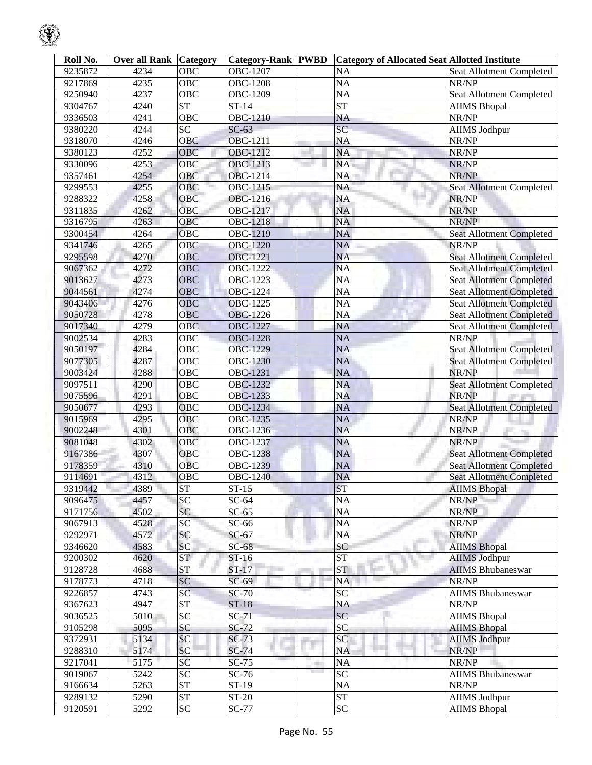| Roll No. | <b>Over all Rank Category</b> |                        | <b>Category-Rank PWBD</b> |      | Category of Allocated Seat Allotted Institute |                                 |
|----------|-------------------------------|------------------------|---------------------------|------|-----------------------------------------------|---------------------------------|
| 9235872  | 4234                          | OBC                    | OBC-1207                  |      | <b>NA</b>                                     | <b>Seat Allotment Completed</b> |
| 9217869  | 4235                          | $\overline{OBC}$       | <b>OBC-1208</b>           |      | <b>NA</b>                                     | NR/NP                           |
| 9250940  | 4237                          | <b>OBC</b>             | OBC-1209                  |      | <b>NA</b>                                     | Seat Allotment Completed        |
| 9304767  | 4240                          | <b>ST</b>              | $\overline{ST-14}$        |      | <b>ST</b>                                     | <b>AIIMS</b> Bhopal             |
| 9336503  | 4241                          | $\overline{OBC}$       | <b>OBC-1210</b>           |      | <b>NA</b>                                     | NR/NP                           |
| 9380220  | 4244                          | $\overline{SC}$        | $SC-63$                   |      | $\overline{SC}$                               | <b>AIIMS Jodhpur</b>            |
| 9318070  | 4246                          | <b>OBC</b>             | <b>OBC-1211</b>           |      | <b>NA</b>                                     | NR/NP                           |
| 9380123  | 4252                          | OBC                    | <b>OBC-1212</b>           |      | <b>NA</b>                                     | NR/NP                           |
| 9330096  | 4253                          | OBC                    | OBC-1213                  |      | <b>NA</b>                                     | NR/NP                           |
| 9357461  | 4254                          | OBC                    | OBC-1214                  |      | NA                                            | NR/NP                           |
| 9299553  | 4255                          | OBC                    | OBC-1215                  |      | <b>NA</b>                                     | <b>Seat Allotment Completed</b> |
| 9288322  | 4258                          | OBC                    | OBC-1216                  |      | <b>NA</b>                                     | NR/NP                           |
| 9311835  | 4262                          | <b>OBC</b>             | OBC-1217                  |      | <b>NA</b>                                     | NR/NP                           |
| 9316795  | 4263                          | <b>OBC</b>             | <b>OBC-1218</b>           |      | <b>NA</b>                                     | NR/NP                           |
| 9300454  | 4264                          | OBC                    | OBC-1219                  |      | <b>NA</b>                                     | <b>Seat Allotment Completed</b> |
| 9341746  | 4265                          | OBC                    | <b>OBC-1220</b>           |      | <b>NA</b>                                     | NR/NP                           |
| 9295598  | 4270                          | OBC                    | <b>OBC-1221</b>           |      | <b>NA</b>                                     | <b>Seat Allotment Completed</b> |
| 9067362  | 4272                          | OBC                    | <b>OBC-1222</b>           |      | <b>NA</b>                                     | <b>Seat Allotment Completed</b> |
| 9013627  | 4273                          | OBC                    | OBC-1223                  |      | <b>NA</b>                                     | <b>Seat Allotment Completed</b> |
| 9044561  | 4274                          | OBC                    | <b>OBC-1224</b>           |      | <b>NA</b>                                     | <b>Seat Allotment Completed</b> |
| 9043406  | 4276                          | OBC                    | <b>OBC-1225</b>           |      | <b>NA</b>                                     | <b>Seat Allotment Completed</b> |
| 9050728  | 4278                          | OBC                    | <b>OBC-1226</b>           |      | <b>NA</b>                                     | <b>Seat Allotment Completed</b> |
| 9017340  | 4279                          | <b>OBC</b>             | <b>OBC-1227</b>           |      | <b>NA</b>                                     | <b>Seat Allotment Completed</b> |
| 9002534  | 4283                          | OBC                    | <b>OBC-1228</b>           |      | <b>NA</b>                                     | NR/NP                           |
| 9050197  | 4284                          | OBC                    | <b>OBC-1229</b>           |      | <b>NA</b>                                     | <b>Seat Allotment Completed</b> |
| 9077305  | 4287                          | <b>OBC</b>             | <b>OBC-1230</b>           |      | <b>NA</b>                                     | <b>Seat Allotment Completed</b> |
| 9003424  | 4288                          | <b>OBC</b>             | OBC-1231                  |      | <b>NA</b>                                     | NR/NP                           |
| 9097511  | 4290                          | OBC                    | OBC-1232                  |      | <b>NA</b>                                     | <b>Seat Allotment Completed</b> |
| 9075596  | 4291                          | <b>OBC</b>             | OBC-1233                  |      | <b>NA</b>                                     | NR/NP                           |
| 9050677  | 4293                          | OBC                    | <b>OBC-1234</b>           |      | <b>NA</b>                                     | <b>Seat Allotment Completed</b> |
| 9015969  | 4295                          | <b>OBC</b>             | <b>OBC-1235</b>           |      | <b>NA</b>                                     | NR/NP                           |
| 9002248  | 4301                          | OBC                    | OBC-1236                  |      | <b>NA</b>                                     | NR/NP                           |
| 9081048  | 4302                          | <b>OBC</b>             | OBC-1237                  |      | <b>NA</b>                                     | NR/NP                           |
| 9167386  | 4307                          | OBC                    | OBC-1238                  |      | <b>NA</b>                                     | <b>Seat Allotment Completed</b> |
| 9178359  | 4310                          | <b>OBC</b>             | <b>OBC-1239</b>           |      | <b>NA</b>                                     | <b>Seat Allotment Completed</b> |
| 9114691  | 4312                          | OBC                    | <b>OBC-1240</b>           |      | <b>NA</b>                                     | <b>Seat Allotment Completed</b> |
| 9319442  | 4389                          | ST                     | $ST-15$                   |      | <b>ST</b>                                     | <b>AIIMS Bhopal</b>             |
| 9096475  | 4457                          | $\overline{SC}$        | $SC-64$                   |      | <b>NA</b>                                     | NR/NP                           |
| 9171756  | 4502                          | SC                     | $SC-65$                   |      | <b>NA</b>                                     | NR/NP                           |
| 9067913  | 4528                          | SC                     | $SC-66$                   |      | <b>NA</b>                                     | NR/NP                           |
| 9292971  | 4572                          | SC                     | $SC-67$                   |      | <b>NA</b>                                     | NR/NP                           |
| 9346620  | 4583                          | SC                     | $SC-68$                   |      | SC                                            | <b>AIIMS</b> Bhopal             |
| 9200302  | 4620                          | ST                     | $ST-16$                   |      | <b>ST</b>                                     | <b>AIIMS Jodhpur</b>            |
| 9128728  | 4688                          | ST                     | $ST-17$                   |      | <b>ST</b>                                     | <b>AIIMS Bhubaneswar</b>        |
| 9178773  | 4718                          | SC                     | $SC-69$                   |      | <b>NA</b>                                     | NR/NP                           |
| 9226857  | 4743                          | SC                     | $SC-70$                   |      | SC                                            | <b>AIIMS Bhubaneswar</b>        |
| 9367623  | 4947                          | $\overline{\text{ST}}$ | $ST-18$                   |      | <b>NA</b>                                     | NR/NP                           |
| 9036525  | 5010                          | $\overline{SC}$        | $SC-71$                   |      | SC                                            | <b>AIIMS</b> Bhopal             |
| 9105298  | 5095                          | SC                     | $SC-72$                   |      | SC                                            | <b>AIIMS Bhopal</b>             |
| 9372931  | 5134                          | SC                     | $SC-73$                   |      | SC                                            | <b>AIIMS Jodhpur</b>            |
| 9288310  | 5174                          | SC                     | $SC-74$                   | 11 M | <b>NA</b>                                     | NR/NP                           |
| 9217041  | 5175                          | SC                     | $SC-75$                   |      | <b>NA</b>                                     | NR/NP                           |
| 9019067  | 5242                          | $\overline{SC}$        | $SC-76$                   | ٠    | SC                                            | <b>AIIMS Bhubaneswar</b>        |
| 9166634  | 5263                          | <b>ST</b>              | $ST-19$                   |      | <b>NA</b>                                     | NR/NP                           |
| 9289132  | 5290                          | <b>ST</b>              | <b>ST-20</b>              |      | <b>ST</b>                                     | AIIMS Jodhpur                   |
| 9120591  | 5292                          | $\overline{SC}$        | <b>SC-77</b>              |      | SC                                            | <b>AIIMS Bhopal</b>             |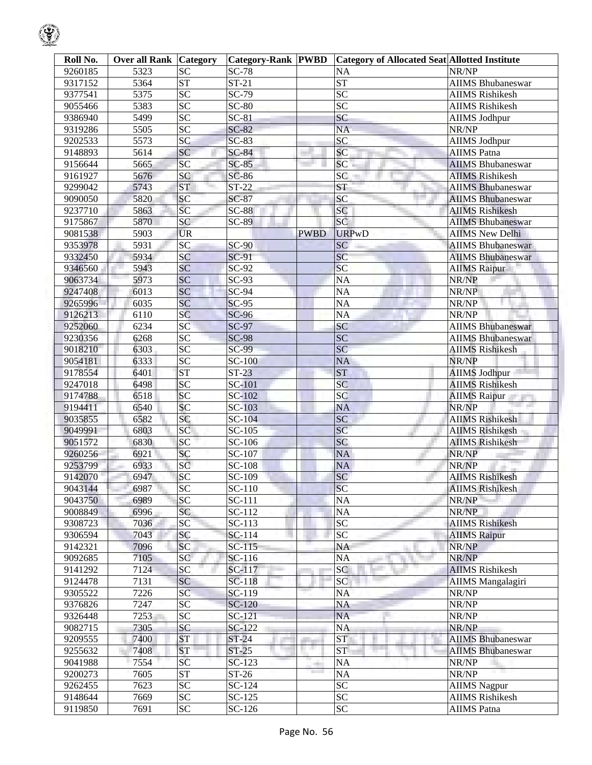| Roll No.           | Over all Rank | <b>Category</b>        | <b>Category-Rank PWBD</b> |                                      | <b>Category of Allocated Seat Allotted Institute</b> |                                 |
|--------------------|---------------|------------------------|---------------------------|--------------------------------------|------------------------------------------------------|---------------------------------|
| 9260185            | 5323          | <b>SC</b>              | <b>SC-78</b>              |                                      | <b>NA</b>                                            | NR/NP                           |
| 9317152            | 5364          | <b>ST</b>              | $ST-21$                   |                                      | <b>ST</b>                                            | <b>AIIMS Bhubaneswar</b>        |
| 9377541            | 5375          | <b>SC</b>              | SC-79                     |                                      | <b>SC</b>                                            | <b>AIIMS Rishikesh</b>          |
| 9055466            | 5383          | $\overline{SC}$        | $SC-80$                   |                                      | SC                                                   | <b>AIIMS Rishikesh</b>          |
| 9386940            | 5499          | $\overline{SC}$        | $SC-81$                   |                                      | <b>SC</b>                                            | <b>AIIMS Jodhpur</b>            |
| 9319286            | 5505          | SC                     | $SC-82$                   |                                      | <b>NA</b>                                            | NR/NP                           |
| 9202533            | 5573          | SC                     | $SC-83$                   |                                      | SC                                                   | <b>AIIMS</b> Jodhpur            |
| 9148893            | 5614          | <b>SC</b>              | $SC-84$                   |                                      | SC                                                   | <b>AIIMS</b> Patna              |
| 9156644            | 5665          | SC                     | $SC-85$                   |                                      | SC                                                   | <b>AIIMS</b> Bhubaneswar        |
| 9161927            | 5676          | SC                     | $SC-86$                   |                                      | <b>SC</b>                                            | <b>AIIMS Rishikesh</b>          |
| 9299042            | 5743          | <b>ST</b>              | $ST-22$                   |                                      | <b>ST</b>                                            | <b>AIIMS Bhubaneswar</b>        |
| 9090050            | 5820          | SC                     | $SC-87$                   |                                      | <b>SC</b>                                            | <b>AIIMS</b> Bhubaneswar        |
| 9237710            | 5863          | SC                     | $SC-88$                   |                                      | <b>SC</b>                                            | <b>AIIMS Rishikesh</b>          |
| 9175867            | 5870          | SC                     | <b>SC-89</b>              |                                      | SC                                                   | <b>AIIMS Bhubaneswar</b>        |
| 9081538            | 5903          | <b>UR</b>              |                           | <b>PWBD</b>                          | <b>URPwD</b>                                         | <b>AIIMS New Delhi</b>          |
| 9353978            | 5931          | SC                     | $SC-90$                   |                                      | <b>SC</b>                                            | <b>AIIMS Bhubaneswar</b>        |
| 9332450            | 5934          | <b>SC</b>              | SC-91                     |                                      | <b>SC</b>                                            | <b>AIIMS Bhubaneswar</b>        |
| 9346560            | 5943          | SC                     | $SC-92$                   |                                      | SC                                                   | <b>AIIMS Raipur</b>             |
| 9063734            | 5973          | <b>SC</b>              | $SC-93$                   |                                      | <b>NA</b>                                            | NR/NP                           |
| 9247408            | 6013          | SC                     | SC-94                     |                                      | <b>NA</b>                                            | NR/NP                           |
| 9265996            | 6035          | SC                     | $SC-95$                   |                                      | <b>NA</b>                                            | NR/NP                           |
| 9126213            | 6110          | SC                     | <b>SC-96</b>              |                                      | <b>NA</b>                                            | NR/NP                           |
| 9252060            | 6234          | SC                     | <b>SC-97</b>              |                                      | SC                                                   | <b>AIIMS Bhubaneswar</b>        |
| 9230356            | 6268          | $\overline{SC}$        | <b>SC-98</b>              |                                      | <b>SC</b>                                            | <b>AIIMS Bhubaneswar</b>        |
| 9018210            | 6303          | SC                     | <b>SC-99</b>              |                                      | <b>SC</b>                                            | <b>AIIMS Rishikesh</b>          |
| 9054181            | 6333          | SC                     | <b>SC-100</b>             |                                      | <b>NA</b>                                            | NR/NP                           |
| 9178554            | 6401          | <b>ST</b>              | $ST-23$                   |                                      | <b>ST</b>                                            | <b>AIIMS Jodhpur</b>            |
| 9247018            | 6498          | SC                     | SC-101                    |                                      | SC                                                   | <b>AIIMS Rishikesh</b>          |
|                    | 6518          | SC                     | SC-102                    |                                      | <b>SC</b>                                            |                                 |
| 9174788<br>9194411 | 6540          | SC                     | <b>SC-103</b>             |                                      | <b>NA</b>                                            | <b>AIIMS Raipur</b><br>NR/NP    |
| 9035855            | 6582          | SC                     | <b>SC-104</b>             |                                      | SC                                                   | <b>AIIMS Rishikesh</b>          |
| 9049991            | 6803          | SC                     | SC-105                    |                                      | SC                                                   | <b>AIIMS Rishikesh</b>          |
| 9051572            | 6830          | SC                     | SC-106                    |                                      | SC                                                   | <b>AIIMS Rishikesh</b>          |
| 9260256            | 6921          | SC                     | SC-107                    |                                      | <b>NA</b>                                            | NR/NP                           |
| 9253799            | 6933          | SC                     | SC-108                    |                                      | NA                                                   | NR/NP                           |
| 9142070            | 6947          | SC                     | SC-109                    |                                      | SC                                                   | <b>AIIMS Rishikesh</b>          |
|                    |               |                        | SC-110                    |                                      |                                                      |                                 |
| 9043144<br>9043750 | 6987<br>6989  | <b>SC</b><br><b>SC</b> | $\overline{SC}$ -111      |                                      | <b>SC</b><br><b>NA</b>                               | <b>AIIMS Rishikesh</b><br>NR/NP |
| 9008849            | 6996          | SC                     | SC-112                    |                                      | NA                                                   | NR/NP                           |
| 9308723            | 7036          | <b>SC</b>              | SC-113                    |                                      | <b>SC</b>                                            | <b>AIIMS Rishikesh</b>          |
| 9306594            | 7043          | <b>SC</b>              | $SC-114$                  |                                      | <b>SC</b>                                            | <b>AIIMS Raipur</b>             |
| 9142321            | 7096          | <b>SC</b>              | $SC-115$                  |                                      | <b>NA</b>                                            | NR/NP                           |
| 9092685            | 7105          | SC                     | SC-116                    |                                      | <b>NA</b>                                            | NR/NP                           |
| 9141292            | 7124          | SC                     | SC-117                    |                                      | SC                                                   | <b>AIIMS Rishikesh</b>          |
|                    | 7131          | <b>SC</b>              | $SC-118$                  |                                      | SC                                                   | <b>AIIMS</b> Mangalagiri        |
| 9124478<br>9305522 | 7226          | <b>SC</b>              | SC-119                    |                                      | <b>NA</b>                                            | NR/NP                           |
| 9376826            | 7247          | <b>SC</b>              | SC-120                    |                                      | NA                                                   | NR/NP                           |
|                    | 7253          | <b>SC</b>              | SC-121                    |                                      | <b>NA</b>                                            | NR/NP                           |
| 9326448<br>9082715 | 7305          | <b>SC</b>              | $SC-122$                  |                                      | <b>NA</b>                                            | NR/NP                           |
| 9209555            | 7400          | <b>ST</b>              | $ST-24$                   |                                      | <b>ST</b>                                            | <b>AIIMS Bhubaneswar</b>        |
|                    | 7408          | <b>ST</b>              | $ST-25$                   | . .                                  | <b>ST</b>                                            | <b>AIIMS Bhubaneswar</b>        |
| 9255632            | 7554          | SC                     |                           |                                      |                                                      | NR/NP                           |
| 9041988            |               |                        | $SC-123$                  | er.<br><b>The Contract of Street</b> | <b>NA</b>                                            |                                 |
| 9200273            | 7605          | <b>ST</b>              | $ST-26$                   |                                      | <b>NA</b>                                            | NR/NP                           |
| 9262455            | 7623          | <b>SC</b>              | SC-124                    |                                      | <b>SC</b><br>SC                                      | <b>AIIMS</b> Nagpur             |
| 9148644            | 7669          | <b>SC</b>              | SC-125                    |                                      |                                                      | <b>AIIMS Rishikesh</b>          |
| 9119850            | 7691          | <b>SC</b>              | SC-126                    |                                      | <b>SC</b>                                            | <b>AIIMS</b> Patna              |

 $\mathbb{Q}$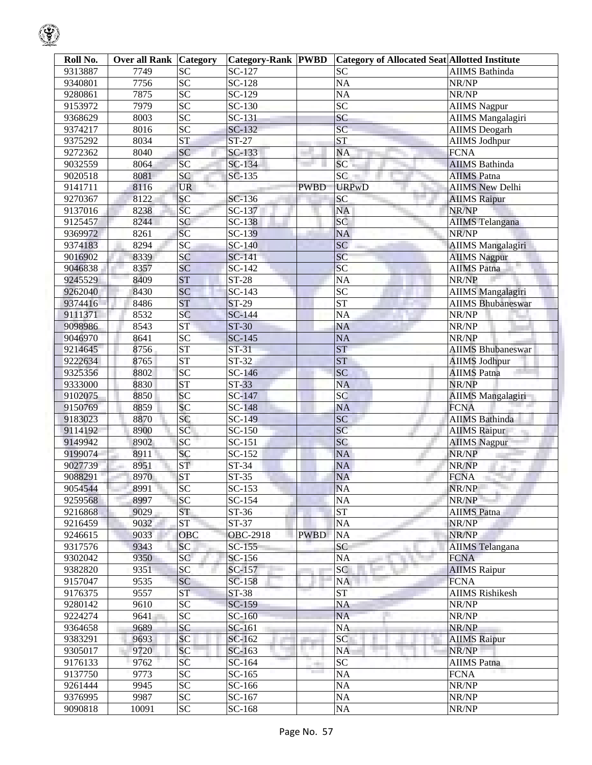| Roll No. | <b>Over all Rank Category</b> |                   | <b>Category-Rank PWBD</b> |                 | <b>Category of Allocated Seat Allotted Institute</b> |                          |
|----------|-------------------------------|-------------------|---------------------------|-----------------|------------------------------------------------------|--------------------------|
| 9313887  | 7749                          | <b>SC</b>         | SC-127                    |                 | <b>SC</b>                                            | <b>AIIMS</b> Bathinda    |
| 9340801  | 7756                          | $\overline{SC}$   | SC-128                    |                 | NA                                                   | NR/NP                    |
| 9280861  | 7875                          | $\overline{SC}$   | SC-129                    |                 | <b>NA</b>                                            | NR/NP                    |
| 9153972  | 7979                          | SC                | $\overline{SC}$ -130      |                 | SC                                                   | <b>AIIMS Nagpur</b>      |
| 9368629  | 8003                          | SC                | SC-131                    |                 | SC                                                   | <b>AIIMS</b> Mangalagiri |
| 9374217  | 8016                          | SC                | SC-132                    |                 | $\overline{SC}$                                      | <b>AIIMS</b> Deogarh     |
| 9375292  | 8034                          | <b>ST</b>         | $ST-27$                   |                 | <b>ST</b>                                            | <b>AIIMS Jodhpur</b>     |
| 9272362  | 8040                          | SC                | SC-133                    |                 | <b>NA</b>                                            | <b>FCNA</b>              |
| 9032559  | 8064                          | SC                | SC-134                    |                 | SC                                                   | <b>AIIMS</b> Bathinda    |
| 9020518  | 8081                          | <b>SC</b>         | SC-135                    |                 | SC                                                   | <b>AIIMS</b> Patna       |
| 9141711  | 8116                          | <b>UR</b><br>Ter. |                           | <b>PWBD</b>     | <b>URPwD</b>                                         | <b>AIIMS New Delhi</b>   |
| 9270367  | 8122                          | SC                | SC-136                    |                 | <b>SC</b>                                            | <b>AIIMS</b> Raipur      |
| 9137016  | 8238                          | SC                | SC-137                    |                 | <b>NA</b>                                            | NR/NP                    |
| 9125457  | 8244                          | SC                | SC-138                    |                 | <b>SC</b>                                            | <b>AIIMS</b> Telangana   |
| 9369972  | 8261                          | SC                | SC-139                    |                 | <b>NA</b>                                            | NR/NP                    |
| 9374183  | 8294                          | SC                | SC-140                    |                 | <b>SC</b>                                            | <b>AIIMS</b> Mangalagiri |
| 9016902  | 8339                          | SC                | SC-141                    |                 | SC                                                   | <b>AIIMS Nagpur</b>      |
| 9046838  | 8357                          | SC                | SC-142                    |                 | SC                                                   | <b>AIIMS Patna</b>       |
| 9245529  | 8409                          | <b>ST</b>         | $ST-28$                   |                 | <b>NA</b>                                            | NR/NP                    |
| 9262040  | 8430                          | SC                | $\overline{SC}$ -143      |                 | SC                                                   | <b>AIIMS</b> Mangalagiri |
| 9374416  |                               | <b>ST</b>         | ST-29                     |                 | <b>ST</b>                                            |                          |
|          | 8486                          |                   |                           |                 |                                                      | <b>AIIMS Bhubaneswar</b> |
| 9111371  | 8532<br>8543                  | SC                | SC-144<br>$ST-30$         |                 | <b>NA</b>                                            | NR/NP                    |
| 9098986  |                               | <b>ST</b>         |                           |                 | NA                                                   | NR/NP                    |
| 9046970  | 8641                          | $\overline{SC}$   | $SC-145$                  |                 | <b>NA</b>                                            | NR/NP                    |
| 9214645  | 8756                          | <b>ST</b>         | $ST-31$                   |                 | <b>ST</b>                                            | <b>AIIMS Bhubaneswar</b> |
| 9222634  | 8765                          | <b>ST</b>         | $ST-32$                   |                 | <b>ST</b>                                            | <b>AIIMS Jodhpur</b>     |
| 9325356  | 8802                          | <b>SC</b>         | SC-146                    |                 | SC                                                   | <b>AIIMS</b> Patna       |
| 9333000  | 8830                          | <b>ST</b>         | $ST-33$                   |                 | <b>NA</b>                                            | NR/NP                    |
| 9102075  | 8850                          | SC                | SC-147                    |                 | SC                                                   | <b>AIIMS Mangalagiri</b> |
| 9150769  | 8859                          | SC                | $\overline{SC}$ -148      |                 | <b>NA</b>                                            | <b>FCNA</b>              |
| 9183023  | 8870                          | SC                | $SC-149$                  |                 | SC                                                   | <b>AIIMS</b> Bathinda    |
| 9114192  | 8900                          | SC                | SC-150                    |                 | SC                                                   | <b>AIIMS Raipur</b>      |
| 9149942  | 8902                          | SC                | $\overline{SC}$ -151      |                 | SC                                                   | <b>AIIMS</b> Nagpur      |
| 9199074  | 8911                          | SC                | SC-152                    |                 | <b>NA</b>                                            | NR/NP                    |
| 9027739  | 8951                          | <b>ST</b>         | ST-34                     |                 | <b>NA</b>                                            | NR/NP                    |
| 9088291  | 8970                          | <b>ST</b>         | ST-35                     |                 | NA                                                   | <b>FCNA</b>              |
| 9054544  | 8991                          | <b>SC</b>         | SC-153                    |                 | <b>NA</b>                                            | NR/NP                    |
| 9259568  | 8997                          | <b>SC</b>         | SC-154                    |                 | <b>NA</b>                                            | NR/NP                    |
| 9216868  | 9029                          | <b>ST</b>         | ST-36                     |                 | <b>ST</b>                                            | <b>AIIMS</b> Patna       |
| 9216459  | 9032                          | <b>ST</b>         | $ST-37$                   |                 | NA                                                   | NR/NP                    |
| 9246615  | 9033                          | <b>OBC</b>        | <b>OBC-2918</b>           | <b>PWBD</b>     | <b>NA</b>                                            | NR/NP                    |
| 9317576  | 9343                          | <b>SC</b>         | $SC-155$                  |                 | <b>SC</b>                                            | <b>AIIMS</b> Telangana   |
| 9302042  | 9350                          | SC                | SC-156                    |                 | <b>NA</b>                                            | <b>FCNA</b>              |
| 9382820  | 9351                          | SC                | SC-157                    |                 | SC                                                   | <b>AIIMS</b> Raipur      |
| 9157047  | 9535                          | <b>SC</b>         | SC-158                    |                 | <b>NA</b>                                            | <b>FCNA</b>              |
| 9176375  | 9557                          | <b>ST</b>         | <b>ST-38</b>              |                 | <b>ST</b>                                            | <b>AIIMS Rishikesh</b>   |
| 9280142  | 9610                          | <b>SC</b>         | SC-159                    |                 | NA                                                   | NR/NP                    |
| 9224274  | 9641                          | <b>SC</b>         | SC-160                    |                 | <b>NA</b>                                            | NR/NP                    |
| 9364658  | 9689                          | <b>SC</b>         | SC-161                    |                 | <b>NA</b>                                            | NR/NP                    |
| 9383291  | 9693                          | <b>SC</b>         | SC-162                    |                 | SC                                                   | <b>AIIMS</b> Raipur      |
| 9305017  | 9720                          | SC                | SC-163                    | . .             | <b>NA</b>                                            | NR/NP                    |
| 9176133  | 9762                          | SC                | SC-164                    | ek i            | SC                                                   | <b>AIIMS</b> Patna       |
| 9137750  | 9773                          | <b>SC</b>         | $SC-165$                  | <b>Contract</b> | NA                                                   | <b>FCNA</b>              |
| 9261444  | 9945                          | <b>SC</b>         | $\overline{SC}$ -166      |                 | NA                                                   | NR/NP                    |
| 9376995  | 9987                          | <b>SC</b>         | SC-167                    |                 | NA                                                   | NR/NP                    |
| 9090818  | 10091                         | <b>SC</b>         | SC-168                    |                 | NA                                                   | NR/NP                    |

 $\mathcal{G}% _{ij}$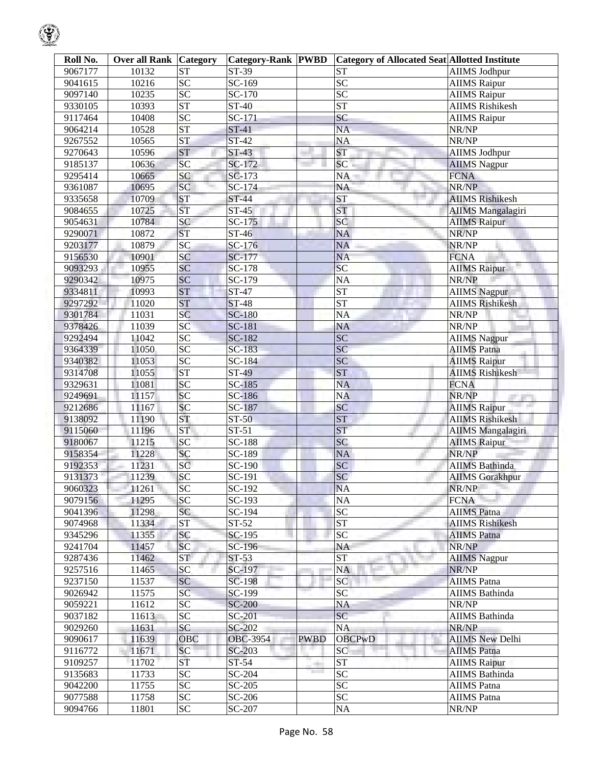| Roll No. | <b>Over all Rank Category</b> |                 | <b>Category-Rank PWBD</b> |                     | <b>Category of Allocated Seat Allotted Institute</b> |                          |
|----------|-------------------------------|-----------------|---------------------------|---------------------|------------------------------------------------------|--------------------------|
| 9067177  | 10132                         | <b>ST</b>       | ST-39                     |                     | <b>ST</b>                                            | <b>AIIMS Jodhpur</b>     |
| 9041615  | 10216                         | $\overline{SC}$ | SC-169                    |                     | SC                                                   | <b>AIIMS Raipur</b>      |
| 9097140  | 10235                         | $\overline{SC}$ | $\overline{SC}$ -170      |                     | SC                                                   | <b>AIIMS Raipur</b>      |
| 9330105  | 10393                         | <b>ST</b>       | $\overline{ST-40}$        |                     | <b>ST</b>                                            | <b>AIIMS Rishikesh</b>   |
| 9117464  | 10408                         | $\overline{SC}$ | $SC-171$                  |                     | SC                                                   | <b>AIIMS Raipur</b>      |
| 9064214  | 10528                         | <b>ST</b>       | $ST-41$                   |                     | <b>NA</b>                                            | NR/NP                    |
| 9267552  | 10565                         | <b>ST</b>       | $ST-42$                   |                     | <b>NA</b>                                            | NR/NP                    |
| 9270643  | 10596                         | <b>ST</b>       | $ST-43$                   |                     | <b>ST</b>                                            | <b>AIIMS Jodhpur</b>     |
| 9185137  | 10636                         | SC              | SC-172                    |                     | SC                                                   | <b>AIIMS</b> Nagpur      |
| 9295414  | 10665                         | SC              | SC-173                    |                     | NA                                                   | <b>FCNA</b>              |
| 9361087  | 10695                         | SC              | SC-174                    |                     | <b>NA</b>                                            | NR/NP                    |
| 9335658  | 10709                         | <b>ST</b>       | <b>ST-44</b>              |                     | <b>ST</b>                                            | <b>AIIMS Rishikesh</b>   |
| 9084655  | 10725                         | <b>ST</b>       | $ST-45$                   |                     | <b>ST</b>                                            | <b>AIIMS Mangalagiri</b> |
| 9054631  | 10784                         | <b>SC</b>       | $SC-175$                  |                     | <b>SC</b>                                            | <b>AIIMS Raipur</b>      |
| 9290071  | 10872                         | <b>ST</b>       | ST-46                     |                     | <b>NA</b>                                            | NR/NP                    |
| 9203177  | 10879                         | SC              | SC-176                    |                     | <b>NA</b>                                            | NR/NP                    |
| 9156530  | 10901                         | <b>SC</b>       | SC-177                    |                     | <b>NA</b>                                            | <b>FCNA</b>              |
| 9093293  | 10955                         | SC              | SC-178                    |                     | SC                                                   | <b>AIIMS Raipur</b>      |
| 9290342  | 10975                         | SC              | $SC-179$                  |                     | <b>NA</b>                                            | NR/NP                    |
| 9334811  | 10993                         | <b>ST</b>       | ST-47                     |                     | <b>ST</b>                                            | <b>AIIMS Nagpur</b>      |
| 9297292  | 11020                         | <b>ST</b>       | $ST-48$                   |                     | <b>ST</b>                                            | <b>AIIMS Rishikesh</b>   |
| 9301784  | 11031                         | SC              | <b>SC-180</b>             |                     | <b>NA</b>                                            | NR/NP                    |
| 9378426  | 11039                         | SC              | SC-181                    |                     | <b>NA</b>                                            | NR/NP                    |
| 9292494  | 11042                         | $\overline{SC}$ | SC-182                    |                     | SC                                                   | <b>AIIMS Nagpur</b>      |
| 9364339  | 11050                         | $\overline{SC}$ | SC-183                    |                     | <b>SC</b>                                            | <b>AIIMS Patna</b>       |
| 9340382  | 11053                         | SC              | SC-184                    |                     | SC                                                   | <b>AIIMS Raipur</b>      |
| 9314708  | 11055                         | <b>ST</b>       | ST-49                     |                     | <b>ST</b>                                            | <b>AIIMS Rishikesh</b>   |
| 9329631  | 11081                         | SC              | SC-185                    |                     | <b>NA</b>                                            | <b>FCNA</b>              |
| 9249691  | 11157                         | SC              | SC-186                    |                     | <b>NA</b>                                            | NR/NP                    |
| 9212686  | 11167                         | SC              | SC-187                    |                     | SC                                                   | <b>AIIMS Raipur</b>      |
| 9138092  | 11190                         | <b>ST</b>       | <b>ST-50</b>              |                     | <b>ST</b>                                            | <b>AIIMS Rishikesh</b>   |
| 9115060  | 11196                         | <b>ST</b>       | $ST-51$                   |                     | <b>ST</b>                                            | <b>AIIMS Mangalagiri</b> |
| 9180067  | 11215                         | SC              | $\overline{SC}$ -188      |                     | SC                                                   | <b>AIIMS Raipur</b>      |
| 9158354  | 11228                         | <b>SC</b>       | SC-189                    |                     | <b>NA</b>                                            | NR/NP                    |
| 9192353  | 11231                         | SC              | SC-190                    |                     | SC                                                   | <b>AIIMS Bathinda</b>    |
| 9131373  | 11239                         | <b>SC</b>       | SC-191                    |                     | SC                                                   | <b>AIIMS</b> Gorakhpur   |
| 9060323  | 11261                         | <b>SC</b>       | SC-192                    |                     | <b>NA</b>                                            | NR/NP                    |
| 9079156  | 11295                         | <b>SC</b>       | SC-193                    |                     | <b>NA</b>                                            | <b>FCNA</b>              |
| 9041396  | 11298                         | SC              | SC-194                    |                     | SC                                                   | <b>AIIMS</b> Patna       |
| 9074968  | 11334                         | <b>ST</b>       | $ST-52$                   |                     | <b>ST</b>                                            | <b>AIIMS Rishikesh</b>   |
| 9345296  | 11355                         | <b>SC</b>       | SC-195                    |                     | SC                                                   | <b>AIIMS</b> Patna       |
| 9241704  | 11457                         | <b>SC</b>       | SC-196                    |                     | NA                                                   | NR/NP                    |
| 9287436  | 11462                         | ST              | $ST-53$                   |                     | <b>ST</b>                                            | <b>AIIMS</b> Nagpur      |
| 9257516  | 11465                         | <b>SC</b>       | SC-197                    |                     | <b>NA</b>                                            | NR/NP                    |
| 9237150  | 11537                         | <b>SC</b>       | <b>SC-198</b>             |                     | $\overline{SC}$                                      | <b>AIIMS</b> Patna       |
| 9026942  | 11575                         | SC              | SC-199                    |                     | <b>SC</b>                                            | <b>AIIMS</b> Bathinda    |
| 9059221  | 11612                         | <b>SC</b>       | <b>SC-200</b>             |                     | <b>NA</b>                                            | NR/NP                    |
| 9037182  | 11613                         | <b>SC</b>       | SC-201                    |                     | SC                                                   | <b>AIIMS</b> Bathinda    |
| 9029260  | 11631                         | <b>SC</b>       | SC-202                    |                     | <b>NA</b>                                            | NR/NP                    |
| 9090617  | 11639                         | OBC             | OBC-3954                  | <b>PWBD</b>         | <b>OBCPwD</b>                                        | <b>AIIMS New Delhi</b>   |
| 9116772  | 11671                         | SC              | SC-203                    |                     | <b>SC</b>                                            | <b>AIIMS</b> Patna       |
| 9109257  | 11702                         | ST              | $ST-54$                   | ain,                | <b>ST</b>                                            | <b>AIIMS</b> Raipur      |
| 9135683  | 11733                         | <b>SC</b>       | SC-204                    | <b>The Contract</b> | <b>SC</b>                                            | <b>AIIMS</b> Bathinda    |
| 9042200  | 11755                         | <b>SC</b>       | SC-205                    |                     | <b>SC</b>                                            | <b>AIIMS</b> Patna       |
| 9077588  | 11758                         | <b>SC</b>       | SC-206                    |                     | SC                                                   | <b>AIIMS</b> Patna       |
| 9094766  | 11801                         | <b>SC</b>       | SC-207                    |                     | <b>NA</b>                                            | NR/NP                    |

 $\bigcirc$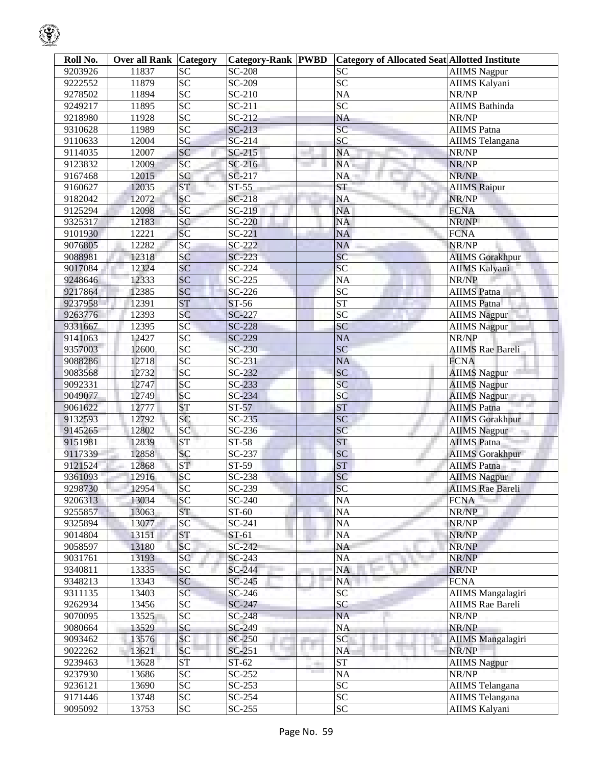| Roll No. | <b>Over all Rank   Category</b> |                 | <b>Category-Rank PWBD</b> |     | <b>Category of Allocated Seat Allotted Institute</b> |                              |
|----------|---------------------------------|-----------------|---------------------------|-----|------------------------------------------------------|------------------------------|
| 9203926  | 11837                           | <b>SC</b>       | SC-208                    |     | <b>SC</b>                                            | <b>AIIMS</b> Nagpur          |
| 9222552  | 11879                           | ${\rm SC}$      | SC-209                    |     | <b>SC</b>                                            | AIIMS Kalyani                |
| 9278502  | 11894                           | $\overline{SC}$ | SC-210                    |     | <b>NA</b>                                            | NR/NP                        |
| 9249217  | 11895                           | $\overline{SC}$ | SC-211                    |     | SC                                                   | <b>AIIMS</b> Bathinda        |
| 9218980  | 11928                           | SC              | SC-212                    |     | NA                                                   | NR/NP                        |
| 9310628  | 11989                           | $\overline{SC}$ | $SC-213$                  |     | $\overline{SC}$                                      | <b>AIIMS</b> Patna           |
| 9110633  | 12004                           | SC              | SC-214                    |     | SC                                                   | <b>AIIMS</b> Telangana       |
| 9114035  | 12007                           | <b>SC</b>       | $SC-215$                  |     | NA                                                   | NR/NP                        |
| 9123832  | 12009                           | <b>SC</b>       | $SC-216$                  |     | NA                                                   | NR/NP                        |
| 9167468  | 12015                           | SC              | SC-217                    |     | NA                                                   | NR/NP                        |
| 9160627  | 12035                           | <b>ST</b>       | $ST-55$                   |     | ST                                                   | <b>AIIMS Raipur</b>          |
| 9182042  | 12072                           | SC              | SC-218                    |     | NA                                                   | NR/NP                        |
| 9125294  | 12098                           | <b>SC</b>       | SC-219                    |     | NA                                                   | <b>FCNA</b>                  |
| 9325317  | 12183                           | SC              | SC-220                    |     | NA                                                   | NR/NP                        |
| 9101930  | 12221                           | <b>SC</b>       | $SC-221$                  |     | <b>NA</b>                                            | <b>FCNA</b>                  |
| 9076805  | 12282                           | SC              | $SC-222$                  |     | <b>NA</b>                                            | NR/NP                        |
| 9088981  | 12318                           | <b>SC</b>       | $SC-223$                  |     | SC                                                   | <b>AIIMS Gorakhpur</b>       |
| 9017084  | 12324                           | SC              | SC-224                    |     | SC                                                   | <b>AIIMS Kalyani</b>         |
| 9248646  | 12333                           | <b>SC</b>       | SC-225                    |     | NA                                                   | NR/NP                        |
| 9217864  | 12385                           | SC              | $SC-226$                  |     | $\overline{SC}$                                      | <b>AIIMS</b> Patna           |
| 9237958  | 12391                           | <b>ST</b>       | ST-56                     |     | $\overline{\text{ST}}$                               | <b>AIIMS</b> Patna           |
| 9263776  | 12393                           | SC              | SC-227                    |     | $\overline{SC}$                                      | <b>AIIMS Nagpur</b>          |
| 9331667  | 12395                           | SC              | SC-228                    |     | SC                                                   |                              |
|          |                                 | SC              | SC-229                    |     | <b>NA</b>                                            | <b>AIIMS Nagpur</b><br>NR/NP |
| 9141063  | 12427                           | $\overline{SC}$ |                           |     | SC                                                   |                              |
| 9357003  | 12600                           |                 | SC-230                    |     |                                                      | <b>AIIMS Rae Bareli</b>      |
| 9088286  | 12718                           | SC              | $SC-231$                  |     | <b>NA</b>                                            | <b>FCNA</b>                  |
| 9083568  | 12732                           | SC              | SC-232                    |     | <b>SC</b>                                            | <b>AIIMS Nagpur</b>          |
| 9092331  | 12747                           | SC              | $SC-233$                  |     | SC                                                   | <b>AIIMS Nagpur</b>          |
| 9049077  | 12749                           | SC              | SC-234                    |     | <b>SC</b>                                            | <b>AIIMS Nagpur</b>          |
| 9061622  | 12777                           | <b>ST</b>       | $ST-57$                   |     | <b>ST</b>                                            | <b>AIIMS Patna</b>           |
| 9132593  | 12792                           | SC              | $SC-235$                  |     | SC                                                   | <b>AIIMS Gorakhpur</b>       |
| 9145265  | 12802                           | SC              | $SC-236$                  |     | <b>SC</b>                                            | AIIMS Nagpur                 |
| 9151981  | 12839                           | <b>ST</b>       | ST-58                     |     | <b>ST</b>                                            | <b>AIIMS</b> Patna           |
| 9117339  | 12858                           | SC              | SC-237                    |     | <b>SC</b>                                            | <b>AIIMS Gorakhpur</b>       |
| 9121524  | 12868                           | <b>ST</b>       | ST-59                     |     | <b>ST</b>                                            | <b>AIIMS Patna</b>           |
| 9361093  | 12916                           | SC              | SC-238                    |     | <b>SC</b>                                            | <b>AIIMS Nagpur</b>          |
| 9298730  | 12954                           | SС              | SC-239                    |     | ßС                                                   | <b>AIIMS</b> Rae Bareli      |
| 9206313  | 13034                           | SC              | SC-240                    |     | <b>NA</b>                                            | <b>FCNA</b>                  |
| 9255857  | 13063                           | <b>ST</b>       | ST-60                     |     | NA                                                   | NR/NP                        |
| 9325894  | 13077                           | <b>SC</b>       | SC-241                    |     | NA                                                   | NR/NP                        |
| 9014804  | 13151                           | <b>ST</b>       | ST-61                     |     | NA                                                   | NR/NP                        |
| 9058597  | 13180                           | <b>SC</b>       | SC-242                    |     | NA                                                   | NR/NP                        |
| 9031761  | 13193                           | SC <sup>-</sup> | $SC-243$                  |     | NA                                                   | NR/NP                        |
| 9340811  | 13335                           | SC              | SC-244                    |     | NA                                                   | NR/NP                        |
| 9348213  | 13343                           | SC              | $SC-245$                  |     | NA                                                   | <b>FCNA</b>                  |
| 9311135  | 13403                           | SC              | $SC-246$                  |     | SC                                                   | <b>AIIMS</b> Mangalagiri     |
| 9262934  | 13456                           | <b>SC</b>       | SC-247                    |     | SC                                                   | <b>AIIMS</b> Rae Bareli      |
| 9070095  | 13525                           | <b>SC</b>       | SC-248                    |     | <b>NA</b>                                            | NR/NP                        |
| 9080664  | 13529                           | SC              | SC-249                    |     | <b>NA</b>                                            | NR/NP                        |
| 9093462  | 13576                           | <b>SC</b>       | SC-250                    |     | SC                                                   | <b>AIIMS Mangalagiri</b>     |
| 9022262  | 13621                           | <b>SC</b>       | $SC-251$                  | . . | NA                                                   | NR/NP                        |
| 9239463  | 13628                           | ST              | $ST-62$                   | -   | <b>ST</b>                                            | <b>AIIMS</b> Nagpur          |
| 9237930  | 13686                           | <b>SC</b>       | $SC-252$                  |     | NA                                                   | NR/NP                        |
| 9236121  | 13690                           | <b>SC</b>       | $SC-253$                  |     | SC                                                   | AIIMS Telangana              |
| 9171446  | 13748                           | SC              | $SC-254$                  |     | <b>SC</b>                                            | <b>AIIMS</b> Telangana       |
| 9095092  | 13753                           | <b>SC</b>       | $SC-255$                  |     | <b>SC</b>                                            | AIIMS Kalyani                |

 $\bigcirc$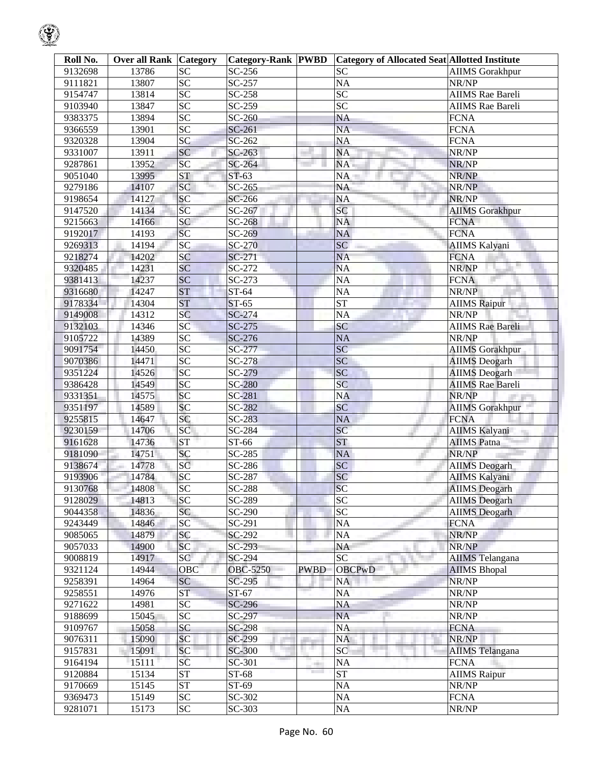| Roll No. | <b>Over all Rank Category</b> |                 | <b>Category-Rank PWBD</b> |             | <b>Category of Allocated Seat Allotted Institute</b> |                         |
|----------|-------------------------------|-----------------|---------------------------|-------------|------------------------------------------------------|-------------------------|
| 9132698  | 13786                         | <b>SC</b>       | SC-256                    |             | <b>SC</b>                                            | <b>AIIMS</b> Gorakhpur  |
| 9111821  | 13807                         | <b>SC</b>       | SC-257                    |             | NA                                                   | NR/NP                   |
| 9154747  | 13814                         | $\overline{SC}$ | SC-258                    |             | $\overline{SC}$                                      | <b>AIIMS</b> Rae Bareli |
| 9103940  | 13847                         | SC              | SC-259                    |             | SC                                                   | <b>AIIMS</b> Rae Bareli |
| 9383375  | 13894                         | $\overline{SC}$ | SC-260                    |             | <b>NA</b>                                            | <b>FCNA</b>             |
| 9366559  | 13901                         | SC              | SC-261                    |             | <b>NA</b>                                            | <b>FCNA</b>             |
| 9320328  | 13904                         | SC              | SC-262                    |             | NA                                                   | <b>FCNA</b>             |
| 9331007  | 13911                         | SC              | SC-263                    |             | NA                                                   | NR/NP                   |
| 9287861  | 13952                         | SC              | SC-264                    |             | NA.                                                  | NR/NP                   |
| 9051040  | 13995                         | <b>ST</b>       | $ST-63$                   |             | NA                                                   | NR/NP                   |
| 9279186  | 14107                         | SC              | $SC-265$                  |             | <b>NA</b>                                            | NR/NP                   |
| 9198654  | 14127                         | SC              | SC-266                    |             | NA                                                   | NR/NP                   |
| 9147520  | 14134                         | SC              | SC-267                    |             | SC                                                   | <b>AIIMS</b> Gorakhpur  |
| 9215663  | 14166                         | SC              | SC-268                    |             | NA                                                   | <b>FCNA</b>             |
| 9192017  | 14193                         | SC              | SC-269                    |             | NA                                                   | <b>FCNA</b>             |
| 9269313  | 14194                         | SC              | SC-270                    |             | SC                                                   | <b>AIIMS Kalyani</b>    |
| 9218274  | 14202                         | <b>SC</b>       | SC-271                    |             | <b>NA</b>                                            | <b>FCNA</b>             |
| 9320485  | 14231                         | SC              | SC-272                    |             | <b>NA</b>                                            | NR/NP                   |
| 9381413  | 14237                         | SC              | SC-273                    |             | NA                                                   | <b>FCNA</b>             |
| 9316680  | 14247                         | <b>ST</b>       | ST-64                     |             | $\rm NA$                                             | NR/NP                   |
| 9178334  | 14304                         | <b>ST</b>       | $ST-65$                   |             | <b>ST</b>                                            | <b>AIIMS</b> Raipur     |
| 9149008  | 14312                         | SC              | SC-274                    |             | <b>NA</b>                                            | NR/NP                   |
| 9132103  | 14346                         | SC              | SC-275                    |             | SC                                                   | <b>AIIMS</b> Rae Bareli |
| 9105722  | 14389                         | $\overline{SC}$ | SC-276                    |             | <b>NA</b>                                            | NR/NP                   |
| 9091754  | 14450                         | $\overline{SC}$ | SC-277                    |             | SC                                                   | <b>AIIMS</b> Gorakhpur  |
| 9070386  | 14471                         | $\overline{SC}$ | SC-278                    |             | SC                                                   | <b>AIIMS</b> Deogarh    |
| 9351224  | 14526                         | SC              | $SC-279$                  |             | SC                                                   | <b>AIIMS</b> Deogarh    |
| 9386428  | 14549                         | SC              | <b>SC-280</b>             |             | SC                                                   | <b>AIIMS</b> Rae Bareli |
| 9331351  | 14575                         | SC              | SC-281                    |             | <b>NA</b>                                            | NR/NP                   |
| 9351197  | 14589                         | SC              | SC-282                    |             | SC                                                   | <b>AIIMS Gorakhpur</b>  |
| 9255815  | 14647                         | SC              | SC-283                    |             | <b>NA</b>                                            | <b>FCNA</b>             |
| 9230159  | 14706                         | SC              | SC-284                    |             | SC                                                   | <b>AIIMS Kalyani</b>    |
| 9161628  | 14736                         | <b>ST</b>       | ST-66                     |             | <b>ST</b>                                            | <b>AIIMS</b> Patna      |
| 9181090  | 14751                         | <b>SC</b>       | SC-285                    |             | <b>NA</b>                                            | NR/NP                   |
| 9138674  | 14778                         | SC              | $SC-286$                  |             | SC                                                   | <b>AIIMS</b> Deogarh    |
| 9193906  | 14784                         | SC              | SC-287                    |             | SC                                                   | <b>AIIMS Kalyani</b>    |
| 9130768  | 14808                         | SC              | SC-288                    |             | <b>SC</b>                                            | <b>AIIMS</b> Deogarh    |
| 9128029  | 14813                         | <b>SC</b>       | SC-289                    |             | <b>SC</b>                                            | <b>AIIMS</b> Deogarh    |
| 9044358  | 14836                         | SC              | SC-290                    |             | <b>SC</b>                                            | <b>AIIMS</b> Deogarh    |
| 9243449  | 14846                         | <b>SC</b>       | SC-291                    |             | $\rm NA$                                             | <b>FCNA</b>             |
| 9085065  | 14879                         | <b>SC</b>       | SC-292                    |             | NA                                                   | NR/NP                   |
| 9057033  | 14900                         | SC              | SC-293                    |             | <b>NA</b>                                            | NR/NP                   |
| 9008819  | 14917                         | SC              | SC-294                    |             | $\overline{SC}$                                      | <b>AIIMS</b> Telangana  |
| 9321124  | 14944                         | OBC             | <b>OBC-5250</b>           | <b>PWBD</b> | <b>OBCPwD</b>                                        | <b>AIIMS</b> Bhopal     |
| 9258391  | 14964                         | <b>SC</b>       | SC-295                    |             | NA                                                   | NR/NP                   |
| 9258551  | 14976                         | <b>ST</b>       | $ST-67$                   |             | NA                                                   | NR/NP                   |
| 9271622  | 14981                         | <b>SC</b>       | SC-296                    |             | NA                                                   | NR/NP                   |
| 9188699  | 15045                         | <b>SC</b>       | SC-297                    |             | <b>NA</b>                                            | NR/NP                   |
| 9109767  | 15058                         | <b>SC</b>       | $SC-298$                  |             | NA                                                   | <b>FCNA</b>             |
| 9076311  | 15090                         | <b>SC</b>       | SC-299                    |             | <b>NA</b>                                            | NR/NP                   |
| 9157831  | 15091                         | SC              | SC-300                    | . .         | <b>SC</b>                                            | <b>AIIMS</b> Telangana  |
| 9164194  | 15111                         | SC              | SC-301                    | eri i       | NA                                                   | <b>FCNA</b>             |
| 9120884  | 15134                         | <b>ST</b>       | ST-68                     | a sa ta     | <b>ST</b>                                            | <b>AIIMS</b> Raipur     |
| 9170669  | 15145                         | <b>ST</b>       | ST-69                     |             | NA                                                   | NR/NP                   |
| 9369473  | 15149                         | SC              | SC-302                    |             | $\rm NA$                                             | <b>FCNA</b>             |
| 9281071  | 15173                         | ${\rm SC}$      | SC-303                    |             | $\rm NA$                                             | NR/NP                   |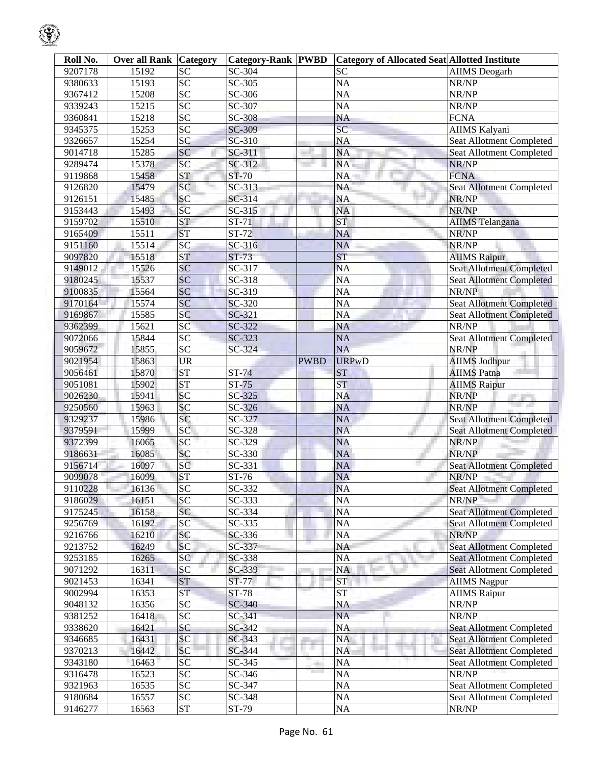| Roll No. | <b>Over all Rank Category</b> |                    | <b>Category-Rank PWBD</b> |             | <b>Category of Allocated Seat Allotted Institute</b> |                                          |
|----------|-------------------------------|--------------------|---------------------------|-------------|------------------------------------------------------|------------------------------------------|
| 9207178  | 15192                         | <b>SC</b>          | SC-304                    |             | <b>SC</b>                                            | <b>AIIMS</b> Deogarh                     |
| 9380633  | 15193                         | $\overline{SC}$    | SC-305                    |             | <b>NA</b>                                            | NR/NP                                    |
| 9367412  | 15208                         | $\overline{SC}$    | SC-306                    |             | <b>NA</b>                                            | NR/NP                                    |
| 9339243  | 15215                         | SC                 | SC-307                    |             | <b>NA</b>                                            | NR/NP                                    |
| 9360841  | 15218                         | SC                 | <b>SC-308</b>             |             | <b>NA</b>                                            | <b>FCNA</b>                              |
| 9345375  | 15253                         | SC                 | SC-309                    |             | $\overline{SC}$                                      | <b>AIIMS Kalyani</b>                     |
| 9326657  | 15254                         | SC                 | SC-310                    |             | <b>NA</b>                                            | Seat Allotment Completed                 |
| 9014718  | 15285                         | SC                 | SC-311                    |             | <b>NA</b>                                            | Seat Allotment Completed                 |
| 9289474  | 15378                         | SC                 | SC-312                    |             | NA                                                   | NR/NP                                    |
| 9119868  | 15458                         | <b>ST</b>          | ST-70                     |             | NA                                                   | <b>FCNA</b>                              |
| 9126820  | 15479                         | SC                 | SC-313                    |             | <b>NA</b>                                            | Seat Allotment Completed                 |
| 9126151  | 15485                         | SC                 | SC-314                    |             | <b>NA</b>                                            | NR/NP                                    |
| 9153443  | 15493                         | SC                 | SC-315                    |             | <b>NA</b>                                            | NR/NP                                    |
| 9159702  | 15510                         | <b>ST</b>          | ST-71                     |             | <b>ST</b>                                            | <b>AIIMS</b> Telangana                   |
| 9165409  | 15511                         | <b>ST</b>          | ST-72                     |             | <b>NA</b>                                            | NR/NP                                    |
| 9151160  | 15514                         | SC                 | SC-316                    |             | <b>NA</b>                                            | NR/NP                                    |
| 9097820  | 15518                         | <b>ST</b>          | $ST-73$                   |             | <b>ST</b>                                            | <b>AIIMS Raipur</b>                      |
| 9149012  | 15526                         | SC                 | SC-317                    |             | <b>NA</b>                                            | <b>Seat Allotment Completed</b>          |
| 9180245  | 15537                         | SC                 | SC-318                    |             | <b>NA</b>                                            | <b>Seat Allotment Completed</b>          |
| 9100835  | 15564                         | SC                 | SC-319                    |             | <b>NA</b>                                            | NR/NP                                    |
| 9170164  | 15574                         | SC                 | SC-320                    |             | <b>NA</b>                                            | <b>Seat Allotment Completed</b>          |
|          |                               | SC                 |                           |             | <b>NA</b>                                            |                                          |
| 9169867  | 15585                         | SC                 | SC-321                    |             |                                                      | <b>Seat Allotment Completed</b><br>NR/NP |
| 9362399  | 15621                         |                    | SC-322                    |             | <b>NA</b>                                            |                                          |
| 9072066  | 15844                         | $\overline{SC}$    | SC-323                    |             | <b>NA</b>                                            | <b>Seat Allotment Completed</b>          |
| 9059672  | 15855                         | SC                 | SC-324                    |             | <b>NA</b>                                            | NR/NP                                    |
| 9021954  | 15863                         | <b>UR</b>          |                           | <b>PWBD</b> | <b>URPwD</b>                                         | <b>AIIMS Jodhpur</b>                     |
| 9056461  | 15870                         | <b>ST</b>          | <b>ST-74</b>              |             | <b>ST</b>                                            | <b>AIIMS Patna</b>                       |
| 9051081  | 15902                         | <b>ST</b>          | $ST-75$                   |             | <b>ST</b>                                            | <b>AIIMS Raipur</b>                      |
| 9026230  | 15941                         | SC                 | SC-325                    |             | <b>NA</b>                                            | NR/NP<br>والتواريخ                       |
| 9250560  | 15963                         | SC                 | SC-326                    |             | <b>NA</b>                                            | NR/NP                                    |
| 9329237  | 15986                         | SC                 | SC-327                    |             | <b>NA</b>                                            | <b>Seat Allotment Completed</b>          |
| 9379591  | 15999                         | SC                 | SC-328                    |             | <b>NA</b>                                            | <b>Seat Allotment Completed</b>          |
| 9372399  | 16065                         | SC                 | SC-329                    |             | <b>NA</b>                                            | NR/NP                                    |
| 9186631  | 16085                         | SC                 | SC-330                    |             | <b>NA</b>                                            | NR/NP                                    |
| 9156714  | 16097                         | SC                 | SC-331                    |             | <b>NA</b>                                            | <b>Seat Allotment Completed</b>          |
| 9099078  | 16099                         | ST                 | ST-76                     |             | <b>NA</b>                                            | NR/NP                                    |
| 9110228  | 16136                         | <b>SC</b>          | SC-332                    |             | <b>NA</b>                                            | <b>Seat Allotment Completed</b>          |
| 9186029  | 16151                         | SC                 | SC-333                    |             | <b>NA</b>                                            | NR/NP                                    |
| 9175245  | 16158                         | SC                 | SC-334                    |             | NA                                                   | <b>Seat Allotment Completed</b>          |
| 9256769  | 16192                         | <b>SC</b>          | SC-335                    |             | NA                                                   | <b>Seat Allotment Completed</b>          |
| 9216766  | 16210                         | SC                 | SC-336                    |             | <b>NA</b>                                            | NR/NP                                    |
| 9213752  | 16249                         | <b>SC</b>          | SC-337                    |             | <b>NA</b>                                            | Seat Allotment Completed                 |
| 9253185  | 16265                         | SC                 | SC-338                    |             | <b>NA</b>                                            | <b>Seat Allotment Completed</b>          |
| 9071292  | 16311                         | SC                 | SC-339                    |             | <b>NA</b>                                            | <b>Seat Allotment Completed</b>          |
| 9021453  | 16341                         | <b>ST</b>          | ST-77                     |             | <b>ST</b>                                            | <b>AIIMS</b> Nagpur                      |
| 9002994  | 16353                         | <b>ST</b>          | <b>ST-78</b>              |             | <b>ST</b>                                            | <b>AIIMS</b> Raipur                      |
| 9048132  | 16356                         | $\overline{SC}$    | SC-340                    |             | NA                                                   | NR/NP                                    |
| 9381252  | 16418                         | $\overline{SC}$    | SC-341                    |             | <b>NA</b>                                            | NR/NP                                    |
| 9338620  | 16421                         | SC                 | SC-342                    |             | <b>NA</b>                                            | <b>Seat Allotment Completed</b>          |
| 9346685  | 16431                         | SC                 | SC-343                    |             | <b>NA</b>                                            | <b>Seat Allotment Completed</b>          |
| 9370213  | 16442                         | <b>SC</b>          | SC-344                    |             | <b>NA</b>                                            | Seat Allotment Completed                 |
| 9343180  | 16463                         | SC                 | SC-345                    |             | NA                                                   | <b>Seat Allotment Completed</b>          |
| 9316478  | 16523                         | $\overline{SC}$    | SC-346                    |             | NA                                                   | NR/NP                                    |
| 9321963  | 16535                         | $\overline{SC}$    | SC-347                    |             | NA                                                   | Seat Allotment Completed                 |
| 9180684  | 16557                         | $\overline{SC}$    | SC-348                    |             | NA                                                   | Seat Allotment Completed                 |
| 9146277  | 16563                         | ${\cal S}{\cal T}$ | ST-79                     |             | NA                                                   | NR/NP                                    |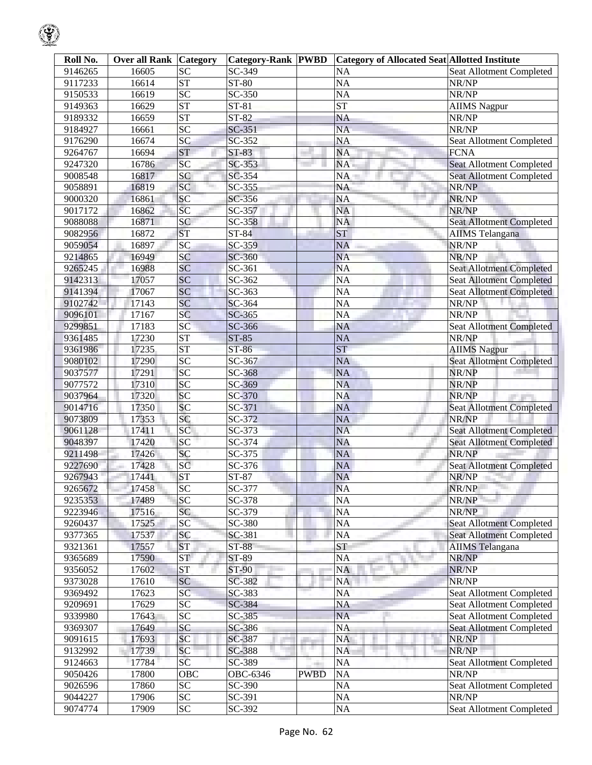| Roll No. | <b>Over all Rank</b> | Category        | <b>Category-Rank PWBD</b> |             | <b>Category of Allocated Seat Allotted Institute</b> |                                 |
|----------|----------------------|-----------------|---------------------------|-------------|------------------------------------------------------|---------------------------------|
| 9146265  | 16605                | $\overline{SC}$ | SC-349                    |             | <b>NA</b>                                            | <b>Seat Allotment Completed</b> |
| 9117233  | 16614                | ST              | $ST-80$                   |             | <b>NA</b>                                            | NR/NP                           |
| 9150533  | 16619                | $\overline{SC}$ | SC-350                    |             | <b>NA</b>                                            | NR/NP                           |
| 9149363  | 16629                | <b>ST</b>       | $ST-81$                   |             | <b>ST</b>                                            | <b>AIIMS</b> Nagpur             |
| 9189332  | 16659                | <b>ST</b>       | $ST-82$                   |             | <b>NA</b>                                            | NR/NP                           |
| 9184927  | 16661                | SC              | $SC-351$                  |             | <b>NA</b>                                            | NR/NP                           |
| 9176290  | 16674                | SC              | SC-352                    |             | <b>NA</b>                                            | Seat Allotment Completed        |
| 9264767  | 16694                | <b>ST</b>       | ST-83                     |             | <b>NA</b>                                            | <b>FCNA</b>                     |
| 9247320  | 16786                | SC              | SC-353                    |             | <b>NA</b>                                            | <b>Seat Allotment Completed</b> |
| 9008548  | 16817                | SC              | SC-354                    |             | NA                                                   | <b>Seat Allotment Completed</b> |
| 9058891  | 16819                | SC              | SC-355                    |             | <b>NA</b>                                            | NR/NP                           |
| 9000320  | 16861                | SC              | SC-356                    |             | <b>NA</b>                                            | NR/NP                           |
| 9017172  | 16862                | SC              | SC-357                    |             | <b>NA</b>                                            | NR/NP                           |
| 9088088  | 16871                | SC              | SC-358                    |             | <b>NA</b>                                            | <b>Seat Allotment Completed</b> |
| 9082956  | 16872                | <b>ST</b>       | $ST-84$                   |             | <b>ST</b>                                            | <b>AIIMS</b> Telangana          |
| 9059054  | 16897                | SC              | SC-359                    |             | <b>NA</b>                                            | NR/NP                           |
| 9214865  | 16949                | SC              | SC-360                    |             | <b>NA</b>                                            | NR/NP                           |
| 9265245  | 16988                | SC              | SC-361                    |             | <b>NA</b>                                            | <b>Seat Allotment Completed</b> |
| 9142313  | 17057                | SC              | SC-362                    |             | <b>NA</b>                                            | <b>Seat Allotment Completed</b> |
| 9141394  | 17067                | SC              | SC-363                    |             | $\overline{NA}$                                      | <b>Seat Allotment Completed</b> |
| 9102742  | 17143                | SC              | SC-364                    |             | <b>NA</b>                                            | NR/NP                           |
| 9096101  | 17167                | SC              | SC-365                    |             | <b>NA</b>                                            | NR/NP                           |
| 9299851  | 17183                | SC              | SC-366                    |             | <b>NA</b>                                            | <b>Seat Allotment Completed</b> |
| 9361485  | 17230                | <b>ST</b>       | $ST-85$                   |             | <b>NA</b>                                            | NR/NP                           |
| 9361986  | 17235                | <b>ST</b>       | ST-86                     |             | <b>ST</b>                                            | <b>AIIMS Nagpur</b>             |
| 9080102  | 17290                | SC              | SC-367                    |             | <b>NA</b>                                            | <b>Seat Allotment Completed</b> |
| 9037577  | 17291                | SC              | SC-368                    |             | <b>NA</b>                                            | NR/NP                           |
| 9077572  | 17310                | SC              | SC-369                    |             | <b>NA</b>                                            | NR/NP                           |
| 9037964  | 17320                | SC              | SC-370                    |             | <b>NA</b>                                            | NR/NP                           |
| 9014716  | 17350                | SC              | SC-371                    |             | <b>NA</b>                                            | <b>Seat Allotment Completed</b> |
| 9073809  | 17353                | SC              | SC-372                    |             | <b>NA</b>                                            | NR/NP                           |
| 9061128  | 17411                | SC              | SC-373                    |             | <b>NA</b>                                            | <b>Seat Allotment Completed</b> |
| 9048397  | 17420                | SC              | SC-374                    |             | <b>NA</b>                                            | <b>Seat Allotment Completed</b> |
| 9211498  | 17426                | SC              | SC-375                    |             | <b>NA</b>                                            | NR/NP                           |
| 9227690  | 17428                | SC              | SC-376                    |             | <b>NA</b>                                            | <b>Seat Allotment Completed</b> |
| 9267943  | 17441                | <b>ST</b>       | ST-87                     |             | <b>NA</b>                                            | NR/NP                           |
| 9265672  | 17458                | SC              | SC-377                    |             | <b>NA</b>                                            | NR/NP                           |
| 9235353  | 17489                | <b>SC</b>       | SC-378                    |             | <b>NA</b>                                            | NR/NP                           |
| 9223946  | 17516                | SC              | SC-379                    |             | <b>NA</b>                                            | NR/NP                           |
| 9260437  | 17525                | SC              | SC-380                    |             | <b>NA</b>                                            | <b>Seat Allotment Completed</b> |
| 9377365  | 17537                | SC              | SC-381                    |             | <b>NA</b>                                            | <b>Seat Allotment Completed</b> |
| 9321361  | 17557                | <b>ST</b>       | <b>ST-88</b>              |             | <b>ST</b>                                            | <b>AIIMS</b> Telangana          |
| 9365689  | 17590                | <b>ST</b>       | ST-89                     |             | <b>NA</b>                                            | NR/NP                           |
| 9356052  | 17602                | <b>ST</b>       | <b>ST-90</b>              |             | <b>NA</b>                                            | NR/NP                           |
| 9373028  | 17610                | SC              | SC-382                    |             | <b>NA</b>                                            | NR/NP                           |
| 9369492  | 17623                | SC              | SC-383                    |             | NA                                                   | Seat Allotment Completed        |
| 9209691  | 17629                | <b>SC</b>       | SC-384                    |             | <b>NA</b>                                            | Seat Allotment Completed        |
| 9339980  | 17643                | $\overline{SC}$ | SC-385                    |             | <b>NA</b>                                            | Seat Allotment Completed        |
| 9369307  | 17649                | SC              | SC-386                    |             | <b>NA</b>                                            | <b>Seat Allotment Completed</b> |
| 9091615  | 17693                | SC              | SC-387                    |             | <b>NA</b>                                            | NR/NP                           |
| 9132992  | 17739                | SC              | SC-388                    | . .         | <b>NA</b>                                            | NR/NP                           |
| 9124663  | 17784                | SC              | SC-389                    |             | <b>NA</b>                                            | <b>Seat Allotment Completed</b> |
| 9050426  | 17800                | OBC             | OBC-6346                  | <b>PWBD</b> | <b>NA</b>                                            | NR/NP                           |
| 9026596  | 17860                | $\overline{SC}$ | SC-390                    |             | <b>NA</b>                                            | Seat Allotment Completed        |
| 9044227  | 17906                | ${\rm SC}$      | SC-391                    |             | NA                                                   | NR/NP                           |
| 9074774  | 17909                | $\overline{SC}$ | SC-392                    |             | NA                                                   | Seat Allotment Completed        |
|          |                      |                 |                           |             |                                                      |                                 |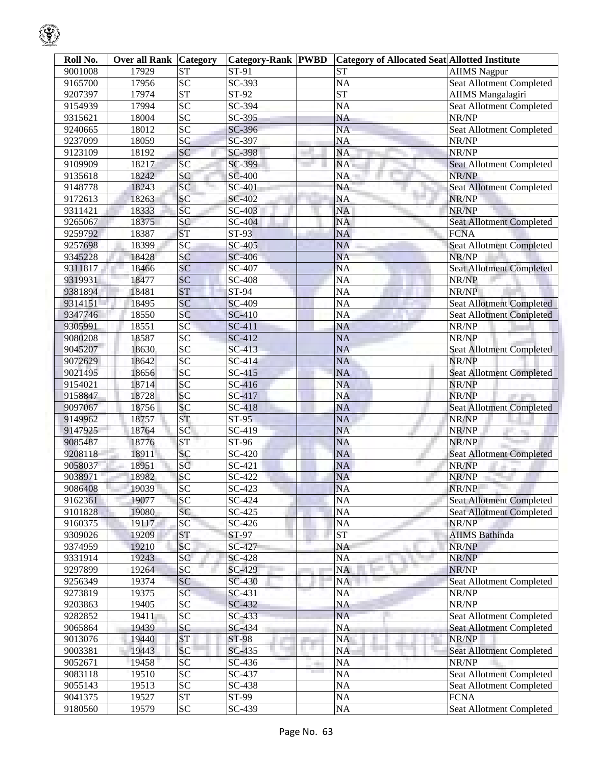| Roll No. | <b>Over all Rank Category</b> |                 | <b>Category-Rank PWBD</b> |     | <b>Category of Allocated Seat Allotted Institute</b> |                                 |
|----------|-------------------------------|-----------------|---------------------------|-----|------------------------------------------------------|---------------------------------|
| 9001008  | 17929                         | <b>ST</b>       | ST-91                     |     | <b>ST</b>                                            | <b>AIIMS Nagpur</b>             |
| 9165700  | 17956                         | <b>SC</b>       | SC-393                    |     | <b>NA</b>                                            | <b>Seat Allotment Completed</b> |
| 9207397  | 17974                         | <b>ST</b>       | ST-92                     |     | $\overline{\text{ST}}$                               | <b>AIIMS</b> Mangalagiri        |
| 9154939  | 17994                         | $\overline{SC}$ | SC-394                    |     | <b>NA</b>                                            | <b>Seat Allotment Completed</b> |
| 9315621  | 18004                         | $\overline{SC}$ | SC-395                    |     | <b>NA</b>                                            | NR/NP                           |
| 9240665  | 18012                         | SC              | SC-396                    |     | <b>NA</b>                                            | Seat Allotment Completed        |
| 9237099  | 18059                         | SC              | SC-397                    |     | <b>NA</b>                                            | NR/NP                           |
| 9123109  | 18192                         | SC              | SC-398                    |     | <b>NA</b>                                            | NR/NP                           |
| 9109909  | 18217                         | SC              | SC-399                    |     | NA.                                                  | <b>Seat Allotment Completed</b> |
| 9135618  | 18242                         | SC              | <b>SC-400</b>             |     | NA                                                   | NR/NP                           |
| 9148778  | 18243                         | SC              | <b>SC-401</b>             |     | <b>NA</b>                                            | Seat Allotment Completed        |
| 9172613  | 18263                         | SC              | <b>SC-402</b>             |     | <b>NA</b>                                            | NR/NP                           |
| 9311421  | 18333                         | SC              | SC-403                    |     | <b>NA</b>                                            | NR/NP                           |
| 9265067  | 18375                         | SC              | SC-404                    |     | <b>NA</b>                                            | <b>Seat Allotment Completed</b> |
| 9259792  | 18387                         | <b>ST</b>       | <b>ST-93</b>              |     | <b>NA</b>                                            | <b>FCNA</b>                     |
| 9257698  | 18399                         | SC              | SC-405                    |     | <b>NA</b>                                            | Seat Allotment Completed        |
| 9345228  | 18428                         | SC              | <b>SC-406</b>             |     | <b>NA</b>                                            | NR/NP                           |
| 9311817  | 18466                         | SC              | SC-407                    |     | <b>NA</b>                                            | <b>Seat Allotment Completed</b> |
| 9319931  | 18477                         | SC              | <b>SC-408</b>             |     | NA                                                   | NR/NP                           |
| 9381894  | 18481                         | <b>ST</b>       | ST-94                     |     | NA                                                   | NR/NP                           |
| 9314151  |                               | SC              | <b>SC-409</b>             |     | NA                                                   | <b>Seat Allotment Completed</b> |
|          | 18495<br>18550                | SC              |                           |     |                                                      |                                 |
| 9347746  |                               |                 | SC-410                    |     | <b>NA</b>                                            | <b>Seat Allotment Completed</b> |
| 9305991  | 18551                         | SC              | SC-411                    |     | NA                                                   | NR/NP                           |
| 9080208  | 18587                         | $\overline{SC}$ | SC-412                    |     | <b>NA</b>                                            | NR/NP                           |
| 9045207  | 18630                         | SC              | SC-413                    |     | <b>NA</b>                                            | <b>Seat Allotment Completed</b> |
| 9072629  | 18642                         | SC              | SC-414                    |     | <b>NA</b>                                            | NR/NP                           |
| 9021495  | 18656                         | SC              | SC-415                    |     | <b>NA</b>                                            | <b>Seat Allotment Completed</b> |
| 9154021  | 18714                         | SC              | SC-416                    |     | <b>NA</b>                                            | NR/NP                           |
| 9158847  | 18728                         | SC              | SC-417                    |     | <b>NA</b>                                            | NR/NP                           |
| 9097067  | 18756                         | SC              | SC-418                    |     | <b>NA</b>                                            | <b>Seat Allotment Completed</b> |
| 9149962  | 18757                         | <b>ST</b>       | $ST-95$                   |     | <b>NA</b>                                            | NR/NP                           |
| 9147925  | 18764                         | SC              | SC-419                    |     | <b>NA</b>                                            | NR/NP                           |
| 9085487  | 18776                         | <b>ST</b>       | ST-96                     |     | <b>NA</b>                                            | NR/NP                           |
| 9208118  | 18911                         | SC              | SC-420                    |     | <b>NA</b>                                            | <b>Seat Allotment Completed</b> |
| 9058037  | 18951                         | SC              | SC-421                    |     | <b>NA</b>                                            | NR/NP                           |
| 9038971  | 18982                         | SC              | SC-422                    |     | <b>NA</b>                                            | NR/NP                           |
| 9086408  | 19039                         | <b>SC</b>       | $SC-423$                  |     | <b>NA</b>                                            | NR/NP                           |
| 9162361  | 19077                         | <b>SC</b>       | SC-424                    |     | <b>NA</b>                                            | <b>Seat Allotment Completed</b> |
| 9101828  | 19080                         | SC              | SC-425                    |     | NA                                                   | <b>Seat Allotment Completed</b> |
| 9160375  | 19117                         | SC              | SC-426                    |     | NA                                                   | NR/NP                           |
| 9309026  | 19209                         | <b>ST</b>       | ST-97                     |     | <b>ST</b>                                            | <b>AIIMS</b> Bathinda           |
| 9374959  | 19210                         | <b>SC</b>       | SC-427                    |     | NA                                                   | NR/NP                           |
| 9331914  | 19243                         | SC              | <b>SC-428</b>             |     | NA<br>a.                                             | NR/NP                           |
| 9297899  | 19264                         | SC              | SC-429                    |     | <b>NA</b>                                            | NR/NP                           |
| 9256349  | 19374                         | SC              | SC-430                    |     | NA                                                   | Seat Allotment Completed        |
| 9273819  | 19375                         | SC              | SC-431                    |     | NA                                                   | NR/NP                           |
| 9203863  | 19405                         | <b>SC</b>       | SC-432                    |     | NA                                                   | NR/NP                           |
| 9282852  | 19411                         | <b>SC</b>       | $SC-433$                  |     | NA                                                   | Seat Allotment Completed        |
| 9065864  | 19439                         | <b>SC</b>       | SC-434                    |     | <b>NA</b>                                            | <b>Seat Allotment Completed</b> |
| 9013076  | 19440                         | <b>ST</b>       | ST-98                     |     | <b>NA</b>                                            | NR/NP                           |
| 9003381  | 19443                         | <b>SC</b>       | SC-435                    | ш   | <b>NA</b>                                            | <b>Seat Allotment Completed</b> |
| 9052671  | 19458                         | SC              | SC-436                    | er. | NA                                                   | NR/NP                           |
| 9083118  | 19510                         | <b>SC</b>       | SC-437                    |     | NA                                                   | <b>Seat Allotment Completed</b> |
| 9055143  | 19513                         | <b>SC</b>       | SC-438                    |     | NA                                                   | Seat Allotment Completed        |
| 9041375  | 19527                         | <b>ST</b>       | ST-99                     |     | NA                                                   | <b>FCNA</b>                     |
| 9180560  | 19579                         | ${\rm SC}$      | SC-439                    |     | NA                                                   | Seat Allotment Completed        |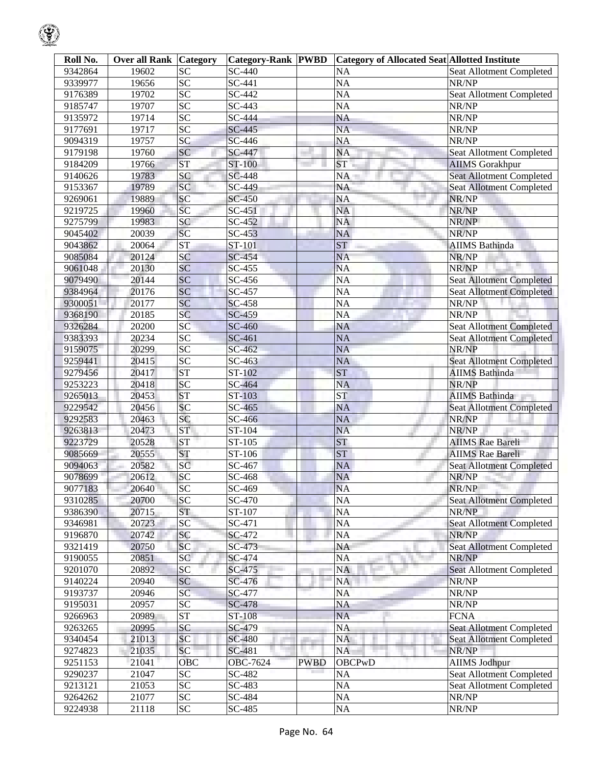| Roll No. | <b>Over all Rank Category</b> |                     | <b>Category-Rank PWBD</b> |             | <b>Category of Allocated Seat Allotted Institute</b> |                                 |
|----------|-------------------------------|---------------------|---------------------------|-------------|------------------------------------------------------|---------------------------------|
| 9342864  | 19602                         | <b>SC</b>           | SC-440                    |             | <b>NA</b>                                            | Seat Allotment Completed        |
| 9339977  | 19656                         | $\overline{SC}$     | SC-441                    |             | <b>NA</b>                                            | NR/NP                           |
| 9176389  | 19702                         | $\overline{SC}$     | SC-442                    |             | <b>NA</b>                                            | Seat Allotment Completed        |
| 9185747  | 19707                         | SC                  | SC-443                    |             | <b>NA</b>                                            | NR/NP                           |
| 9135972  | 19714                         | $\overline{SC}$     | SC-444                    |             | <b>NA</b>                                            | NR/NP                           |
| 9177691  | 19717                         | SC                  | SC-445                    |             | <b>NA</b>                                            | NR/NP                           |
| 9094319  | 19757                         | SC                  | SC-446                    |             | <b>NA</b>                                            | NR/NP                           |
| 9179198  | 19760                         | SC                  | SC-447                    |             | <b>NA</b>                                            | Seat Allotment Completed        |
| 9184209  | 19766                         | <b>ST</b>           | ST-100                    |             | ST                                                   | <b>AIIMS</b> Gorakhpur          |
| 9140626  | 19783                         | SC                  | <b>SC-448</b>             |             | <b>NA</b>                                            | <b>Seat Allotment Completed</b> |
| 9153367  | 19789                         | SC                  | SC-449                    |             | <b>NA</b>                                            | <b>Seat Allotment Completed</b> |
| 9269061  | 19889                         | SC                  | <b>SC-450</b>             |             | <b>NA</b>                                            | NR/NP                           |
| 9219725  | 19960                         | SC                  | SC-451                    |             | NA                                                   | NR/NP                           |
| 9275799  | 19983                         | SC                  | SC-452                    |             | <b>NA</b>                                            | NR/NP                           |
| 9045402  | 20039                         | SC                  | SC-453                    |             | <b>NA</b>                                            | NR/NP                           |
| 9043862  | 20064                         | <b>ST</b>           | ST-101                    |             | ST                                                   | <b>AIIMS Bathinda</b>           |
| 9085084  | 20124                         | SC                  | SC-454                    |             | <b>NA</b>                                            | NR/NP                           |
| 9061048  | 20130                         | SC                  | SC-455                    |             | <b>NA</b>                                            | NR/NP                           |
| 9079490  | 20144                         | SC                  | SC-456                    |             | <b>NA</b>                                            | <b>Seat Allotment Completed</b> |
|          | 20176                         | SC                  | SC-457                    |             | <b>NA</b>                                            |                                 |
| 9384964  |                               | SC                  |                           |             |                                                      | Seat Allotment Completed        |
| 9300051  | 20177                         |                     | <b>SC-458</b>             |             | <b>NA</b>                                            | NR/NP                           |
| 9368190  | 20185                         | SC                  | SC-459                    |             | <b>NA</b>                                            | NR/NP                           |
| 9326284  | 20200                         | SC                  | SC-460                    |             | <b>NA</b>                                            | <b>Seat Allotment Completed</b> |
| 9383393  | 20234                         | $\overline{SC}$     | SC-461                    |             | <b>NA</b>                                            | <b>Seat Allotment Completed</b> |
| 9159075  | 20299                         | SC                  | SC-462                    |             | <b>NA</b>                                            | NR/NP                           |
| 9259441  | 20415                         | SC                  | SC-463                    |             | <b>NA</b>                                            | <b>Seat Allotment Completed</b> |
| 9279456  | 20417                         | <b>ST</b>           | ST-102                    |             | <b>ST</b>                                            | <b>AIIMS Bathinda</b>           |
| 9253223  | 20418                         | SC                  | SC-464                    |             | <b>NA</b>                                            | NR/NP                           |
| 9265013  | 20453                         | <b>ST</b>           | ST-103                    |             | ST                                                   | <b>AIIMS Bathinda</b>           |
| 9229542  | 20456                         | SC                  | SC-465                    |             | <b>NA</b>                                            | Seat Allotment Completed        |
| 9292583  | 20463                         | SC                  | SC-466                    |             | <b>NA</b>                                            | NR/NP                           |
| 9263813  | 20473                         | <b>ST</b>           | ST-104                    |             | <b>NA</b>                                            | NR/NP                           |
| 9223729  | 20528                         | <b>ST</b>           | ST-105                    |             | <b>ST</b>                                            | <b>AIIMS</b> Rae Bareli         |
| 9085669  | 20555                         | <b>ST</b>           | ST-106                    |             | <b>ST</b>                                            | <b>AIIMS Rae Bareli</b>         |
| 9094063  | 20582                         | SC                  | SC-467                    |             | <b>NA</b>                                            | <b>Seat Allotment Completed</b> |
| 9078699  | 20612                         | SC                  | SC-468                    |             | <b>NA</b>                                            | NR/NP                           |
| 9077183  | 20640                         | SC                  | SC-469                    |             | <b>NA</b>                                            | NR/NP                           |
| 9310285  | 20700                         | SC                  | SC-470                    |             | <b>NA</b>                                            | <b>Seat Allotment Completed</b> |
| 9386390  | 20715                         | <b>ST</b>           | ST-107                    |             | <b>NA</b>                                            | NR/NP                           |
| 9346981  | 20723                         | SC                  | SC-471                    |             | NA                                                   | <b>Seat Allotment Completed</b> |
| 9196870  | 20742                         | SC                  | SC-472                    |             | <b>NA</b>                                            | NR/NP                           |
| 9321419  | 20750                         | <b>SC</b>           | SC-473                    |             | <b>NA</b>                                            | <b>Seat Allotment Completed</b> |
| 9190055  | 20851                         | SC                  | SC-474                    |             | <b>NA</b>                                            | NR/NP                           |
| 9201070  | 20892                         | SC                  | SC-475                    |             | NA                                                   | <b>Seat Allotment Completed</b> |
| 9140224  | 20940                         | SC                  | SC-476                    |             | <b>NA</b>                                            | NR/NP                           |
| 9193737  | 20946                         | SC                  | SC-477                    |             | <b>NA</b>                                            | NR/NP                           |
| 9195031  | 20957                         | $\overline{SC}$     | <b>SC-478</b>             |             | <b>NA</b>                                            | NR/NP                           |
| 9266963  | 20989                         | $\operatorname{ST}$ | ST-108                    |             | <b>NA</b>                                            | <b>FCNA</b>                     |
| 9263265  | 20995                         | SC                  | SC-479                    |             | <b>NA</b>                                            | <b>Seat Allotment Completed</b> |
| 9340454  | 21013                         | <b>SC</b>           | <b>SC-480</b>             |             | NA                                                   | <b>Seat Allotment Completed</b> |
| 9274823  | 21035                         | SC                  | SC-481                    |             | <b>NA</b>                                            | NR/NP                           |
| 9251153  | 21041                         | <b>OBC</b>          | OBC-7624                  | <b>PWBD</b> | <b>OBCPwD</b>                                        | <b>AIIMS Jodhpur</b>            |
| 9290237  | 21047                         | $\overline{SC}$     | SC-482                    |             | <b>NA</b>                                            | <b>Seat Allotment Completed</b> |
| 9213121  | 21053                         | <b>SC</b>           | SC-483                    |             | NA                                                   | Seat Allotment Completed        |
| 9264262  | 21077                         | <b>SC</b>           | SC-484                    |             | NA                                                   | NR/NP                           |
| 9224938  | 21118                         | SC                  | SC-485                    |             | NA                                                   | NR/NP                           |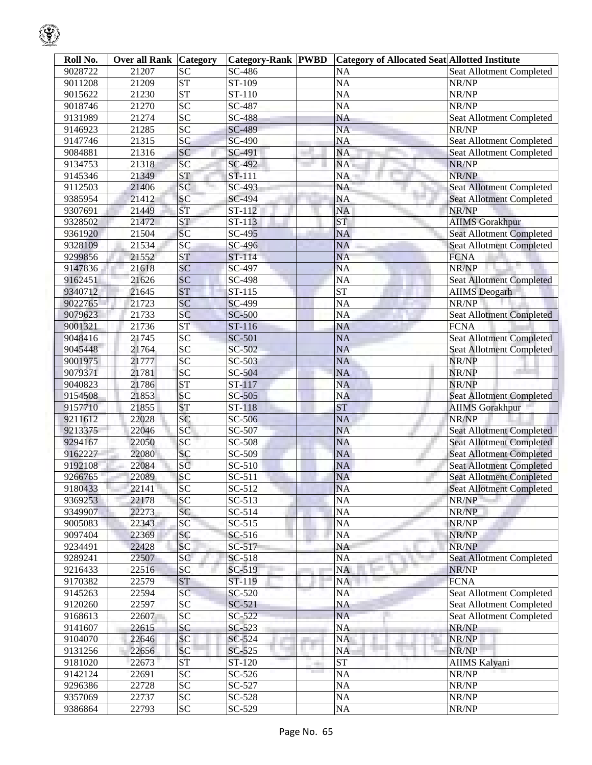| Roll No. | <b>Over all Rank   Category</b> |                        | <b>Category-Rank PWBD</b> |    | <b>Category of Allocated Seat Allotted Institute</b> |                                 |
|----------|---------------------------------|------------------------|---------------------------|----|------------------------------------------------------|---------------------------------|
| 9028722  | 21207                           | SC                     | SC-486                    |    | <b>NA</b>                                            | Seat Allotment Completed        |
| 9011208  | 21209                           | $\overline{\text{ST}}$ | ST-109                    |    | <b>NA</b>                                            | NR/NP                           |
| 9015622  | 21230                           | <b>ST</b>              | ST-110                    |    | <b>NA</b>                                            | NR/NP                           |
| 9018746  | 21270                           | SC                     | SC-487                    |    | <b>NA</b>                                            | NR/NP                           |
| 9131989  | 21274                           | $\overline{SC}$        | <b>SC-488</b>             |    | <b>NA</b>                                            | Seat Allotment Completed        |
| 9146923  | 21285                           | SC                     | SC-489                    |    | <b>NA</b>                                            | NR/NP                           |
| 9147746  | 21315                           | SC                     | SC-490                    |    | <b>NA</b>                                            | Seat Allotment Completed        |
| 9084881  | 21316                           | SC                     | SC-491                    |    | <b>NA</b>                                            | Seat Allotment Completed        |
| 9134753  | 21318                           | SC                     | SC-492                    |    | NA                                                   | NR/NP                           |
| 9145346  | 21349                           | ST                     | ST-111                    |    | <b>NA</b>                                            | NR/NP                           |
| 9112503  | 21406                           | SC                     | SC-493                    |    | <b>NA</b>                                            | Seat Allotment Completed        |
| 9385954  | 21412                           | SC                     | SC-494                    |    | <b>NA</b>                                            | Seat Allotment Completed        |
| 9307691  | 21449                           | ST                     | ST-112                    |    | <b>NA</b>                                            | NR/NP                           |
| 9328502  | 21472                           | <b>ST</b>              | ST-113                    |    | <b>ST</b>                                            | <b>AIIMS</b> Gorakhpur          |
| 9361920  | 21504                           | SC                     | SC-495                    |    | <b>NA</b>                                            | <b>Seat Allotment Completed</b> |
| 9328109  | 21534                           | SC                     | SC-496                    |    | <b>NA</b>                                            | <b>Seat Allotment Completed</b> |
| 9299856  | 21552                           | <b>ST</b>              | ST-114                    |    | <b>NA</b>                                            | <b>FCNA</b>                     |
| 9147836  | 21618                           | SC                     | SC-497                    |    | <b>NA</b>                                            | NR/NP                           |
| 9162451  | 21626                           | SC                     | SC-498                    |    | <b>NA</b>                                            | <b>Seat Allotment Completed</b> |
| 9340712  | 21645                           | <b>ST</b>              | ST-115                    |    | $\overline{\text{ST}}$                               | <b>AIIMS</b> Deogarh            |
| 9022765  | 21723                           | SC                     | SC-499                    |    | <b>NA</b>                                            | NR/NP                           |
| 9079623  | 21733                           | SC                     | <b>SC-500</b>             |    | <b>NA</b>                                            | Seat Allotment Completed        |
| 9001321  | 21736                           | <b>ST</b>              | ST-116                    |    | <b>NA</b>                                            | <b>FCNA</b>                     |
|          | 21745                           | SC                     |                           |    |                                                      |                                 |
| 9048416  |                                 | SC                     | SC-501                    |    | <b>NA</b>                                            | Seat Allotment Completed        |
| 9045448  | 21764                           |                        | SC-502                    |    | <b>NA</b>                                            | <b>Seat Allotment Completed</b> |
| 9001975  | 21777                           | SC                     | SC-503                    |    | <b>NA</b>                                            | NR/NP                           |
| 9079371  | 21781                           | SC                     | SC-504                    |    | <b>NA</b>                                            | NR/NP                           |
| 9040823  | 21786                           | <b>ST</b>              | ST-117                    |    | <b>NA</b>                                            | NR/NP                           |
| 9154508  | 21853                           | SC                     | SC-505                    |    | <b>NA</b>                                            | Seat Allotment Completed        |
| 9157710  | 21855                           | <b>ST</b>              | ST-118                    |    | <b>ST</b>                                            | <b>AIIMS Gorakhpur</b>          |
| 9211612  | 22028                           | SC                     | SC-506                    |    | <b>NA</b>                                            | NR/NP                           |
| 9213375  | 22046                           | SC                     | SC-507                    |    | <b>NA</b>                                            | <b>Seat Allotment Completed</b> |
| 9294167  | 22050                           | SC                     | SC-508                    |    | <b>NA</b>                                            | <b>Seat Allotment Completed</b> |
| 9162227  | 22080                           | SC                     | SC-509                    |    | NA                                                   | <b>Seat Allotment Completed</b> |
| 9192108  | 22084                           | SC                     | SC-510                    |    | <b>NA</b>                                            | <b>Seat Allotment Completed</b> |
| 9266765  | 22089                           | SC                     | SC-511                    |    | <b>NA</b>                                            | <b>Seat Allotment Completed</b> |
| 9180433  | 22141                           | SC                     | $SC-512$                  |    | <b>NA</b>                                            | Seat Allotment Completed        |
| 9369253  | 22178                           | <b>SC</b>              | SC-513                    |    | <b>NA</b>                                            | NR/NP                           |
| 9349907  | 22273                           | SC                     | SC-514                    |    | <b>NA</b>                                            | NR/NP                           |
| 9005083  | 22343                           | SC                     | $SC-515$                  |    | NA                                                   | NR/NP                           |
| 9097404  | 22369                           | <b>SC</b>              | SC-516                    |    | <b>NA</b>                                            | NR/NP                           |
| 9234491  | 22428                           | SC                     | SC-517                    |    | NA                                                   | NR/NP                           |
| 9289241  | 22507                           | SC                     | SC-518                    |    | <b>NA</b>                                            | <b>Seat Allotment Completed</b> |
| 9216433  | 22516                           | SC                     | SC-519                    |    | NA                                                   | NR/NP                           |
| 9170382  | 22579                           | <b>ST</b>              | ST-119                    |    | <b>NA</b>                                            | <b>FCNA</b>                     |
| 9145263  | 22594                           | SC                     | SC-520                    |    | <b>NA</b>                                            | <b>Seat Allotment Completed</b> |
| 9120260  | 22597                           | <b>SC</b>              | SC-521                    |    | NA                                                   | <b>Seat Allotment Completed</b> |
| 9168613  | 22607                           | <b>SC</b>              | SC-522                    |    | NA                                                   | Seat Allotment Completed        |
| 9141607  | 22615                           | SC                     | SC-523                    |    | <b>NA</b>                                            | NR/NP                           |
| 9104070  | 22646                           | <b>SC</b>              | SC-524                    |    | NA                                                   | NR/NP                           |
| 9131256  | 22656                           | SC                     | SC-525                    | ш  | NA                                                   | NR/NP                           |
| 9181020  | 22673                           | ST                     | ST-120                    |    | <b>ST</b>                                            | <b>AIIMS Kalyani</b>            |
| 9142124  | 22691                           | $\overline{SC}$        | SC-526                    | m. | NA                                                   | NR/NP                           |
| 9296386  | 22728                           | <b>SC</b>              | SC-527                    |    | NA                                                   | NR/NP                           |
| 9357069  | 22737                           | <b>SC</b>              | SC-528                    |    | NA                                                   | NR/NP                           |
| 9386864  | 22793                           | <b>SC</b>              | SC-529                    |    | NA                                                   | NR/NP                           |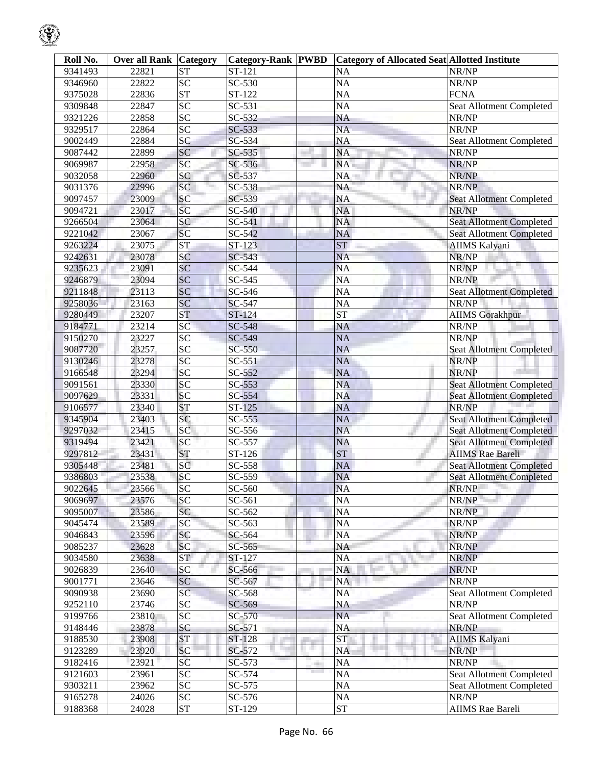| Roll No. | <b>Over all Rank Category</b> |                 | <b>Category-Rank PWBD</b>  |                          | Category of Allocated Seat Allotted Institute |                                 |
|----------|-------------------------------|-----------------|----------------------------|--------------------------|-----------------------------------------------|---------------------------------|
| 9341493  | 22821                         | <b>ST</b>       | ST-121                     |                          | <b>NA</b>                                     | NR/NP                           |
| 9346960  | 22822                         | $\overline{SC}$ | SC-530                     |                          | <b>NA</b>                                     | NR/NP                           |
| 9375028  | 22836                         | <b>ST</b>       | ST-122                     |                          | <b>NA</b>                                     | <b>FCNA</b>                     |
| 9309848  | 22847                         | SC              | SC-531                     |                          | <b>NA</b>                                     | Seat Allotment Completed        |
| 9321226  | 22858                         | SC              | SC-532                     |                          | <b>NA</b>                                     | NR/NP                           |
| 9329517  | 22864                         | SC              | SC-533                     |                          | <b>NA</b>                                     | NR/NP                           |
| 9002449  | 22884                         | SC              | SC-534                     |                          | <b>NA</b>                                     | Seat Allotment Completed        |
| 9087442  | 22899                         | SC              | SC-535                     |                          | <b>NA</b>                                     | NR/NP                           |
| 9069987  | 22958                         | SC              | SC-536                     |                          | NA.                                           | NR/NP                           |
| 9032058  | 22960                         | SC              | SC-537                     |                          | NA                                            | NR/NP                           |
| 9031376  | 22996                         | SC              | SC-538                     |                          | NA                                            | NR/NP                           |
| 9097457  | 23009                         | SC              | SC-539                     |                          | <b>NA</b>                                     | <b>Seat Allotment Completed</b> |
| 9094721  | 23017                         | SC              | SC-540                     |                          | <b>NA</b>                                     | NR/NP                           |
| 9266504  | 23064                         | SC              | SC-541                     |                          | <b>NA</b>                                     | <b>Seat Allotment Completed</b> |
| 9221042  | 23067                         | SC              | SC-542                     |                          | <b>NA</b>                                     | <b>Seat Allotment Completed</b> |
| 9263224  | 23075                         | <b>ST</b>       | ST-123                     |                          | <b>ST</b>                                     | <b>AIIMS Kalyani</b>            |
| 9242631  | 23078                         | SC              | SC-543                     |                          | <b>NA</b>                                     | NR/NP                           |
| 9235623  | 23091                         | SC              | SC-544                     |                          | <b>NA</b>                                     | NR/NP                           |
| 9246879  | 23094                         | SC              | SC-545                     |                          | <b>NA</b>                                     | NR/NP                           |
| 9211848  | 23113                         | SC              | SC-546                     |                          | <b>NA</b>                                     | <b>Seat Allotment Completed</b> |
| 9258036  | 23163                         | SC              | SC-547                     |                          | <b>NA</b>                                     | NR/NP                           |
| 9280449  | 23207                         | <b>ST</b>       | ST-124                     |                          | <b>ST</b>                                     | <b>AIIMS</b> Gorakhpur          |
| 9184771  | 23214                         | SC              | SC-548                     |                          | <b>NA</b>                                     | NR/NP                           |
| 9150270  | 23227                         | $\overline{SC}$ | SC-549                     |                          | <b>NA</b>                                     | NR/NP                           |
| 9087720  | 23257                         | SC              | SC-550                     |                          | <b>NA</b>                                     | <b>Seat Allotment Completed</b> |
| 9130246  | 23278                         | SC              | SC-551                     |                          | <b>NA</b>                                     | NR/NP                           |
| 9166548  | 23294                         | SC              | SC-552                     |                          | <b>NA</b>                                     | NR/NP                           |
| 9091561  | 23330                         | SC              | SC-553                     |                          | <b>NA</b>                                     | <b>Seat Allotment Completed</b> |
| 9097629  | 23331                         | SC              | SC-554                     |                          | <b>NA</b>                                     | <b>Seat Allotment Completed</b> |
| 9106577  | 23340                         | <b>ST</b>       | ST-125                     |                          | <b>NA</b>                                     | NR/NP                           |
| 9345904  | 23403                         | SC              | $SC-555$                   |                          | <b>NA</b>                                     | Seat Allotment Completed        |
| 9297032  | 23415                         | SC              | SC-556                     |                          | <b>NA</b>                                     | <b>Seat Allotment Completed</b> |
| 9319494  | 23421                         | SC              | SC-557                     |                          | <b>NA</b>                                     | Seat Allotment Completed        |
| 9297812  | 23431                         | <b>ST</b>       | ST-126                     |                          | <b>ST</b>                                     | <b>AIIMS</b> Rae Bareli         |
| 9305448  | 23481                         | SC              | SC-558                     |                          | <b>NA</b>                                     | <b>Seat Allotment Completed</b> |
| 9386803  | 23538                         | SC              | SC-559                     |                          | <b>NA</b>                                     | <b>Seat Allotment Completed</b> |
| 9022645  | 23566                         | SC              | SC-560                     |                          | <b>NA</b>                                     | NR/NP                           |
| 9069697  | 23576                         | SC              | SC-561                     |                          | NA                                            | NR/NP                           |
| 9095007  | 23586                         | SC              | SC-562                     |                          | <b>NA</b>                                     | NR/NP                           |
| 9045474  | 23589                         | SC              | SC-563                     |                          | NA                                            | NR/NP                           |
| 9046843  | 23596                         | <b>SC</b>       | SC-564                     |                          | <b>NA</b>                                     | NR/NP                           |
| 9085237  | 23628                         | <b>SC</b>       | SC-565                     |                          | NA                                            | NR/NP                           |
| 9034580  | 23638                         | <b>ST</b>       | ST-127                     |                          | <b>NA</b><br>alan i                           | NR/NP                           |
| 9026839  | 23640                         | SC              | SC-566                     |                          | NA                                            | NR/NP                           |
| 9001771  | 23646                         | <b>SC</b>       | SC-567                     |                          | NA                                            | NR/NP                           |
| 9090938  | 23690                         | SC              | SC-568                     |                          | NA                                            | Seat Allotment Completed        |
| 9252110  | 23746                         | <b>SC</b>       | SC-569                     |                          | <b>NA</b>                                     | NR/NP                           |
| 9199766  | 23810                         | <b>SC</b>       | SC-570                     |                          | <b>NA</b>                                     | Seat Allotment Completed        |
| 9148446  | 23878                         | <b>SC</b>       | SC-571                     |                          | <b>NA</b>                                     | NR/NP                           |
| 9188530  | 23908                         | <b>ST</b>       | ST-128                     |                          | <b>ST</b>                                     | <b>AIIMS Kalyani</b>            |
| 9123289  | 23920                         | SC              | SC-572                     | . .                      | <b>NA</b>                                     | NR/NP                           |
| 9182416  | 23921                         | SC              | SC-573                     |                          | NA                                            | NR/NP                           |
| 9121603  | 23961                         | <b>SC</b>       | SC-574                     | ÷<br><b>The Contract</b> | NA                                            | <b>Seat Allotment Completed</b> |
| 9303211  | 23962                         | <b>SC</b>       | SC-575                     |                          | NA                                            | Seat Allotment Completed        |
| 9165278  | 24026                         | <b>SC</b>       | SC-576                     |                          | NA                                            | NR/NP                           |
| 9188368  | 24028                         | ST              | $\overline{\text{ST-}}129$ |                          | <b>ST</b>                                     | <b>AIIMS</b> Rae Bareli         |
|          |                               |                 |                            |                          |                                               |                                 |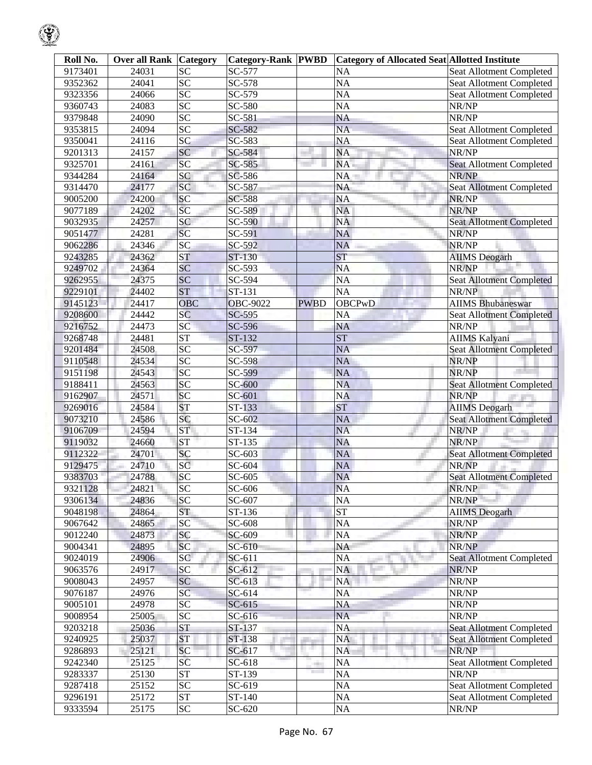| Roll No. | <b>Over all Rank Category</b> |                        | <b>Category-Rank PWBD</b> |             | <b>Category of Allocated Seat Allotted Institute</b> |                                 |
|----------|-------------------------------|------------------------|---------------------------|-------------|------------------------------------------------------|---------------------------------|
| 9173401  | 24031                         | <b>SC</b>              | SC-577                    |             | <b>NA</b>                                            | Seat Allotment Completed        |
| 9352362  | 24041                         | $\overline{SC}$        | SC-578                    |             | <b>NA</b>                                            | Seat Allotment Completed        |
| 9323356  | 24066                         | SC                     | SC-579                    |             | <b>NA</b>                                            | Seat Allotment Completed        |
| 9360743  | 24083                         | SC                     | SC-580                    |             | <b>NA</b>                                            | NR/NP                           |
| 9379848  | 24090                         | SC                     | SC-581                    |             | <b>NA</b>                                            | NR/NP                           |
| 9353815  | 24094                         | SC                     | SC-582                    |             | <b>NA</b>                                            | Seat Allotment Completed        |
| 9350041  | 24116                         | SC                     | SC-583                    |             | <b>NA</b>                                            | Seat Allotment Completed        |
| 9201313  | 24157                         | SC                     | SC-584                    |             | <b>NA</b>                                            | NR/NP                           |
| 9325701  | 24161                         | SC                     | SC-585                    |             | NA.                                                  | <b>Seat Allotment Completed</b> |
| 9344284  | 24164                         | SC                     | SC-586                    |             | <b>NA</b>                                            | NR/NP                           |
| 9314470  | 24177                         | SC                     | SC-587                    |             | <b>NA</b>                                            | <b>Seat Allotment Completed</b> |
| 9005200  | 24200                         | SC                     | SC-588                    |             | <b>NA</b>                                            | NR/NP                           |
| 9077189  | 24202                         | SC                     | SC-589                    |             | NA                                                   | NR/NP                           |
| 9032935  | 24257                         | SC                     | SC-590                    |             | <b>NA</b>                                            | <b>Seat Allotment Completed</b> |
| 9051477  | 24281                         | SC                     | SC-591                    |             | <b>NA</b>                                            | NR/NP                           |
| 9062286  | 24346                         | SC                     | SC-592                    |             | <b>NA</b>                                            | NR/NP                           |
| 9243285  | 24362                         | <b>ST</b>              | ST-130                    |             | ST                                                   | <b>AIIMS</b> Deogarh            |
| 9249702  | 24364                         | SC                     | SC-593                    |             | <b>NA</b>                                            | NR/NP                           |
| 9262955  | 24375                         | SC                     | SC-594                    |             | <b>NA</b>                                            | <b>Seat Allotment Completed</b> |
| 9229101  | 24402                         | <b>ST</b>              | ST-131                    |             | <b>NA</b>                                            | NR/NP                           |
| 9145123  | 24417                         | <b>OBC</b>             | <b>OBC-9022</b>           | <b>PWBD</b> | <b>OBCPwD</b>                                        | <b>AIIMS Bhubaneswar</b>        |
|          | 24442                         | SC                     |                           |             |                                                      | <b>Seat Allotment Completed</b> |
| 9208600  |                               |                        | SC-595                    |             | <b>NA</b>                                            | NR/NP                           |
| 9216752  | 24473                         | SC                     | SC-596                    |             | <b>NA</b>                                            |                                 |
| 9268748  | 24481                         | ST                     | ST-132                    |             | <b>ST</b>                                            | <b>AIIMS Kalyani</b>            |
| 9201484  | 24508                         | SC                     | SC-597                    |             | <b>NA</b>                                            | <b>Seat Allotment Completed</b> |
| 9110548  | 24534                         | SC                     | SC-598                    |             | <b>NA</b>                                            | NR/NP                           |
| 9151198  | 24543                         | SC                     | SC-599                    |             | <b>NA</b>                                            | NR/NP                           |
| 9188411  | 24563                         | SC                     | SC-600                    |             | <b>NA</b>                                            | <b>Seat Allotment Completed</b> |
| 9162907  | 24571                         | SC                     | SC-601                    |             | <b>NA</b>                                            | NR/NP                           |
| 9269016  | 24584                         | <b>ST</b>              | ST-133                    |             | <b>ST</b>                                            | <b>AIIMS</b> Deogarh            |
| 9073210  | 24586                         | SC                     | SC-602                    |             | <b>NA</b>                                            | <b>Seat Allotment Completed</b> |
| 9106709  | 24594                         | <b>ST</b>              | ST-134                    |             | <b>NA</b>                                            | NR/NP                           |
| 9119032  | 24660                         | <b>ST</b>              | ST-135                    |             | <b>NA</b>                                            | NR/NP                           |
| 9112322  | 24701                         | SC                     | SC-603                    |             | NA                                                   | <b>Seat Allotment Completed</b> |
| 9129475  | 24710                         | SC                     | SC-604                    |             | NA                                                   | NR/NP                           |
| 9383703  | 24788                         | SC                     | SC-605                    |             | <b>NA</b>                                            | <b>Seat Allotment Completed</b> |
| 9321128  | 24821                         | SC                     | SC-606                    |             | <b>NA</b>                                            | NR/NP                           |
| 9306134  | 24836                         | SC                     | SC-607                    |             | <b>NA</b>                                            | NR/NP                           |
| 9048198  | 24864                         | <b>ST</b>              | ST-136                    |             | <b>ST</b>                                            | <b>AIIMS</b> Deogarh            |
| 9067642  | 24865                         | SC                     | SC-608                    |             | NA                                                   | NR/NP                           |
| 9012240  | 24873                         | <b>SC</b>              | SC-609                    |             | <b>NA</b>                                            | NR/NP                           |
| 9004341  | 24895                         | <b>SC</b>              | SC-610                    |             | <b>NA</b>                                            | NR/NP                           |
| 9024019  | 24906                         | SC                     | SC-611                    |             | <b>NA</b>                                            | <b>Seat Allotment Completed</b> |
| 9063576  | 24917                         | SC                     | SC-612                    |             | NA                                                   | NR/NP                           |
| 9008043  | 24957                         | SC                     | SC-613                    |             | <b>NA</b>                                            | NR/NP                           |
| 9076187  | 24976                         | SC                     | SC-614                    |             | <b>NA</b>                                            | NR/NP                           |
| 9005101  | 24978                         | $\overline{SC}$        | SC-615                    |             | <b>NA</b>                                            | NR/NP                           |
| 9008954  | 25005                         | $\overline{SC}$        | SC-616                    |             | <b>NA</b>                                            | NR/NP                           |
| 9203218  | 25036                         | <b>ST</b>              | ST-137                    |             | <b>NA</b>                                            | <b>Seat Allotment Completed</b> |
| 9240925  | 25037                         | <b>ST</b>              | ST-138                    |             | <b>NA</b>                                            | <b>Seat Allotment Completed</b> |
| 9286893  | 25121                         | SC                     | SC-617                    |             | <b>NA</b>                                            | NR/NP                           |
| 9242340  | 25125                         | SC                     | SC-618                    |             | NA                                                   | Seat Allotment Completed        |
| 9283337  | 25130                         | $\overline{\text{ST}}$ | ST-139                    |             | NA                                                   | NR/NP                           |
| 9287418  | 25152                         | $\overline{SC}$        | SC-619                    |             | NA                                                   | Seat Allotment Completed        |
| 9296191  | 25172                         | ${\cal ST}$            | ST-140                    |             | NA                                                   | Seat Allotment Completed        |
| 9333594  | 25175                         | $\overline{SC}$        | SC-620                    |             | NA                                                   | NR/NP                           |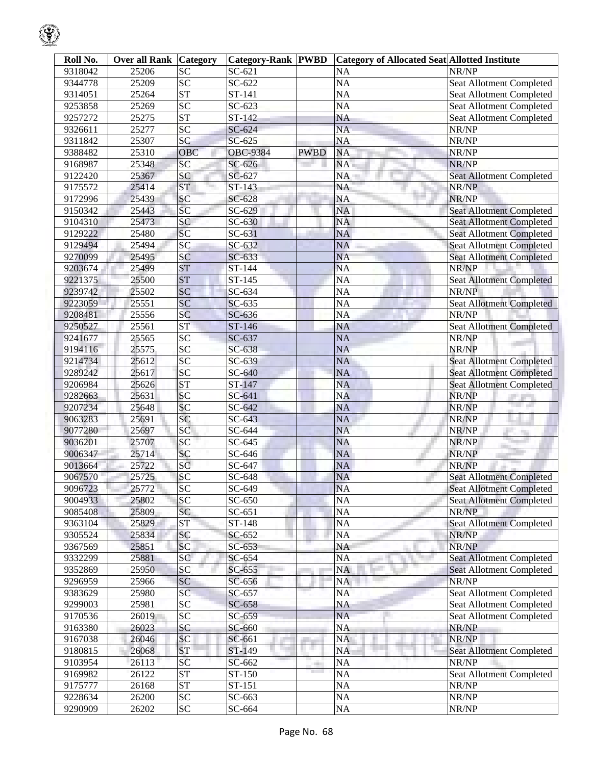| Roll No.           | Over all Rank  | <b>Category</b> | <b>Category-Rank PWBD</b> |                          | Category of Allocated Seat Allotted Institute |                                          |
|--------------------|----------------|-----------------|---------------------------|--------------------------|-----------------------------------------------|------------------------------------------|
| 9318042            | 25206          | <b>SC</b>       | $SC-621$                  |                          | <b>NA</b>                                     | NR/NP                                    |
| 9344778            | 25209          | $\overline{SC}$ | SC-622                    |                          | <b>NA</b>                                     | Seat Allotment Completed                 |
| 9314051            | 25264          | <b>ST</b>       | ST-141                    |                          | <b>NA</b>                                     | Seat Allotment Completed                 |
| 9253858            | 25269          | SC              | SC-623                    |                          | <b>NA</b>                                     | Seat Allotment Completed                 |
| 9257272            | 25275          | <b>ST</b>       | ST-142                    |                          | <b>NA</b>                                     | Seat Allotment Completed                 |
| 9326611            | 25277          | $\overline{SC}$ | SC-624                    |                          | <b>NA</b>                                     | NR/NP                                    |
| 9311842            | 25307          | SC              | SC-625                    |                          | <b>NA</b>                                     | NR/NP                                    |
| 9388482            | 25310          | OBC             | <b>OBC-9384</b>           | <b>PWBD</b>              | <b>NA</b>                                     | NR/NP                                    |
| 9168987            | 25348          | SC              | SC-626                    |                          | NA.                                           | NR/NP                                    |
| 9122420            | 25367          | SC              | SC-627                    |                          | NA                                            | Seat Allotment Completed                 |
| 9175572            | 25414          | <b>ST</b>       | ST-143                    |                          | NA                                            | NR/NP                                    |
| 9172996            | 25439          | SC              | SC-628                    |                          | <b>NA</b>                                     | NR/NP                                    |
| 9150342            | 25443          | SC              | SC-629                    |                          | <b>NA</b>                                     | <b>Seat Allotment Completed</b>          |
| 9104310            | 25473          | SC              | SC-630                    |                          | <b>NA</b>                                     | <b>Seat Allotment Completed</b>          |
| 9129222            | 25480          | SC              | SC-631                    |                          | <b>NA</b>                                     | Seat Allotment Completed                 |
| 9129494            | 25494          | SC              | SC-632                    |                          | <b>NA</b>                                     | <b>Seat Allotment Completed</b>          |
| 9270099            | 25495          | SC              | SC-633                    |                          | <b>NA</b>                                     | <b>Seat Allotment Completed</b>          |
| 9203674            | 25499          | <b>ST</b>       | ST-144                    |                          | <b>NA</b>                                     | NR/NP                                    |
| 9221375            | 25500          | <b>ST</b>       | ST-145                    |                          | <b>NA</b>                                     | <b>Seat Allotment Completed</b>          |
| 9239742            | 25502          | SC              | $SC-634$                  |                          | <b>NA</b>                                     | NR/NP                                    |
| 9223059            | 25551          | SC              | SC-635                    |                          | <b>NA</b>                                     | <b>Seat Allotment Completed</b>          |
| 9208481            | 25556          | SC              | SC-636                    |                          | <b>NA</b>                                     | NR/NP                                    |
| 9250527            | 25561          | <b>ST</b>       | ST-146                    |                          | <b>NA</b>                                     | <b>Seat Allotment Completed</b>          |
| 9241677            | 25565          | $\overline{SC}$ | SC-637                    |                          | <b>NA</b>                                     | NR/NP                                    |
| 9194116            | 25575          | $\overline{SC}$ | SC-638                    |                          | <b>NA</b>                                     | NR/NP                                    |
| 9214734            | 25612          | SC              | SC-639                    |                          | <b>NA</b>                                     |                                          |
| 9289242            | 25617          | SC              |                           |                          | <b>NA</b>                                     | <b>Seat Allotment Completed</b>          |
|                    |                | <b>ST</b>       | SC-640                    |                          | <b>NA</b>                                     | <b>Seat Allotment Completed</b>          |
| 9206984            | 25626          | SC              | ST-147                    |                          |                                               | <b>Seat Allotment Completed</b>          |
| 9282663            | 25631          | SC              | SC-641<br>SC-642          |                          | <b>NA</b>                                     | NR/NP                                    |
| 9207234            | 25648          | SC              | SC-643                    |                          | <b>NA</b><br><b>NA</b>                        | NR/NP<br>NR/NP                           |
| 9063283<br>9077280 | 25691<br>25697 | SC              | SC-644                    |                          | <b>NA</b>                                     | NR/NP                                    |
| 9036201            | 25707          | SC              | SC-645                    |                          | <b>NA</b>                                     | NR/NP                                    |
| 9006347            | 25714          | SC              | SC-646                    |                          | NA                                            |                                          |
|                    | 25722          | SC              | SC-647                    |                          | <b>NA</b>                                     | NR/NP<br>NR/NP                           |
| 9013664            | 25725          | SC              |                           |                          | <b>NA</b>                                     |                                          |
| 9067570            |                |                 | SC-648                    |                          |                                               | <b>Seat Allotment Completed</b>          |
| 9096723<br>9004933 | 25772<br>25802 | SC<br>SC        | SC-649<br>SC-650          |                          | <b>NA</b><br><b>NA</b>                        | <b>Seat Allotment Completed</b>          |
| 9085408            | 25809          | SC              | SC-651                    |                          | <b>NA</b>                                     | <b>Seat Allotment Completed</b><br>NR/NP |
| 9363104            | 25829          | <b>ST</b>       | ST-148                    |                          | NA                                            | <b>Seat Allotment Completed</b>          |
| 9305524            | 25834          | <b>SC</b>       | SC-652                    |                          | <b>NA</b>                                     | NR/NP                                    |
| 9367569            | 25851          | <b>SC</b>       | $SC-653$                  |                          | NA                                            | NR/NP                                    |
| 9332299            | 25881          | SC              | SC-654                    |                          | <b>NA</b>                                     | <b>Seat Allotment Completed</b>          |
| 9352869            | 25950          | SC              |                           |                          | a.                                            |                                          |
|                    |                |                 | SC-655                    |                          | NA                                            | Seat Allotment Completed                 |
| 9296959            | 25966          | <b>SC</b>       | SC-656                    |                          | NA                                            | NR/NP                                    |
| 9383629            | 25980          | SC              | SC-657                    |                          | NA                                            | Seat Allotment Completed                 |
| 9299003            | 25981          | <b>SC</b>       | SC-658                    |                          | <b>NA</b>                                     | <b>Seat Allotment Completed</b>          |
| 9170536            | 26019          | $\overline{SC}$ | SC-659                    |                          | <b>NA</b>                                     | Seat Allotment Completed                 |
| 9163380            | 26023          | SC              | SC-660                    |                          | <b>NA</b>                                     | NR/NP                                    |
| 9167038            | 26046          | <b>SC</b>       | SC-661                    | . .                      | <b>NA</b>                                     | NR/NP                                    |
| 9180815            | 26068          | <b>ST</b>       | ST-149                    |                          | <b>NA</b>                                     | Seat Allotment Completed                 |
| 9103954            | 26113          | SC              | SC-662                    | ÷<br><b>The Contract</b> | NA                                            | NR/NP                                    |
| 9169982            | 26122          | <b>ST</b>       | ST-150                    |                          | NA                                            | <b>Seat Allotment Completed</b>          |
| 9175777            | 26168          | <b>ST</b>       | ST-151                    |                          | NA                                            | NR/NP                                    |
| 9228634            | 26200          | <b>SC</b>       | SC-663                    |                          | NA                                            | NR/NP                                    |
| 9290909            | 26202          | $\overline{SC}$ | SC-664                    |                          | NA                                            | NR/NP                                    |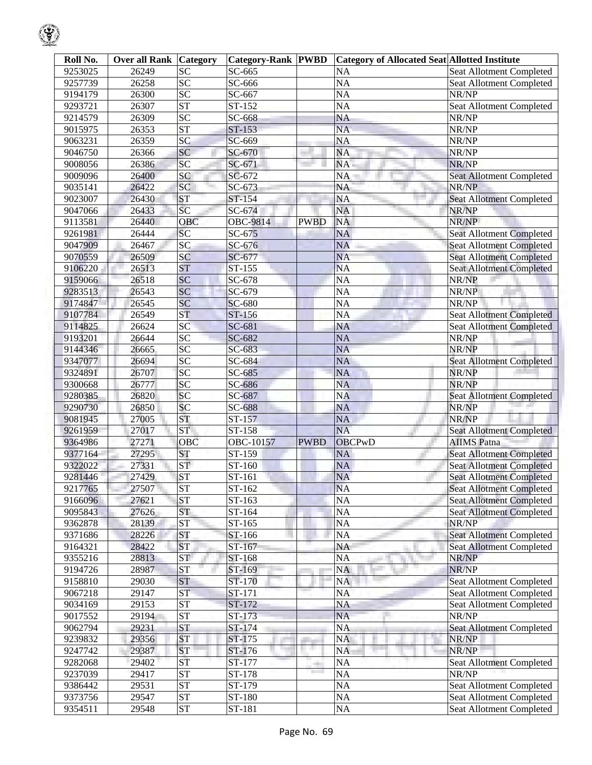| Roll No. | Over all Rank | <b>Category</b>        | <b>Category-Rank PWBD</b> |              | <b>Category of Allocated Seat Allotted Institute</b> |                                 |
|----------|---------------|------------------------|---------------------------|--------------|------------------------------------------------------|---------------------------------|
| 9253025  | 26249         | <b>SC</b>              | SC-665                    |              | NA                                                   | Seat Allotment Completed        |
| 9257739  | 26258         | SC                     | SC-666                    |              | <b>NA</b>                                            | Seat Allotment Completed        |
| 9194179  | 26300         | $\overline{SC}$        | SC-667                    |              | <b>NA</b>                                            | NR/NP                           |
| 9293721  | 26307         | $\overline{\text{ST}}$ | ST-152                    |              | <b>NA</b>                                            | Seat Allotment Completed        |
| 9214579  | 26309         | SC                     | SC-668                    |              | <b>NA</b>                                            | NR/NP                           |
| 9015975  | 26353         | <b>ST</b>              | ST-153                    |              | <b>NA</b>                                            | NR/NP                           |
| 9063231  | 26359         | SC                     | SC-669                    |              | <b>NA</b>                                            | NR/NP                           |
| 9046750  | 26366         | SC                     | SC-670                    |              | NA                                                   | NR/NP                           |
| 9008056  | 26386         | SC                     | SC-671                    |              | NA.                                                  | NR/NP                           |
| 9009096  | 26400         | SC                     | SC-672                    |              | NA                                                   | <b>Seat Allotment Completed</b> |
| 9035141  | 26422         | SC                     | SC-673                    |              | NA                                                   | NR/NP                           |
| 9023007  | 26430         | <b>ST</b>              | ST-154                    |              | <b>NA</b>                                            | <b>Seat Allotment Completed</b> |
| 9047066  | 26433         | SC                     | SC-674                    |              | NA                                                   | NR/NP                           |
| 9113581  | 26440         | OBC                    | OBC-9814                  | <b>PWBD</b>  | <b>NA</b>                                            | NR/NP                           |
| 9261981  | 26444         | SC                     | SC-675                    |              | <b>NA</b>                                            | <b>Seat Allotment Completed</b> |
| 9047909  | 26467         | SC                     | SC-676                    |              | <b>NA</b>                                            | <b>Seat Allotment Completed</b> |
| 9070559  | 26509         | SC                     | SC-677                    |              | <b>NA</b>                                            | <b>Seat Allotment Completed</b> |
| 9106220  | 26513         | <b>ST</b>              | ST-155                    |              | <b>NA</b>                                            | <b>Seat Allotment Completed</b> |
| 9159066  | 26518         | SC                     | SC-678                    |              | <b>NA</b>                                            | NR/NP                           |
| 9283513  | 26543         | SC                     | SC-679                    |              | <b>NA</b>                                            | NR/NP                           |
| 9174847  | 26545         | SC                     | SC-680                    |              | <b>NA</b>                                            | NR/NP                           |
| 9107784  | 26549         | <b>ST</b>              | ST-156                    |              | <b>NA</b>                                            | <b>Seat Allotment Completed</b> |
| 9114825  | 26624         | SC                     | SC-681                    |              | NA                                                   | Seat Allotment Completed        |
| 9193201  | 26644         | SC                     | SC-682                    |              | <b>NA</b>                                            | NR/NP                           |
| 9144346  | 26665         | SC                     | SC-683                    |              | <b>NA</b>                                            | NR/NP                           |
| 9347077  | 26694         | SC                     | SC-684                    |              | <b>NA</b>                                            | <b>Seat Allotment Completed</b> |
| 9324891  | 26707         | SC                     | SC-685                    |              | <b>NA</b>                                            | NR/NP                           |
| 9300668  | 26777         | SC                     | SC-686                    |              | <b>NA</b>                                            | NR/NP                           |
| 9280385  | 26820         | SC                     | SC-687                    |              | <b>NA</b>                                            | <b>Seat Allotment Completed</b> |
| 9290730  | 26850         | SC                     | SC-688                    |              | <b>NA</b>                                            | NR/NP                           |
| 9081945  | 27005         | <b>ST</b>              | ST-157                    |              | <b>NA</b>                                            | NR/NP                           |
| 9261959  | 27017         | <b>ST</b>              | ST-158                    |              | <b>NA</b>                                            | <b>Seat Allotment Completed</b> |
| 9364986  | 27271         | OBC                    | OBC-10157                 | <b>PWBD</b>  | <b>OBCPwD</b>                                        | <b>AIIMS</b> Patna              |
| 9377164  | 27295         | <b>ST</b>              | ST-159                    |              | NA                                                   | <b>Seat Allotment Completed</b> |
| 9322022  | 27331         | <b>ST</b>              | ST-160                    |              | <b>NA</b>                                            | <b>Seat Allotment Completed</b> |
| 9281446  | 27429         | ${\cal S}{\cal T}$     | ST-161                    |              | <b>NA</b>                                            | <b>Seat Allotment Completed</b> |
| 9217765  | 27507         | <b>ST</b>              | ST-162                    |              | <b>NA</b>                                            | Seat Allotment Completed        |
| 9166096  | 27621         | <b>ST</b>              | ST-163                    |              | <b>NA</b>                                            | <b>Seat Allotment Completed</b> |
| 9095843  | 27626         | <b>ST</b>              | ST-164                    |              | NA                                                   | <b>Seat Allotment Completed</b> |
| 9362878  | 28139         | <b>ST</b>              | ST-165                    |              | NA                                                   | NR/NP                           |
| 9371686  | 28226         | <b>ST</b>              | ST-166                    |              | <b>NA</b>                                            | <b>Seat Allotment Completed</b> |
| 9164321  | 28422         | <b>ST</b>              | ST-167                    |              | NA                                                   | <b>Seat Allotment Completed</b> |
| 9355216  | 28813         | <b>ST</b>              | ST-168                    |              | NA                                                   | NR/NP                           |
| 9194726  | 28987         | <b>ST</b>              | ST-169                    |              | <b>NA</b>                                            | NR/NP                           |
| 9158810  | 29030         | <b>ST</b>              | ST-170                    |              | NA                                                   | <b>Seat Allotment Completed</b> |
| 9067218  | 29147         | <b>ST</b>              | ST-171                    |              | NA                                                   | Seat Allotment Completed        |
| 9034169  | 29153         | <b>ST</b>              | ST-172                    |              | NA                                                   | Seat Allotment Completed        |
| 9017552  | 29194         | <b>ST</b>              | ST-173                    |              | <b>NA</b>                                            | NR/NP                           |
| 9062794  | 29231         | <b>ST</b>              | ST-174                    |              | <b>NA</b>                                            | Seat Allotment Completed        |
| 9239832  | 29356         | <b>ST</b>              | ST-175                    |              | NA                                                   | NR/NP                           |
| 9247742  | 29387         | <b>ST</b>              | ST-176                    |              | <b>NA</b>                                            | NR/NP                           |
| 9282068  | 29402         | ST                     | ST-177                    | <b>COLOR</b> | <b>NA</b>                                            | <b>Seat Allotment Completed</b> |
| 9237039  | 29417         | <b>ST</b>              | ST-178                    |              | NA                                                   | NR/NP                           |
| 9386442  | 29531         | <b>ST</b>              | ST-179                    |              | NA                                                   | Seat Allotment Completed        |
| 9373756  | 29547         | ${\cal S}{\cal T}$     | ST-180                    |              | NA                                                   | Seat Allotment Completed        |
| 9354511  | 29548         | <b>ST</b>              | ST-181                    |              | NA                                                   | Seat Allotment Completed        |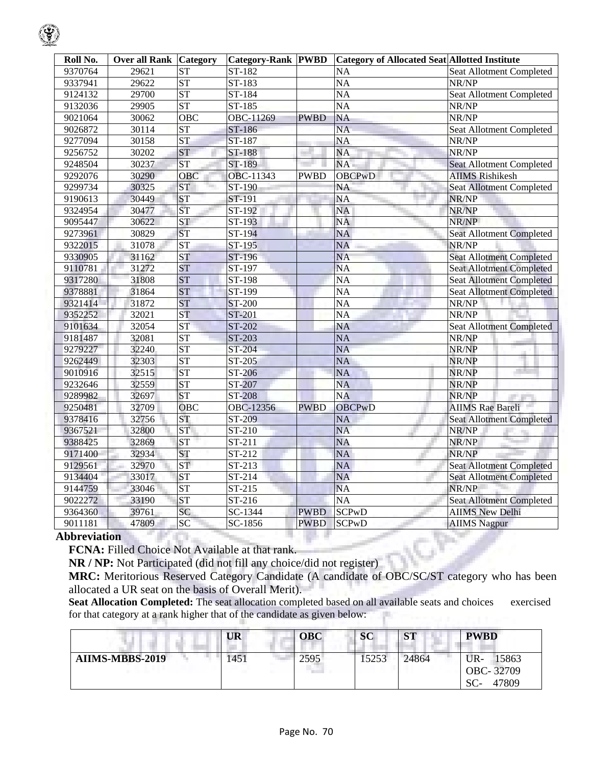| Roll No. | <b>Over all Rank Category</b> |                        | <b>Category-Rank PWBD</b> |             | <b>Category of Allocated Seat Allotted Institute</b> |                                 |
|----------|-------------------------------|------------------------|---------------------------|-------------|------------------------------------------------------|---------------------------------|
| 9370764  | 29621                         | <b>ST</b>              | ST-182                    |             | <b>NA</b>                                            | <b>Seat Allotment Completed</b> |
| 9337941  | 29622                         | $\overline{\text{ST}}$ | ST-183                    |             | NA                                                   | NR/NP                           |
| 9124132  | 29700                         | <b>ST</b>              | ST-184                    |             | $\overline{NA}$                                      | Seat Allotment Completed        |
| 9132036  | 29905                         | <b>ST</b>              | ST-185                    |             | <b>NA</b>                                            | NR/NP                           |
| 9021064  | 30062                         | <b>OBC</b>             | OBC-11269                 | <b>PWBD</b> | <b>NA</b>                                            | NR/NP                           |
| 9026872  | 30114                         | <b>ST</b>              | ST-186                    |             | $\overline{NA}$                                      | Seat Allotment Completed        |
| 9277094  | 30158                         | <b>ST</b>              | ST-187                    |             | <b>NA</b>                                            | NR/NP                           |
| 9256752  | 30202                         | <b>ST</b>              | ST-188                    |             | <b>NA</b>                                            | NR/NP                           |
| 9248504  | 30237                         | <b>ST</b>              | ST-189                    |             | NA                                                   | <b>Seat Allotment Completed</b> |
| 9292076  | 30290                         | OBC                    | OBC-11343                 | <b>PWBD</b> | <b>OBCPwD</b>                                        | <b>AIIMS Rishikesh</b>          |
| 9299734  | 30325                         | <b>ST</b>              | ST-190                    |             | <b>NA</b>                                            | <b>Seat Allotment Completed</b> |
| 9190613  | 30449                         | <b>ST</b>              | ST-191                    |             | $\overline{NA}$                                      | NR/NP                           |
| 9324954  | 30477                         | <b>ST</b>              | ST-192                    |             | <b>NA</b>                                            | NR/NP                           |
| 9095447  | 30622                         | <b>ST</b>              | ST-193                    |             | <b>NA</b>                                            | NR/NP                           |
| 9273961  | 30829                         | <b>ST</b>              | ST-194                    |             | <b>NA</b>                                            | <b>Seat Allotment Completed</b> |
| 9322015  | 31078                         | ST                     | ST-195                    |             | <b>NA</b>                                            | NR/NP                           |
| 9330905  | 31162                         | <b>ST</b>              | ST-196                    |             | <b>NA</b>                                            | <b>Seat Allotment Completed</b> |
| 9110781  | 31272                         | ST                     | ST-197                    |             | <b>NA</b>                                            | <b>Seat Allotment Completed</b> |
| 9317280  | 31808                         | <b>ST</b>              | ST-198                    |             | <b>NA</b>                                            | <b>Seat Allotment Completed</b> |
| 9378881  | 31864                         | <b>ST</b>              | ST-199                    |             | $\overline{NA}$                                      | <b>Seat Allotment Completed</b> |
| 9321414  | 31872                         | <b>ST</b>              | ST-200                    |             | <b>NA</b>                                            | NR/NP                           |
| 9352252  | 32021                         | <b>ST</b>              | ST-201                    |             | <b>NA</b>                                            | NR/NP                           |
| 9101634  | 32054                         | <b>ST</b>              | ST-202                    |             | NA                                                   | <b>Seat Allotment Completed</b> |
| 9181487  | 32081                         | <b>ST</b>              | ST-203                    |             | <b>NA</b>                                            | NR/NP                           |
| 9279227  | 32240                         | <b>ST</b>              | ST-204                    |             | <b>NA</b>                                            | NR/NP                           |
| 9262449  | 32303                         | <b>ST</b>              | ST-205                    |             | <b>NA</b>                                            | NR/NP                           |
| 9010916  | 32515                         | <b>ST</b>              | ST-206                    |             | <b>NA</b>                                            | NR/NP<br>and the                |
| 9232646  | 32559                         | <b>ST</b>              | ST-207                    |             | <b>NA</b>                                            | NR/NP                           |
| 9289982  | 32697                         | <b>ST</b>              | <b>ST-208</b>             |             | <b>NA</b>                                            | NR/NP                           |
| 9250481  | 32709                         | OBC                    | OBC-12356                 | <b>PWBD</b> | <b>OBCPwD</b>                                        | <b>AIIMS</b> Rae Bareli         |
| 9378416  | 32756                         | <b>ST</b>              | ST-209                    |             | <b>NA</b>                                            | <b>Seat Allotment Completed</b> |
| 9367521  | 32800                         | <b>ST</b>              | ST-210                    |             | <b>NA</b>                                            | NR/NP                           |
| 9388425  | 32869                         | <b>ST</b>              | ST-211                    |             | <b>NA</b>                                            | NR/NP                           |
| 9171400  | 32934                         | <b>ST</b>              | ST-212                    |             | <b>NA</b>                                            | NR/NP                           |
| 9129561  | 32970                         | <b>ST</b>              | ST-213                    |             | <b>NA</b>                                            | <b>Seat Allotment Completed</b> |
| 9134404  | 33017                         | <b>ST</b>              | ST-214                    |             | <b>NA</b>                                            | <b>Seat Allotment Completed</b> |
| 9144759  | 33046                         | <b>ST</b>              | $ST-215$                  |             | <b>NA</b>                                            | NR/NP                           |
| 9022272  | 33190                         | <b>ST</b>              | ST-216                    |             | $\overline{NA}$                                      | <b>Seat Allotment Completed</b> |
| 9364360  | 39761                         | SC                     | SC-1344                   | <b>PWBD</b> | <b>SCP<sub>w</sub>D</b>                              | <b>AIIMS New Delhi</b>          |
| 9011181  | 47809                         | SC                     | SC-1856                   | <b>PWBD</b> | <b>SCPwD</b>                                         | <b>AIIMS</b> Nagpur             |

### **Abbreviation**

**FCNA:** Filled Choice Not Available at that rank.

**NR / NP:** Not Participated (did not fill any choice/did not register)

**MRC:** Meritorious Reserved Category Candidate (A candidate of OBC/SC/ST category who has been allocated a UR seat on the basis of Overall Merit).

**Seat Allocation Completed:** The seat allocation completed based on all available seats and choices exercised for that category at a rank higher that of the candidate as given below:

|                        | UR   | <b>OBC</b>                           | SC   | <b>ST</b> | <b>PWBD</b>                                 |
|------------------------|------|--------------------------------------|------|-----------|---------------------------------------------|
| <b>AIIMS-MBBS-2019</b> | !451 | 2595<br><b>The Company's Company</b> | 5253 | 24864     | UR-<br>15863<br>OBC-32709<br>47809<br>$SC-$ |